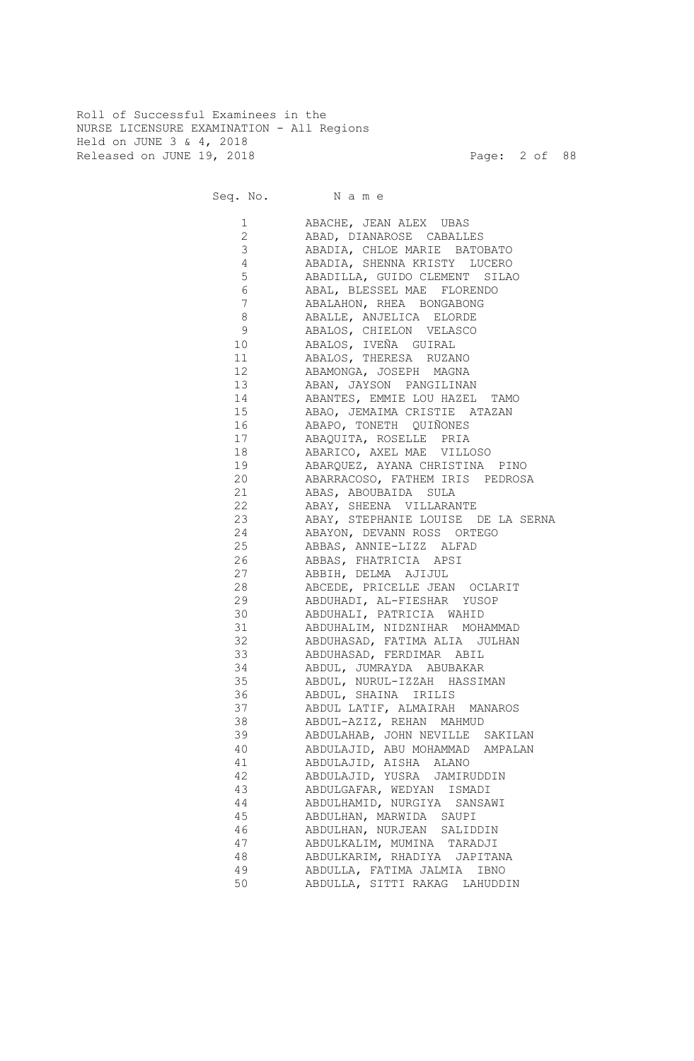Roll of Successful Examinees in the NURSE LICENSURE EXAMINATION - All Regions Held on JUNE 3 & 4, 2018 Released on JUNE 19, 2018 Page: 2 of 88

Seq. No. Name

 1 ABACHE, JEAN ALEX UBAS 2 ABAD, DIANAROSE CABALLES 3 ABADIA, CHLOE MARIE BATOBATO 4 ABADIA, SHENNA KRISTY LUCERO 5 ABADILLA, GUIDO CLEMENT SILAO 6 ABAL, BLESSEL MAE FLORENDO 7 ABALAHON, RHEA BONGABONG 8 ABALLE, ANJELICA ELORDE 9 ABALOS, CHIELON VELASCO 10 ABALOS, IVEÑA GUIRAL 11 ABALOS, THERESA RUZANO 12 ABAMONGA, JOSEPH MAGNA 13 ABAN, JAYSON PANGILINAN 14 ABANTES, EMMIE LOU HAZEL TAMO 15 ABAO, JEMAIMA CRISTIE ATAZAN 16 ABAPO, TONETH QUIÑONES 17 ABAQUITA, ROSELLE PRIA 18 ABARICO, AXEL MAE VILLOSO 19 ABARQUEZ, AYANA CHRISTINA PINO 20 ABARRACOSO, FATHEM IRIS PEDROSA 21 ABAS, ABOUBAIDA SULA 22 ABAY, SHEENA VILLARANTE 23 ABAY, STEPHANIE LOUISE DE LA SERNA 24 ABAYON, DEVANN ROSS ORTEGO 25 ABBAS, ANNIE-LIZZ ALFAD 26 ABBAS, FHATRICIA APSI 27 ABBIH, DELMA AJIJUL 28 ABCEDE, PRICELLE JEAN OCLARIT 29 ABDUHADI, AL-FIESHAR YUSOP 30 ABDUHALI, PATRICIA WAHID 31 ABDUHALIM, NIDZNIHAR MOHAMMAD 32 ABDUHASAD, FATIMA ALIA JULHAN 33 ABDUHASAD, FERDIMAR ABIL 34 ABDUL, JUMRAYDA ABUBAKAR 35 ABDUL, NURUL-IZZAH HASSIMAN 36 ABDUL, SHAINA IRILIS 37 ABDUL LATIF, ALMAIRAH MANAROS 38 ABDUL-AZIZ, REHAN MAHMUD 39 ABDULAHAB, JOHN NEVILLE SAKILAN 40 ABDULAJID, ABU MOHAMMAD AMPALAN 41 ABDULAJID, AISHA ALANO 42 ABDULAJID, YUSRA JAMIRUDDIN 43 ABDULGAFAR, WEDYAN ISMADI 44 ABDULHAMID, NURGIYA SANSAWI 45 ABDULHAN, MARWIDA SAUPI 46 ABDULHAN, NURJEAN SALIDDIN 47 ABDULKALIM, MUMINA TARADJI 48 ABDULKARIM, RHADIYA JAPITANA 49 ABDULLA, FATIMA JALMIA IBNO 50 ABDULLA, SITTI RAKAG LAHUDDIN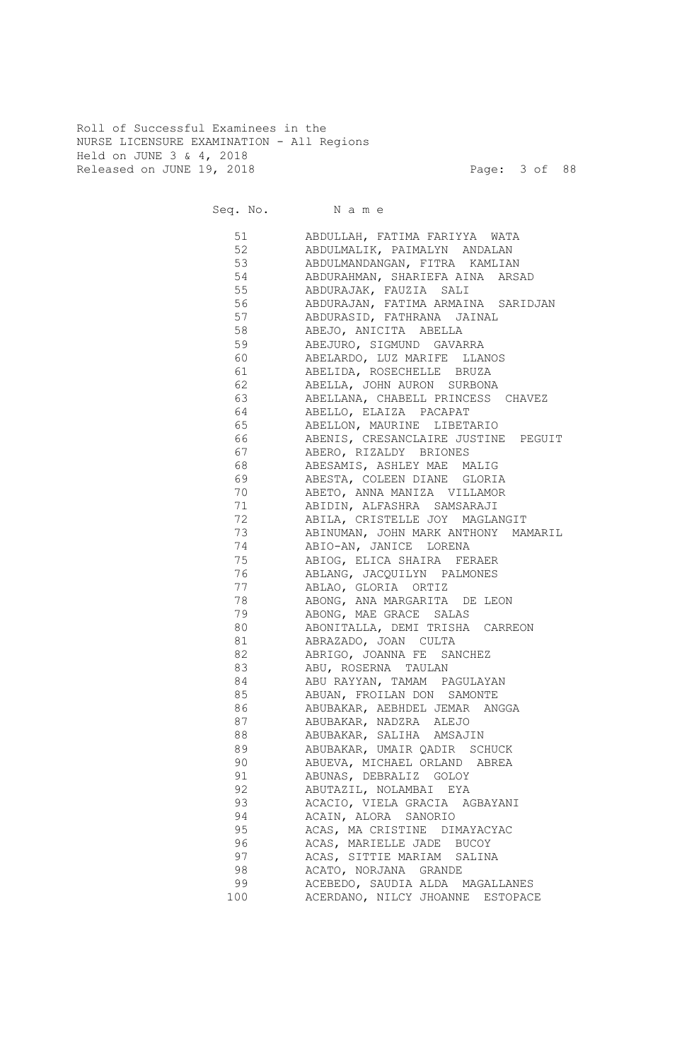Roll of Successful Examinees in the NURSE LICENSURE EXAMINATION - All Regions Held on JUNE 3 & 4, 2018 Released on JUNE 19, 2018 Page: 3 of 88

Seq. No. Name 51 ABDULLAH, FATIMA FARIYYA WATA 52 ABDULMALIK, PAIMALYN ANDALAN 53 ABDULMANDANGAN, FITRA KAMLIAN 54 ABDURAHMAN, SHARIEFA AINA ARSAD 55 ABDURAJAK, FAUZIA SALI 56 ABDURAJAN, FATIMA ARMAINA SARIDJAN 57 ABDURASID, FATHRANA JAINAL 58 ABEJO, ANICITA ABELLA 59 ABEJURO, SIGMUND GAVARRA 60 ABELARDO, LUZ MARIFE LLANOS 61 ABELIDA, ROSECHELLE BRUZA 62 ABELLA, JOHN AURON SURBONA 63 ABELLANA, CHABELL PRINCESS CHAVEZ 64 ABELLO, ELAIZA PACAPAT 65 ABELLON, MAURINE LIBETARIO 66 ABENIS, CRESANCLAIRE JUSTINE PEGUIT 67 ABERO, RIZALDY BRIONES 68 ABESAMIS, ASHLEY MAE MALIG 69 ABESTA, COLEEN DIANE GLORIA 70 ABETO, ANNA MANIZA VILLAMOR 71 ABIDIN, ALFASHRA SAMSARAJI 72 ABILA, CRISTELLE JOY MAGLANGIT 73 ABINUMAN, JOHN MARK ANTHONY MAMARIL 74 ABIO-AN, JANICE LORENA 75 ABIOG, ELICA SHAIRA FERAER 76 ABLANG, JACQUILYN PALMONES 77 ABLAO, GLORIA ORTIZ 78 ABONG, ANA MARGARITA DE LEON 79 ABONG, MAE GRACE SALAS 80 ABONITALLA, DEMI TRISHA CARREON 81 ABRAZADO, JOAN CULTA 82 ABRIGO, JOANNA FE SANCHEZ 83 ABU, ROSERNA TAULAN 84 ABU RAYYAN, TAMAM PAGULAYAN 85 ABUAN, FROILAN DON SAMONTE 86 ABUBAKAR, AEBHDEL JEMAR ANGGA 87 ABUBAKAR, NADZRA ALEJO 88 ABUBAKAR, SALIHA AMSAJIN 89 ABUBAKAR, UMAIR QADIR SCHUCK 90 ABUEVA, MICHAEL ORLAND ABREA 91 ABUNAS, DEBRALIZ GOLOY 92 ABUTAZIL, NOLAMBAI EYA 93 ACACIO, VIELA GRACIA AGBAYANI 94 ACAIN, ALORA SANORIO 95 ACAS, MA CRISTINE DIMAYACYAC<br>96 ACAS, MARIELLE JADE BUCOY ACAS, MARIELLE JADE BUCOY 97 ACAS, SITTIE MARIAM SALINA 98 ACATO, NORJANA GRANDE 99 ACEBEDO, SAUDIA ALDA MAGALLANES 100 ACERDANO, NILCY JHOANNE ESTOPACE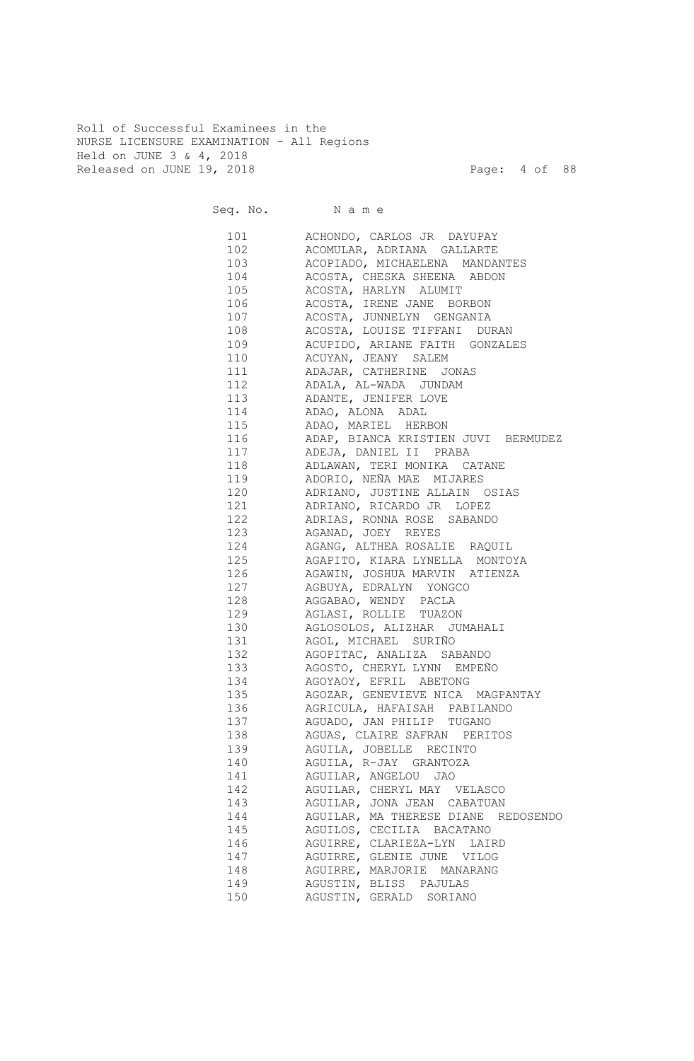Roll of Successful Examinees in the NURSE LICENSURE EXAMINATION - All Regions Held on JUNE 3 & 4, 2018 Released on JUNE 19, 2018 Page: 4 of 88

Seq. No. Name 101 ACHONDO, CARLOS JR DAYUPAY 102 ACOMULAR, ADRIANA GALLARTE 103 ACOPIADO, MICHAELENA MANDANTES 104 ACOSTA, CHESKA SHEENA ABDON 105 ACOSTA, HARLYN ALUMIT 106 ACOSTA, IRENE JANE BORBON 107 ACOSTA, JUNNELYN GENGANIA 108 ACOSTA, LOUISE TIFFANI DURAN 109 ACUPIDO, ARIANE FAITH GONZALES 110 ACUYAN, JEANY SALEM 111 ADAJAR, CATHERINE JONAS 112 ADALA, AL-WADA JUNDAM 113 ADANTE, JENIFER LOVE 114 ADAO, ALONA ADAL 115 ADAO, MARIEL HERBON 116 ADAP, BIANCA KRISTIEN JUVI BERMUDEZ 117 ADEJA, DANIEL II PRABA 118 ADLAWAN, TERI MONIKA CATANE 119 ADORIO, NEÑA MAE MIJARES 120 ADRIANO, JUSTINE ALLAIN OSIAS 121 ADRIANO, RICARDO JR LOPEZ 122 ADRIAS, RONNA ROSE SABANDO 123 AGANAD, JOEY REYES 124 AGANG, ALTHEA ROSALIE RAQUIL 125 AGAPITO, KIARA LYNELLA MONTOYA 126 AGAWIN, JOSHUA MARVIN ATIENZA 127 AGBUYA, EDRALYN YONGCO 128 AGGABAO, WENDY PACLA 129 AGLASI, ROLLIE TUAZON 130 AGLOSOLOS, ALIZHAR JUMAHALI 131 AGOL, MICHAEL SURIÑO 132 AGOPITAC, ANALIZA SABANDO 133 AGOSTO, CHERYL LYNN EMPEÑO 134 AGOYAOY, EFRIL ABETONG 135 AGOZAR, GENEVIEVE NICA MAGPANTAY 136 AGRICULA, HAFAISAH PABILANDO 137 AGUADO, JAN PHILIP TUGANO 138 AGUAS, CLAIRE SAFRAN PERITOS 139 AGUILA, JOBELLE RECINTO 140 AGUILA, R-JAY GRANTOZA 141 AGUILAR, ANGELOU JAO 142 AGUILAR, CHERYL MAY VELASCO 143 AGUILAR, JONA JEAN CABATUAN 144 AGUILAR, MA THERESE DIANE REDOSENDO 145 AGUILOS, CECILIA BACATANO 146 AGUIRRE, CLARIEZA-LYN LAIRD 147 AGUIRRE, GLENIE JUNE VILOG 148 AGUIRRE, MARJORIE MANARANG 149 AGUSTIN, BLISS PAJULAS 150 AGUSTIN, GERALD SORIANO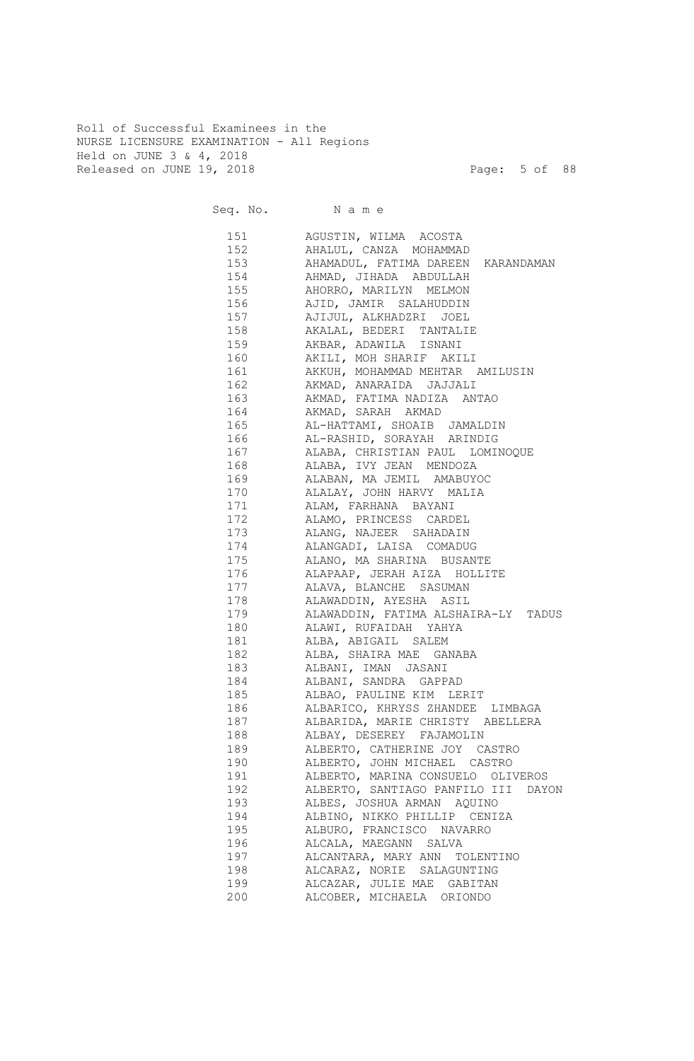Roll of Successful Examinees in the NURSE LICENSURE EXAMINATION - All Regions Held on JUNE 3 & 4, 2018 Released on JUNE 19, 2018 Page: 5 of 88

Seq. No. Name 151 AGUSTIN, WILMA ACOSTA 152 AHALUL, CANZA MOHAMMAD 153 AHAMADUL, FATIMA DAREEN KARANDAMAN 154 AHMAD, JIHADA ABDULLAH 155 AHORRO, MARILYN MELMON 156 AJID, JAMIR SALAHUDDIN 157 AJIJUL, ALKHADZRI JOEL 158 AKALAL, BEDERI TANTALIE 159 AKBAR, ADAWILA ISNANI 160 AKILI, MOH SHARIF AKILI 161 AKKUH, MOHAMMAD MEHTAR AMILUSIN 162 AKMAD, ANARAIDA JAJJALI 163 AKMAD, FATIMA NADIZA ANTAO 164 AKMAD, SARAH AKMAD 165 AL-HATTAMI, SHOAIB JAMALDIN 166 AL-RASHID, SORAYAH ARINDIG 167 ALABA, CHRISTIAN PAUL LOMINOQUE 168 ALABA, IVY JEAN MENDOZA 169 ALABAN, MA JEMIL AMABUYOC 170 ALALAY, JOHN HARVY MALIA 171 ALAM, FARHANA BAYANI 172 ALAMO, PRINCESS CARDEL 173 ALANG, NAJEER SAHADAIN 174 ALANGADI, LAISA COMADUG 175 ALANO, MA SHARINA BUSANTE 176 ALAPAAP, JERAH AIZA HOLLITE 177 ALAVA, BLANCHE SASUMAN 178 ALAWADDIN, AYESHA ASIL 179 ALAWADDIN, FATIMA ALSHAIRA-LY TADUS 180 ALAWI, RUFAIDAH YAHYA 181 ALBA, ABIGAIL SALEM 182 ALBA, SHAIRA MAE GANABA 183 ALBANI, IMAN JASANI 184 ALBANI, SANDRA GAPPAD 185 ALBAO, PAULINE KIM LERIT 186 ALBARICO, KHRYSS ZHANDEE LIMBAGA 187 ALBARIDA, MARIE CHRISTY ABELLERA 188 ALBAY, DESEREY FAJAMOLIN 189 ALBERTO, CATHERINE JOY CASTRO 190 ALBERTO, JOHN MICHAEL CASTRO 191 ALBERTO, MARINA CONSUELO OLIVEROS 192 ALBERTO, SANTIAGO PANFILO III DAYON 193 ALBES, JOSHUA ARMAN AQUINO 194 ALBINO, NIKKO PHILLIP CENIZA 195 ALBURO, FRANCISCO NAVARRO ALCALA, MAEGANN SALVA 197 ALCANTARA, MARY ANN TOLENTINO 198 ALCARAZ, NORIE SALAGUNTING 199 ALCAZAR, JULIE MAE GABITAN 200 ALCOBER, MICHAELA ORIONDO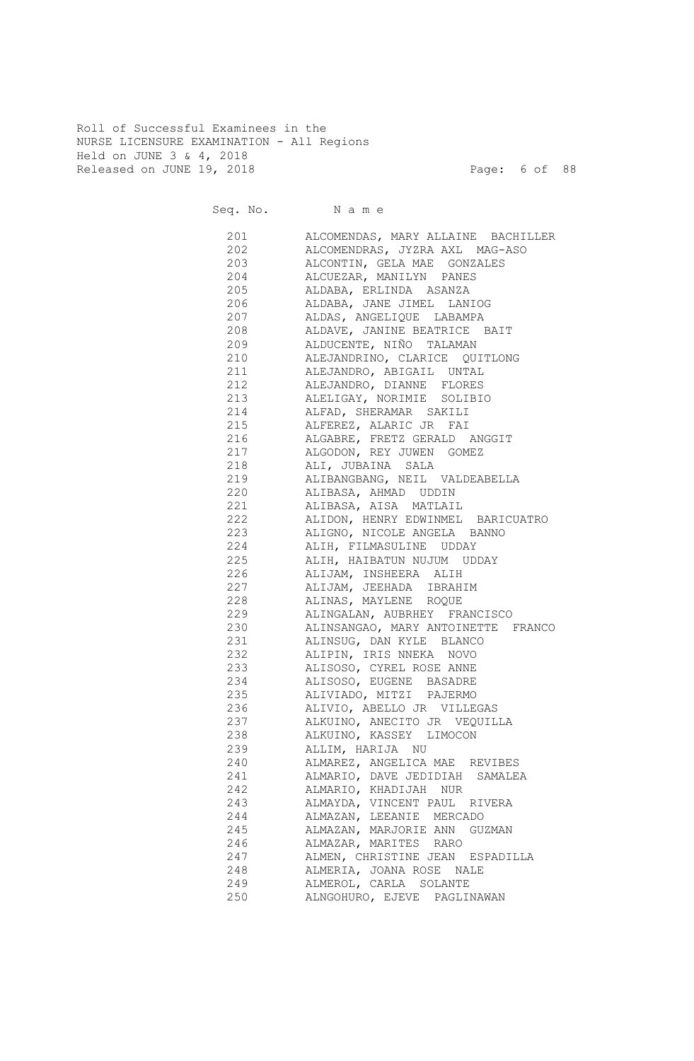Roll of Successful Examinees in the NURSE LICENSURE EXAMINATION - All Regions Held on JUNE 3 & 4, 2018 Released on JUNE 19, 2018 Page: 6 of 88

Seq. No. Name 201 ALCOMENDAS, MARY ALLAINE BACHILLER 202 ALCOMENDRAS, JYZRA AXL MAG-ASO 203 ALCONTIN, GELA MAE GONZALES 204 ALCUEZAR, MANILYN PANES 205 ALDABA, ERLINDA ASANZA 206 ALDABA, JANE JIMEL LANIOG 207 ALDAS, ANGELIQUE LABAMPA 208 ALDAVE, JANINE BEATRICE BAIT 209 ALDUCENTE, NIÑO TALAMAN 210 ALEJANDRINO, CLARICE QUITLONG 211 ALEJANDRO, ABIGAIL UNTAL 212 ALEJANDRO, DIANNE FLORES 213 ALELIGAY, NORIMIE SOLIBIO 214 ALFAD, SHERAMAR SAKILI 215 ALFEREZ, ALARIC JR FAI 216 ALGABRE, FRETZ GERALD ANGGIT 217 ALGODON, REY JUWEN GOMEZ 218 ALI, JUBAINA SALA 219 ALIBANGBANG, NEIL VALDEABELLA 220 ALIBASA, AHMAD UDDIN 221 ALIBASA, AISA MATLAIL 222 ALIDON, HENRY EDWINMEL BARICUATRO 223 ALIGNO, NICOLE ANGELA BANNO 224 ALIH, FILMASULINE UDDAY 225 ALIH, HAIBATUN NUJUM UDDAY 226 ALIJAM, INSHEERA ALIH 227 ALIJAM, JEEHADA IBRAHIM 228 ALINAS, MAYLENE ROQUE 229 ALINGALAN, AUBRHEY FRANCISCO 230 ALINSANGAO, MARY ANTOINETTE FRANCO 231 ALINSUG, DAN KYLE BLANCO 232 ALIPIN, IRIS NNEKA NOVO 233 ALISOSO, CYREL ROSE ANNE 234 ALISOSO, EUGENE BASADRE 235 ALIVIADO, MITZI PAJERMO 236 ALIVIO, ABELLO JR VILLEGAS 237 ALKUINO, ANECITO JR VEQUILLA 238 ALKUINO, KASSEY LIMOCON 239 ALLIM, HARIJA NU 240 ALMAREZ, ANGELICA MAE REVIBES 241 ALMARIO, DAVE JEDIDIAH SAMALEA 242 ALMARIO, KHADIJAH NUR 243 ALMAYDA, VINCENT PAUL RIVERA 244 ALMAZAN, LEEANIE MERCADO 245 ALMAZAN, MARJORIE ANN GUZMAN 246 ALMAZAR, MARITES RARO 247 ALMEN, CHRISTINE JEAN ESPADILLA 248 ALMERIA, JOANA ROSE NALE 249 ALMEROL, CARLA SOLANTE 250 ALNGOHURO, EJEVE PAGLINAWAN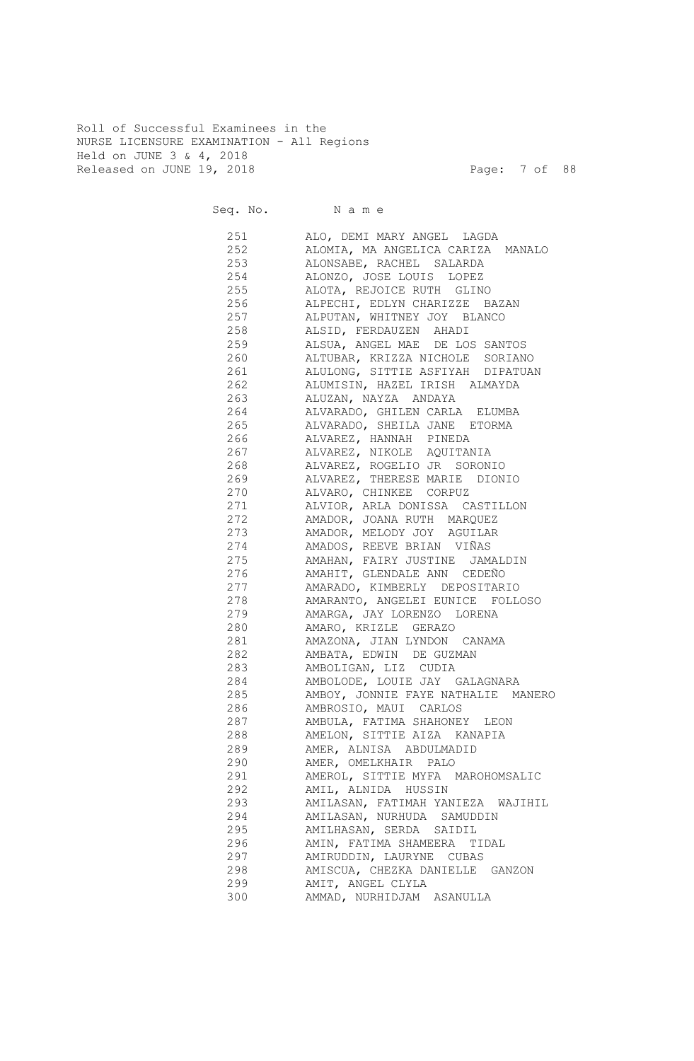Roll of Successful Examinees in the NURSE LICENSURE EXAMINATION - All Regions Held on JUNE 3 & 4, 2018 Released on JUNE 19, 2018 Page: 7 of 88

|        | Seq. No. Name                      |
|--------|------------------------------------|
| 251 20 | ALO, DEMI MARY ANGEL LAGDA         |
| 252    | ALOMIA, MA ANGELICA CARIZA MANALO  |
| 253    | ALONSABE, RACHEL SALARDA           |
| 254    | ALONZO, JOSE LOUIS LOPEZ           |
| 255    | ALOTA, REJOICE RUTH GLINO          |
| 256    | ALPECHI, EDLYN CHARIZZE BAZAN      |
| 257    | ALPUTAN, WHITNEY JOY BLANCO        |
| 258    | ALSID, FERDAUZEN AHADI             |
| 259    | ALSUA, ANGEL MAE DE LOS SANTOS     |
| 260    | ALTUBAR, KRIZZA NICHOLE SORIANO    |
| 261    | ALULONG, SITTIE ASFIYAH DIPATUAN   |
| 262    | ALUMISIN, HAZEL IRISH ALMAYDA      |
| 263    | ALUZAN, NAYZA ANDAYA               |
| 264    | ALVARADO, GHILEN CARLA ELUMBA      |
| 265    | ALVARADO, SHEILA JANE ETORMA       |
| 266    | ALVAREZ, HANNAH PINEDA             |
| 267    | ALVAREZ, NIKOLE AQUITANIA          |
| 268    | ALVAREZ, ROGELIO JR SORONIO        |
| 269    | ALVAREZ, THERESE MARIE DIONIO      |
| 270    | ALVARO, CHINKEE CORPUZ             |
| 271    | ALVIOR, ARLA DONISSA CASTILLON     |
| 272    | AMADOR, JOANA RUTH MARQUEZ         |
| 273    | AMADOR, MELODY JOY AGUILAR         |
| 274    | AMADOS, REEVE BRIAN VIÑAS          |
| 275    | AMAHAN, FAIRY JUSTINE JAMALDIN     |
| 276    | AMAHIT, GLENDALE ANN CEDEÑO        |
| 277    | AMARADO, KIMBERLY DEPOSITARIO      |
| 278    | AMARANTO, ANGELEI EUNICE FOLLOSO   |
| 279    | AMARGA, JAY LORENZO LORENA         |
| 280    | AMARO, KRIZLE GERAZO               |
| 281    | AMAZONA, JIAN LYNDON CANAMA        |
| 282    | AMBATA, EDWIN DE GUZMAN            |
| 283    | AMBOLIGAN, LIZ CUDIA               |
| 284    | AMBOLODE, LOUIE JAY GALAGNARA      |
| 285    | AMBOY, JONNIE FAYE NATHALIE MANERO |
| 286    | AMBROSIO, MAUI CARLOS              |
| 287    | AMBULA, FATIMA SHAHONEY LEON       |
| 288    | AMELON, SITTIE AIZA KANAPIA        |
| 289    | AMER, ALNISA ABDULMADID            |
| 290    | AMER, OMELKHAIR PALO               |
| 291    | AMEROL, SITTIE MYFA MAROHOMSALIC   |
| 292    | AMIL, ALNIDA HUSSIN                |
| 293    | AMILASAN, FATIMAH YANIEZA WAJIHIL  |
| 294    | AMILASAN, NURHUDA SAMUDDIN         |
| 295    | AMILHASAN, SERDA SAIDIL            |
| 296    | AMIN, FATIMA SHAMEERA TIDAL        |
| 297    | AMIRUDDIN, LAURYNE CUBAS           |
| 298    | AMISCUA, CHEZKA DANIELLE GANZON    |
| 299    | AMIT, ANGEL CLYLA                  |
| 300    | AMMAD, NURHIDJAM ASANULLA          |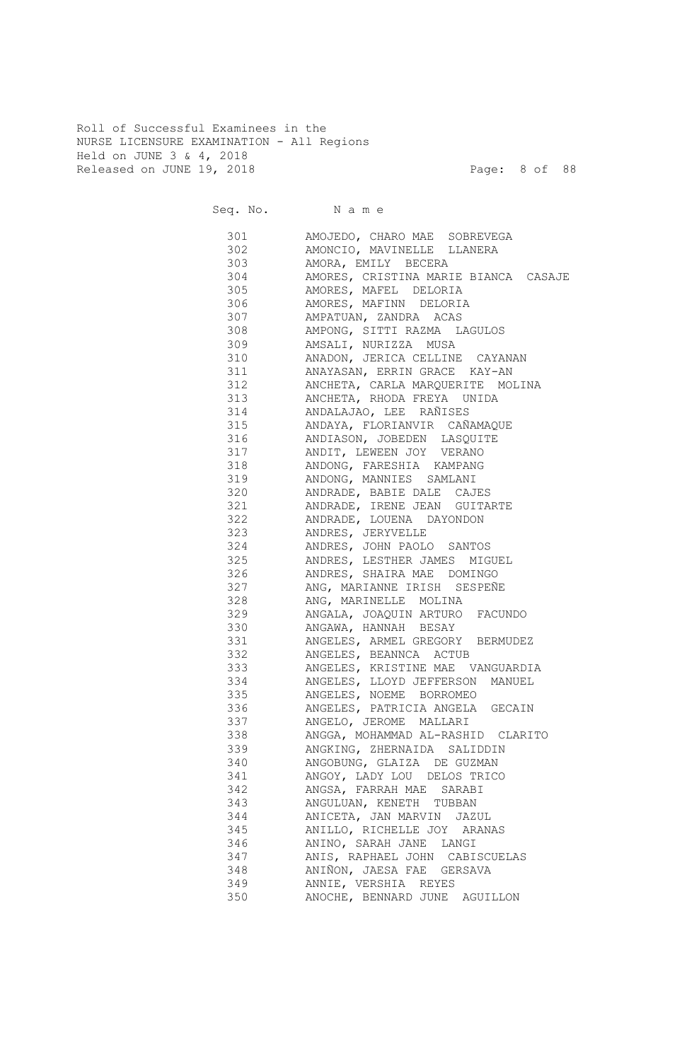Roll of Successful Examinees in the NURSE LICENSURE EXAMINATION - All Regions Held on JUNE 3 & 4, 2018 Released on JUNE 19, 2018 Page: 8 of 88

|     | Seq. No. Name                                                     |
|-----|-------------------------------------------------------------------|
|     | 301 AMOJEDO, CHARO MAE SOBREVEGA                                  |
|     | 302 AMONCIO, MAVINELLE LLANERA                                    |
|     | 303 AMORA, EMILY BECERA                                           |
|     | 304 AMORES, CRISTINA MARIE BIANCA CASAJE                          |
|     | 305 AMORES, MAFEL DELORIA                                         |
|     | 306 AMORES, MAFINN DELORIA                                        |
|     | 307 AMPATUAN, ZANDRA ACAS                                         |
|     | 308 AMPONG, SITTI RAZMA LAGULOS                                   |
|     | 309 AMSALI, NURIZZA MUSA                                          |
|     | 310 ANADON, JERICA CELLINE CAYANAN                                |
|     | 311 ANAYASAN, ERRIN GRACE KAY-AN                                  |
|     | 312 ANCHETA, CARLA MARQUERITE MOLINA                              |
|     | 313 ANCHETA, RHODA FREYA UNIDA                                    |
|     | 314 ANDALAJAO, LEE RAÑISES                                        |
|     | 315 ANDAYA, FLORIANVIR CAÑAMAQUE                                  |
|     | 316 ANDIASON, JOBEDEN LASQUITE                                    |
|     | 317 ANDIT, LEWEEN JOY VERANO                                      |
|     | 318 ANDONG, FARESHIA KAMPANG                                      |
|     | 319 ANDONG, MANNIES SAMLANI                                       |
|     | 320 ANDRADE, BABIE DALE CAJES                                     |
|     | 321 ANDRADE, IRENE JEAN GUITARTE                                  |
|     | 322 ANDRADE, LOUENA DAYONDON                                      |
|     | 323 ANDRES, JERYVELLE                                             |
|     | 324 ANDRES, JOHN PAOLO SANTOS                                     |
|     | 325 ANDRES, LESTHER JAMES MIGUEL                                  |
|     | 326 ANDRES, SHAIRA MAE DOMINGO<br>327 ANG, MARIANNE IRISH SESPEÑE |
|     | 328 ANG, MARINELLE MOLINA                                         |
|     | 329 ANGALA, JOAQUIN ARTURO FACUNDO                                |
|     | 330 ANGAWA, HANNAH BESAY                                          |
|     | 331 ANGELES, ARMEL GREGORY BERMUDEZ                               |
|     | 332 ANGELES, BEANNCA ACTUB                                        |
|     | 333 ANGELES, KRISTINE MAE VANGUARDIA                              |
| 334 | ANGELES, LLOYD JEFFERSON MANUEL                                   |
| 335 | ANGELES, NOEME BORROMEO                                           |
| 336 | ANGELES, PATRICIA ANGELA GECAIN                                   |
| 337 | ANGELO, JEROME MALLARI                                            |
| 338 | ANGGA, MOHAMMAD AL-RASHID CLARITO                                 |
| 339 | ANGKING, ZHERNAIDA SALIDDIN                                       |
| 340 | ANGOBUNG, GLAIZA DE GUZMAN                                        |
| 341 | ANGOY, LADY LOU DELOS TRICO                                       |
| 342 | ANGSA, FARRAH MAE SARABI                                          |
| 343 | ANGULUAN, KENETH TUBBAN                                           |
| 344 | ANICETA, JAN MARVIN JAZUL                                         |
| 345 | ANILLO, RICHELLE JOY ARANAS                                       |
| 346 | ANINO, SARAH JANE LANGI                                           |
| 347 | ANIS, RAPHAEL JOHN CABISCUELAS                                    |
| 348 | ANIÑON, JAESA FAE GERSAVA                                         |
| 349 | ANNIE, VERSHIA REYES                                              |
| 350 | ANOCHE, BENNARD JUNE AGUILLON                                     |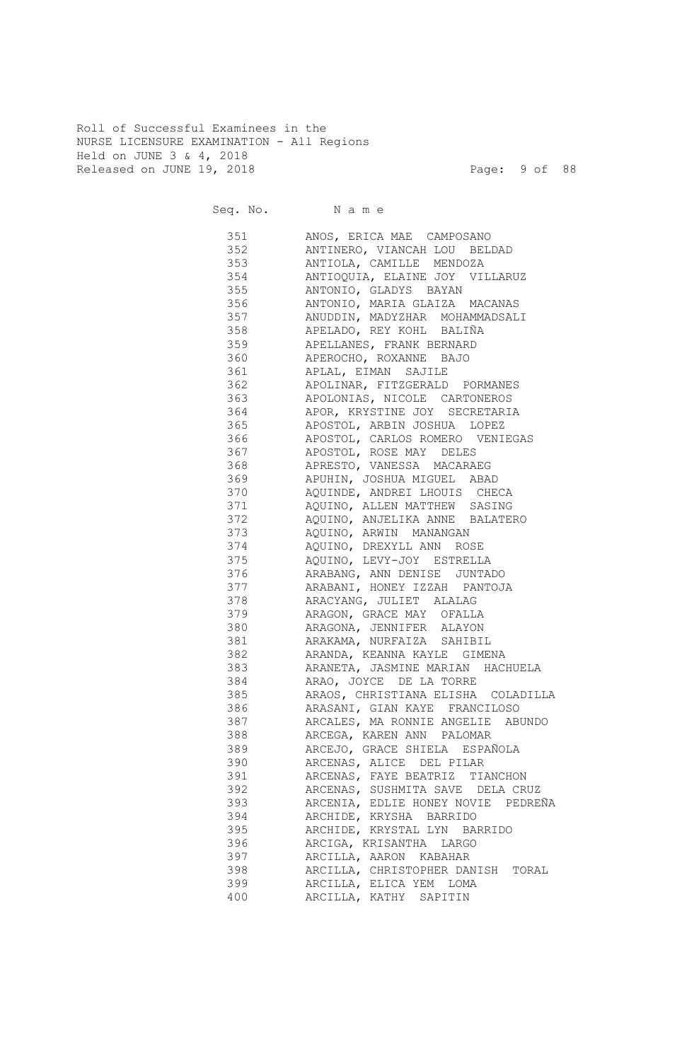Roll of Successful Examinees in the NURSE LICENSURE EXAMINATION - All Regions Held on JUNE 3 & 4, 2018 Released on JUNE 19, 2018 Page: 9 of 88

Seq. No. Name 351 ANOS, ERICA MAE CAMPOSANO 352 ANTINERO, VIANCAH LOU BELDAD 353 ANTIOLA, CAMILLE MENDOZA 354 ANTIOQUIA, ELAINE JOY VILLARUZ 355 ANTONIO, GLADYS BAYAN 356 ANTONIO, MARIA GLAIZA MACANAS 357 ANUDDIN, MADYZHAR MOHAMMADSALI 358 APELADO, REY KOHL BALIÑA 359 APELLANES, FRANK BERNARD 360 APEROCHO, ROXANNE BAJO 361 APLAL, EIMAN SAJILE 362 APOLINAR, FITZGERALD PORMANES 363 APOLONIAS, NICOLE CARTONEROS 364 APOR, KRYSTINE JOY SECRETARIA 365 APOSTOL, ARBIN JOSHUA LOPEZ 366 APOSTOL, CARLOS ROMERO VENIEGAS 367 APOSTOL, ROSE MAY DELES 368 APRESTO, VANESSA MACARAEG 369 APUHIN, JOSHUA MIGUEL ABAD 370 AQUINDE, ANDREI LHOUIS CHECA 371 AQUINO, ALLEN MATTHEW SASING 372 AQUINO, ANJELIKA ANNE BALATERO 373 AQUINO, ARWIN MANANGAN 374 AQUINO, DREXYLL ANN ROSE 375 AQUINO, LEVY-JOY ESTRELLA 376 ARABANG, ANN DENISE JUNTADO 377 ARABANI, HONEY IZZAH PANTOJA 378 ARACYANG, JULIET ALALAG 379 ARAGON, GRACE MAY OFALLA 380 ARAGONA, JENNIFER ALAYON 381 ARAKAMA, NURFAIZA SAHIBIL 382 ARANDA, KEANNA KAYLE GIMENA 383 ARANETA, JASMINE MARIAN HACHUELA 384 ARAO, JOYCE DE LA TORRE 385 ARAOS, CHRISTIANA ELISHA COLADILLA 386 ARASANI, GIAN KAYE FRANCILOSO 387 ARCALES, MA RONNIE ANGELIE ABUNDO 388 ARCEGA, KAREN ANN PALOMAR 389 ARCEJO, GRACE SHIELA ESPAÑOLA 390 ARCENAS, ALICE DEL PILAR 391 ARCENAS, FAYE BEATRIZ TIANCHON 392 ARCENAS, SUSHMITA SAVE DELA CRUZ 393 ARCENIA, EDLIE HONEY NOVIE PEDREÑA 394 ARCHIDE, KRYSHA BARRIDO 395 ARCHIDE, KRYSTAL LYN BARRIDO 396 ARCIGA, KRISANTHA LARGO 397 ARCILLA, AARON KABAHAR 398 ARCILLA, CHRISTOPHER DANISH TORAL 399 ARCILLA, ELICA YEM LOMA 400 ARCILLA, KATHY SAPITIN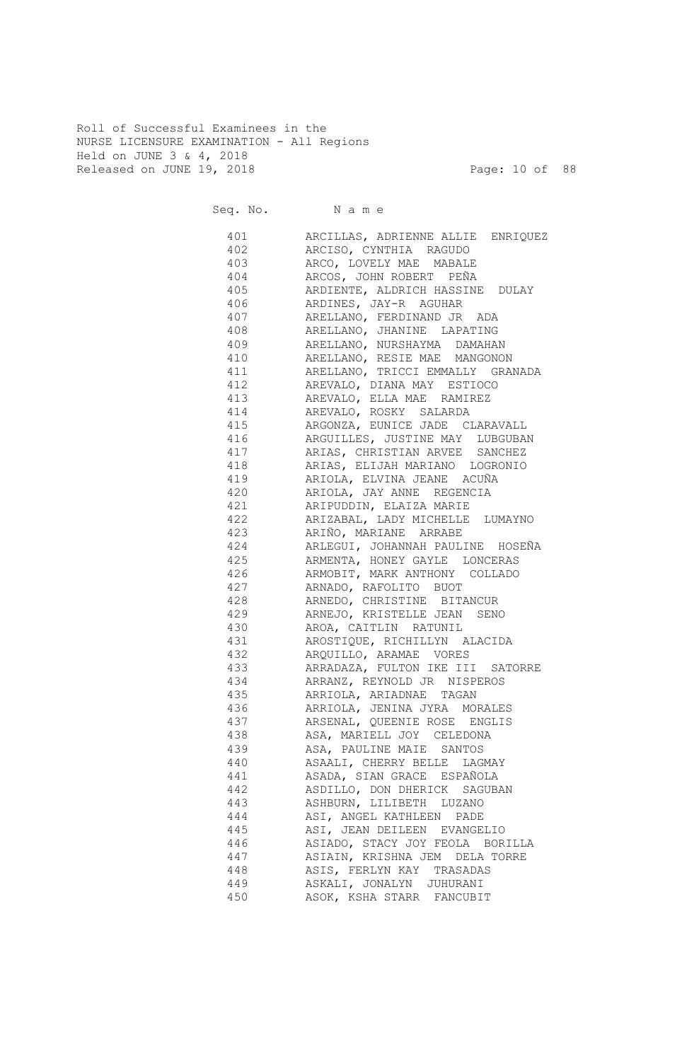Roll of Successful Examinees in the NURSE LICENSURE EXAMINATION - All Regions Held on JUNE 3 & 4, 2018 Released on JUNE 19, 2018 Page: 10 of 88

|     | Seq. No. Name                                                       |
|-----|---------------------------------------------------------------------|
|     | 401 ARCILLAS, ADRIENNE ALLIE ENRIQUEZ<br>402 ARCISO, CYNTHIA RAGUDO |
|     | 403 ARCO, LOVELY MAE MABALE                                         |
|     |                                                                     |
|     | 405 ARDIENTE, ALDRICH HASSINE DULAY                                 |
|     | 406 ARDINES, JAY-R AGUHAR                                           |
|     | 407 ARELLANO, FERDINAND JR ADA                                      |
|     | 408 ARELLANO, JHANINE LAPATING                                      |
|     | 409 ARELLANO, NURSHAYMA DAMAHAN                                     |
|     | 410 ARELLANO, RESIE MAE MANGONON                                    |
|     | 411 ARELLANO, TRICCI EMMALLY GRANADA                                |
|     | 412 AREVALO, DIANA MAY ESTIOCO                                      |
|     | 413 AREVALO, ELLA MAE RAMIREZ                                       |
|     | 414 AREVALO, ROSKY SALARDA                                          |
|     | 415 ARGONZA, EUNICE JADE CLARAVALL                                  |
|     | 416 ARGUILLES, JUSTINE MAY LUBGUBAN                                 |
|     | 417 ARIAS, CHRISTIAN ARVEE SANCHEZ                                  |
|     | 418 ARIAS, ELIJAH MARIANO LOGRONIO                                  |
|     | 419 ARIOLA, ELVINA JEANE ACUÑA                                      |
|     | 420 ARIOLA, JAY ANNE REGENCIA                                       |
|     | 421 ARIPUDDIN, ELAIZA MARIE                                         |
|     | 422 ARIZABAL, LADY MICHELLE LUMAYNO                                 |
|     | 423 ARIÑO, MARIANE ARRABE                                           |
|     | 424 ARLEGUI, JOHANNAH PAULINE HOSEÑA                                |
|     | 425 ARMENTA, HONEY GAYLE LONCERAS                                   |
|     |                                                                     |
|     | 426 ARMOBIT, MARK ANTHONY COLLADO                                   |
|     | 427 ARNADO, RAFOLITO BUOT                                           |
| 428 | ARNEDO, CHRISTINE BITANCUR                                          |
| 429 | ARNEJO, KRISTELLE JEAN SENO                                         |
| 430 | AROA, CAITLIN RATUNIL                                               |
| 431 | AROSTIQUE, RICHILLYN ALACIDA                                        |
| 432 | ARQUILLO, ARAMAE VORES                                              |
| 433 | ARRADAZA, FULTON IKE III SATORRE                                    |
| 434 | ARRANZ, REYNOLD JR NISPEROS                                         |
| 435 | ARRIOLA, ARIADNAE TAGAN                                             |
| 436 | ARRIOLA, JENINA JYRA MORALES                                        |
| 437 | ARSENAL, QUEENIE ROSE ENGLIS                                        |
| 438 | ASA, MARIELL JOY CELEDONA                                           |
| 439 | ASA, PAULINE MAIE SANTOS                                            |
| 440 | ASAALI, CHERRY BELLE LAGMAY                                         |
| 441 | ASADA, SIAN GRACE ESPAÑOLA                                          |
| 442 | ASDILLO, DON DHERICK SAGUBAN                                        |
| 443 | ASHBURN, LILIBETH LUZANO                                            |
| 444 | ASI, ANGEL KATHLEEN PADE                                            |
| 445 | ASI, JEAN DEILEEN EVANGELIO                                         |
| 446 | ASIADO, STACY JOY FEOLA BORILLA                                     |
| 447 | ASIAIN, KRISHNA JEM DELA TORRE                                      |
| 448 | ASIS, FERLYN KAY TRASADAS                                           |
| 449 | ASKALI, JONALYN JUHURANI                                            |
| 450 | ASOK, KSHA STARR FANCUBIT                                           |
|     |                                                                     |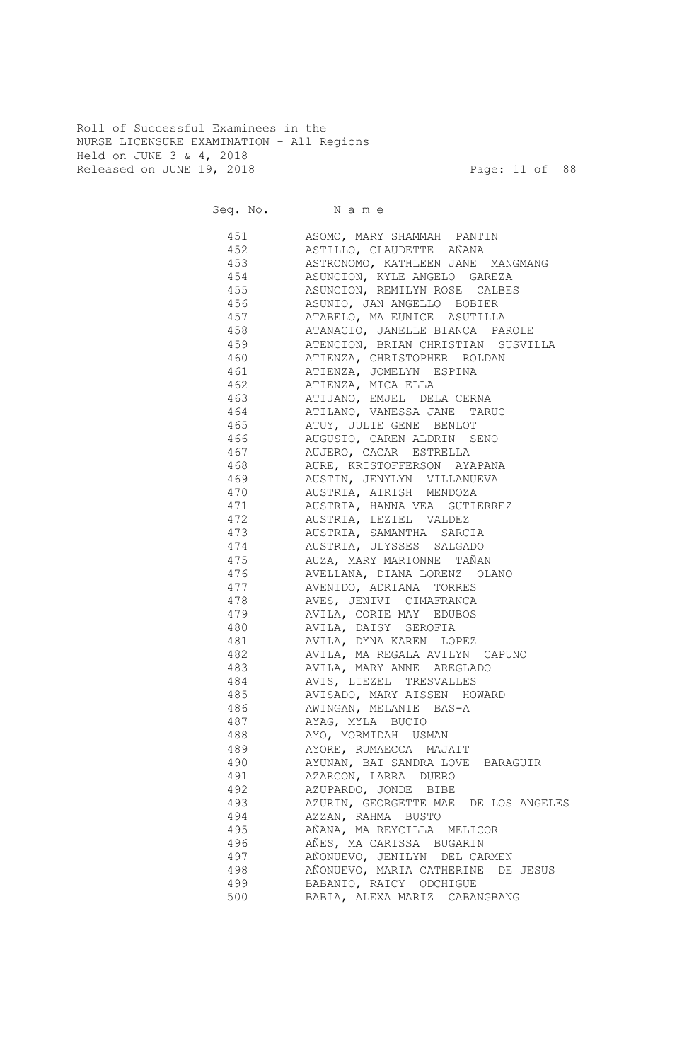Roll of Successful Examinees in the NURSE LICENSURE EXAMINATION - All Regions Held on JUNE 3 & 4, 2018 Released on JUNE 19, 2018 Page: 11 of 88

Seq. No. Name 451 ASOMO, MARY SHAMMAH PANTIN 452 ASTILLO, CLAUDETTE AÑANA 453 ASTRONOMO, KATHLEEN JANE MANGMANG 454 ASUNCION, KYLE ANGELO GAREZA 455 ASUNCION, REMILYN ROSE CALBES 456 ASUNIO, JAN ANGELLO BOBIER 457 ATABELO, MA EUNICE ASUTILLA 458 ATANACIO, JANELLE BIANCA PAROLE 459 ATENCION, BRIAN CHRISTIAN SUSVILLA 460 ATIENZA, CHRISTOPHER ROLDAN 461 ATIENZA, JOMELYN ESPINA 462 ATIENZA, MICA ELLA 463 ATIJANO, EMJEL DELA CERNA 464 ATILANO, VANESSA JANE TARUC 465 ATUY, JULIE GENE BENLOT 466 AUGUSTO, CAREN ALDRIN SENO 467 AUJERO, CACAR ESTRELLA 468 AURE, KRISTOFFERSON AYAPANA 469 AUSTIN, JENYLYN VILLANUEVA 470 AUSTRIA, AIRISH MENDOZA 471 AUSTRIA, HANNA VEA GUTIERREZ 472 AUSTRIA, LEZIEL VALDEZ 473 AUSTRIA, SAMANTHA SARCIA 474 AUSTRIA, ULYSSES SALGADO 475 AUZA, MARY MARIONNE TAÑAN 476 AVELLANA, DIANA LORENZ OLANO 477 AVENIDO, ADRIANA TORRES 478 AVES, JENIVI CIMAFRANCA 479 AVILA, CORIE MAY EDUBOS 480 AVILA, DAISY SEROFIA 481 AVILA, DYNA KAREN LOPEZ 482 AVILA, MA REGALA AVILYN CAPUNO 483 AVILA, MARY ANNE AREGLADO 484 AVIS, LIEZEL TRESVALLES 485 AVISADO, MARY AISSEN HOWARD 486 AWINGAN, MELANIE BAS-A 487 AYAG, MYLA BUCIO 488 AYO, MORMIDAH USMAN 489 AYORE, RUMAECCA MAJAIT 490 AYUNAN, BAI SANDRA LOVE BARAGUIR 491 AZARCON, LARRA DUERO 492 AZUPARDO, JONDE BIBE 493 AZURIN, GEORGETTE MAE DE LOS ANGELES 494 AZZAN, RAHMA BUSTO 495 AÑANA, MA REYCILLA MELICOR 496 AÑES, MA CARISSA BUGARIN 497 AÑONUEVO, JENILYN DEL CARMEN 498 AÑONUEVO, MARIA CATHERINE DE JESUS 499 BABANTO, RAICY ODCHIGUE 500 BABIA, ALEXA MARIZ CABANGBANG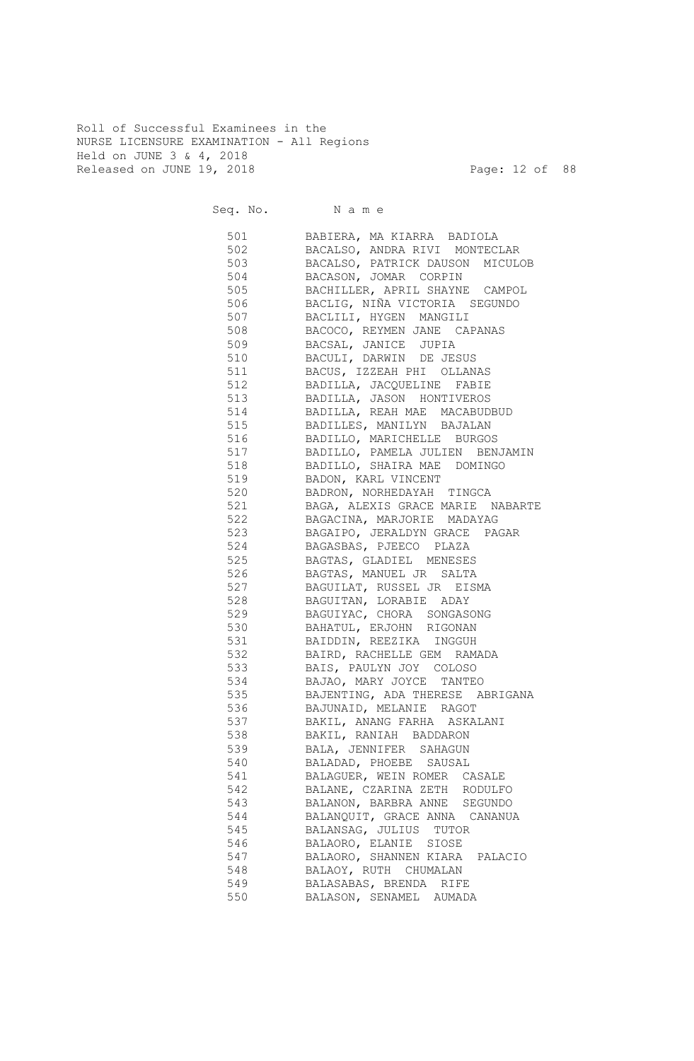Roll of Successful Examinees in the NURSE LICENSURE EXAMINATION - All Regions Held on JUNE 3 & 4, 2018 Released on JUNE 19, 2018 Page: 12 of 88

|            | Seq. No. Name                                               |
|------------|-------------------------------------------------------------|
|            | 501 BABIERA, MA KIARRA BADIOLA                              |
|            | 502 BACALSO, ANDRA RIVI MONTECLAR                           |
|            | 503 BACALSO, PATRICK DAUSON MICULOB                         |
|            | 504 BACASON, JOMAR CORPIN                                   |
|            | 505 BACHILLER, APRIL SHAYNE CAMPOL                          |
|            | 506 BACLIG, NIÑA VICTORIA SEGUNDO                           |
| 507 — 100  | BACLILI, HYGEN MANGILI                                      |
|            | 508 BACOCO, REYMEN JANE CAPANAS                             |
|            | 509 BACSAL, JANICE JUPIA                                    |
|            | 510 BACULI, DARWIN DE JESUS                                 |
|            | 511 BACUS, IZZEAH PHI OLLANAS                               |
|            | 512 BADILLA, JACQUELINE FABIE                               |
|            | 513 BADILLA, JASON HONTIVEROS                               |
|            | 514 BADILLA, REAH MAE MACABUDBUD                            |
|            | 515 BADILLES, MANILYN BAJALAN                               |
|            | 516 BADILLO, MARICHELLE BURGOS                              |
| 517        | BADILLO, PAMELA JULIEN BENJAMIN                             |
|            | 518 BADILLO, SHAIRA MAE DOMINGO                             |
|            | 519 BADON, KARL VINCENT                                     |
|            | 520 BADRON, NORHEDAYAH TINGCA                               |
| 521        | BAGA, ALEXIS GRACE MARIE NABARTE                            |
| 522<br>523 | BAGACINA, MARJORIE MADAYAG<br>BAGAIPO, JERALDYN GRACE PAGAR |
| 524        |                                                             |
| 525        | BAGASBAS, PJEECO PLAZA<br>BAGTAS, GLADIEL MENESES           |
| 526        | BAGTAS, MANUEL JR SALTA                                     |
| 527        | BAGUILAT, RUSSEL JR EISMA                                   |
| 528        | BAGUITAN, LORABIE ADAY                                      |
| 529        | BAGUIYAC, CHORA SONGASONG                                   |
| 530        | BAHATUL, ERJOHN RIGONAN                                     |
| 531        | BAIDDIN, REEZIKA INGGUH                                     |
| 532        | BAIRD, RACHELLE GEM RAMADA                                  |
| 533        | BAIS, PAULYN JOY COLOSO                                     |
| 534        | BAJAO, MARY JOYCE TANTEO<br>RAJENTING ADA TULLER            |
| 535        | BAJENTING, ADA THERESE ABRIGANA                             |
| 536        | BAJUNAID, MELANIE RAGOT                                     |
| 537        | BAKIL, ANANG FARHA ASKALANI                                 |
| 538        | BAKIL, RANIAH BADDARON                                      |
| 539        | BALA, JENNIFER SAHAGUN                                      |
| 540        | BALADAD, PHOEBE SAUSAL                                      |
| 541        | BALAGUER, WEIN ROMER CASALE                                 |
| 542        | BALANE, CZARINA ZETH RODULFO                                |
| 543        | BALANON, BARBRA ANNE SEGUNDO                                |
| 544        | BALANQUIT, GRACE ANNA CANANUA                               |
| 545        | BALANSAG, JULIUS TUTOR                                      |
| 546        | BALAORO, ELANIE SIOSE                                       |
| 547        | BALAORO, SHANNEN KIARA PALACIO                              |
| 548        | BALAOY, RUTH CHUMALAN                                       |
| 549        | BALASABAS, BRENDA RIFE                                      |
| 550        | BALASON, SENAMEL AUMADA                                     |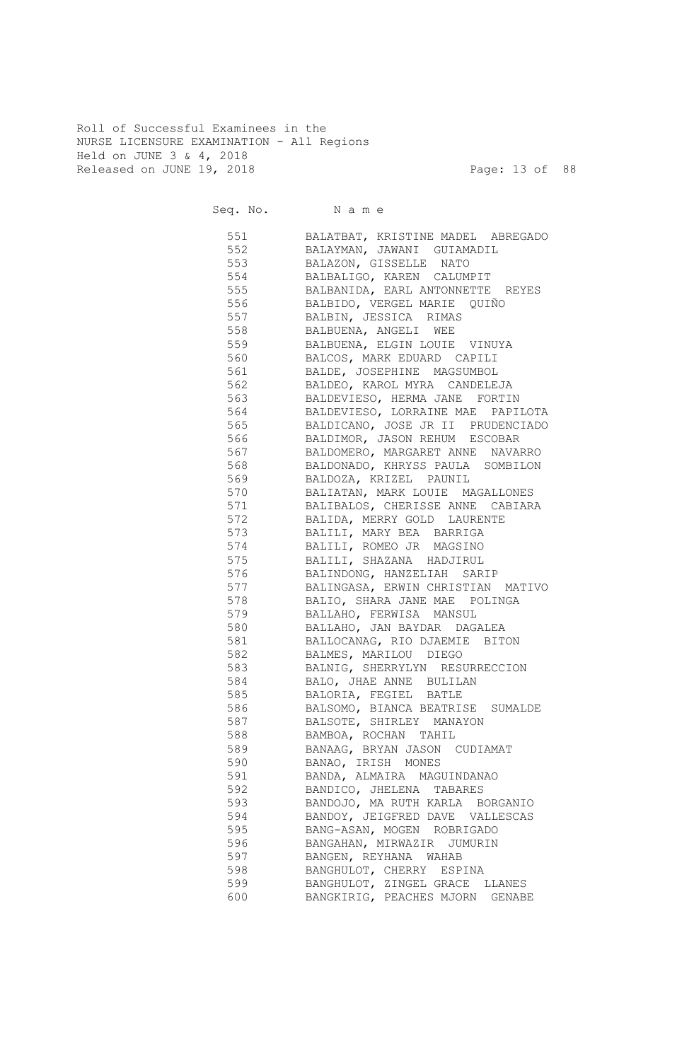Roll of Successful Examinees in the NURSE LICENSURE EXAMINATION - All Regions Held on JUNE 3 & 4, 2018 Released on JUNE 19, 2018 Page: 13 of 88

|       | Seq. No. Name                         |
|-------|---------------------------------------|
|       | 551 BALATBAT, KRISTINE MADEL ABREGADO |
|       | 552 BALAYMAN, JAWANI GUIAMADIL        |
|       | 553 BALAZON, GISSELLE NATO            |
|       | 554 BALBALIGO, KAREN CALUMPIT         |
|       | 555 BALBANIDA, EARL ANTONNETTE REYES  |
|       | 556 BALBIDO, VERGEL MARIE QUIÑO       |
|       | 557 BALBIN, JESSICA RIMAS             |
|       | 558 BALBUENA, ANGELI WEE              |
|       | 559 BALBUENA, ELGIN LOUIE VINUYA      |
|       | 560 BALCOS, MARK EDUARD CAPILI        |
|       | 561 BALDE, JOSEPHINE MAGSUMBOL        |
|       | 562 BALDEO, KAROL MYRA CANDELEJA      |
| 563 3 | BALDEVIESO, HERMA JANE FORTIN         |
| 564   | BALDEVIESO, LORRAINE MAE PAPILOTA     |
|       | 565 BALDICANO, JOSE JR II PRUDENCIADO |
|       | 566 BALDIMOR, JASON REHUM ESCOBAR     |
| 567   | BALDOMERO, MARGARET ANNE NAVARRO      |
| 568   | BALDONADO, KHRYSS PAULA SOMBILON      |
| 569   | BALDOZA, KRIZEL PAUNIL                |
| 570   | BALIATAN, MARK LOUIE MAGALLONES       |
| 571   | BALIBALOS, CHERISSE ANNE CABIARA      |
| 572   | BALIDA, MERRY GOLD LAURENTE           |
| 573   | BALILI, MARY BEA BARRIGA              |
| 574   | BALILI, ROMEO JR MAGSINO              |
| 575   | BALILI, SHAZANA HADJIRUL              |
| 576   | BALINDONG, HANZELIAH SARIP            |
| 577   | BALINGASA, ERWIN CHRISTIAN MATIVO     |
| 578   | BALIO, SHARA JANE MAE POLINGA         |
| 579   | BALLAHO, FERWISA MANSUL               |
| 580   | BALLAHO, JAN BAYDAR DAGALEA           |
| 581   | BALLOCANAG, RIO DJAEMIE BITON         |
| 582   | BALMES, MARILOU DIEGO                 |
| 583   | BALNIG, SHERRYLYN RESURRECCION        |
| 584   | BALO, JHAE ANNE BULILAN               |
| 585   | BALORIA, FEGIEL BATLE                 |
| 586   | BALSOMO, BIANCA BEATRISE SUMALDE      |
| 587   | BALSOTE, SHIRLEY MANAYON              |
| 588   | BAMBOA, ROCHAN TAHIL                  |
| 589   | BANAAG, BRYAN JASON CUDIAMAT          |
| 590   | BANAO, IRISH MONES                    |
| 591   | BANDA, ALMAIRA MAGUINDANAO            |
| 592   | BANDICO, JHELENA TABARES              |
| 593   | BANDOJO, MA RUTH KARLA BORGANIO       |
| 594   | BANDOY, JEIGFRED DAVE VALLESCAS       |
| 595   | BANG-ASAN, MOGEN ROBRIGADO            |
| 596   | BANGAHAN, MIRWAZIR JUMURIN            |
| 597   | BANGEN, REYHANA WAHAB                 |
| 598   | BANGHULOT, CHERRY ESPINA              |
| 599   | BANGHULOT, ZINGEL GRACE LLANES        |
| 600   | BANGKIRIG, PEACHES MJORN GENABE       |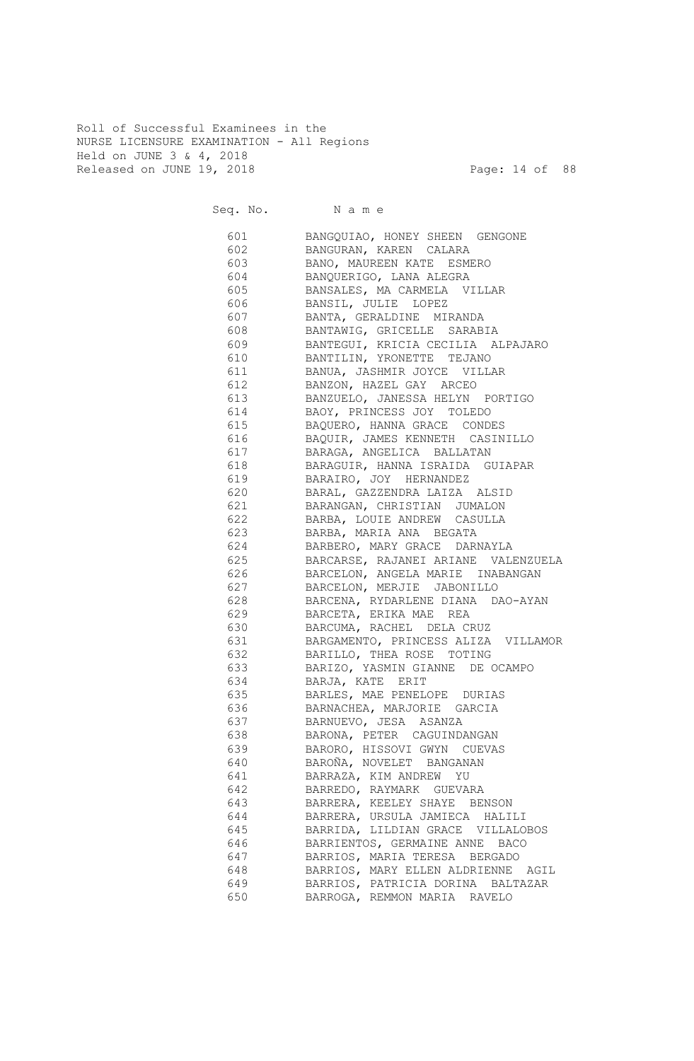Roll of Successful Examinees in the NURSE LICENSURE EXAMINATION - All Regions Held on JUNE 3 & 4, 2018 Released on JUNE 19, 2018 Page: 14 of 88

Seq. No. Name 601 BANGQUIAO, HONEY SHEEN GENGONE 602 BANGURAN, KAREN CALARA 603 BANO, MAUREEN KATE ESMERO 604 BANQUERIGO, LANA ALEGRA 605 BANSALES, MA CARMELA VILLAR 606 BANSIL, JULIE LOPEZ 607 BANTA, GERALDINE MIRANDA 608 BANTAWIG, GRICELLE SARABIA 609 BANTEGUI, KRICIA CECILIA ALPAJARO 610 BANTILIN, YRONETTE TEJANO 611 BANUA, JASHMIR JOYCE VILLAR 612 BANZON, HAZEL GAY ARCEO 613 BANZUELO, JANESSA HELYN PORTIGO 614 BAOY, PRINCESS JOY TOLEDO 615 BAQUERO, HANNA GRACE CONDES 616 BAQUIR, JAMES KENNETH CASINILLO 617 BARAGA, ANGELICA BALLATAN 618 BARAGUIR, HANNA ISRAIDA GUIAPAR 619 BARAIRO, JOY HERNANDEZ 620 BARAL, GAZZENDRA LAIZA ALSID 621 BARANGAN, CHRISTIAN JUMALON 622 BARBA, LOUIE ANDREW CASULLA 623 BARBA, MARIA ANA BEGATA 624 BARBERO, MARY GRACE DARNAYLA 625 BARCARSE, RAJANEI ARIANE VALENZUELA 626 BARCELON, ANGELA MARIE INABANGAN 627 BARCELON, MERJIE JABONILLO 628 BARCENA, RYDARLENE DIANA DAO-AYAN 629 BARCETA, ERIKA MAE REA 630 BARCUMA, RACHEL DELA CRUZ 631 BARGAMENTO, PRINCESS ALIZA VILLAMOR 632 BARILLO, THEA ROSE TOTING 633 BARIZO, YASMIN GIANNE DE OCAMPO 634 BARJA, KATE ERIT 635 BARLES, MAE PENELOPE DURIAS 636 BARNACHEA, MARJORIE GARCIA 637 BARNUEVO, JESA ASANZA 638 BARONA, PETER CAGUINDANGAN 639 BARORO, HISSOVI GWYN CUEVAS 640 BAROÑA, NOVELET BANGANAN 641 BARRAZA, KIM ANDREW YU 642 BARREDO, RAYMARK GUEVARA 643 BARRERA, KEELEY SHAYE BENSON 644 BARRERA, URSULA JAMIECA HALILI 645 BARRIDA, LILDIAN GRACE VILLALOBOS 646 BARRIENTOS, GERMAINE ANNE BACO 647 BARRIOS, MARIA TERESA BERGADO 648 BARRIOS, MARY ELLEN ALDRIENNE AGIL 649 BARRIOS, PATRICIA DORINA BALTAZAR 650 BARROGA, REMMON MARIA RAVELO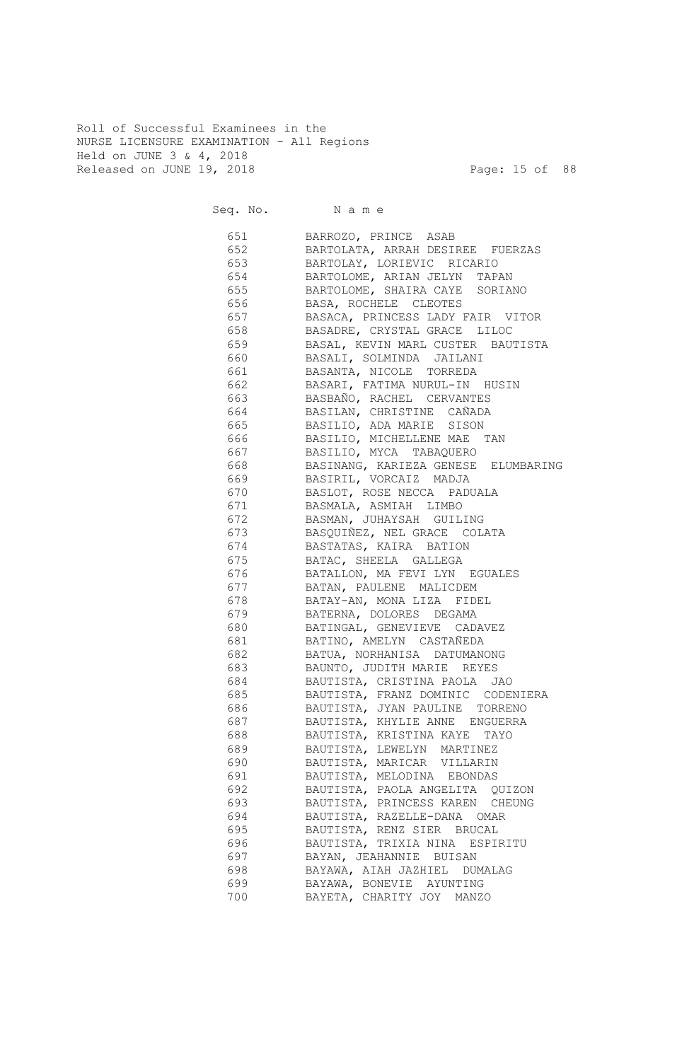Roll of Successful Examinees in the NURSE LICENSURE EXAMINATION - All Regions Held on JUNE 3 & 4, 2018 Released on JUNE 19, 2018 Page: 15 of 88

Seq. No. Name 651 BARROZO, PRINCE ASAB 652 BARTOLATA, ARRAH DESIREE FUERZAS 653 BARTOLAY, LORIEVIC RICARIO 654 BARTOLOME, ARIAN JELYN TAPAN 655 BARTOLOME, SHAIRA CAYE SORIANO 656 BASA, ROCHELE CLEOTES 657 BASACA, PRINCESS LADY FAIR VITOR 658 BASADRE, CRYSTAL GRACE LILOC 659 BASAL, KEVIN MARL CUSTER BAUTISTA 660 BASALI, SOLMINDA JAILANI 661 BASANTA, NICOLE TORREDA 662 BASARI, FATIMA NURUL-IN HUSIN 663 BASBAÑO, RACHEL CERVANTES 664 BASILAN, CHRISTINE CAÑADA 665 BASILIO, ADA MARIE SISON 666 BASILIO, MICHELLENE MAE TAN 667 BASILIO, MYCA TABAQUERO 668 BASINANG, KARIEZA GENESE ELUMBARING 669 BASIRIL, VORCAIZ MADJA 670 BASLOT, ROSE NECCA PADUALA 671 BASMALA, ASMIAH LIMBO 672 BASMAN, JUHAYSAH GUILING 673 BASQUIÑEZ, NEL GRACE COLATA 674 BASTATAS, KAIRA BATION 675 BATAC, SHEELA GALLEGA 676 BATALLON, MA FEVI LYN EGUALES 677 BATAN, PAULENE MALICDEM 678 BATAY-AN, MONA LIZA FIDEL 679 BATERNA, DOLORES DEGAMA 680 BATINGAL, GENEVIEVE CADAVEZ 681 BATINO, AMELYN CASTAÑEDA 682 BATUA, NORHANISA DATUMANONG 683 BAUNTO, JUDITH MARIE REYES 684 BAUTISTA, CRISTINA PAOLA JAO 685 BAUTISTA, FRANZ DOMINIC CODENIERA 686 BAUTISTA, JYAN PAULINE TORRENO 687 BAUTISTA, KHYLIE ANNE ENGUERRA 688 BAUTISTA, KRISTINA KAYE TAYO 689 BAUTISTA, LEWELYN MARTINEZ 690 BAUTISTA, MARICAR VILLARIN 691 BAUTISTA, MELODINA EBONDAS 692 BAUTISTA, PAOLA ANGELITA QUIZON 693 BAUTISTA, PRINCESS KAREN CHEUNG 694 BAUTISTA, RAZELLE-DANA OMAR 695 BAUTISTA, RENZ SIER BRUCAL 696 BAUTISTA, TRIXIA NINA ESPIRITU 697 BAYAN, JEAHANNIE BUISAN 698 BAYAWA, AIAH JAZHIEL DUMALAG 699 BAYAWA, BONEVIE AYUNTING 700 BAYETA, CHARITY JOY MANZO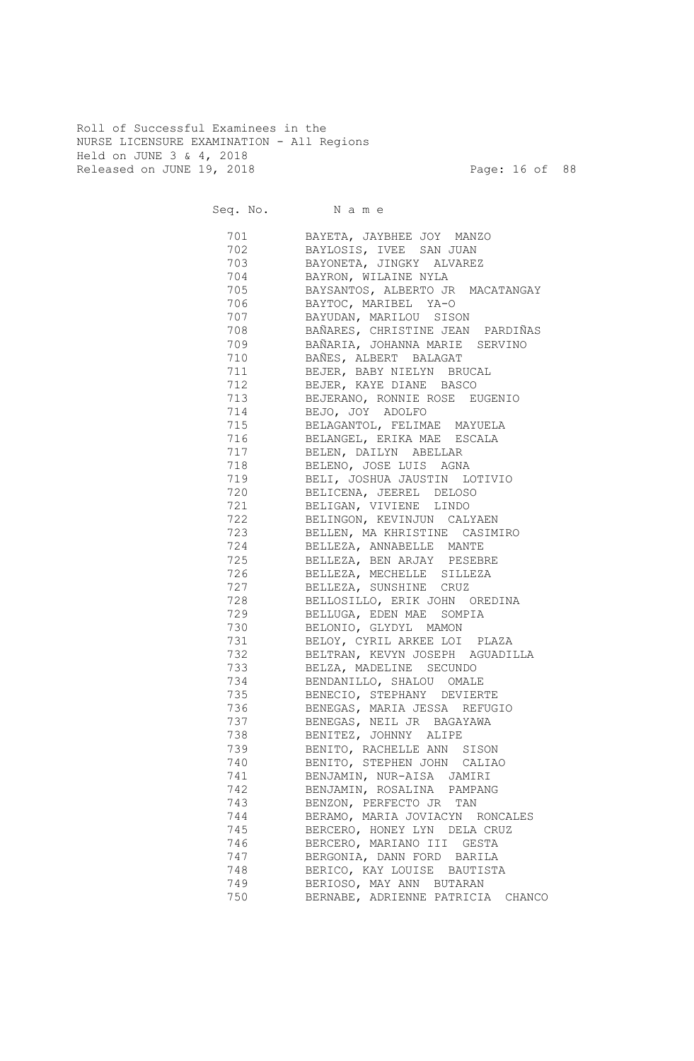Roll of Successful Examinees in the NURSE LICENSURE EXAMINATION - All Regions Held on JUNE 3 & 4, 2018 Released on JUNE 19, 2018 Page: 16 of 88

Seq. No. Name 701 BAYETA, JAYBHEE JOY MANZO 702 BAYLOSIS, IVEE SAN JUAN 703 BAYONETA, JINGKY ALVAREZ 704 BAYRON, WILAINE NYLA 705 BAYSANTOS, ALBERTO JR MACATANGAY 706 BAYTOC, MARIBEL YA-O 707 BAYUDAN, MARILOU SISON 708 BAÑARES, CHRISTINE JEAN PARDIÑAS 709 BAÑARIA, JOHANNA MARIE SERVINO 710 BAÑES, ALBERT BALAGAT 711 BEJER, BABY NIELYN BRUCAL 712 BEJER, KAYE DIANE BASCO 713 BEJERANO, RONNIE ROSE EUGENIO 714 BEJO, JOY ADOLFO 715 BELAGANTOL, FELIMAE MAYUELA 716 BELANGEL, ERIKA MAE ESCALA 717 BELEN, DAILYN ABELLAR 718 BELENO, JOSE LUIS AGNA 719 BELI, JOSHUA JAUSTIN LOTIVIO 720 BELICENA, JEEREL DELOSO 721 BELIGAN, VIVIENE LINDO 722 BELINGON, KEVINJUN CALYAEN 723 BELLEN, MA KHRISTINE CASIMIRO 724 BELLEZA, ANNABELLE MANTE 725 BELLEZA, BEN ARJAY PESEBRE 726 BELLEZA, MECHELLE SILLEZA 727 BELLEZA, SUNSHINE CRUZ 728 BELLOSILLO, ERIK JOHN OREDINA 729 BELLUGA, EDEN MAE SOMPIA 730 BELONIO, GLYDYL MAMON 731 BELOY, CYRIL ARKEE LOI PLAZA 732 BELTRAN, KEVYN JOSEPH AGUADILLA 733 BELZA, MADELINE SECUNDO 734 BENDANILLO, SHALOU OMALE 735 BENECIO, STEPHANY DEVIERTE 736 BENEGAS, MARIA JESSA REFUGIO 737 BENEGAS, NEIL JR BAGAYAWA 738 BENITEZ, JOHNNY ALIPE 739 BENITO, RACHELLE ANN SISON 740 BENITO, STEPHEN JOHN CALIAO<br>741 BENJAMIN, NUR-AISA JAMIRI BENJAMIN, NUR-AISA JAMIRI 742 BENJAMIN, ROSALINA PAMPANG 743 BENZON, PERFECTO JR TAN 744 BERAMO, MARIA JOVIACYN RONCALES 745 BERCERO, HONEY LYN DELA CRUZ 746 BERCERO, MARIANO III GESTA 747 BERGONIA, DANN FORD BARILA 748 BERICO, KAY LOUISE BAUTISTA 749 BERIOSO, MAY ANN BUTARAN 750 BERNABE, ADRIENNE PATRICIA CHANCO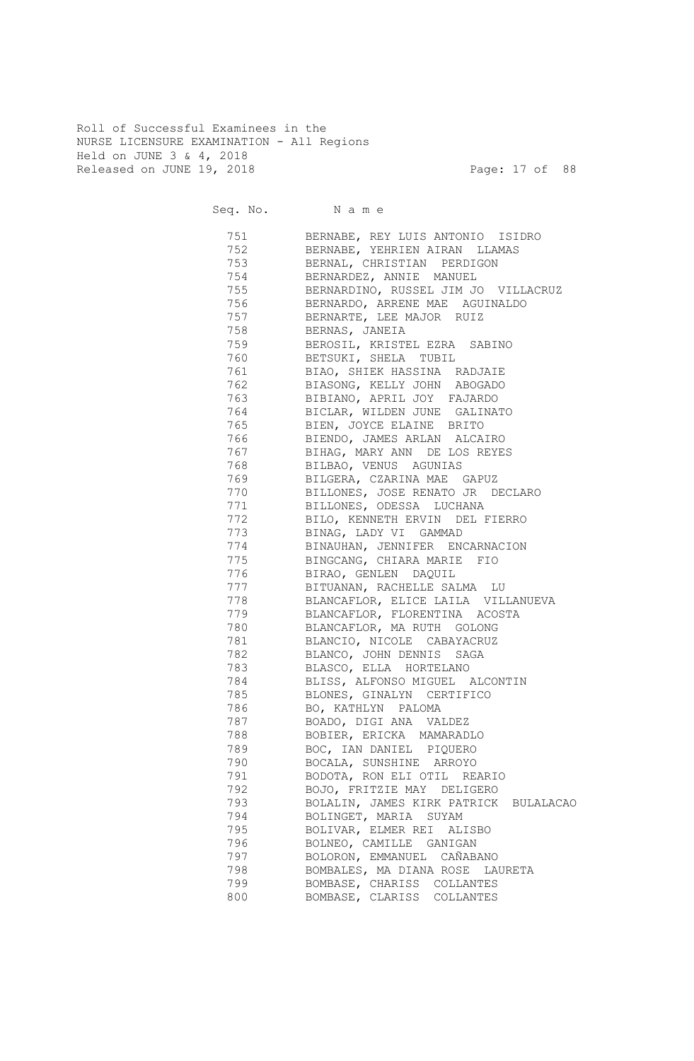Roll of Successful Examinees in the NURSE LICENSURE EXAMINATION - All Regions Held on JUNE 3 & 4, 2018 Released on JUNE 19, 2018 Page: 17 of 88

Seq. No. Name 751 BERNABE, REY LUIS ANTONIO ISIDRO 752 BERNABE, YEHRIEN AIRAN LLAMAS 753 BERNAL, CHRISTIAN PERDIGON 754 BERNARDEZ, ANNIE MANUEL 755 BERNARDINO, RUSSEL JIM JO VILLACRUZ 756 BERNARDO, ARRENE MAE AGUINALDO 757 BERNARTE, LEE MAJOR RUIZ 758 BERNAS, JANEIA 759 BEROSIL, KRISTEL EZRA SABINO 760 BETSUKI, SHELA TUBIL 761 BIAO, SHIEK HASSINA RADJAIE 762 BIASONG, KELLY JOHN ABOGADO 763 BIBIANO, APRIL JOY FAJARDO 764 BICLAR, WILDEN JUNE GALINATO 765 BIEN, JOYCE ELAINE BRITO 766 BIENDO, JAMES ARLAN ALCAIRO 767 BIHAG, MARY ANN DE LOS REYES 768 BILBAO, VENUS AGUNIAS 769 BILGERA, CZARINA MAE GAPUZ 770 BILLONES, JOSE RENATO JR DECLARO 771 BILLONES, ODESSA LUCHANA 772 BILO, KENNETH ERVIN DEL FIERRO 773 BINAG, LADY VI GAMMAD 774 BINAUHAN, JENNIFER ENCARNACION 775 BINGCANG, CHIARA MARIE FIO 776 BIRAO, GENLEN DAQUIL 777 BITUANAN, RACHELLE SALMA LU 778 BLANCAFLOR, ELICE LAILA VILLANUEVA 779 BLANCAFLOR, FLORENTINA ACOSTA 780 BLANCAFLOR, MA RUTH GOLONG 781 BLANCIO, NICOLE CABAYACRUZ 782 BLANCO, JOHN DENNIS SAGA 783 BLASCO, ELLA HORTELANO 784 BLISS, ALFONSO MIGUEL ALCONTIN 785 BLONES, GINALYN CERTIFICO 786 BO, KATHLYN PALOMA 787 BOADO, DIGI ANA VALDEZ 788 BOBIER, ERICKA MAMARADLO 789 BOC, IAN DANIEL PIQUERO 790 BOCALA, SUNSHINE ARROYO 791 BODOTA, RON ELI OTIL REARIO 792 BOJO, FRITZIE MAY DELIGERO 793 BOLALIN, JAMES KIRK PATRICK BULALACAO 794 BOLINGET, MARIA SUYAM 795 BOLIVAR, ELMER REI ALISBO 796 BOLNEO, CAMILLE GANIGAN 797 BOLORON, EMMANUEL CAÑABANO 798 BOMBALES, MA DIANA ROSE LAURETA 799 BOMBASE, CHARISS COLLANTES 800 BOMBASE, CLARISS COLLANTES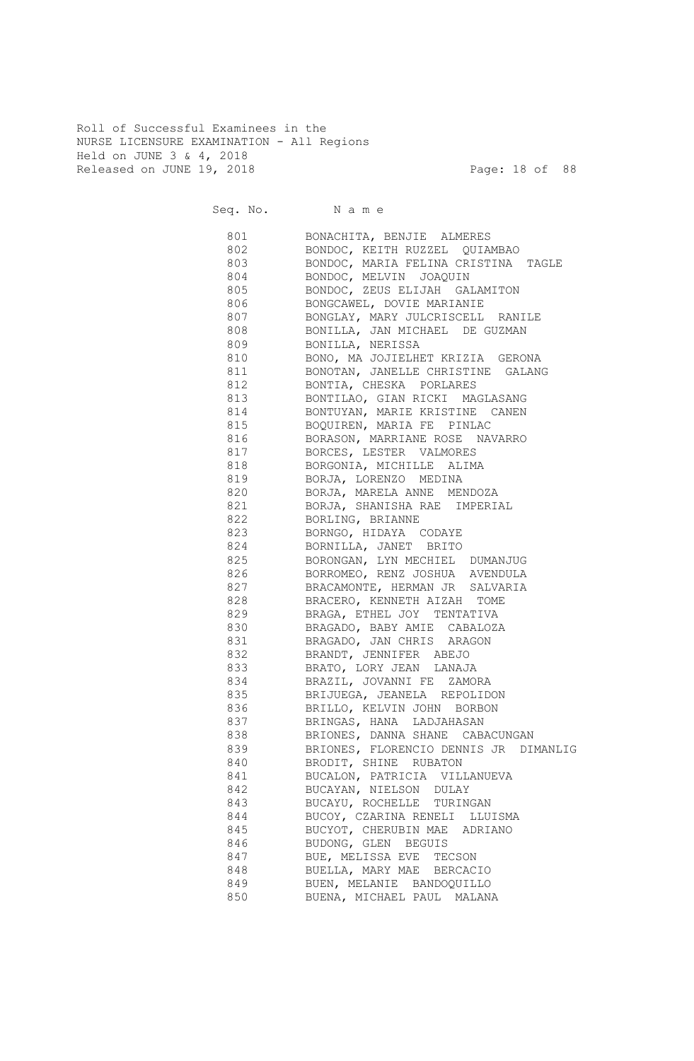Roll of Successful Examinees in the NURSE LICENSURE EXAMINATION - All Regions Held on JUNE 3 & 4, 2018 Released on JUNE 19, 2018 Page: 18 of 88

|     | Seq. No. Name                           |
|-----|-----------------------------------------|
|     | 801 BONACHITA, BENJIE ALMERES           |
|     | 802 BONDOC, KEITH RUZZEL QUIAMBAO       |
|     | 803 BONDOC, MARIA FELINA CRISTINA TAGLE |
|     | 804 BONDOC, MELVIN JOAQUIN              |
|     | 805 BONDOC, ZEUS ELIJAH GALAMITON       |
|     | 806 BONGCAWEL, DOVIE MARIANIE           |
| 807 | BONGLAY, MARY JULCRISCELL RANILE        |
| 808 | BONILLA, JAN MICHAEL DE GUZMAN          |
| 809 | BONILLA, NERISSA                        |
| 810 | BONO, MA JOJIELHET KRIZIA GERONA        |
| 811 | BONOTAN, JANELLE CHRISTINE GALANG       |
| 812 | BONTIA, CHESKA PORLARES                 |
| 813 | BONTILAO, GIAN RICKI MAGLASANG          |
| 814 | BONTUYAN, MARIE KRISTINE CANEN          |
| 815 | BOQUIREN, MARIA FE PINLAC               |
| 816 | BORASON, MARRIANE ROSE NAVARRO          |
| 817 | BORCES, LESTER VALMORES                 |
| 818 | BORGONIA, MICHILLE ALIMA                |
| 819 | BORJA, LORENZO MEDINA                   |
| 820 | BORJA, MARELA ANNE MENDOZA              |
| 821 | BORJA, SHANISHA RAE IMPERIAL            |
| 822 | BORLING, BRIANNE                        |
| 823 | BORNGO, HIDAYA CODAYE                   |
| 824 | BORNILLA, JANET BRITO                   |
| 825 | BORONGAN, LYN MECHIEL DUMANJUG          |
| 826 | BORROMEO, RENZ JOSHUA AVENDULA          |
| 827 | BRACAMONTE, HERMAN JR SALVARIA          |
| 828 | BRACERO, KENNETH AIZAH TOME             |
| 829 | BRAGA, ETHEL JOY TENTATIVA              |
| 830 | BRAGADO, BABY AMIE CABALOZA             |
| 831 | BRAGADO, JAN CHRIS ARAGON               |
| 832 | BRANDT, JENNIFER ABEJO                  |
| 833 | BRATO, LORY JEAN LANAJA                 |
| 834 | BRAZIL, JOVANNI FE ZAMORA               |
| 835 | BRIJUEGA, JEANELA REPOLIDON             |
| 836 | BRILLO, KELVIN JOHN BORBON              |
| 837 | BRINGAS, HANA LADJAHASAN                |
| 838 | BRIONES, DANNA SHANE CABACUNGAN         |
| 839 | BRIONES, FLORENCIO DENNIS JR DIMANLIG   |
| 840 | BRODIT, SHINE RUBATON                   |
| 841 | BUCALON, PATRICIA VILLANUEVA            |
| 842 | BUCAYAN, NIELSON DULAY                  |
| 843 | BUCAYU, ROCHELLE TURINGAN               |
| 844 | BUCOY, CZARINA RENELI LLUISMA           |
| 845 | BUCYOT, CHERUBIN MAE ADRIANO            |
| 846 | BUDONG, GLEN BEGUIS                     |
| 847 | BUE, MELISSA EVE TECSON                 |
| 848 | BUELLA, MARY MAE BERCACIO               |
| 849 | BUEN, MELANIE BANDOQUILLO               |
| 850 | BUENA, MICHAEL PAUL MALANA              |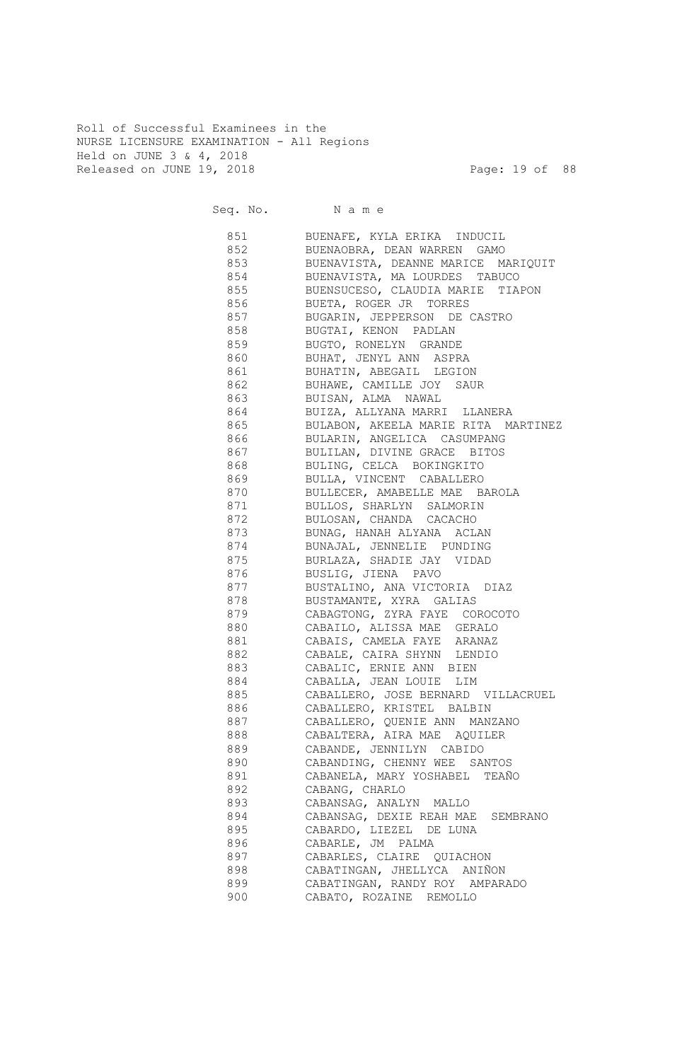Roll of Successful Examinees in the NURSE LICENSURE EXAMINATION - All Regions Held on JUNE 3 & 4, 2018 Released on JUNE 19, 2018 Page: 19 of 88

Seq. No. Name 851 BUENAFE, KYLA ERIKA INDUCIL 852 BUENAOBRA, DEAN WARREN GAMO 853 BUENAVISTA, DEANNE MARICE MARIQUIT 854 BUENAVISTA, MA LOURDES TABUCO 855 BUENSUCESO, CLAUDIA MARIE TIAPON 856 BUETA, ROGER JR TORRES 857 BUGARIN, JEPPERSON DE CASTRO 858 BUGTAI, KENON PADLAN 859 BUGTO, RONELYN GRANDE 860 BUHAT, JENYL ANN ASPRA 861 BUHATIN, ABEGAIL LEGION 862 BUHAWE, CAMILLE JOY SAUR 863 BUISAN, ALMA NAWAL 864 BUIZA, ALLYANA MARRI LLANERA 865 BULABON, AKEELA MARIE RITA MARTINEZ 866 BULARIN, ANGELICA CASUMPANG 867 BULILAN, DIVINE GRACE BITOS 868 BULING, CELCA BOKINGKITO 869 BULLA, VINCENT CABALLERO 870 BULLECER, AMABELLE MAE BAROLA 871 BULLOS, SHARLYN SALMORIN 872 BULOSAN, CHANDA CACACHO 873 BUNAG, HANAH ALYANA ACLAN 874 BUNAJAL, JENNELIE PUNDING 875 BURLAZA, SHADIE JAY VIDAD 876 BUSLIG, JIENA PAVO 877 BUSTALINO, ANA VICTORIA DIAZ 878 BUSTAMANTE, XYRA GALIAS 879 CABAGTONG, ZYRA FAYE COROCOTO 880 CABAILO, ALISSA MAE GERALO 881 CABAIS, CAMELA FAYE ARANAZ 882 CABALE, CAIRA SHYNN LENDIO 883 CABALIC, ERNIE ANN BIEN 884 CABALLA, JEAN LOUIE LIM 885 CABALLERO, JOSE BERNARD VILLACRUEL 886 CABALLERO, KRISTEL BALBIN 887 CABALLERO, QUENIE ANN MANZANO 888 CABALTERA, AIRA MAE AQUILER 889 CABANDE, JENNILYN CABIDO 890 CABANDING, CHENNY WEE SANTOS 891 CABANELA, MARY YOSHABEL TEAÑO 892 CABANG, CHARLO 893 CABANSAG, ANALYN MALLO 894 CABANSAG, DEXIE REAH MAE SEMBRANO 895 CABARDO, LIEZEL DE LUNA 896 CABARLE, JM PALMA 897 CABARLES, CLAIRE QUIACHON 898 CABATINGAN, JHELLYCA ANIÑON 899 CABATINGAN, RANDY ROY AMPARADO 900 CABATO, ROZAINE REMOLLO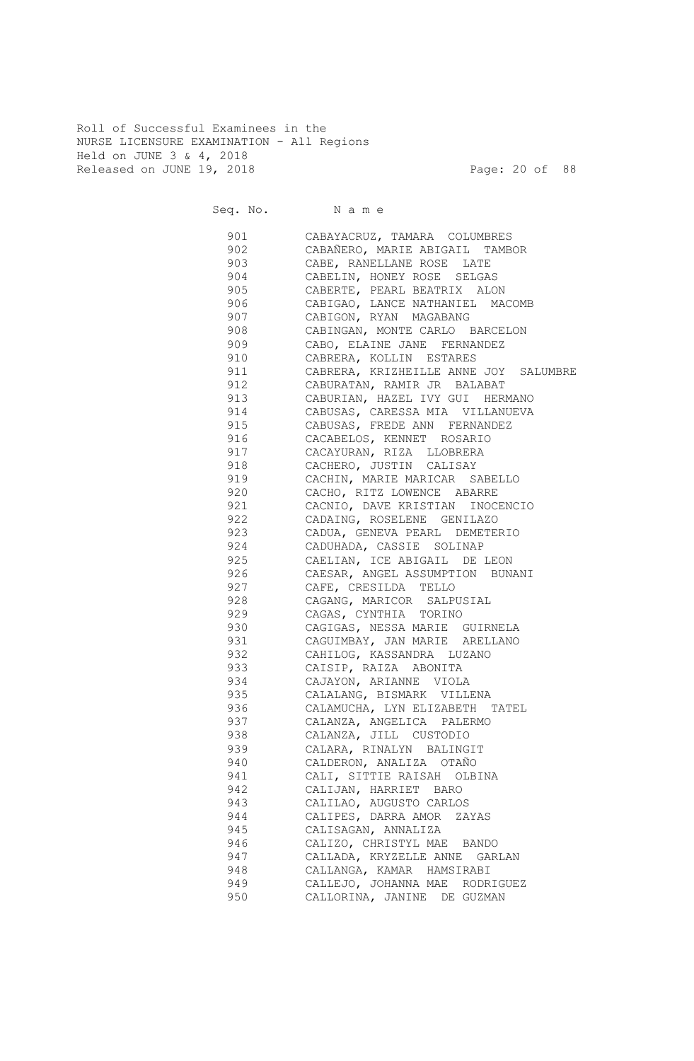Roll of Successful Examinees in the NURSE LICENSURE EXAMINATION - All Regions Held on JUNE 3 & 4, 2018 Released on JUNE 19, 2018 Page: 20 of 88

Seq. No. Name 901 CABAYACRUZ, TAMARA COLUMBRES 902 CABAÑERO, MARIE ABIGAIL TAMBOR 903 CABE, RANELLANE ROSE LATE 904 CABELIN, HONEY ROSE SELGAS 905 CABERTE, PEARL BEATRIX ALON 906 CABIGAO, LANCE NATHANIEL MACOMB 907 CABIGON, RYAN MAGABANG 908 CABINGAN, MONTE CARLO BARCELON 909 CABO, ELAINE JANE FERNANDEZ 910 CABRERA, KOLLIN ESTARES 911 CABRERA, KRIZHEILLE ANNE JOY SALUMBRE 912 CABURATAN, RAMIR JR BALABAT 913 CABURIAN, HAZEL IVY GUI HERMANO 914 CABUSAS, CARESSA MIA VILLANUEVA 915 CABUSAS, FREDE ANN FERNANDEZ 916 CACABELOS, KENNET ROSARIO 917 CACAYURAN, RIZA LLOBRERA 918 CACHERO, JUSTIN CALISAY 919 CACHIN, MARIE MARICAR SABELLO 920 CACHO, RITZ LOWENCE ABARRE 921 CACNIO, DAVE KRISTIAN INOCENCIO 922 CADAING, ROSELENE GENILAZO 923 CADUA, GENEVA PEARL DEMETERIO 924 CADUHADA, CASSIE SOLINAP 925 CAELIAN, ICE ABIGAIL DE LEON 926 CAESAR, ANGEL ASSUMPTION BUNANI 927 CAFE, CRESILDA TELLO 928 CAGANG, MARICOR SALPUSIAL 929 CAGAS, CYNTHIA TORINO 930 CAGIGAS, NESSA MARIE GUIRNELA 931 CAGUIMBAY, JAN MARIE ARELLANO 932 CAHILOG, KASSANDRA LUZANO 933 CAISIP, RAIZA ABONITA 934 CAJAYON, ARIANNE VIOLA 935 CALALANG, BISMARK VILLENA 936 CALAMUCHA, LYN ELIZABETH TATEL 937 CALANZA, ANGELICA PALERMO 938 CALANZA, JILL CUSTODIO 939 CALARA, RINALYN BALINGIT 940 CALDERON, ANALIZA OTAÑO 941 CALI, SITTIE RAISAH OLBINA 942 CALIJAN, HARRIET BARO 943 CALILAO, AUGUSTO CARLOS 944 CALIPES, DARRA AMOR ZAYAS 945 CALISAGAN, ANNALIZA 946 CALIZO, CHRISTYL MAE BANDO 947 CALLADA, KRYZELLE ANNE GARLAN 948 CALLANGA, KAMAR HAMSIRABI 949 CALLEJO, JOHANNA MAE RODRIGUEZ 950 CALLORINA, JANINE DE GUZMAN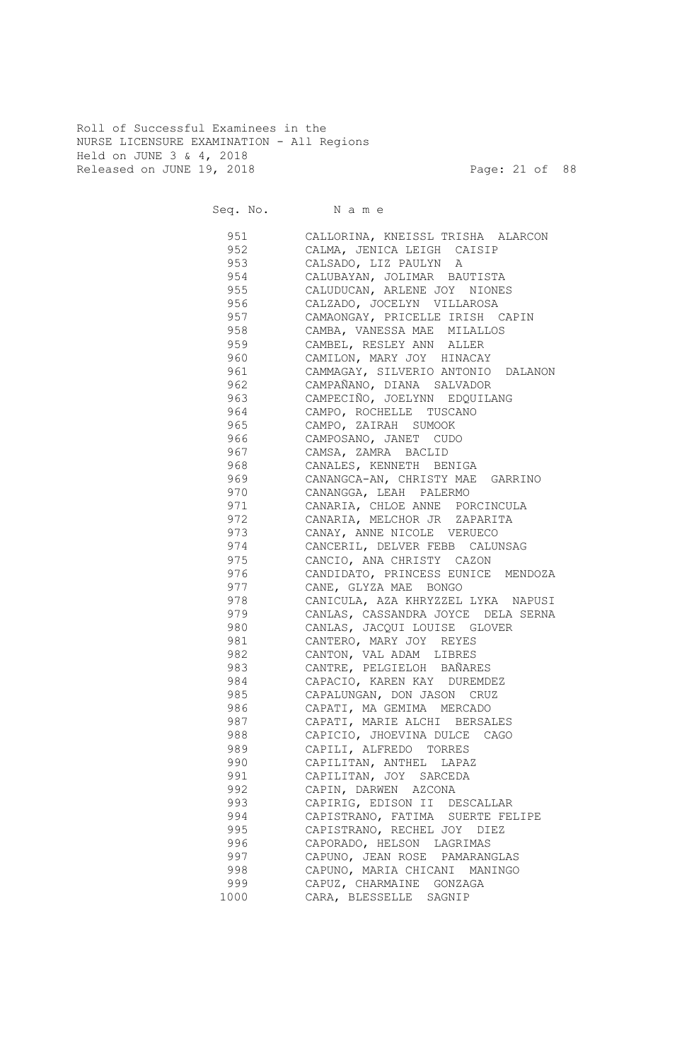Roll of Successful Examinees in the NURSE LICENSURE EXAMINATION - All Regions Held on JUNE 3 & 4, 2018 Released on JUNE 19, 2018 Page: 21 of 88

Seq. No. Name 951 CALLORINA, KNEISSL TRISHA ALARCON 952 CALMA, JENICA LEIGH CAISIP 953 CALSADO, LIZ PAULYN A 954 CALUBAYAN, JOLIMAR BAUTISTA 955 CALUDUCAN, ARLENE JOY NIONES 956 CALZADO, JOCELYN VILLAROSA 957 CAMAONGAY, PRICELLE IRISH CAPIN 958 CAMBA, VANESSA MAE MILALLOS 959 CAMBEL, RESLEY ANN ALLER 960 CAMILON, MARY JOY HINACAY 961 CAMMAGAY, SILVERIO ANTONIO DALANON 962 CAMPAÑANO, DIANA SALVADOR 963 CAMPECIÑO, JOELYNN EDQUILANG 964 CAMPO, ROCHELLE TUSCANO 965 CAMPO, ZAIRAH SUMOOK 966 CAMPOSANO, JANET CUDO 967 CAMSA, ZAMRA BACLID 968 CANALES, KENNETH BENIGA 969 CANANGCA-AN, CHRISTY MAE GARRINO 970 CANANGGA, LEAH PALERMO 971 CANARIA, CHLOE ANNE PORCINCULA 972 CANARIA, MELCHOR JR ZAPARITA 973 CANAY, ANNE NICOLE VERUECO 974 CANCERIL, DELVER FEBB CALUNSAG 975 CANCIO, ANA CHRISTY CAZON 976 CANDIDATO, PRINCESS EUNICE MENDOZA 977 CANE, GLYZA MAE BONGO 978 CANICULA, AZA KHRYZZEL LYKA NAPUSI 979 CANLAS, CASSANDRA JOYCE DELA SERNA 980 CANLAS, JACQUI LOUISE GLOVER 981 CANTERO, MARY JOY REYES 982 CANTON, VAL ADAM LIBRES 983 CANTRE, PELGIELOH BAÑARES 984 CAPACIO, KAREN KAY DUREMDEZ 985 CAPALUNGAN, DON JASON CRUZ 986 CAPATI, MA GEMIMA MERCADO 987 CAPATI, MARIE ALCHI BERSALES 988 CAPICIO, JHOEVINA DULCE CAGO 989 CAPILI, ALFREDO TORRES 990 CAPILITAN, ANTHEL LAPAZ 991 CAPILITAN, JOY SARCEDA 992 CAPIN, DARWEN AZCONA 993 CAPIRIG, EDISON II DESCALLAR 994 CAPISTRANO, FATIMA SUERTE FELIPE 995 CAPISTRANO, RECHEL JOY DIEZ 996 CAPORADO, HELSON LAGRIMAS 997 CAPUNO, JEAN ROSE PAMARANGLAS 998 CAPUNO, MARIA CHICANI MANINGO 999 CAPUZ, CHARMAINE GONZAGA 1000 CARA, BLESSELLE SAGNIP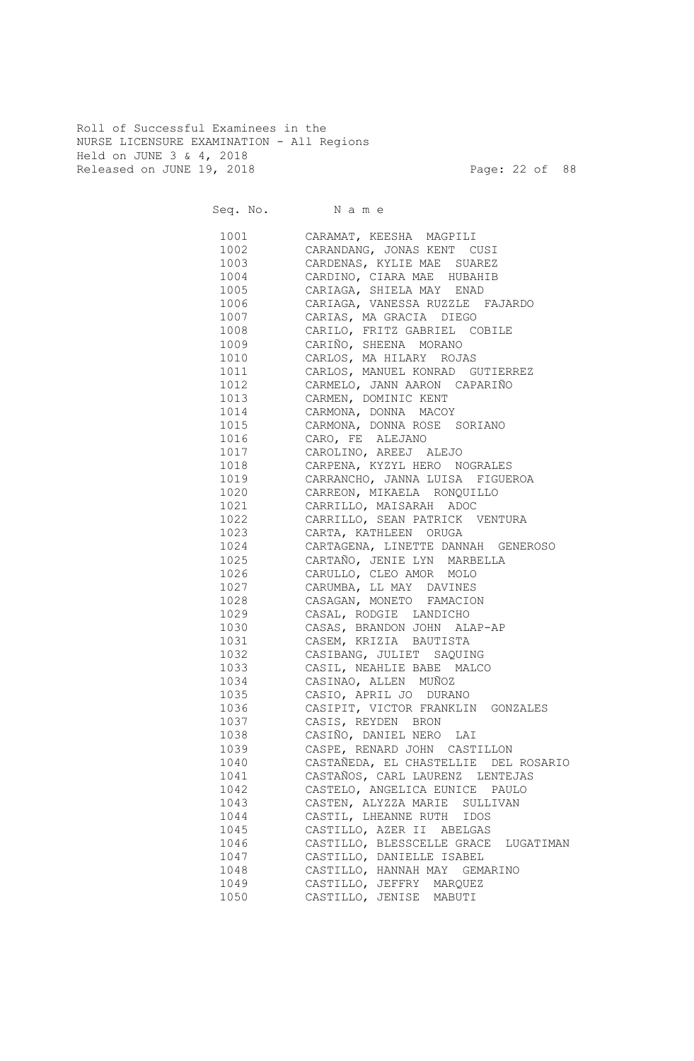Roll of Successful Examinees in the NURSE LICENSURE EXAMINATION - All Regions Held on JUNE 3 & 4, 2018 Released on JUNE 19, 2018 Page: 22 of 88

Seq. No. Name 1001 CARAMAT, KEESHA MAGPILI 1002 CARANDANG, JONAS KENT CUSI 1003 CARDENAS, KYLIE MAE SUAREZ 1004 CARDINO, CIARA MAE HUBAHIB 1005 CARIAGA, SHIELA MAY ENAD 1006 CARIAGA, VANESSA RUZZLE FAJARDO 1007 CARIAS, MA GRACIA DIEGO 1008 CARILO, FRITZ GABRIEL COBILE 1009 CARIÑO, SHEENA MORANO 1010 CARLOS, MA HILARY ROJAS 1011 CARLOS, MANUEL KONRAD GUTIERREZ 1012 CARMELO, JANN AARON CAPARIÑO 1013 CARMEN, DOMINIC KENT 1014 CARMONA, DONNA MACOY 1015 CARMONA, DONNA ROSE SORIANO 1016 CARO, FE ALEJANO 1017 CAROLINO, AREEJ ALEJO 1018 CARPENA, KYZYL HERO NOGRALES 1019 CARRANCHO, JANNA LUISA FIGUEROA 1020 CARREON, MIKAELA RONQUILLO 1021 CARRILLO, MAISARAH ADOC 1022 CARRILLO, SEAN PATRICK VENTURA 1023 CARTA, KATHLEEN ORUGA 1024 CARTAGENA, LINETTE DANNAH GENEROSO 1025 CARTAÑO, JENIE LYN MARBELLA 1026 CARULLO, CLEO AMOR MOLO 1027 CARUMBA, LL MAY DAVINES 1028 CASAGAN, MONETO FAMACION 1029 CASAL, RODGIE LANDICHO 1030 CASAS, BRANDON JOHN ALAP-AP 1031 CASEM, KRIZIA BAUTISTA 1032 CASIBANG, JULIET SAQUING 1033 CASIL, NEAHLIE BABE MALCO 1034 CASINAO, ALLEN MUÑOZ 1035 CASIO, APRIL JO DURANO 1036 CASIPIT, VICTOR FRANKLIN GONZALES 1037 CASIS, REYDEN BRON 1038 CASIÑO, DANIEL NERO LAI 1039 CASPE, RENARD JOHN CASTILLON 1040 CASTAÑEDA, EL CHASTELLIE DEL ROSARIO 1041 CASTAÑOS, CARL LAURENZ LENTEJAS 1042 CASTELO, ANGELICA EUNICE PAULO 1043 CASTEN, ALYZZA MARIE SULLIVAN 1044 CASTIL, LHEANNE RUTH IDOS 1045 CASTILLO, AZER II ABELGAS<br>1046 CASTILLO, BLESSCELLE GRACE CASTILLO, BLESSCELLE GRACE LUGATIMAN 1047 CASTILLO, DANIELLE ISABEL 1048 CASTILLO, HANNAH MAY GEMARINO 1049 CASTILLO, JEFFRY MARQUEZ 1050 CASTILLO, JENISE MABUTI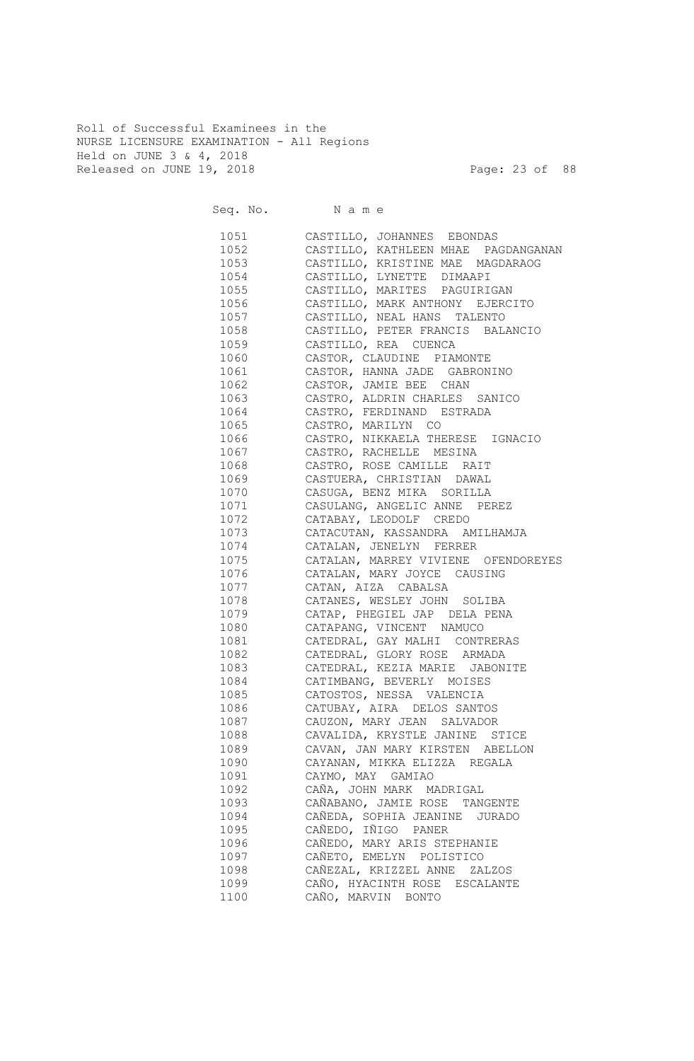Roll of Successful Examinees in the NURSE LICENSURE EXAMINATION - All Regions Held on JUNE 3 & 4, 2018 Released on JUNE 19, 2018 Page: 23 of 88

|          | Seq. No. Name                            |
|----------|------------------------------------------|
|          | 1051 CASTILLO, JOHANNES EBONDAS          |
|          | 1052 CASTILLO, KATHLEEN MHAE PAGDANGANAN |
| 1053     | CASTILLO, KRISTINE MAE MAGDARAOG         |
| 1054     | CASTILLO, LYNETTE DIMAAPI                |
| 1055     | CASTILLO, MARITES PAGUIRIGAN             |
| 1056 000 | CASTILLO, MARK ANTHONY EJERCITO          |
| 1057     | CASTILLO, NEAL HANS TALENTO              |
| 1058 700 | CASTILLO, PETER FRANCIS BALANCIO         |
| 1059     | CASTILLO, REA CUENCA                     |
| 1060     | CASTOR, CLAUDINE PIAMONTE                |
| 1061     | CASTOR, HANNA JADE GABRONINO             |
| 1062     | CASTOR, JAMIE BEE CHAN                   |
| 1063     | CASTRO, ALDRIN CHARLES SANICO            |
| 1064     | CASTRO, FERDINAND ESTRADA                |
| 1065     | CASTRO, MARILYN CO                       |
| 1066     | CASTRO, NIKKAELA THERESE IGNACIO         |
| 1067     | CASTRO, RACHELLE MESINA                  |
| 1068     | CASTRO, ROSE CAMILLE RAIT                |
| 1069     | CASTUERA, CHRISTIAN DAWAL                |
| 1070     | CASUGA, BENZ MIKA SORILLA                |
| 1071     | CASULANG, ANGELIC ANNE PEREZ             |
| 1072     | CATABAY, LEODOLF CREDO                   |
| 1073     | CATACUTAN, KASSANDRA AMILHAMJA           |
| 1074     | CATALAN, JENELYN FERRER                  |
| 1075     | CATALAN, MARREY VIVIENE OFENDOREYES      |
| 1076     | CATALAN, MARY JOYCE CAUSING              |
| 1077     | CATAN, AIZA CABALSA                      |
| 1078     | CATANES, WESLEY JOHN SOLIBA              |
| 1079     | CATAP, PHEGIEL JAP DELA PENA             |
| 1080     | CATAPANG, VINCENT NAMUCO                 |
| 1081     | CATEDRAL, GAY MALHI CONTRERAS            |
| 1082     | CATEDRAL, GLORY ROSE ARMADA              |
| 1083     | CATEDRAL, KEZIA MARIE JABONITE           |
| 1084     | CATIMBANG, BEVERLY MOISES                |
| 1085     | CATOSTOS, NESSA VALENCIA                 |
| 1086     | CATUBAY, AIRA DELOS SANTOS               |
| 1087     | CAUZON, MARY JEAN SALVADOR               |
| 1088     | CAVALIDA, KRYSTLE JANINE STICE           |
| 1089     | CAVAN, JAN MARY KIRSTEN ABELLON          |
| 1090     | CAYANAN, MIKKA ELIZZA REGALA             |
| 1091     | CAYMO, MAY GAMIAO                        |
| 1092     | CAÑA, JOHN MARK MADRIGAL                 |
| 1093     | CAÑABANO, JAMIE ROSE TANGENTE            |
| 1094     | CAÑEDA, SOPHIA JEANINE JURADO            |
| 1095     | CAÑEDO, IÑIGO PANER                      |
| 1096     | CAÑEDO, MARY ARIS STEPHANIE              |
| 1097     | CAÑETO, EMELYN POLISTICO                 |
| 1098     | CAÑEZAL, KRIZZEL ANNE<br>ZALZOS          |
| 1099     | CAÑO, HYACINTH ROSE ESCALANTE            |
| 1100     | CAÑO, MARVIN BONTO                       |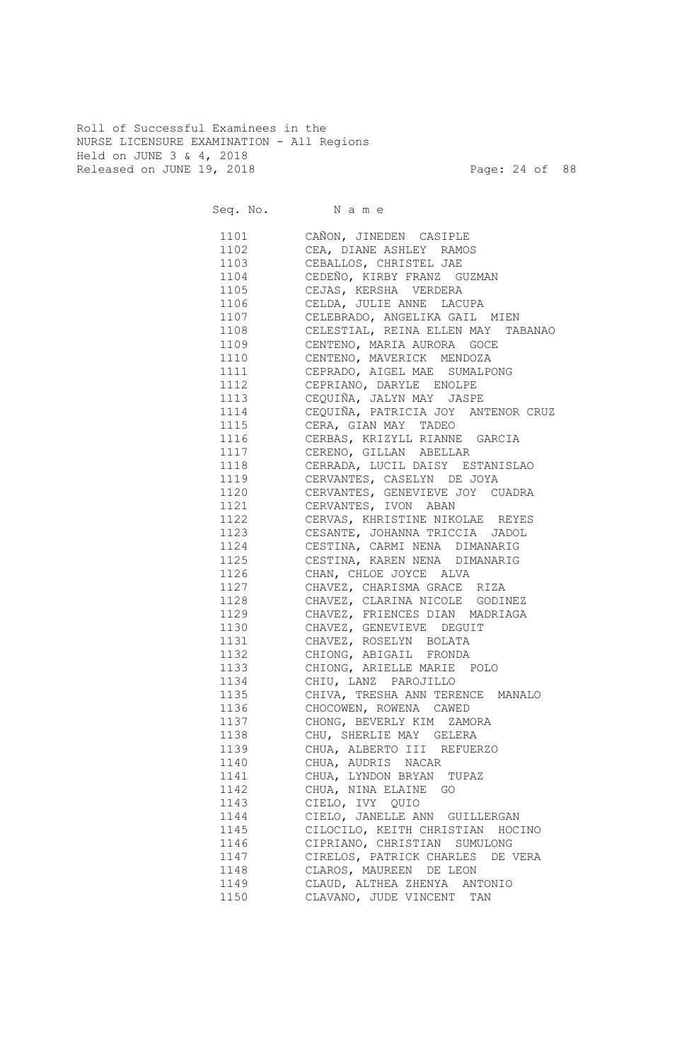Roll of Successful Examinees in the NURSE LICENSURE EXAMINATION - All Regions Held on JUNE 3 & 4, 2018 Released on JUNE 19, 2018 Page: 24 of 88

Seq. No. Name 1101 CAÑON, JINEDEN CASIPLE 1102 CEA, DIANE ASHLEY RAMOS 1103 CEBALLOS, CHRISTEL JAE 1104 CEDEÑO, KIRBY FRANZ GUZMAN 1105 CEJAS, KERSHA VERDERA 1106 CELDA, JULIE ANNE LACUPA 1107 CELEBRADO, ANGELIKA GAIL MIEN 1108 CELESTIAL, REINA ELLEN MAY TABANAO 1109 CENTENO, MARIA AURORA GOCE 1110 CENTENO, MAVERICK MENDOZA 1111 CEPRADO, AIGEL MAE SUMALPONG 1112 CEPRIANO, DARYLE ENOLPE 1113 CEQUIÑA, JALYN MAY JASPE 1114 CEQUIÑA, PATRICIA JOY ANTENOR CRUZ 1115 CERA, GIAN MAY TADEO<br>1116 CERBAS, KRIZYLL RIANNE CERBAS, KRIZYLL RIANNE GARCIA 1117 CERENO, GILLAN ABELLAR 1118 CERRADA, LUCIL DAISY ESTANISLAO 1119 CERVANTES, CASELYN DE JOYA 1120 CERVANTES, GENEVIEVE JOY CUADRA 1121 CERVANTES, IVON ABAN 1122 CERVAS, KHRISTINE NIKOLAE REYES 1123 CESANTE, JOHANNA TRICCIA JADOL 1124 CESTINA, CARMI NENA DIMANARIG 1125 CESTINA, KAREN NENA DIMANARIG 1126 CHAN, CHLOE JOYCE ALVA 1127 CHAVEZ, CHARISMA GRACE RIZA 1128 CHAVEZ, CLARINA NICOLE GODINEZ 1129 CHAVEZ, FRIENCES DIAN MADRIAGA 1130 CHAVEZ, GENEVIEVE DEGUIT 1131 CHAVEZ, ROSELYN BOLATA 1132 CHIONG, ABIGAIL FRONDA 1133 CHIONG, ARIELLE MARIE POLO 1134 CHIU, LANZ PAROJILLO 1135 CHIVA, TRESHA ANN TERENCE MANALO 1136 CHOCOWEN, ROWENA CAWED 1137 CHONG, BEVERLY KIM ZAMORA 1138 CHU, SHERLIE MAY GELERA 1139 CHUA, ALBERTO III REFUERZO 1140 CHUA, AUDRIS NACAR 1141 CHUA, LYNDON BRYAN TUPAZ 1142 CHUA, NINA ELAINE GO 1143 CIELO, IVY QUIO 1144 CIELO, JANELLE ANN GUILLERGAN 1145 CILOCILO, KEITH CHRISTIAN HOCINO 1146 CIPRIANO, CHRISTIAN SUMULONG 1147 CIRELOS, PATRICK CHARLES DE VERA 1148 CLAROS, MAUREEN DE LEON 1149 CLAUD, ALTHEA ZHENYA ANTONIO 1150 CLAVANO, JUDE VINCENT TAN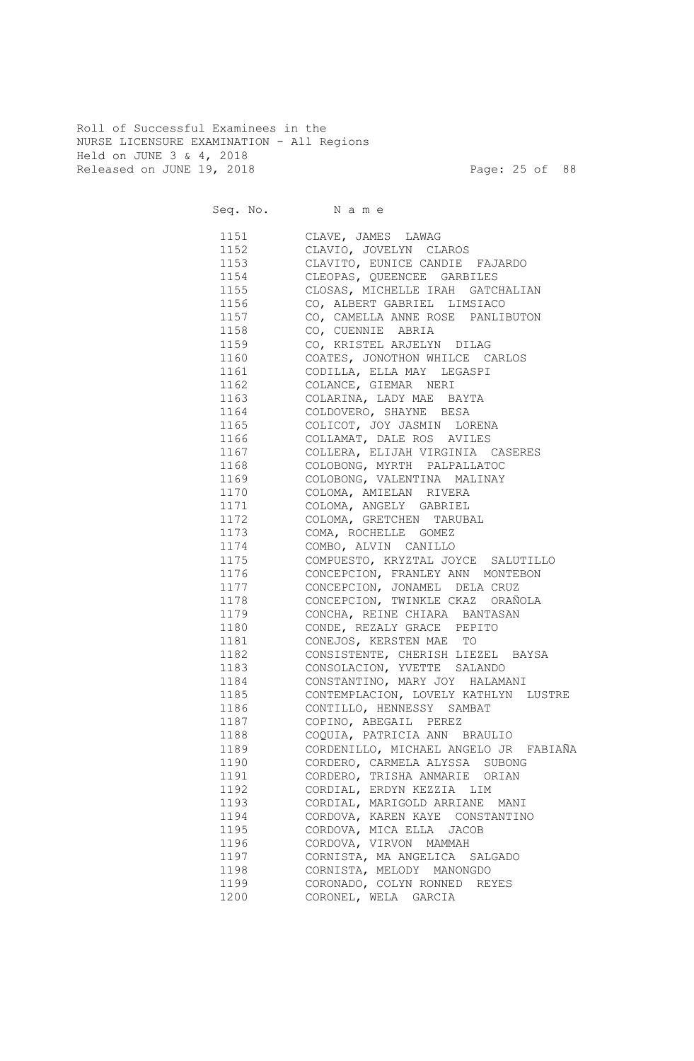Roll of Successful Examinees in the NURSE LICENSURE EXAMINATION - All Regions Held on JUNE 3 & 4, 2018 Released on JUNE 19, 2018 Page: 25 of 88

Seq. No. Name 1151 CLAVE, JAMES LAWAG 1152 CLAVIO, JOVELYN CLAROS 1153 CLAVITO, EUNICE CANDIE FAJARDO 1154 CLEOPAS, QUEENCEE GARBILES 1155 CLOSAS, MICHELLE IRAH GATCHALIAN 1156 CO, ALBERT GABRIEL LIMSIACO 1157 CO, CAMELLA ANNE ROSE PANLIBUTON 1158 CO, CUENNIE ABRIA 1159 CO, KRISTEL ARJELYN DILAG 1160 COATES, JONOTHON WHILCE CARLOS 1161 CODILLA, ELLA MAY LEGASPI 1162 COLANCE, GIEMAR NERI 1163 COLARINA, LADY MAE BAYTA 1164 COLDOVERO, SHAYNE BESA 1165 COLICOT, JOY JASMIN LORENA 1166 COLLAMAT, DALE ROS AVILES 1167 COLLERA, ELIJAH VIRGINIA CASERES 1168 COLOBONG, MYRTH PALPALLATOC 1169 COLOBONG, VALENTINA MALINAY 1170 COLOMA, AMIELAN RIVERA 1171 COLOMA, ANGELY GABRIEL 1172 COLOMA, GRETCHEN TARUBAL 1173 COMA, ROCHELLE GOMEZ 1174 COMBO, ALVIN CANILLO 1175 COMPUESTO, KRYZTAL JOYCE SALUTILLO 1176 CONCEPCION, FRANLEY ANN MONTEBON 1177 CONCEPCION, JONAMEL DELA CRUZ 1178 CONCEPCION, TWINKLE CKAZ ORAÑOLA 1179 CONCHA, REINE CHIARA BANTASAN 1180 CONDE, REZALY GRACE PEPITO 1181 CONEJOS, KERSTEN MAE TO 1182 CONSISTENTE, CHERISH LIEZEL BAYSA 1183 CONSOLACION, YVETTE SALANDO 1184 CONSTANTINO, MARY JOY HALAMANI 1185 CONTEMPLACION, LOVELY KATHLYN LUSTRE 1186 CONTILLO, HENNESSY SAMBAT 1187 COPINO, ABEGAIL PEREZ 1188 COQUIA, PATRICIA ANN BRAULIO 1189 CORDENILLO, MICHAEL ANGELO JR FABIAÑA 1190 CORDERO, CARMELA ALYSSA SUBONG 1191 CORDERO, TRISHA ANMARIE ORIAN 1192 CORDIAL, ERDYN KEZZIA LIM 1193 CORDIAL, MARIGOLD ARRIANE MANI 1194 CORDOVA, KAREN KAYE CONSTANTINO 1195 CORDOVA, MICA ELLA JACOB 1196 CORDOVA, VIRVON MAMMAH 1197 CORNISTA, MA ANGELICA SALGADO 1198 CORNISTA, MELODY MANONGDO 1199 CORONADO, COLYN RONNED REYES 1200 CORONEL, WELA GARCIA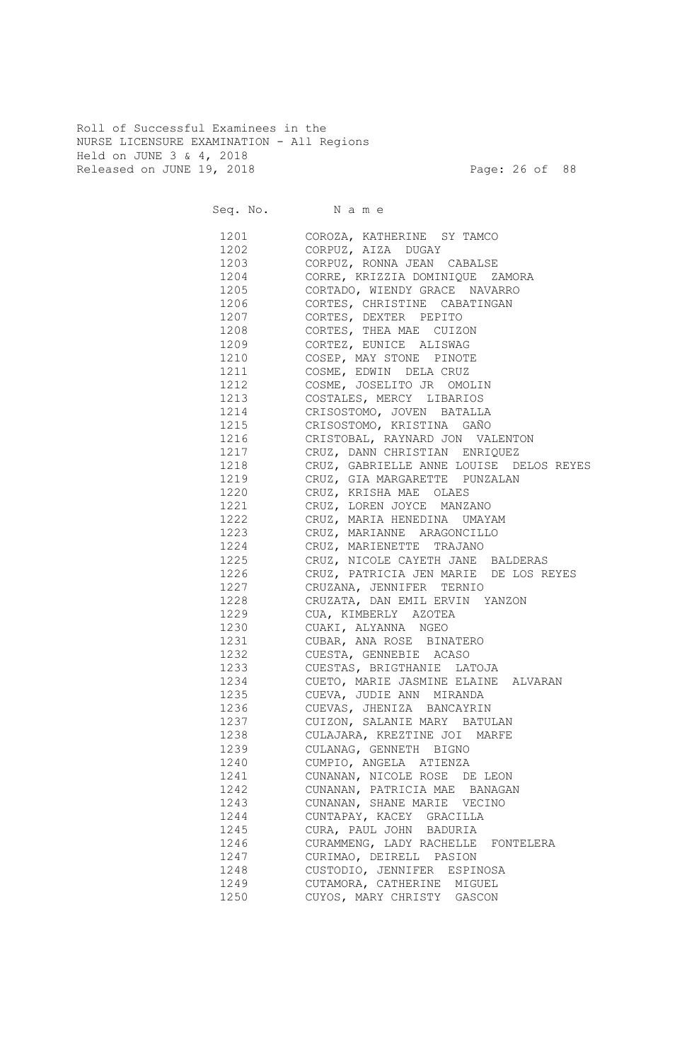Roll of Successful Examinees in the NURSE LICENSURE EXAMINATION - All Regions Held on JUNE 3 & 4, 2018 Released on JUNE 19, 2018 Page: 26 of 88

|      |                                                                                                              | Seq. No. Name                           |
|------|--------------------------------------------------------------------------------------------------------------|-----------------------------------------|
|      | 1201 — 1201 — 1202 — 1203 — 1204 — 1204 — 1204 — 1204 — 1205 — 1205 — 1205 — 1205 — 1205 — 1205 — 1205 — 120 | COROZA, KATHERINE SY TAMCO              |
|      |                                                                                                              | 1202 CORPUZ, AIZA DUGAY                 |
|      | 1203                                                                                                         | CORPUZ, RONNA JEAN CABALSE              |
|      | 1204                                                                                                         | CORRE, KRIZZIA DOMINIQUE ZAMORA         |
|      | 1205                                                                                                         | CORTADO, WIENDY GRACE NAVARRO           |
|      | 1206                                                                                                         | CORTES, CHRISTINE CABATINGAN            |
|      | 1207                                                                                                         | CORTES, DEXTER PEPITO                   |
|      | 1208                                                                                                         | CORTES, THEA MAE CUIZON                 |
|      | 1209                                                                                                         | CORTEZ, EUNICE ALISWAG                  |
|      | 1210                                                                                                         | COSEP, MAY STONE PINOTE                 |
|      | 1211                                                                                                         | COSME, EDWIN DELA CRUZ                  |
|      | 1212                                                                                                         | COSME, JOSELITO JR OMOLIN               |
|      | 1213                                                                                                         | COSTALES, MERCY LIBARIOS                |
|      | 1214                                                                                                         | CRISOSTOMO, JOVEN BATALLA               |
|      | 1215                                                                                                         | CRISOSTOMO, KRISTINA GAÑO               |
|      | 1216                                                                                                         | CRISTOBAL, RAYNARD JON VALENTON         |
|      | 1217                                                                                                         | CRUZ, DANN CHRISTIAN ENRIQUEZ           |
|      | 1218                                                                                                         | CRUZ, GABRIELLE ANNE LOUISE DELOS REYES |
|      | 1219                                                                                                         | CRUZ, GIA MARGARETTE PUNZALAN           |
|      | 1220                                                                                                         | CRUZ, KRISHA MAE OLAES                  |
|      | 1221                                                                                                         | CRUZ, LOREN JOYCE MANZANO               |
|      | 1222                                                                                                         | CRUZ, MARIA HENEDINA UMAYAM             |
|      | 1223                                                                                                         | CRUZ, MARIANNE ARAGONCILLO              |
|      | 1224                                                                                                         | CRUZ, MARIENETTE TRAJANO                |
|      | 1225                                                                                                         | CRUZ, NICOLE CAYETH JANE BALDERAS       |
|      | 1226                                                                                                         | CRUZ, PATRICIA JEN MARIE DE LOS REYES   |
|      | 1227                                                                                                         | CRUZANA, JENNIFER TERNIO                |
|      | 1228                                                                                                         | CRUZATA, DAN EMIL ERVIN YANZON          |
|      | 1229                                                                                                         | CUA, KIMBERLY AZOTEA                    |
|      | 1230                                                                                                         | CUAKI, ALYANNA NGEO                     |
|      | 1231                                                                                                         | CUBAR, ANA ROSE BINATERO                |
|      | 1232                                                                                                         | CUESTA, GENNEBIE ACASO                  |
|      | 1233                                                                                                         | CUESTAS, BRIGTHANIE LATOJA              |
|      | 1234                                                                                                         | CUETO, MARIE JASMINE ELAINE ALVARAN     |
| 1235 |                                                                                                              | CUEVA, JUDIE ANN MIRANDA                |
|      | 1236                                                                                                         | CUEVAS, JHENIZA BANCAYRIN               |
| 1237 |                                                                                                              | CUIZON, SALANIE MARY BATULAN            |
| 1238 |                                                                                                              | CULAJARA, KREZTINE JOI MARFE            |
| 1239 |                                                                                                              | CULANAG, GENNETH BIGNO                  |
| 1240 |                                                                                                              | CUMPIO, ANGELA ATIENZA                  |
| 1241 |                                                                                                              | CUNANAN, NICOLE ROSE DE LEON            |
| 1242 |                                                                                                              | CUNANAN, PATRICIA MAE BANAGAN           |
| 1243 |                                                                                                              | CUNANAN, SHANE MARIE VECINO             |
| 1244 |                                                                                                              | CUNTAPAY, KACEY GRACILLA                |
| 1245 |                                                                                                              | CURA, PAUL JOHN BADURIA                 |
| 1246 |                                                                                                              | CURAMMENG, LADY RACHELLE FONTELERA      |
| 1247 |                                                                                                              | CURIMAO, DEIRELL PASION                 |
| 1248 |                                                                                                              | CUSTODIO, JENNIFER ESPINOSA             |
| 1249 |                                                                                                              | CUTAMORA, CATHERINE MIGUEL              |
| 1250 |                                                                                                              | CUYOS, MARY CHRISTY GASCON              |
|      |                                                                                                              |                                         |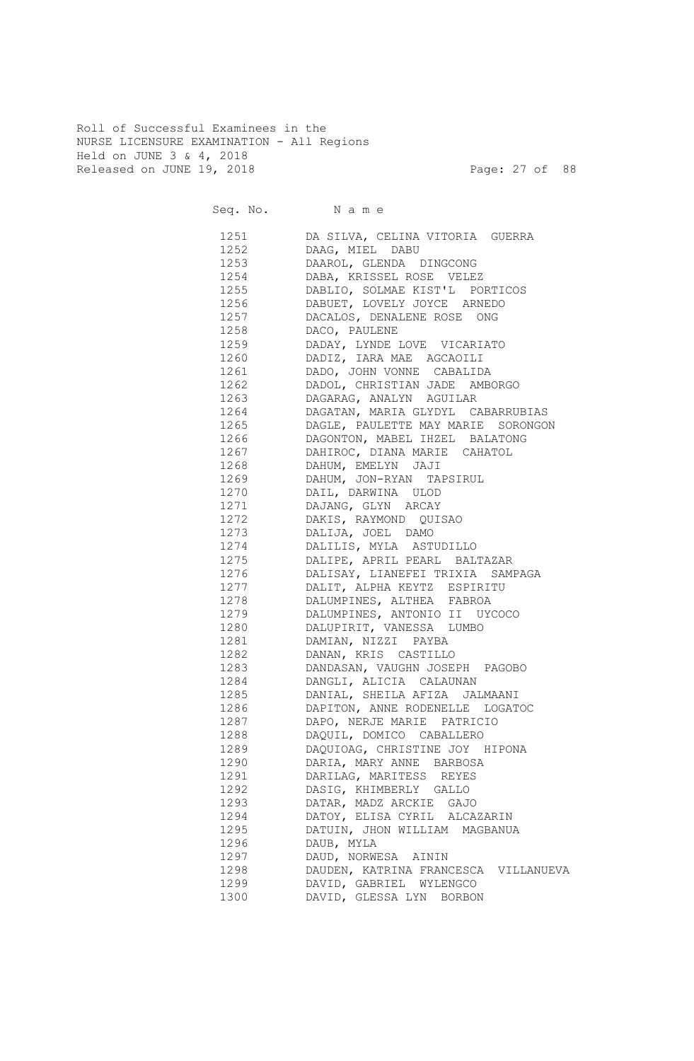Roll of Successful Examinees in the NURSE LICENSURE EXAMINATION - All Regions Held on JUNE 3 & 4, 2018 Released on JUNE 19, 2018 Page: 27 of 88

| Seq. No. Name                                                                                                |                                                               |
|--------------------------------------------------------------------------------------------------------------|---------------------------------------------------------------|
| 1251 — 1251 — 1252 — 1252 — 1252 — 1252 — 1252 — 1252 — 1252 — 1252 — 1252 — 1253 — 1253 — 1253 — 1253 — 125 | DA SILVA, CELINA VITORIA GUERRA                               |
| 1252                                                                                                         | DAAG, MIEL DABU                                               |
| 1253                                                                                                         | DAAROL, GLENDA DINGCONG                                       |
| 1254                                                                                                         | DABA, KRISSEL ROSE VELEZ                                      |
| 1255                                                                                                         | DABLIO, SOLMAE KIST'L PORTICOS                                |
| 1256                                                                                                         | DABUET, LOVELY JOYCE ARNEDO                                   |
| 1257                                                                                                         | DACALOS, DENALENE ROSE<br>ONG                                 |
| 1258                                                                                                         | DACO, PAULENE                                                 |
| 1259                                                                                                         | DADAY, LYNDE LOVE VICARIATO                                   |
| 1260                                                                                                         | DADIZ, IARA MAE AGCAOILI                                      |
| 1261                                                                                                         | DADO, JOHN VONNE CABALIDA                                     |
| 1262<br>1263                                                                                                 | DADOL, CHRISTIAN JADE AMBORGO                                 |
| 1264                                                                                                         | DAGARAG, ANALYN AGUILAR<br>DAGATAN, MARIA GLYDYL CABARRUBIAS  |
| 1265                                                                                                         | DAGLE, PAULETTE MAY MARIE SORONGON                            |
| 1266                                                                                                         | DAGONTON, MABEL IHZEL BALATONG                                |
| 1267                                                                                                         | DAHIROC, DIANA MARIE CAHATOL                                  |
| 1268                                                                                                         | DAHUM, EMELYN JAJI                                            |
| 1269                                                                                                         | DAHUM, JON-RYAN TAPSIRUL                                      |
| 1270                                                                                                         | DAIL, DARWINA ULOD                                            |
| 1271                                                                                                         | DAJANG, GLYN ARCAY                                            |
| 1272                                                                                                         | DAKIS, RAYMOND QUISAO                                         |
| 1273                                                                                                         | DALIJA, JOEL DAMO                                             |
| 1274                                                                                                         | DALILIS, MYLA ASTUDILLO                                       |
| 1275                                                                                                         | DALIPE, APRIL PEARL BALTAZAR                                  |
| 1276                                                                                                         | DALISAY, LIANEFEI TRIXIA SAMPAGA                              |
| 1277                                                                                                         | DALIT, ALPHA KEYTZ ESPIRITU                                   |
| 1278                                                                                                         | DALUMPINES, ALTHEA FABROA                                     |
| 1279                                                                                                         | DALUMPINES, ANTONIO II UYCOCO                                 |
| 1280                                                                                                         | DALUPIRIT, VANESSA LUMBO                                      |
| 1281                                                                                                         | DAMIAN, NIZZI PAYBA                                           |
| 1282                                                                                                         | DANAN, KRIS CASTILLO                                          |
| 1283                                                                                                         | DANDASAN, VAUGHN JOSEPH PAGOBO                                |
| 1284                                                                                                         | DANGLI, ALICIA CALAUNAN                                       |
| 1285                                                                                                         | DANIAL, SHEILA AFIZA<br>JALMAANI                              |
| 1286<br>1287                                                                                                 | DAPITON, ANNE RODENELLE LOGATOC<br>DAPO, NERJE MARIE PATRICIO |
| 1288                                                                                                         | DAQUIL, DOMICO CABALLERO                                      |
| 1289                                                                                                         | DAQUIOAG, CHRISTINE JOY HIPONA                                |
| 1290                                                                                                         | DARIA, MARY ANNE BARBOSA                                      |
| 1291                                                                                                         | DARILAG, MARITESS REYES                                       |
| 1292                                                                                                         | DASIG, KHIMBERLY GALLO                                        |
| 1293                                                                                                         | DATAR, MADZ ARCKIE GAJO                                       |
| 1294                                                                                                         | DATOY, ELISA CYRIL ALCAZARIN                                  |
| 1295                                                                                                         | DATUIN, JHON WILLIAM MAGBANUA                                 |
| 1296                                                                                                         | DAUB, MYLA                                                    |
| 1297                                                                                                         | DAUD, NORWESA AININ                                           |
| 1298                                                                                                         | DAUDEN, KATRINA FRANCESCA VILLANUEVA                          |
| 1299                                                                                                         | DAVID, GABRIEL WYLENGCO                                       |
| 1300                                                                                                         | DAVID, GLESSA LYN BORBON                                      |
|                                                                                                              |                                                               |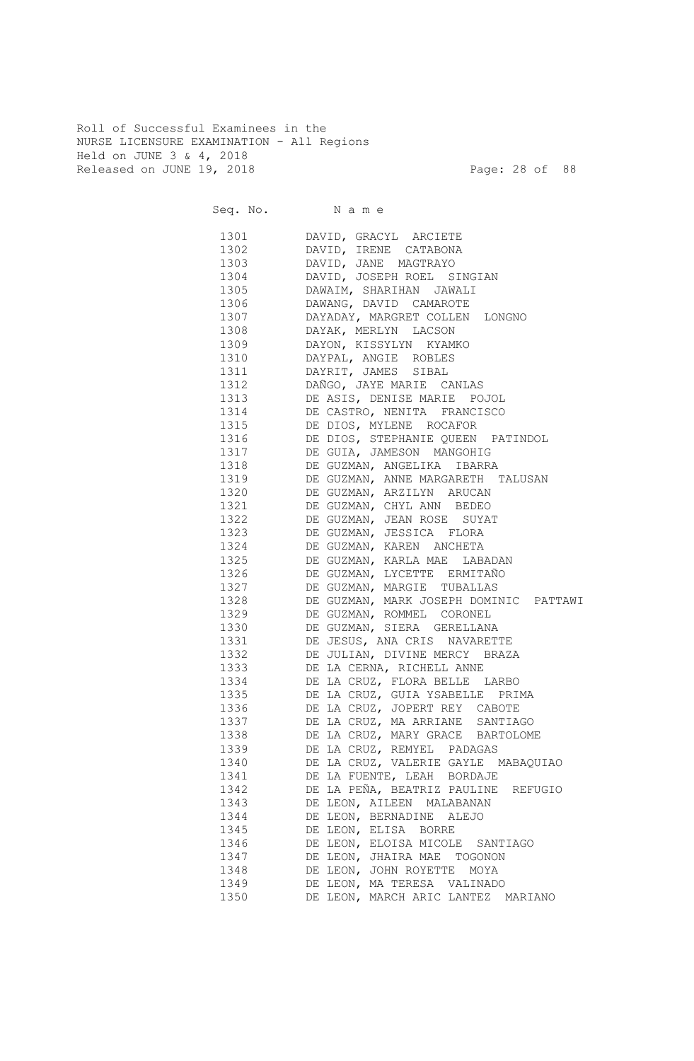Roll of Successful Examinees in the NURSE LICENSURE EXAMINATION - All Regions Held on JUNE 3 & 4, 2018 Released on JUNE 19, 2018 Page: 28 of 88

|                                                                                                                                                                                                                               | Seq. No. Name                          |
|-------------------------------------------------------------------------------------------------------------------------------------------------------------------------------------------------------------------------------|----------------------------------------|
| 1301 \                                                                                                                                                                                                                        | DAVID, GRACYL ARCIETE                  |
| 1302                                                                                                                                                                                                                          | DAVID, IRENE CATABONA                  |
| 1303   1303   1304   1305   1305   1305   1305   1305   1306   1306   1306   1306   1306   1306   1306   1306   1306   1306   1306   1306   1307   1308   1308   1308   1308   1308   1308   1308   1308   1308   1308   1308 | DAVID, JANE MAGTRAYO                   |
| 1304                                                                                                                                                                                                                          | DAVID, JOSEPH ROEL SINGIAN             |
| 1305                                                                                                                                                                                                                          | DAWAIM, SHARIHAN JAWALI                |
| 1306 130                                                                                                                                                                                                                      | DAWANG, DAVID CAMAROTE                 |
| 1307 — 1307 — 1307 — 1307 — 1307 — 1307 — 1307 — 1307 — 1308 — 1308 — 1308 — 1308 — 1308 — 1308 — 1308 — 1308 — 130                                                                                                           | DAYADAY, MARGRET COLLEN LONGNO         |
| 1308 30                                                                                                                                                                                                                       | DAYAK, MERLYN LACSON                   |
| 1309                                                                                                                                                                                                                          | DAYON, KISSYLYN KYAMKO                 |
| 1310                                                                                                                                                                                                                          | DAYPAL, ANGIE ROBLES                   |
| 1311                                                                                                                                                                                                                          | DAYRIT, JAMES SIBAL                    |
| 1312                                                                                                                                                                                                                          | DAÑGO, JAYE MARIE CANLAS               |
| 1313                                                                                                                                                                                                                          | DE ASIS, DENISE MARIE POJOL            |
| 1314                                                                                                                                                                                                                          | DE CASTRO, NENITA FRANCISCO            |
| 1315                                                                                                                                                                                                                          | DE DIOS, MYLENE ROCAFOR                |
| 1316                                                                                                                                                                                                                          | DE DIOS, STEPHANIE QUEEN PATINDOL      |
| 1317                                                                                                                                                                                                                          | DE GUIA, JAMESON MANGOHIG              |
| 1318                                                                                                                                                                                                                          | DE GUZMAN, ANGELIKA IBARRA             |
| 1319                                                                                                                                                                                                                          | DE GUZMAN, ANNE MARGARETH TALUSAN      |
| 1320                                                                                                                                                                                                                          | DE GUZMAN, ARZILYN ARUCAN              |
| 1321                                                                                                                                                                                                                          | DE GUZMAN, CHYL ANN BEDEO              |
| 1322                                                                                                                                                                                                                          | DE GUZMAN, JEAN ROSE SUYAT             |
| 1323                                                                                                                                                                                                                          | DE GUZMAN, JESSICA FLORA               |
| 1324                                                                                                                                                                                                                          | DE GUZMAN, KAREN ANCHETA               |
| 1325                                                                                                                                                                                                                          | DE GUZMAN, KARLA MAE LABADAN           |
| 1326                                                                                                                                                                                                                          | DE GUZMAN, LYCETTE ERMITAÑO            |
| 1327                                                                                                                                                                                                                          | DE GUZMAN, MARGIE TUBALLAS             |
| 1328                                                                                                                                                                                                                          | DE GUZMAN, MARK JOSEPH DOMINIC PATTAWI |
| 1329                                                                                                                                                                                                                          | DE GUZMAN, ROMMEL CORONEL              |
| 1330                                                                                                                                                                                                                          | DE GUZMAN, SIERA GERELLANA             |
| 1331                                                                                                                                                                                                                          | DE JESUS, ANA CRIS NAVARETTE           |
| 1332                                                                                                                                                                                                                          | DE JULIAN, DIVINE MERCY BRAZA          |
| 1333                                                                                                                                                                                                                          | DE LA CERNA, RICHELL ANNE              |
| 1334                                                                                                                                                                                                                          | DE LA CRUZ, FLORA BELLE LARBO          |
| 1335                                                                                                                                                                                                                          | DE LA CRUZ, GUIA YSABELLE PRIMA        |
| 1336                                                                                                                                                                                                                          | DE LA CRUZ, JOPERT REY CABOTE          |
| 1337                                                                                                                                                                                                                          | DE LA CRUZ, MA ARRIANE SANTIAGO        |
| 1338                                                                                                                                                                                                                          | DE LA CRUZ, MARY GRACE BARTOLOME       |
| 1339                                                                                                                                                                                                                          | DE LA CRUZ, REMYEL PADAGAS             |
| 1340                                                                                                                                                                                                                          | DE LA CRUZ, VALERIE GAYLE MABAQUIAO    |
| 1341                                                                                                                                                                                                                          | DE LA FUENTE, LEAH BORDAJE             |
| 1342                                                                                                                                                                                                                          | DE LA PEÑA, BEATRIZ PAULINE REFUGIO    |
| 1343                                                                                                                                                                                                                          | DE LEON, AILEEN MALABANAN              |
| 1344                                                                                                                                                                                                                          | DE LEON, BERNADINE ALEJO               |
| 1345                                                                                                                                                                                                                          | DE LEON, ELISA BORRE                   |
| 1346                                                                                                                                                                                                                          | DE LEON, ELOISA MICOLE SANTIAGO        |
| 1347                                                                                                                                                                                                                          | DE LEON, JHAIRA MAE TOGONON            |
| 1348                                                                                                                                                                                                                          | DE LEON, JOHN ROYETTE MOYA             |
| 1349                                                                                                                                                                                                                          | DE LEON, MA TERESA VALINADO            |
| 1350                                                                                                                                                                                                                          | DE LEON, MARCH ARIC LANTEZ MARIANO     |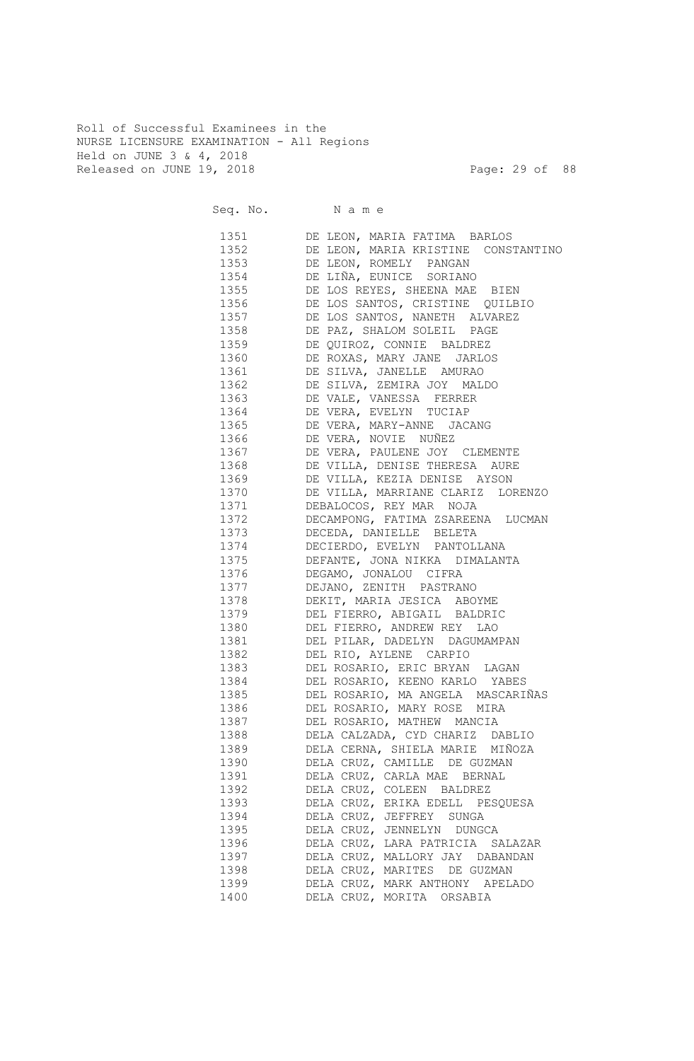Roll of Successful Examinees in the NURSE LICENSURE EXAMINATION - All Regions Held on JUNE 3 & 4, 2018 Released on JUNE 19, 2018 Page: 29 of 88

| Seq. No. Name |                                     |
|---------------|-------------------------------------|
| 1351 7        | DE LEON, MARIA FATIMA BARLOS        |
| 1352          | DE LEON, MARIA KRISTINE CONSTANTINO |
| 1353 and 1353 | DE LEON, ROMELY PANGAN              |
| 1354          | DE LIÑA, EUNICE SORIANO             |
| 1355          | DE LOS REYES, SHEENA MAE BIEN       |
| 1356 139      | DE LOS SANTOS, CRISTINE QUILBIO     |
| 1357          | DE LOS SANTOS, NANETH ALVAREZ       |
| 1358 31       | DE PAZ, SHALOM SOLEIL PAGE          |
| 1359 130      | DE QUIROZ, CONNIE BALDREZ           |
| 1360          | DE ROXAS, MARY JANE JARLOS          |
| 1361          | DE SILVA, JANELLE AMURAO            |
| 1362          | DE SILVA, ZEMIRA JOY MALDO          |
| 1363          | DE VALE, VANESSA FERRER             |
| 1364          | DE VERA, EVELYN TUCIAP              |
| 1365          | DE VERA, MARY-ANNE JACANG           |
| 1366          | DE VERA, NOVIE NUÑEZ                |
| 1367          | DE VERA, PAULENE JOY CLEMENTE       |
| 1368 130      | DE VILLA, DENISE THERESA AURE       |
| 1369          | DE VILLA, KEZIA DENISE AYSON        |
| 1370          | DE VILLA, MARRIANE CLARIZ LORENZO   |
| 1371          | DEBALOCOS, REY MAR NOJA             |
| 1372          | DECAMPONG, FATIMA ZSAREENA LUCMAN   |
| 1373          | DECEDA, DANIELLE BELETA             |
| 1374          | DECIERDO, EVELYN PANTOLLANA         |
| 1375          | DEFANTE, JONA NIKKA DIMALANTA       |
| 1376          | DEGAMO, JONALOU CIFRA               |
| 1377          | DEJANO, ZENITH PASTRANO             |
| 1378          | DEKIT, MARIA JESICA ABOYME          |
| 1379          | DEL FIERRO, ABIGAIL BALDRIC         |
| 1380          | DEL FIERRO, ANDREW REY LAO          |
| 1381          | DEL PILAR, DADELYN DAGUMAMPAN       |
| 1382          | DEL RIO, AYLENE CARPIO              |
| 1383          | DEL ROSARIO, ERIC BRYAN LAGAN       |
| 1384          | DEL ROSARIO, KEENO KARLO YABES      |
| 1385          | DEL ROSARIO, MA ANGELA MASCARIÑAS   |
| 1386          | DEL ROSARIO, MARY ROSE MIRA         |
| 1387          | DEL ROSARIO, MATHEW MANCIA          |
| 1388          | DELA CALZADA, CYD CHARIZ DABLIO     |
| 1389          | DELA CERNA, SHIELA MARIE MIÑOZA     |
| 1390          | DELA CRUZ, CAMILLE DE GUZMAN        |
| 1391          | DELA CRUZ, CARLA MAE BERNAL         |
| 1392          | DELA CRUZ, COLEEN BALDREZ           |
| 1393          | DELA CRUZ, ERIKA EDELL PESQUESA     |
| 1394          | DELA CRUZ, JEFFREY SUNGA            |
| 1395          | DELA CRUZ, JENNELYN DUNGCA          |
| 1396          | DELA CRUZ, LARA PATRICIA SALAZAR    |
| 1397          | DELA CRUZ, MALLORY JAY DABANDAN     |
| 1398          | DELA CRUZ, MARITES DE GUZMAN        |
| 1399          | DELA CRUZ, MARK ANTHONY APELADO     |
| 1400          | DELA CRUZ, MORITA ORSABIA           |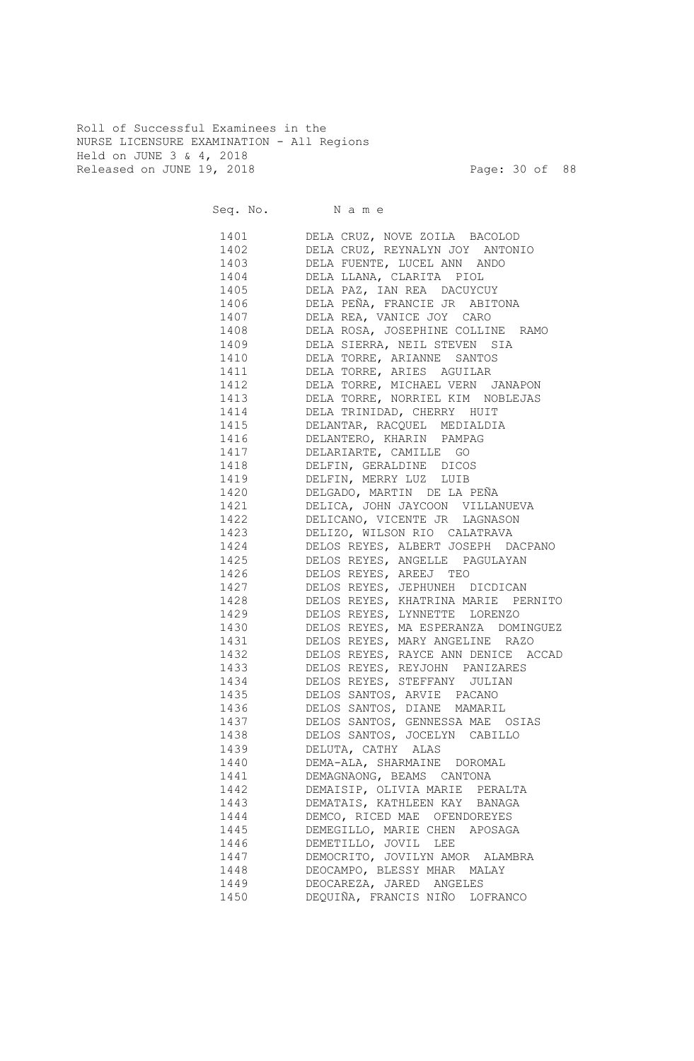Roll of Successful Examinees in the NURSE LICENSURE EXAMINATION - All Regions Held on JUNE 3 & 4, 2018 Released on JUNE 19, 2018 Page: 30 of 88

|                      | Seq. No. Name                                                                                   |
|----------------------|-------------------------------------------------------------------------------------------------|
| 1401<br>1402<br>1403 | DELA CRUZ, NOVE ZOILA BACOLOD<br>DELA CRUZ, REYNALYN JOY ANTONIO<br>DELA FUENTE, LUCEL ANN ANDO |
| 1404                 | DELA LLANA, CLARITA PIOL                                                                        |
|                      | 1405 DELA PAZ, IAN REA DACUYCUY                                                                 |
|                      | 1406 DELA PEÑA, FRANCIE JR ABITONA                                                              |
|                      | 1407 DELA REA, VANICE JOY CARO                                                                  |
|                      | 1408 DELA ROSA, JOSEPHINE COLLINE RAMO                                                          |
|                      | 1409 DELA SIERRA, NEIL STEVEN SIA                                                               |
|                      | 1410 DELA TORRE, ARIANNE SANTOS                                                                 |
|                      | 1411 DELA TORRE, ARIES AGUILAR                                                                  |
|                      | 1412 DELA TORRE, MICHAEL VERN JANAPON                                                           |
|                      | 1413 DELA TORRE, NORRIEL KIM NOBLEJAS                                                           |
|                      | 1414 DELA TRINIDAD, CHERRY HUIT                                                                 |
|                      | 1415 DELANTAR, RACQUEL MEDIALDIA                                                                |
|                      | 1416 DELANTERO, KHARIN PAMPAG                                                                   |
|                      | 1417 DELARIARTE, CAMILLE GO                                                                     |
|                      | 1418 DELFIN, GERALDINE DICOS                                                                    |
|                      | 1419 DELFIN, MERRY LUZ LUIB                                                                     |
|                      | 1420 DELGADO, MARTIN DE LA PEÑA                                                                 |
|                      | 1421 DELICA, JOHN JAYCOON VILLANUEVA                                                            |
|                      | 1422 DELICANO, VICENTE JR LAGNASON                                                              |
|                      | 1423 DELIZO, WILSON RIO CALATRAVA                                                               |
|                      | 1424 DELOS REYES, ALBERT JOSEPH DACPANO                                                         |
| 1425                 | DELOS REYES, ANGELLE PAGULAYAN                                                                  |
| 1426                 | DELOS REYES, AREEJ TEO                                                                          |
| 1427                 | DELOS REYES, JEPHUNEH DICDICAN                                                                  |
| 1428                 | DELOS REYES, KHATRINA MARIE PERNITO                                                             |
| 1429                 | DELOS REYES, LYNNETTE LORENZO                                                                   |
|                      | 1430 DELOS REYES, MA ESPERANZA DOMINGUEZ                                                        |
|                      | 1431 DELOS REYES, MARY ANGELINE RAZO                                                            |
|                      | 1432 DELOS REYES, RAYCE ANN DENICE ACCAD                                                        |
|                      | 1433 DELOS REYES, REYJOHN PANIZARES                                                             |
|                      | 1434 DELOS REYES, STEFFANY JULIAN                                                               |
| 1435                 | DELOS SANTOS, ARVIE PACANO                                                                      |
| 1436                 | DELOS SANTOS, DIANE MAMARIL                                                                     |
| 1437                 | DELOS SANTOS, GENNESSA MAE OSIAS                                                                |
| 1438                 | DELOS SANTOS, JOCELYN CABILLO                                                                   |
| 1439                 | DELUTA, CATHY ALAS                                                                              |
| 1440                 | DEMA-ALA, SHARMAINE DOROMAL                                                                     |
| 1441                 | DEMAGNAONG, BEAMS CANTONA                                                                       |
| 1442                 | DEMAISIP, OLIVIA MARIE PERALTA                                                                  |
| 1443                 | DEMATAIS, KATHLEEN KAY BANAGA                                                                   |
| 1444                 | DEMCO, RICED MAE OFENDOREYES                                                                    |
| 1445                 | DEMEGILLO, MARIE CHEN APOSAGA                                                                   |
| 1446                 | DEMETILLO, JOVIL LEE                                                                            |
| 1447                 | DEMOCRITO, JOVILYN AMOR ALAMBRA                                                                 |
| 1448                 | DEOCAMPO, BLESSY MHAR MALAY                                                                     |
| 1449                 | DEOCAREZA, JARED ANGELES                                                                        |
| 1450                 | DEQUIÑA, FRANCIS NIÑO LOFRANCO                                                                  |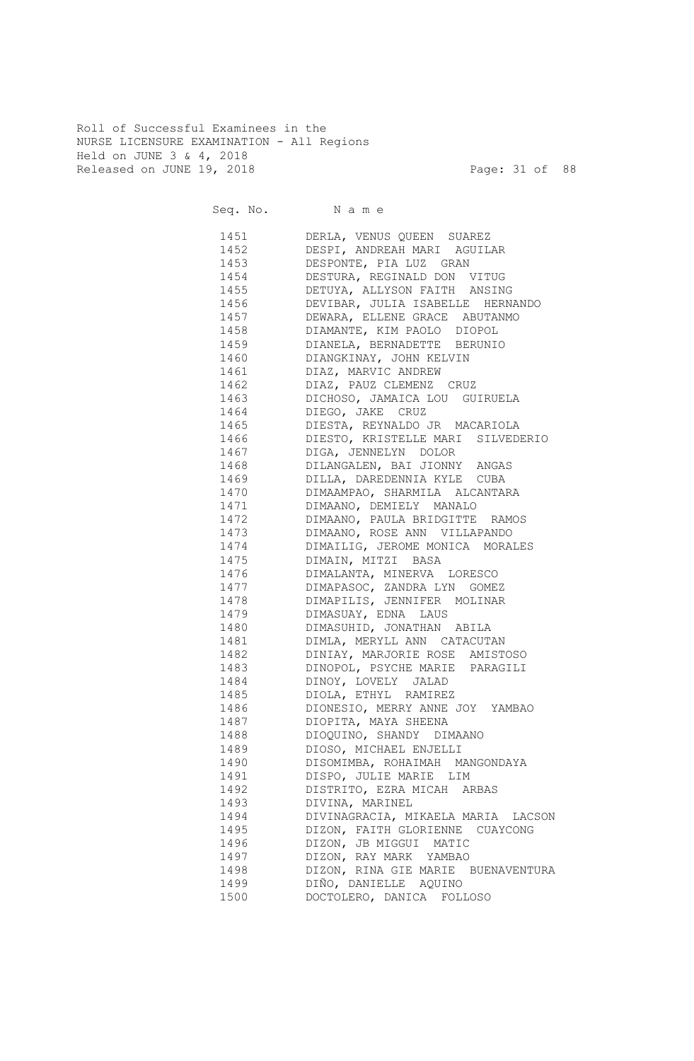Roll of Successful Examinees in the NURSE LICENSURE EXAMINATION - All Regions Held on JUNE 3 & 4, 2018 Released on JUNE 19, 2018 Page: 31 of 88

Seq. No. Name 1451 DERLA, VENUS QUEEN SUAREZ 1452 DESPI, ANDREAH MARI AGUILAR 1453 DESPONTE, PIA LUZ GRAN 1454 DESTURA, REGINALD DON VITUG 1455 DETUYA, ALLYSON FAITH ANSING 1456 DEVIBAR, JULIA ISABELLE HERNANDO 1457 DEWARA, ELLENE GRACE ABUTANMO 1458 DIAMANTE, KIM PAOLO DIOPOL 1459 DIANELA, BERNADETTE BERUNIO 1460 DIANGKINAY, JOHN KELVIN 1461 DIAZ, MARVIC ANDREW 1462 DIAZ, PAUZ CLEMENZ CRUZ 1463 DICHOSO, JAMAICA LOU GUIRUELA 1464 DIEGO, JAKE CRUZ 1465 DIESTA, REYNALDO JR MACARIOLA 1466 DIESTO, KRISTELLE MARI SILVEDERIO 1467 DIGA, JENNELYN DOLOR 1468 DILANGALEN, BAI JIONNY ANGAS 1469 DILLA, DAREDENNIA KYLE CUBA 1470 DIMAAMPAO, SHARMILA ALCANTARA 1471 DIMAANO, DEMIELY MANALO 1472 DIMAANO, PAULA BRIDGITTE RAMOS 1473 DIMAANO, ROSE ANN VILLAPANDO 1474 DIMAILIG, JEROME MONICA MORALES 1475 DIMAIN, MITZI BASA 1476 DIMALANTA, MINERVA LORESCO 1477 DIMAPASOC, ZANDRA LYN GOMEZ 1478 DIMAPILIS, JENNIFER MOLINAR 1479 DIMASUAY, EDNA LAUS 1480 DIMASUHID, JONATHAN ABILA 1481 DIMLA, MERYLL ANN CATACUTAN 1482 DINIAY, MARJORIE ROSE AMISTOSO 1483 DINOPOL, PSYCHE MARIE PARAGILI 1484 DINOY, LOVELY JALAD 1485 DIOLA, ETHYL RAMIREZ 1486 DIONESIO, MERRY ANNE JOY YAMBAO 1487 DIOPITA, MAYA SHEENA 1488 DIOQUINO, SHANDY DIMAANO 1489 DIOSO, MICHAEL ENJELLI 1490 DISOMIMBA, ROHAIMAH MANGONDAYA 1491 DISPO, JULIE MARIE LIM 1492 DISTRITO, EZRA MICAH ARBAS 1493 DIVINA, MARINEL 1494 DIVINAGRACIA, MIKAELA MARIA LACSON 1495 DIZON, FAITH GLORIENNE CUAYCONG 1496 DIZON, JB MIGGUI MATIC 1497 DIZON, RAY MARK YAMBAO 1498 DIZON, RINA GIE MARIE BUENAVENTURA 1499 DIÑO, DANIELLE AQUINO 1500 DOCTOLERO, DANICA FOLLOSO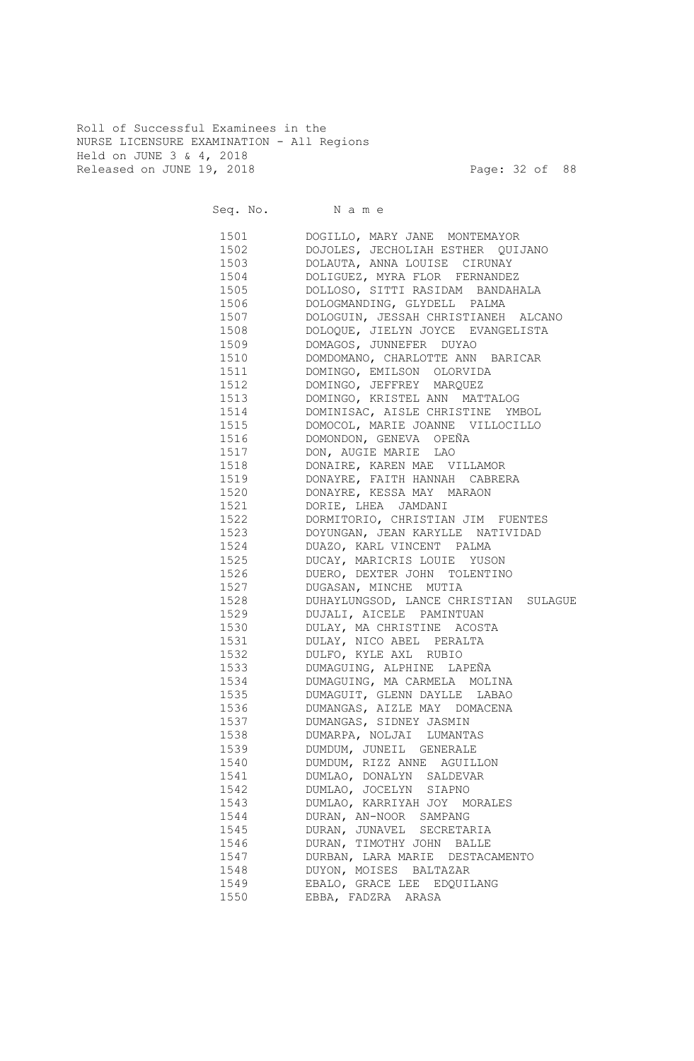Roll of Successful Examinees in the NURSE LICENSURE EXAMINATION - All Regions Held on JUNE 3 & 4, 2018 Released on JUNE 19, 2018 Page: 32 of 88

| Seq. No. Name |                                       |
|---------------|---------------------------------------|
| 1501          | DOGILLO, MARY JANE MONTEMAYOR         |
| 1502 and 1502 | DOJOLES, JECHOLIAH ESTHER QUIJANO     |
| 1503          | DOLAUTA, ANNA LOUISE CIRUNAY          |
| 1504          | DOLIGUEZ, MYRA FLOR FERNANDEZ         |
| 1505 150      | DOLLOSO, SITTI RASIDAM BANDAHALA      |
| 1506 150      | DOLOGMANDING, GLYDELL PALMA           |
| 1507          | DOLOGUIN, JESSAH CHRISTIANEH ALCANO   |
| 1508 31       | DOLOQUE, JIELYN JOYCE EVANGELISTA     |
| 1509          | DOMAGOS, JUNNEFER DUYAO               |
| 1510          | DOMDOMANO, CHARLOTTE ANN BARICAR      |
| 1511 72       | DOMINGO, EMILSON OLORVIDA             |
| 1512          | DOMINGO, JEFFREY MARQUEZ              |
| 1513          | DOMINGO, KRISTEL ANN MATTALOG         |
| 1514          | DOMINISAC, AISLE CHRISTINE YMBOL      |
| 1515          | DOMOCOL, MARIE JOANNE VILLOCILLO      |
| 1516          | DOMONDON, GENEVA OPEÑA                |
| 1517          | DON, AUGIE MARIE LAO                  |
| 1518          | DONAIRE, KAREN MAE VILLAMOR           |
| 1519          | DONAYRE, FAITH HANNAH CABRERA         |
| 1520          | DONAYRE, KESSA MAY MARAON             |
| 1521          | DORIE, LHEA JAMDANI                   |
| 1522          | DORMITORIO, CHRISTIAN JIM FUENTES     |
| 1523          | DOYUNGAN, JEAN KARYLLE NATIVIDAD      |
| 1524          | DUAZO, KARL VINCENT PALMA             |
| 1525          | DUCAY, MARICRIS LOUIE YUSON           |
| 1526          | DUERO, DEXTER JOHN TOLENTINO          |
| 1527          | DUGASAN, MINCHE MUTIA                 |
| 1528          | DUHAYLUNGSOD, LANCE CHRISTIAN SULAGUE |
| 1529          | DUJALI, AICELE PAMINTUAN              |
| 1530          | DULAY, MA CHRISTINE ACOSTA            |
| 1531          | DULAY, NICO ABEL PERALTA              |
| 1532          | DULFO, KYLE AXL RUBIO                 |
| 1533          | DUMAGUING, ALPHINE LAPEÑA             |
| 1534          | DUMAGUING, MA CARMELA MOLINA          |
| 1535          | DUMAGUIT, GLENN DAYLLE LABAO          |
| 1536          | DUMANGAS, AIZLE MAY DOMACENA          |
| 1537          | DUMANGAS, SIDNEY JASMIN               |
| 1538          | DUMARPA, NOLJAI LUMANTAS              |
| 1539          | DUMDUM, JUNEIL GENERALE               |
| 1540          | DUMDUM, RIZZ ANNE AGUILLON            |
| 1541          | DUMLAO, DONALYN SALDEVAR              |
| 1542          | DUMLAO, JOCELYN SIAPNO                |
| 1543          | DUMLAO, KARRIYAH JOY MORALES          |
| 1544          | DURAN, AN-NOOR SAMPANG                |
| 1545          | DURAN, JUNAVEL SECRETARIA             |
| 1546          | DURAN, TIMOTHY JOHN BALLE             |
| 1547          | DURBAN, LARA MARIE DESTACAMENTO       |
| 1548          | DUYON, MOISES BALTAZAR                |
| 1549          | EBALO, GRACE LEE EDQUILANG            |
| 1550          | EBBA, FADZRA ARASA                    |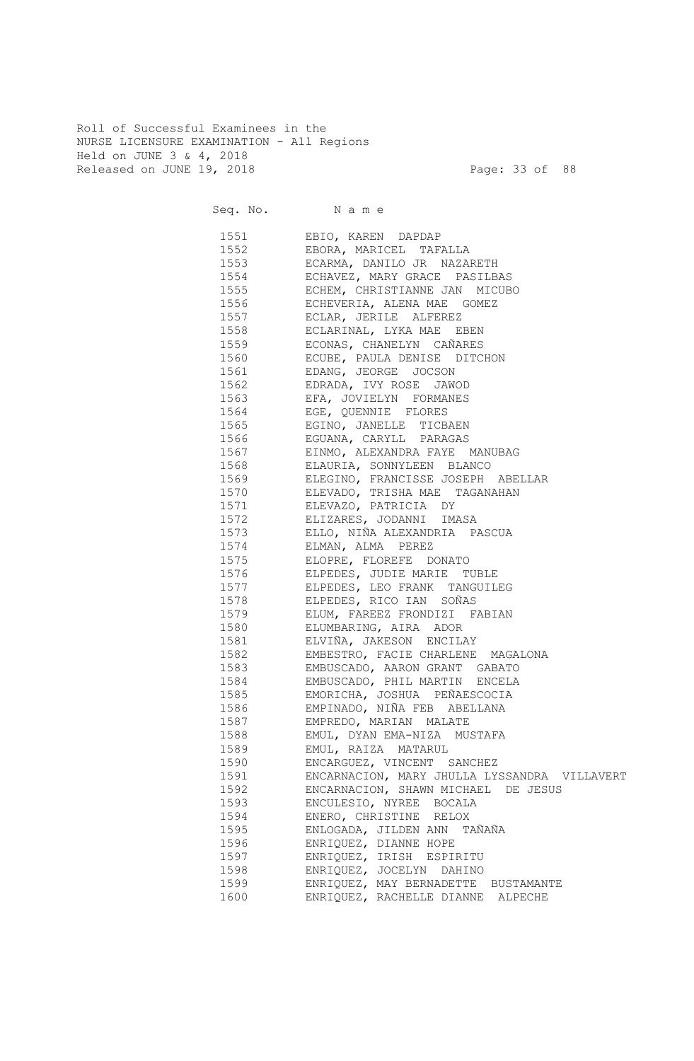Roll of Successful Examinees in the NURSE LICENSURE EXAMINATION - All Regions Held on JUNE 3 & 4, 2018 Released on JUNE 19, 2018 Page: 33 of 88

Seq. No. Name 1551 EBIO, KAREN DAPDAP 1552 EBORA, MARICEL TAFALLA 1553 ECARMA, DANILO JR NAZARETH 1554 ECHAVEZ, MARY GRACE PASILBAS 1555 ECHEM, CHRISTIANNE JAN MICUBO 1556 ECHEVERIA, ALENA MAE GOMEZ 1557 ECLAR, JERILE ALFEREZ 1558 ECLARINAL, LYKA MAE EBEN 1559 ECONAS, CHANELYN CAÑARES 1560 ECUBE, PAULA DENISE DITCHON 1561 EDANG, JEORGE JOCSON 1562 EDRADA, IVY ROSE JAWOD 1563 EFA, JOVIELYN FORMANES 1564 EGE, QUENNIE FLORES 1565 EGINO, JANELLE TICBAEN 1566 EGUANA, CARYLL PARAGAS 1567 EINMO, ALEXANDRA FAYE MANUBAG 1568 ELAURIA, SONNYLEEN BLANCO 1569 ELEGINO, FRANCISSE JOSEPH ABELLAR 1570 ELEVADO, TRISHA MAE TAGANAHAN 1571 ELEVAZO, PATRICIA DY 1572 ELIZARES, JODANNI IMASA 1573 ELLO, NIÑA ALEXANDRIA PASCUA 1574 ELMAN, ALMA PEREZ 1575 ELOPRE, FLOREFE DONATO 1576 ELPEDES, JUDIE MARIE TUBLE 1577 ELPEDES, LEO FRANK TANGUILEG 1578 ELPEDES, RICO IAN SOÑAS 1579 ELUM, FAREEZ FRONDIZI FABIAN 1580 ELUMBARING, AIRA ADOR 1581 ELVIÑA, JAKESON ENCILAY 1582 EMBESTRO, FACIE CHARLENE MAGALONA 1583 EMBUSCADO, AARON GRANT GABATO 1584 EMBUSCADO, PHIL MARTIN ENCELA 1585 EMORICHA, JOSHUA PEÑAESCOCIA 1586 EMPINADO, NIÑA FEB ABELLANA 1587 EMPREDO, MARIAN MALATE 1588 EMUL, DYAN EMA-NIZA MUSTAFA 1589 EMUL, RAIZA MATARUL 1590 ENCARGUEZ, VINCENT SANCHEZ 1591 ENCARNACION, MARY JHULLA LYSSANDRA VILLAVERT 1592 ENCARNACION, SHAWN MICHAEL DE JESUS 1593 ENCULESIO, NYREE BOCALA 1594 ENERO, CHRISTINE RELOX 1595 ENLOGADA, JILDEN ANN TAÑAÑA 1596 ENRIQUEZ, DIANNE HOPE 1597 ENRIQUEZ, IRISH ESPIRITU 1598 ENRIQUEZ, JOCELYN DAHINO 1599 ENRIQUEZ, MAY BERNADETTE BUSTAMANTE 1600 ENRIQUEZ, RACHELLE DIANNE ALPECHE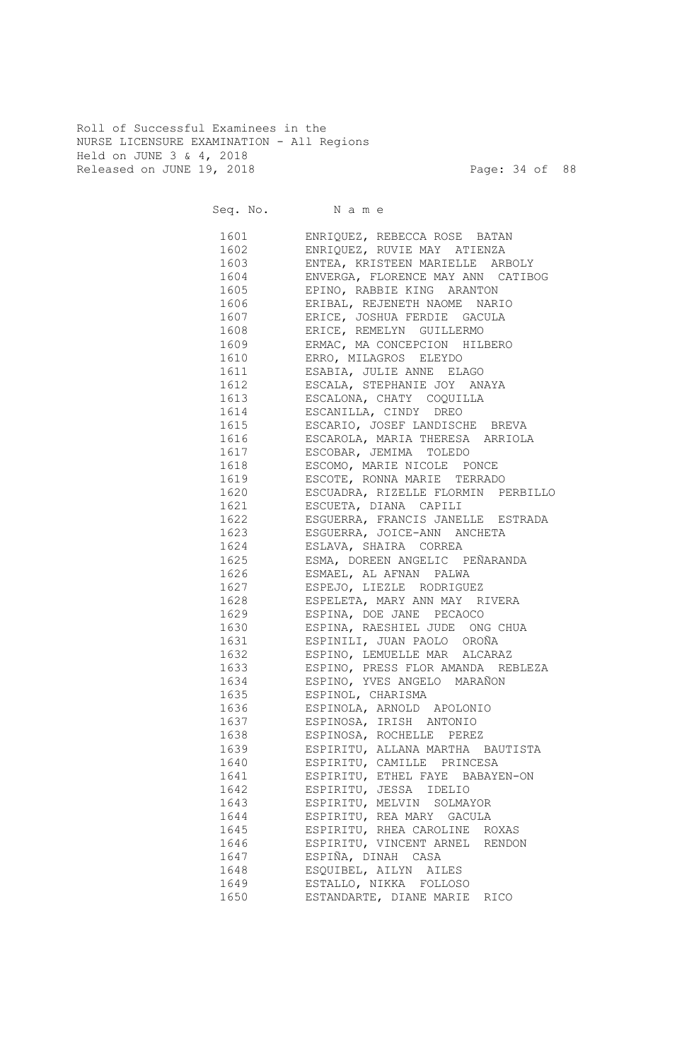Roll of Successful Examinees in the NURSE LICENSURE EXAMINATION - All Regions Held on JUNE 3 & 4, 2018 Released on JUNE 19, 2018 Page: 34 of 88

|              | Seq. No. Name                                             |
|--------------|-----------------------------------------------------------|
| 1601 160     | ENRIQUEZ, REBECCA ROSE BATAN                              |
| 1602         | ENRIQUEZ, RUVIE MAY ATIENZA                               |
| 1603         | ENTEA, KRISTEEN MARIELLE ARBOLY                           |
| 1604         | ENVERGA, FLORENCE MAY ANN CATIBOG                         |
| 1605         | EPINO, RABBIE KING ARANTON                                |
| 1606         | ERIBAL, REJENETH NAOME NARIO                              |
| 1607         | ERICE, JOSHUA FERDIE GACULA                               |
| 1608         | ERICE, REMELYN GUILLERMO                                  |
| 1609         | ERMAC, MA CONCEPCION HILBERO                              |
| 1610         | ERRO, MILAGROS ELEYDO                                     |
| 1611         | ESABIA, JULIE ANNE ELAGO                                  |
| 1612         | ESCALA, STEPHANIE JOY ANAYA                               |
| 1613         | ESCALONA, CHATY COQUILLA                                  |
| 1614         | ESCANILLA, CINDY DREO                                     |
| 1615         | ESCARIO, JOSEF LANDISCHE BREVA                            |
| 1616         | ESCAROLA, MARIA THERESA ARRIOLA<br>ESCOBAR, JEMIMA TOLEDO |
| 1617<br>1618 | ESCOMO, MARIE NICOLE PONCE                                |
| 1619         | ESCOTE, RONNA MARIE TERRADO                               |
| 1620         | ESCUADRA, RIZELLE FLORMIN PERBILLO                        |
| 1621         | ESCUETA, DIANA CAPILI                                     |
| 1622         | ESGUERRA, FRANCIS JANELLE ESTRADA                         |
| 1623         | ESGUERRA, JOICE-ANN ANCHETA                               |
| 1624         | ESLAVA, SHAIRA CORREA                                     |
| 1625         | ESMA, DOREEN ANGELIC PEÑARANDA                            |
| 1626         | ESMAEL, AL AFNAN PALWA                                    |
| 1627         | ESPEJO, LIEZLE RODRIGUEZ                                  |
| 1628         | ESPELETA, MARY ANN MAY RIVERA                             |
| 1629         | ESPINA, DOE JANE PECAOCO                                  |
| 1630         | ESPINA, RAESHIEL JUDE ONG CHUA                            |
| 1631         | ESPINILI, JUAN PAOLO OROÑA                                |
| 1632         | ESPINO, LEMUELLE MAR ALCARAZ                              |
| 1633         | ESPINO, PRESS FLOR AMANDA REBLEZA                         |
| 1634         | ESPINO, YVES ANGELO MARAÑON                               |
| 1635         | ESPINOL, CHARISMA                                         |
| 1636         | ESPINOLA, ARNOLD APOLONIO                                 |
| 1637         | ESPINOSA, IRISH ANTONIO                                   |
| 1638         | ESPINOSA, ROCHELLE PEREZ                                  |
| 1639         | ESPIRITU, ALLANA MARTHA BAUTISTA                          |
| 1640         | ESPIRITU, CAMILLE PRINCESA                                |
| 1641         | ESPIRITU, ETHEL FAYE BABAYEN-ON                           |
| 1642         | ESPIRITU, JESSA IDELIO                                    |
| 1643         | ESPIRITU, MELVIN SOLMAYOR                                 |
| 1644         | ESPIRITU, REA MARY GACULA                                 |
| 1645         | ESPIRITU, RHEA CAROLINE ROXAS                             |
| 1646         | ESPIRITU, VINCENT ARNEL RENDON                            |
| 1647         | ESPIÑA, DINAH CASA                                        |
| 1648         | ESQUIBEL, AILYN AILES                                     |
| 1649         | ESTALLO, NIKKA FOLLOSO                                    |
| 1650         | ESTANDARTE, DIANE MARIE RICO                              |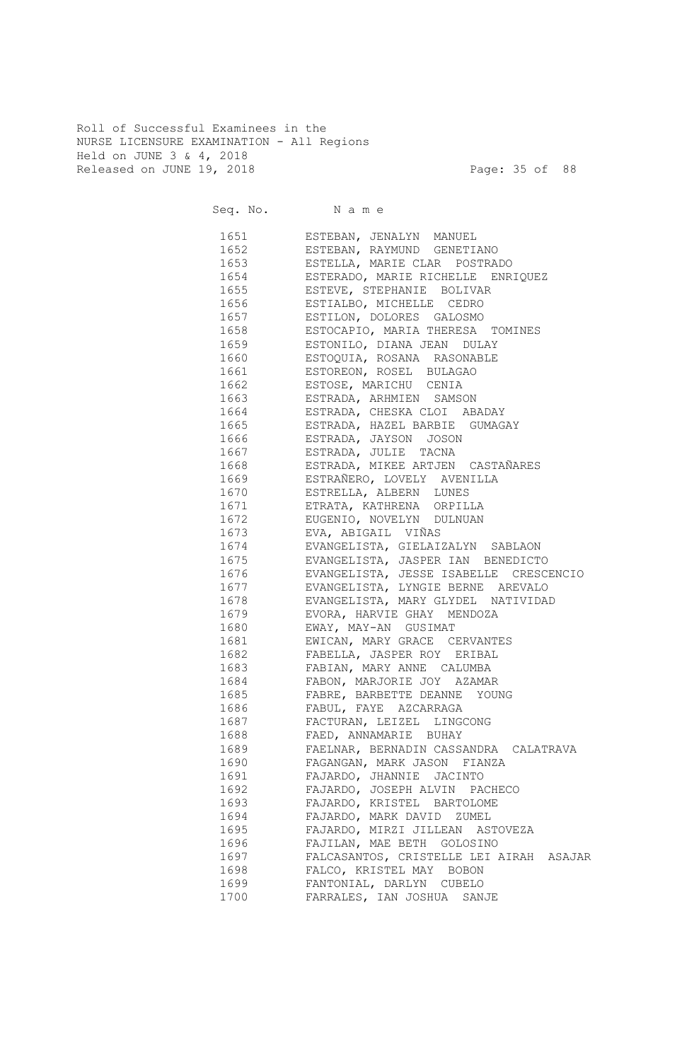Roll of Successful Examinees in the NURSE LICENSURE EXAMINATION - All Regions Held on JUNE 3 & 4, 2018 Released on JUNE 19, 2018 Page: 35 of 88

|      | Seq. No. Name                                                                     |
|------|-----------------------------------------------------------------------------------|
|      | 1651 ESTEBAN, JENALYN MANUEL                                                      |
| 1652 | ESTEBAN, RAYMUND GENETIANO                                                        |
|      | 1653 ESTELLA, MARIE CLAR POSTRADO                                                 |
|      | 1654 ESTERADO, MARIE RICHELLE ENRIQUEZ                                            |
|      | 1655 ESTEVE, STEPHANIE BOLIVAR                                                    |
|      | 1656 ESTIALBO, MICHELLE CEDRO                                                     |
|      | 1657 ESTILON, DOLORES GALOSMO                                                     |
|      | 1658 ESTOCAPIO, MARIA THERESA TOMINES                                             |
|      | 1659 ESTONILO, DIANA JEAN DULAY                                                   |
|      | 1660 ESTOQUIA, ROSANA RASONABLE                                                   |
|      | 1661 ESTOREON, ROSEL BULAGAO                                                      |
|      | 1662 ESTOSE, MARICHU CENIA                                                        |
|      | 1663 ESTRADA, ARHMIEN SAMSON                                                      |
|      | 1664 ESTRADA, CHESKA CLOI ABADAY                                                  |
|      | 1665 ESTRADA, HAZEL BARBIE GUMAGAY                                                |
|      | 1666 ESTRADA, JAYSON JOSON                                                        |
|      | 1667 ESTRADA, JULIE TACNA                                                         |
|      | 1668 ESTRADA, MIKEE ARTJEN CASTAÑARES                                             |
|      | 1669 ESTRAÑERO, LOVELY AVENILLA                                                   |
|      | 1670 ESTRELLA, ALBERN LUNES                                                       |
|      | 1671 ETRATA, KATHRENA ORPILLA                                                     |
|      | 1672 EUGENIO, NOVELYN DULNUAN                                                     |
|      | 1673 – EVA, ABIGAIL VIÑAS                                                         |
|      | 1674 EVANGELISTA, GIELAIZALYN SABLAON                                             |
|      | 1675 EVANGELISTA, JASPER IAN BENEDICTO                                            |
|      | 1676 EVANGELISTA, JESSE ISABELLE CRESCENCIO                                       |
|      |                                                                                   |
|      | 1677 EVANGELISTA, LYNGIE BERNE AREVALO<br>1678 EVANGELISTA, MARY GLYDEL NATIVIDAD |
|      |                                                                                   |
|      | 1679 EVORA, HARVIE GHAY MENDOZA                                                   |
|      | 1680 EWAY, MAY-AN GUSIMAT                                                         |
|      | 1681 EWICAN, MARY GRACE CERVANTES                                                 |
|      | 1682 FABELLA, JASPER ROY ERIBAL                                                   |
|      | 1683 FABIAN, MARY ANNE CALUMBA                                                    |
|      | 1684 FABON, MARJORIE JOY AZAMAR                                                   |
| 1686 | 1685 FABRE, BARBETTE DEANNE YOUNG                                                 |
|      | FABUL, FAYE AZCARRAGA                                                             |
| 1687 | FACTURAN, LEIZEL LINGCONG                                                         |
| 1688 | FAED, ANNAMARIE BUHAY                                                             |
| 1689 | FAELNAR, BERNADIN CASSANDRA CALATRAVA                                             |
| 1690 | FAGANGAN, MARK JASON FIANZA                                                       |
| 1691 | FAJARDO, JHANNIE JACINTO                                                          |
| 1692 | FAJARDO, JOSEPH ALVIN PACHECO                                                     |
| 1693 | FAJARDO, KRISTEL BARTOLOME                                                        |
| 1694 | FAJARDO, MARK DAVID ZUMEL                                                         |
| 1695 | FAJARDO, MIRZI JILLEAN ASTOVEZA                                                   |
| 1696 | FAJILAN, MAE BETH GOLOSINO                                                        |
| 1697 | FALCASANTOS, CRISTELLE LEI AIRAH ASAJAR                                           |
| 1698 | FALCO, KRISTEL MAY BOBON                                                          |
| 1699 | FANTONIAL, DARLYN CUBELO                                                          |
| 1700 | FARRALES, IAN JOSHUA SANJE                                                        |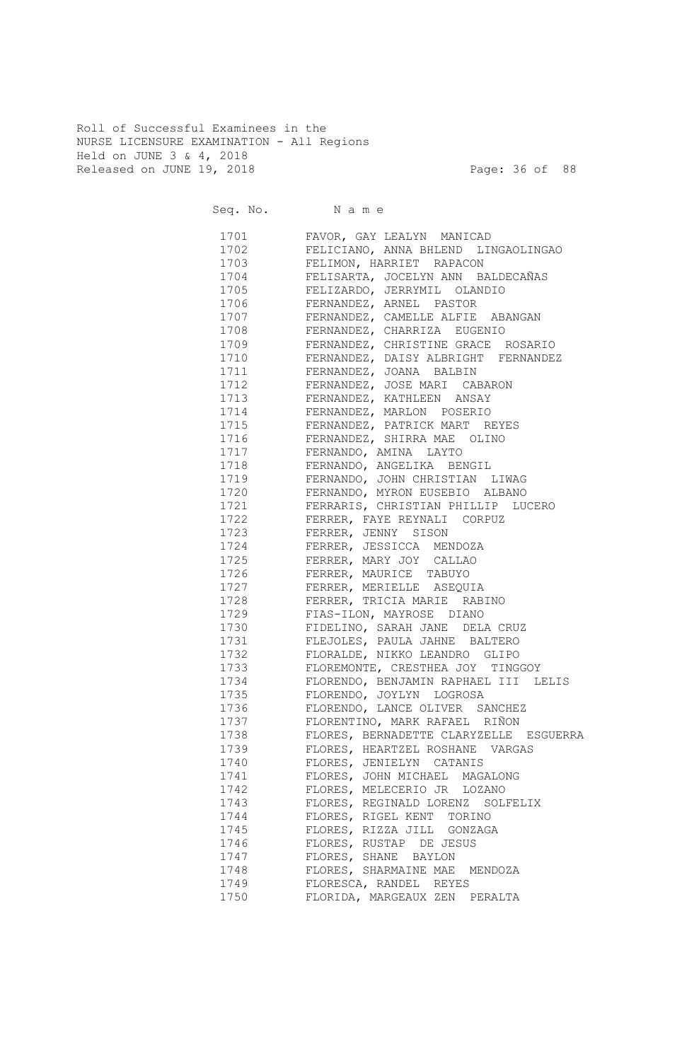Roll of Successful Examinees in the NURSE LICENSURE EXAMINATION - All Regions Held on JUNE 3 & 4, 2018 Released on JUNE 19, 2018 Page: 36 of 88

| Seq. No. Name |                                        |
|---------------|----------------------------------------|
| 1701          | FAVOR, GAY LEALYN MANICAD              |
| 1702          | FELICIANO, ANNA BHLEND LINGAOLINGAO    |
| 1703          | FELIMON, HARRIET RAPACON               |
| 1704          | FELISARTA, JOCELYN ANN BALDECAÑAS      |
| 1705          | FELIZARDO, JERRYMIL OLANDIO            |
| 1706          | FERNANDEZ, ARNEL PASTOR                |
| 1707          | FERNANDEZ, CAMELLE ALFIE ABANGAN       |
| 1708          | FERNANDEZ, CHARRIZA EUGENIO            |
| 1709          | FERNANDEZ, CHRISTINE GRACE ROSARIO     |
| 1710          | FERNANDEZ, DAISY ALBRIGHT FERNANDEZ    |
| 1711          | FERNANDEZ, JOANA BALBIN                |
| 1712          | FERNANDEZ, JOSE MARI CABARON           |
| 1713          | FERNANDEZ, KATHLEEN ANSAY              |
| 1714          | FERNANDEZ, MARLON POSERIO              |
| 1715          | FERNANDEZ, PATRICK MART REYES          |
| 1716          | FERNANDEZ, SHIRRA MAE OLINO            |
| 1717          | FERNANDO, AMINA LAYTO                  |
| 1718          | FERNANDO, ANGELIKA BENGIL              |
| 1719          | FERNANDO, JOHN CHRISTIAN LIWAG         |
| 1720          | FERNANDO, MYRON EUSEBIO ALBANO         |
| 1721          | FERRARIS, CHRISTIAN PHILLIP LUCERO     |
| 1722          | FERRER, FAYE REYNALI CORPUZ            |
| 1723          | FERRER, JENNY SISON                    |
| 1724          | FERRER, JESSICCA MENDOZA               |
| 1725          | FERRER, MARY JOY CALLAO                |
| 1726          | FERRER, MAURICE TABUYO                 |
| 1727          | FERRER, MERIELLE ASEQUIA               |
| 1728          | FERRER, TRICIA MARIE RABINO            |
| 1729          | FIAS-ILON, MAYROSE DIANO               |
| 1730          | FIDELINO, SARAH JANE DELA CRUZ         |
| 1731          | FLEJOLES, PAULA JAHNE BALTERO          |
| 1732          | FLORALDE, NIKKO LEANDRO GLIPO          |
| 1733          | FLOREMONTE, CRESTHEA JOY TINGGOY       |
| 1734          | FLORENDO, BENJAMIN RAPHAEL III LELIS   |
| 1735          | FLORENDO, JOYLYN LOGROSA               |
| 1736          | FLORENDO, LANCE OLIVER SANCHEZ         |
| 1737          | FLORENTINO, MARK RAFAEL RIÑON          |
| 1738          | FLORES, BERNADETTE CLARYZELLE ESGUERRA |
| 1739          | FLORES, HEARTZEL ROSHANE VARGAS        |
| 1740          | FLORES, JENIELYN CATANIS               |
| 1741          | FLORES, JOHN MICHAEL MAGALONG          |
| 1742          | FLORES, MELECERIO JR LOZANO            |
| 1743          | FLORES, REGINALD LORENZ SOLFELIX       |
| 1744          | FLORES, RIGEL KENT TORINO              |
| 1745          | FLORES, RIZZA JILL GONZAGA             |
| 1746          | FLORES, RUSTAP DE JESUS                |
| 1747          | FLORES, SHANE BAYLON                   |
| 1748          | FLORES, SHARMAINE MAE MENDOZA          |
| 1749          | FLORESCA, RANDEL REYES                 |
| 1750          | FLORIDA, MARGEAUX ZEN PERALTA          |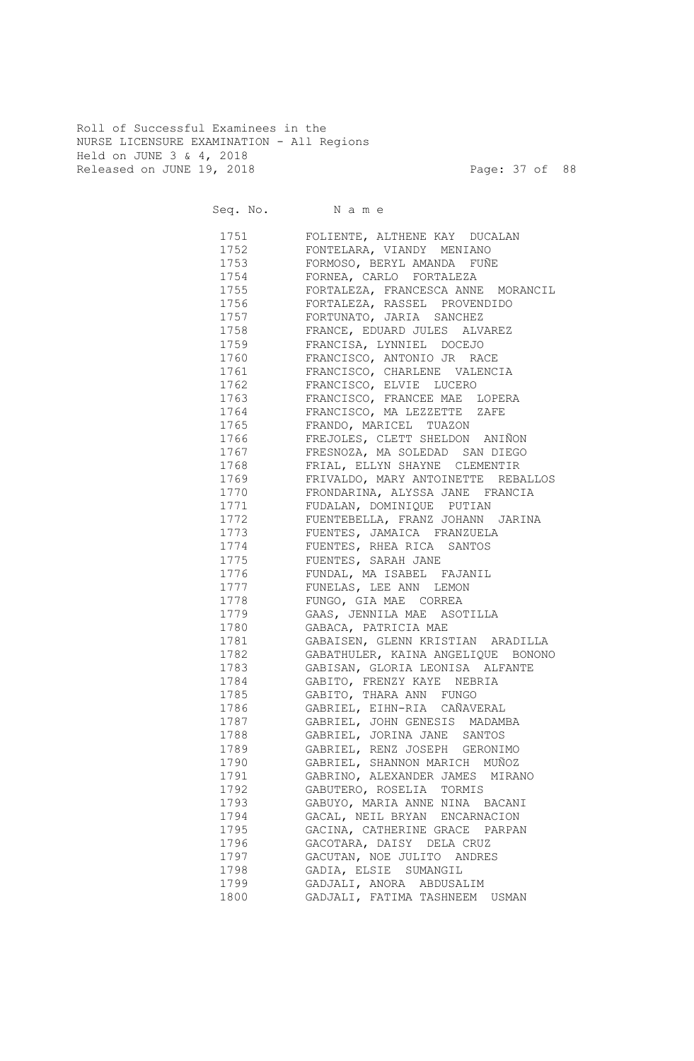Roll of Successful Examinees in the NURSE LICENSURE EXAMINATION - All Regions Held on JUNE 3 & 4, 2018 Released on JUNE 19, 2018 Page: 37 of 88

| Seq. No. Name |                                                                  |
|---------------|------------------------------------------------------------------|
| 1751          | FOLIENTE, ALTHENE KAY DUCALAN                                    |
| 1752          | FONTELARA, VIANDY<br>MENIANO                                     |
| 1753          | FORMOSO, BERYL AMANDA FUÑE                                       |
| 1754          | FORNEA, CARLO FORTALEZA                                          |
| 1755          | FORTALEZA, FRANCESCA ANNE MORANCIL                               |
| 1756          | FORTALEZA, RASSEL PROVENDIDO                                     |
| 1757          | FORTUNATO, JARIA SANCHEZ                                         |
| 1758          | FRANCE, EDUARD JULES ALVAREZ                                     |
| 1759          | FRANCISA, LYNNIEL DOCEJO                                         |
| 1760          | FRANCISCO, ANTONIO JR RACE                                       |
| 1761          | FRANCISCO, CHARLENE VALENCIA                                     |
| 1762          | FRANCISCO, ELVIE LUCERO                                          |
| 1763          | FRANCISCO, FRANCEE MAE LOPERA                                    |
| 1764          | FRANCISCO, MA LEZZETTE ZAFE                                      |
| 1765          | FRANDO, MARICEL TUAZON                                           |
| 1766<br>1767  | FREJOLES, CLETT SHELDON ANIÑON<br>FRESNOZA, MA SOLEDAD SAN DIEGO |
| 1768          | FRIAL, ELLYN SHAYNE CLEMENTIR                                    |
| 1769          | FRIVALDO, MARY ANTOINETTE REBALLOS                               |
| 1770          | FRONDARINA, ALYSSA JANE FRANCIA                                  |
| 1771          | FUDALAN, DOMINIQUE PUTIAN                                        |
| 1772          | FUENTEBELLA, FRANZ JOHANN JARINA                                 |
| 1773          | FUENTES, JAMAICA FRANZUELA                                       |
| 1774          | FUENTES, RHEA RICA SANTOS                                        |
| 1775          | FUENTES, SARAH JANE                                              |
| 1776          | FUNDAL, MA ISABEL FAJANIL                                        |
| 1777          | FUNELAS, LEE ANN LEMON                                           |
| 1778          | FUNGO, GIA MAE CORREA                                            |
| 1779          | GAAS, JENNILA MAE ASOTILLA                                       |
| 1780          | GABACA, PATRICIA MAE                                             |
| 1781          | GABAISEN, GLENN KRISTIAN ARADILLA                                |
| 1782          | GABATHULER, KAINA ANGELIQUE BONONO                               |
| 1783          | GABISAN, GLORIA LEONISA ALFANTE                                  |
| 1784          | GABITO, FRENZY KAYE NEBRIA                                       |
| 1785          | GABITO, THARA ANN FUNGO                                          |
| 1786          | GABRIEL, EIHN-RIA CAÑAVERAL                                      |
| 1787          | GABRIEL, JOHN GENESIS MADAMBA                                    |
| 1788          | GABRIEL, JORINA JANE SANTOS                                      |
| 1789          | GABRIEL, RENZ JOSEPH GERONIMO                                    |
| 1790          | GABRIEL, SHANNON MARICH MUÑOZ                                    |
| 1791          | GABRINO, ALEXANDER JAMES MIRANO                                  |
| 1792          | GABUTERO, ROSELIA TORMIS                                         |
| 1793          | GABUYO, MARIA ANNE NINA BACANI                                   |
| 1794          | GACAL, NEIL BRYAN ENCARNACION                                    |
| 1795          | GACINA, CATHERINE GRACE PARPAN                                   |
| 1796          | GACOTARA, DAISY DELA CRUZ                                        |
| 1797          | GACUTAN, NOE JULITO ANDRES                                       |
| 1798          | GADIA, ELSIE SUMANGIL                                            |
| 1799          | GADJALI, ANORA ABDUSALIM                                         |
| 1800          | GADJALI, FATIMA TASHNEEM USMAN                                   |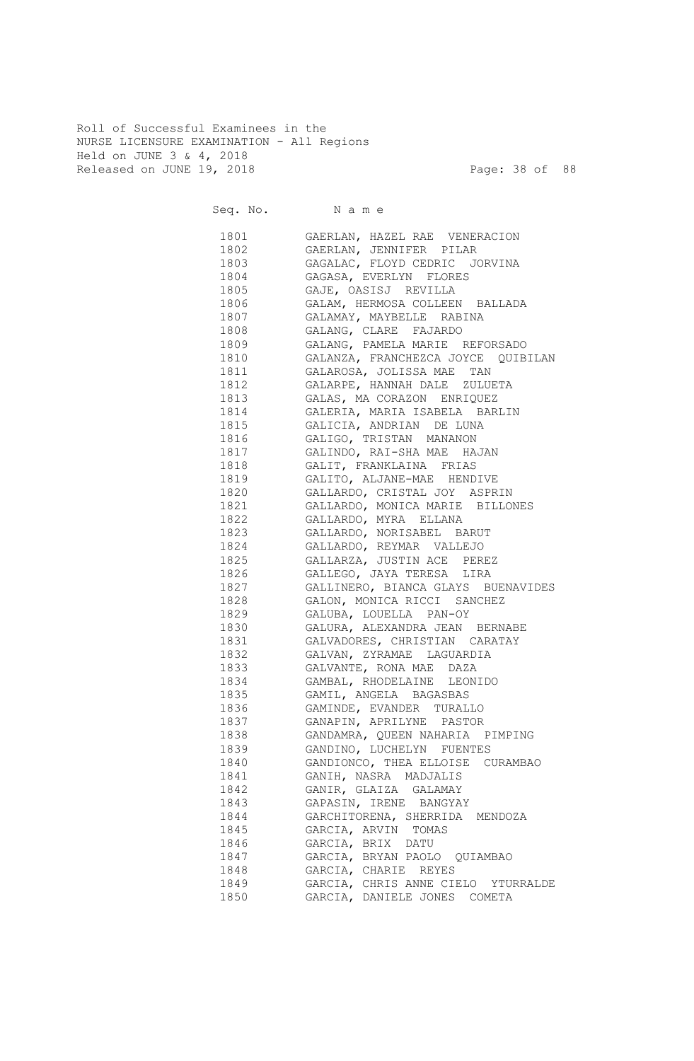Roll of Successful Examinees in the NURSE LICENSURE EXAMINATION - All Regions Held on JUNE 3 & 4, 2018 Released on JUNE 19, 2018 Page: 38 of 88

| Seq. No. Name |                                                       |
|---------------|-------------------------------------------------------|
| 1801          | GAERLAN, HAZEL RAE VENERACION                         |
| 1802          | GAERLAN, JENNIFER PILAR                               |
| 1803          | GAGALAC, FLOYD CEDRIC JORVINA                         |
| 1804          | GAGASA, EVERLYN FLORES                                |
| 1805          | GAJE, OASISJ REVILLA                                  |
| 1806          | GALAM, HERMOSA COLLEEN BALLADA                        |
| 1807          | GALAMAY, MAYBELLE RABINA                              |
| 1808          | GALANG, CLARE FAJARDO                                 |
| 1809          | GALANG, PAMELA MARIE REFORSADO                        |
| 1810          | GALANZA, FRANCHEZCA JOYCE QUIBILAN                    |
| 1811          | GALAROSA, JOLISSA MAE TAN                             |
| 1812          | GALARPE, HANNAH DALE ZULUETA                          |
| 1813          | GALAS, MA CORAZON ENRIQUEZ                            |
| 1814          | GALERIA, MARIA ISABELA BARLIN                         |
| 1815          | GALICIA, ANDRIAN DE LUNA                              |
| 1816<br>1817  | GALIGO, TRISTAN MANANON<br>GALINDO, RAI-SHA MAE HAJAN |
| 1818          | GALIT, FRANKLAINA FRIAS                               |
| 1819          | GALITO, ALJANE-MAE HENDIVE                            |
| 1820          | GALLARDO, CRISTAL JOY ASPRIN                          |
| 1821          | GALLARDO, MONICA MARIE BILLONES                       |
| 1822          | GALLARDO, MYRA ELLANA                                 |
| 1823          | GALLARDO, NORISABEL BARUT                             |
| 1824          | GALLARDO, REYMAR VALLEJO                              |
| 1825          | GALLARZA, JUSTIN ACE PEREZ                            |
| 1826          | GALLEGO, JAYA TERESA LIRA                             |
| 1827          | GALLINERO, BIANCA GLAYS BUENAVIDES                    |
| 1828          | GALON, MONICA RICCI SANCHEZ                           |
| 1829          | GALUBA, LOUELLA PAN-OY                                |
| 1830          | GALURA, ALEXANDRA JEAN BERNABE                        |
| 1831          | GALVADORES, CHRISTIAN CARATAY                         |
| 1832          | GALVAN, ZYRAMAE LAGUARDIA                             |
| 1833          | GALVANTE, RONA MAE DAZA                               |
| 1834          | GAMBAL, RHODELAINE LEONIDO                            |
| 1835          | GAMIL, ANGELA BAGASBAS                                |
| 1836          | GAMINDE, EVANDER TURALLO                              |
| 1837          | GANAPIN, APRILYNE PASTOR                              |
| 1838          | GANDAMRA, QUEEN NAHARIA PIMPING                       |
| 1839          | GANDINO, LUCHELYN FUENTES                             |
| 1840          | GANDIONCO, THEA ELLOISE CURAMBAO                      |
| 1841          | GANIH, NASRA MADJALIS                                 |
| 1842          | GANIR, GLAIZA GALAMAY                                 |
| 1843          | GAPASIN, IRENE BANGYAY                                |
| 1844          | GARCHITORENA, SHERRIDA MENDOZA                        |
| 1845          | GARCIA, ARVIN TOMAS                                   |
| 1846          | GARCIA, BRIX DATU                                     |
| 1847          | GARCIA, BRYAN PAOLO QUIAMBAO                          |
| 1848          | GARCIA, CHARIE REYES                                  |
| 1849          | GARCIA, CHRIS ANNE CIELO YTURRALDE                    |
| 1850          | GARCIA, DANIELE JONES COMETA                          |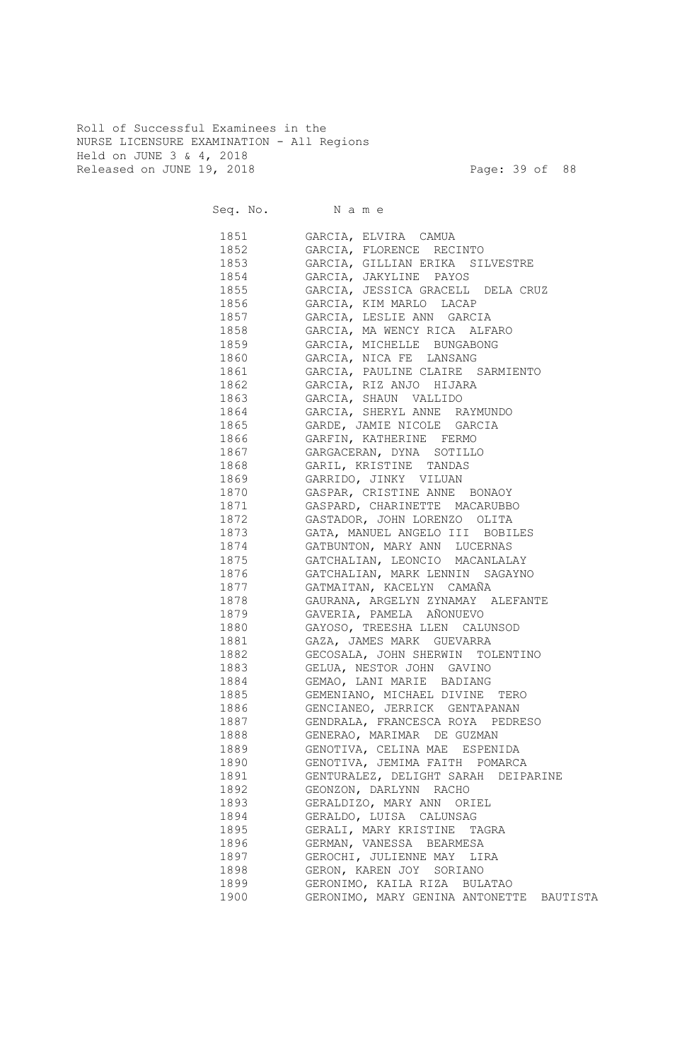Roll of Successful Examinees in the NURSE LICENSURE EXAMINATION - All Regions Held on JUNE 3 & 4, 2018 Released on JUNE 19, 2018 Page: 39 of 88

|                                                                                                            | Seq. No. Name                            |
|------------------------------------------------------------------------------------------------------------|------------------------------------------|
| 1851 — 1870                                                                                                | GARCIA, ELVIRA CAMUA                     |
| 1852                                                                                                       | GARCIA, FLORENCE RECINTO                 |
|                                                                                                            | GARCIA, GILLIAN ERIKA SILVESTRE          |
| 1854                                                                                                       | GARCIA, JAKYLINE PAYOS                   |
| 1855 — 1865                                                                                                | GARCIA, JESSICA GRACELL DELA CRUZ        |
| 1856 18                                                                                                    | GARCIA, KIM MARLO LACAP                  |
| 1857 — 1857 — 1868 — 1868 — 1868 — 1868 — 1868 — 1868 — 1868 — 1868 — 1868 — 1868 — 1868 — 1868 — 186      | GARCIA, LESLIE ANN GARCIA                |
| 1858 — 1858 — 1858 — 1858 — 1858 — 1858 — 1858 — 1858 — 1858 — 1858 — 1858 — 1858 — 1858 — 1858 — 185      | GARCIA, MA WENCY RICA ALFARO             |
| 1859 — 1859 — 1860 — 1860 — 1860 — 1860 — 1860 — 1860 — 1860 — 1860 — 1860 — 1860 — 1860 — 1860 — 1860 — 1 | GARCIA, MICHELLE BUNGABONG               |
| 1860 1860                                                                                                  | GARCIA, NICA FE LANSANG                  |
| 1861 1880                                                                                                  | GARCIA, PAULINE CLAIRE SARMIENTO         |
| 1862                                                                                                       | GARCIA, RIZ ANJO HIJARA                  |
| 1863 — 1863 — 1870 — 1870 — 1870 — 1870 — 1870 — 1870 — 1880 — 1880 — 1880 — 1880 — 1880 — 1880 — 1880 — 1 | GARCIA, SHAUN VALLIDO                    |
| 1864                                                                                                       | GARCIA, SHERYL ANNE RAYMUNDO             |
| 1865 — 187                                                                                                 | GARDE, JAMIE NICOLE GARCIA               |
| 1866 18                                                                                                    | GARFIN, KATHERINE FERMO                  |
| 1867                                                                                                       | GARGACERAN, DYNA SOTILLO                 |
| 1868                                                                                                       | GARIL, KRISTINE TANDAS                   |
| 1869                                                                                                       | GARRIDO, JINKY VILUAN                    |
| 1870                                                                                                       | GASPAR, CRISTINE ANNE BONAOY             |
| 1871                                                                                                       | GASPARD, CHARINETTE MACARUBBO            |
| 1872                                                                                                       | GASTADOR, JOHN LORENZO OLITA             |
| 1873                                                                                                       | GATA, MANUEL ANGELO III BOBILES          |
| 1874                                                                                                       | GATBUNTON, MARY ANN LUCERNAS             |
| 1875                                                                                                       | GATCHALIAN, LEONCIO MACANLALAY           |
| 1876                                                                                                       | GATCHALIAN, MARK LENNIN SAGAYNO          |
| 1877                                                                                                       | GATMAITAN, KACELYN CAMAÑA                |
| 1878                                                                                                       | GAURANA, ARGELYN ZYNAMAY ALEFANTE        |
| 1879                                                                                                       | GAVERIA, PAMELA AÑONUEVO                 |
| 1880                                                                                                       | GAYOSO, TREESHA LLEN CALUNSOD            |
| 1881                                                                                                       | GAZA, JAMES MARK GUEVARRA                |
| 1882                                                                                                       | GECOSALA, JOHN SHERWIN TOLENTINO         |
| 1883                                                                                                       | GELUA, NESTOR JOHN GAVINO                |
| 1884                                                                                                       | GEMAO, LANI MARIE BADIANG                |
| 1885                                                                                                       | GEMENIANO, MICHAEL DIVINE TERO           |
| 1886                                                                                                       | GENCIANEO, JERRICK GENTAPANAN            |
| 1887                                                                                                       | GENDRALA, FRANCESCA ROYA PEDRESO         |
| 1888                                                                                                       | GENERAO, MARIMAR DE GUZMAN               |
| 1889                                                                                                       | GENOTIVA, CELINA MAE ESPENIDA            |
| 1890                                                                                                       | GENOTIVA, JEMIMA FAITH POMARCA           |
| 1891                                                                                                       | GENTURALEZ, DELIGHT SARAH DEIPARINE      |
| 1892                                                                                                       | GEONZON, DARLYNN RACHO                   |
| 1893                                                                                                       | GERALDIZO, MARY ANN ORIEL                |
| 1894                                                                                                       | GERALDO, LUISA CALUNSAG                  |
| 1895                                                                                                       | GERALI, MARY KRISTINE TAGRA              |
| 1896                                                                                                       | GERMAN, VANESSA BEARMESA                 |
| 1897                                                                                                       | GEROCHI, JULIENNE MAY LIRA               |
| 1898                                                                                                       | GERON, KAREN JOY SORIANO                 |
| 1899                                                                                                       | GERONIMO, KAILA RIZA BULATAO             |
| 1900                                                                                                       | GERONIMO, MARY GENINA ANTONETTE BAUTISTA |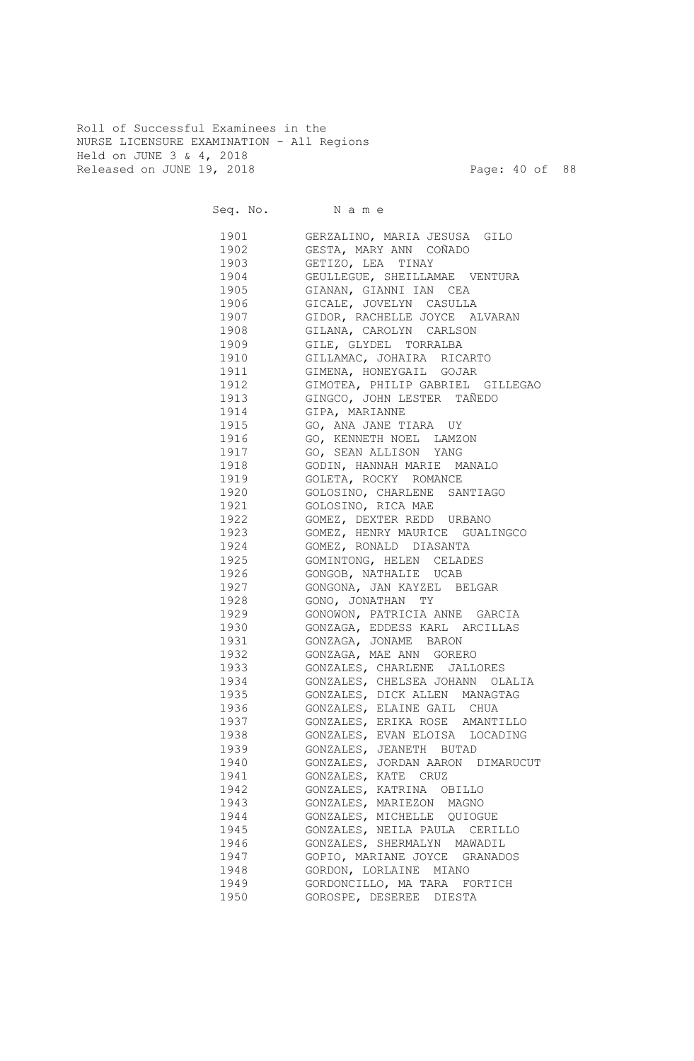Roll of Successful Examinees in the NURSE LICENSURE EXAMINATION - All Regions Held on JUNE 3 & 4, 2018 Released on JUNE 19, 2018 Page: 40 of 88

Seq. No. Name 1901 GERZALINO, MARIA JESUSA GILO 1902 GESTA, MARY ANN COÑADO 1903 GETIZO, LEA TINAY 1904 GEULLEGUE, SHEILLAMAE VENTURA 1905 GIANAN, GIANNI IAN CEA 1906 GICALE, JOVELYN CASULLA 1907 GIDOR, RACHELLE JOYCE ALVARAN 1908 GILANA, CAROLYN CARLSON 1909 GILE, GLYDEL TORRALBA 1910 GILLAMAC, JOHAIRA RICARTO 1911 GIMENA, HONEYGAIL GOJAR 1912 GIMOTEA, PHILIP GABRIEL GILLEGAO 1913 GINGCO, JOHN LESTER TAÑEDO 1914 GIPA, MARIANNE 1915 GO, ANA JANE TIARA UY 1916 GO, KENNETH NOEL LAMZON 1917 GO, SEAN ALLISON YANG 1918 GODIN, HANNAH MARIE MANALO 1919 GOLETA, ROCKY ROMANCE 1920 GOLOSINO, CHARLENE SANTIAGO 1921 GOLOSINO, RICA MAE 1922 GOMEZ, DEXTER REDD URBANO 1923 GOMEZ, HENRY MAURICE GUALINGCO 1924 GOMEZ, RONALD DIASANTA 1925 GOMINTONG, HELEN CELADES 1926 GONGOB, NATHALIE UCAB 1927 GONGONA, JAN KAYZEL BELGAR 1928 GONO, JONATHAN TY 1929 GONOWON, PATRICIA ANNE GARCIA 1930 GONZAGA, EDDESS KARL ARCILLAS 1931 GONZAGA, JONAME BARON 1932 GONZAGA, MAE ANN GORERO 1933 GONZALES, CHARLENE JALLORES 1934 GONZALES, CHELSEA JOHANN OLALIA 1935 GONZALES, DICK ALLEN MANAGTAG 1936 GONZALES, ELAINE GAIL CHUA 1937 GONZALES, ERIKA ROSE AMANTILLO 1938 GONZALES, EVAN ELOISA LOCADING 1939 GONZALES, JEANETH BUTAD 1940 GONZALES, JORDAN AARON DIMARUCUT 1941 GONZALES, KATE CRUZ 1942 GONZALES, KATRINA OBILLO 1943 GONZALES, MARIEZON MAGNO 1944 GONZALES, MICHELLE QUIOGUE 1945 GONZALES, NEILA PAULA CERILLO 1946 GONZALES, SHERMALYN MAWADIL 1947 GOPIO, MARIANE JOYCE GRANADOS 1948 GORDON, LORLAINE MIANO 1949 GORDONCILLO, MA TARA FORTICH 1950 GOROSPE, DESEREE DIESTA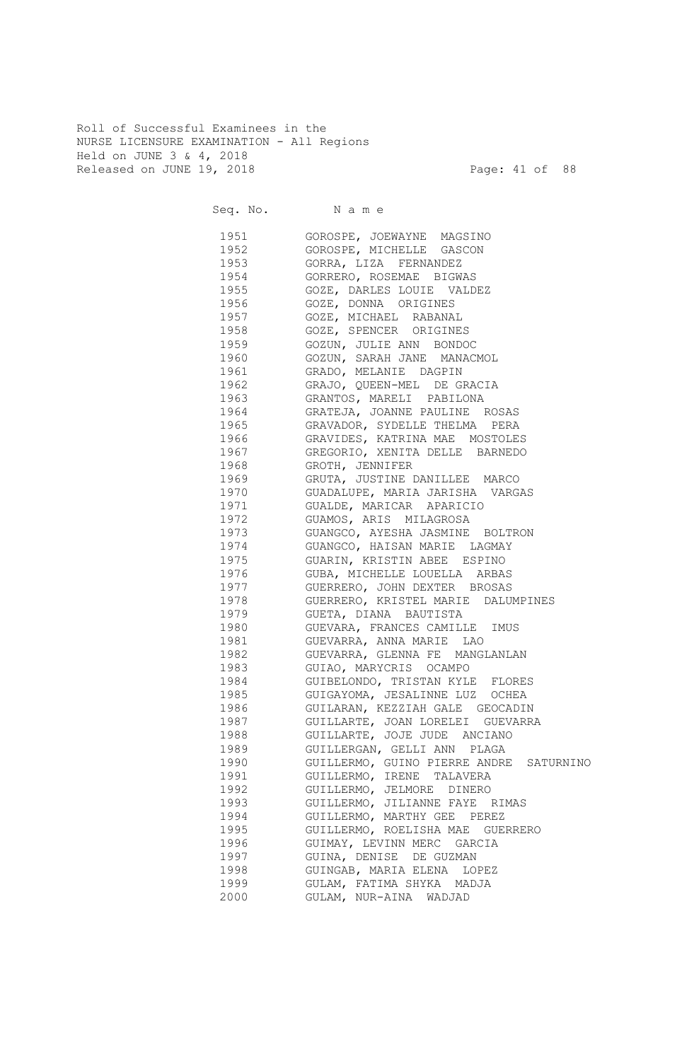Roll of Successful Examinees in the NURSE LICENSURE EXAMINATION - All Regions Held on JUNE 3 & 4, 2018 Released on JUNE 19, 2018 Page: 41 of 88

Seq. No. Name 1951 GOROSPE, JOEWAYNE MAGSINO 1952 GOROSPE, MICHELLE GASCON 1953 GORRA, LIZA FERNANDEZ 1954 GORRERO, ROSEMAE BIGWAS 1955 GOZE, DARLES LOUIE VALDEZ 1956 GOZE, DONNA ORIGINES 1957 GOZE, MICHAEL RABANAL 1958 GOZE, SPENCER ORIGINES 1959 GOZUN, JULIE ANN BONDOC 1960 GOZUN, SARAH JANE MANACMOL 1961 GRADO, MELANIE DAGPIN 1962 GRAJO, QUEEN-MEL DE GRACIA 1963 GRANTOS, MARELI PABILONA 1964 GRATEJA, JOANNE PAULINE ROSAS 1965 GRAVADOR, SYDELLE THELMA PERA 1966 GRAVIDES, KATRINA MAE MOSTOLES 1967 GREGORIO, XENITA DELLE BARNEDO 1968 GROTH, JENNIFER 1969 GRUTA, JUSTINE DANILLEE MARCO 1970 GUADALUPE, MARIA JARISHA VARGAS 1971 GUALDE, MARICAR APARICIO 1972 GUAMOS, ARIS MILAGROSA 1973 GUANGCO, AYESHA JASMINE BOLTRON 1974 GUANGCO, HAISAN MARIE LAGMAY 1975 GUARIN, KRISTIN ABEE ESPINO 1976 GUBA, MICHELLE LOUELLA ARBAS 1977 GUERRERO, JOHN DEXTER BROSAS 1978 GUERRERO, KRISTEL MARIE DALUMPINES 1979 GUETA, DIANA BAUTISTA 1980 GUEVARA, FRANCES CAMILLE IMUS 1981 GUEVARRA, ANNA MARIE LAO 1982 GUEVARRA, GLENNA FE MANGLANLAN 1983 GUIAO, MARYCRIS OCAMPO 1984 GUIBELONDO, TRISTAN KYLE FLORES 1985 GUIGAYOMA, JESALINNE LUZ OCHEA 1986 GUILARAN, KEZZIAH GALE GEOCADIN 1987 GUILLARTE, JOAN LORELEI GUEVARRA 1988 GUILLARTE, JOJE JUDE ANCIANO 1989 GUILLERGAN, GELLI ANN PLAGA 1990 GUILLERMO, GUINO PIERRE ANDRE SATURNINO 1991 GUILLERMO, IRENE TALAVERA 1992 GUILLERMO, JELMORE DINERO 1993 GUILLERMO, JILIANNE FAYE RIMAS 1994 GUILLERMO, MARTHY GEE PEREZ 1995 GUILLERMO, ROELISHA MAE GUERRERO 1996 GUIMAY, LEVINN MERC GARCIA 1997 GUINA, DENISE DE GUZMAN 1998 GUINGAB, MARIA ELENA LOPEZ 1999 GULAM, FATIMA SHYKA MADJA 2000 GULAM, NUR-AINA WADJAD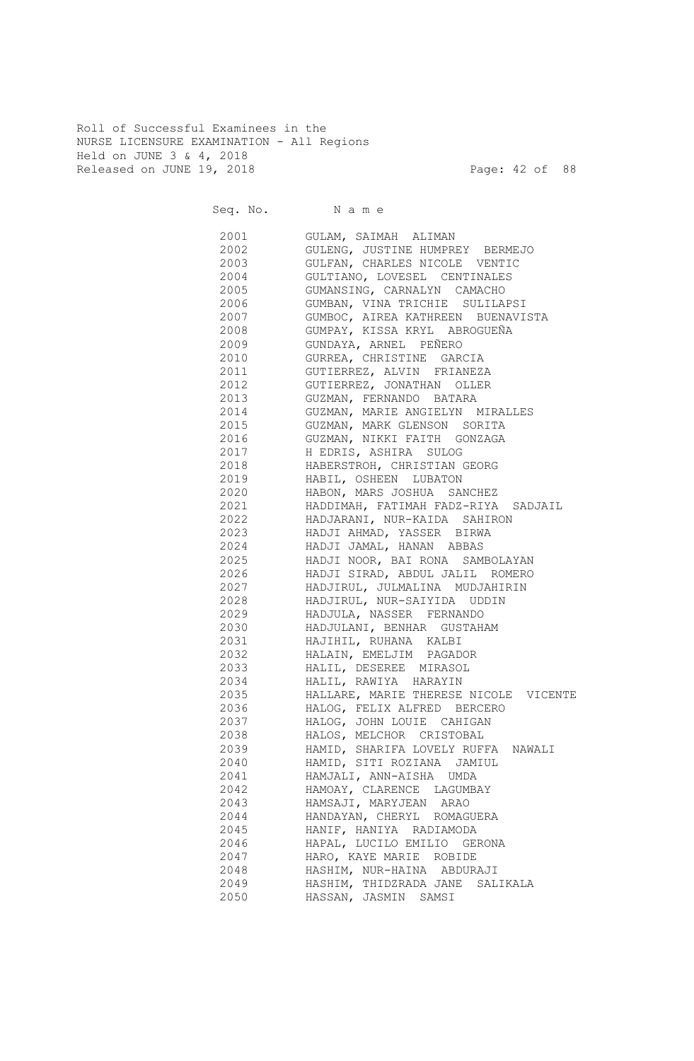Roll of Successful Examinees in the NURSE LICENSURE EXAMINATION - All Regions Held on JUNE 3 & 4, 2018 Released on JUNE 19, 2018 Page: 42 of 88

Seq. No. Name 2001 GULAM, SAIMAH ALIMAN 2002 GULENG, JUSTINE HUMPREY BERMEJO 2003 GULFAN, CHARLES NICOLE VENTIC 2004 GULTIANO, LOVESEL CENTINALES 2005 GUMANSING, CARNALYN CAMACHO 2006 GUMBAN, VINA TRICHIE SULILAPSI 2007 GUMBOC, AIREA KATHREEN BUENAVISTA 2008 GUMPAY, KISSA KRYL ABROGUEÑA 2009 GUNDAYA, ARNEL PEÑERO 2010 GURREA, CHRISTINE GARCIA 2011 GUTIERREZ, ALVIN FRIANEZA 2012 GUTIERREZ, JONATHAN OLLER 2013 GUZMAN, FERNANDO BATARA 2014 GUZMAN, MARIE ANGIELYN MIRALLES 2015 GUZMAN, MARK GLENSON SORITA 2016 GUZMAN, NIKKI FAITH GONZAGA 2017 H EDRIS, ASHIRA SULOG 2018 HABERSTROH, CHRISTIAN GEORG 2019 HABIL, OSHEEN LUBATON 2020 HABON, MARS JOSHUA SANCHEZ 2021 HADDIMAH, FATIMAH FADZ-RIYA SADJAIL 2022 HADJARANI, NUR-KAIDA SAHIRON 2023 HADJI AHMAD, YASSER BIRWA 2024 HADJI JAMAL, HANAN ABBAS 2025 HADJI NOOR, BAI RONA SAMBOLAYAN 2026 HADJI SIRAD, ABDUL JALIL ROMERO 2027 HADJIRUL, JULMALINA MUDJAHIRIN 2028 HADJIRUL, NUR-SAIYIDA UDDIN 2029 HADJULA, NASSER FERNANDO 2030 HADJULANI, BENHAR GUSTAHAM 2031 HAJIHIL, RUHANA KALBI 2032 HALAIN, EMELJIM PAGADOR 2033 HALIL, DESEREE MIRASOL 2034 HALIL, RAWIYA HARAYIN 2035 HALLARE, MARIE THERESE NICOLE VICENTE 2036 HALOG, FELIX ALFRED BERCERO 2037 HALOG, JOHN LOUIE CAHIGAN 2038 HALOS, MELCHOR CRISTOBAL 2039 HAMID, SHARIFA LOVELY RUFFA NAWALI 2040 HAMID, SITI ROZIANA JAMIUL 2041 HAMJALI, ANN-AISHA UMDA 2042 HAMOAY, CLARENCE LAGUMBAY 2043 HAMSAJI, MARYJEAN ARAO 2044 HANDAYAN, CHERYL ROMAGUERA 2045 HANIF, HANIYA RADIAMODA 2046 HAPAL, LUCILO EMILIO GERONA 2047 HARO, KAYE MARIE ROBIDE 2048 HASHIM, NUR-HAINA ABDURAJI 2049 HASHIM, THIDZRADA JANE SALIKALA 2050 HASSAN, JASMIN SAMSI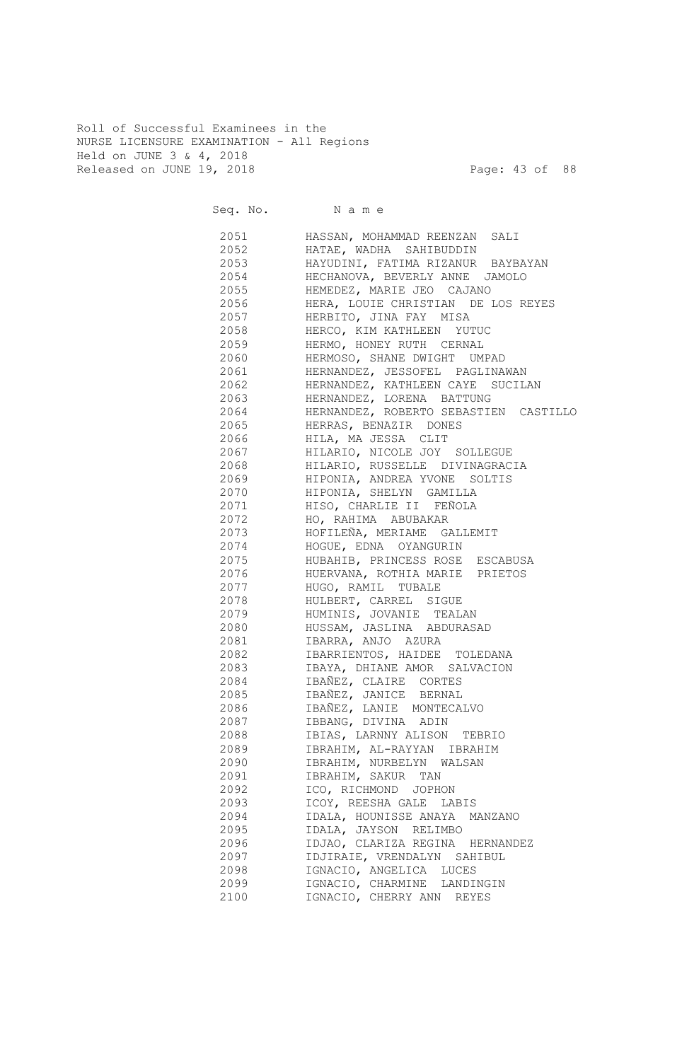Roll of Successful Examinees in the NURSE LICENSURE EXAMINATION - All Regions Held on JUNE 3 & 4, 2018 Released on JUNE 19, 2018 Page: 43 of 88

Seq. No. Name 2051 HASSAN, MOHAMMAD REENZAN SALI 2052 HATAE, WADHA SAHIBUDDIN 2053 HAYUDINI, FATIMA RIZANUR BAYBAYAN 2054 HECHANOVA, BEVERLY ANNE JAMOLO 2055 HEMEDEZ, MARIE JEO CAJANO 2056 HERA, LOUIE CHRISTIAN DE LOS REYES 2057 HERBITO, JINA FAY MISA 2058 HERCO, KIM KATHLEEN YUTUC 2059 HERMO, HONEY RUTH CERNAL 2060 HERMOSO, SHANE DWIGHT UMPAD 2061 HERNANDEZ, JESSOFEL PAGLINAWAN 2062 HERNANDEZ, KATHLEEN CAYE SUCILAN 2063 HERNANDEZ, LORENA BATTUNG 2064 HERNANDEZ, ROBERTO SEBASTIEN CASTILLO 2065 HERRAS, BENAZIR DONES 2066 HILA, MA JESSA CLIT 2067 HILARIO, NICOLE JOY SOLLEGUE 2068 HILARIO, RUSSELLE DIVINAGRACIA 2069 HIPONIA, ANDREA YVONE SOLTIS 2070 HIPONIA, SHELYN GAMILLA 2071 HISO, CHARLIE II FEÑOLA 2072 HO, RAHIMA ABUBAKAR 2073 HOFILEÑA, MERIAME GALLEMIT 2074 HOGUE, EDNA OYANGURIN 2075 HUBAHIB, PRINCESS ROSE ESCABUSA 2076 HUERVANA, ROTHIA MARIE PRIETOS 2077 HUGO, RAMIL TUBALE 2078 HULBERT, CARREL SIGUE 2079 HUMINIS, JOVANIE TEALAN 2080 HUSSAM, JASLINA ABDURASAD 2081 IBARRA, ANJO AZURA 2082 IBARRIENTOS, HAIDEE TOLEDANA 2083 IBAYA, DHIANE AMOR SALVACION 2084 IBAÑEZ, CLAIRE CORTES 2085 IBAÑEZ, JANICE BERNAL 2086 IBAÑEZ, LANIE MONTECALVO 2087 IBBANG, DIVINA ADIN 2088 IBIAS, LARNNY ALISON TEBRIO 2089 IBRAHIM, AL-RAYYAN IBRAHIM 2090 IBRAHIM, NURBELYN WALSAN 2091 IBRAHIM, SAKUR TAN 2092 ICO, RICHMOND JOPHON 2093 ICOY, REESHA GALE LABIS 2094 IDALA, HOUNISSE ANAYA MANZANO 2095 IDALA, JAYSON RELIMBO 2096 IDJAO, CLARIZA REGINA HERNANDEZ 2097 IDJIRAIE, VRENDALYN SAHIBUL 2098 IGNACIO, ANGELICA LUCES 2099 IGNACIO, CHARMINE LANDINGIN 2100 IGNACIO, CHERRY ANN REYES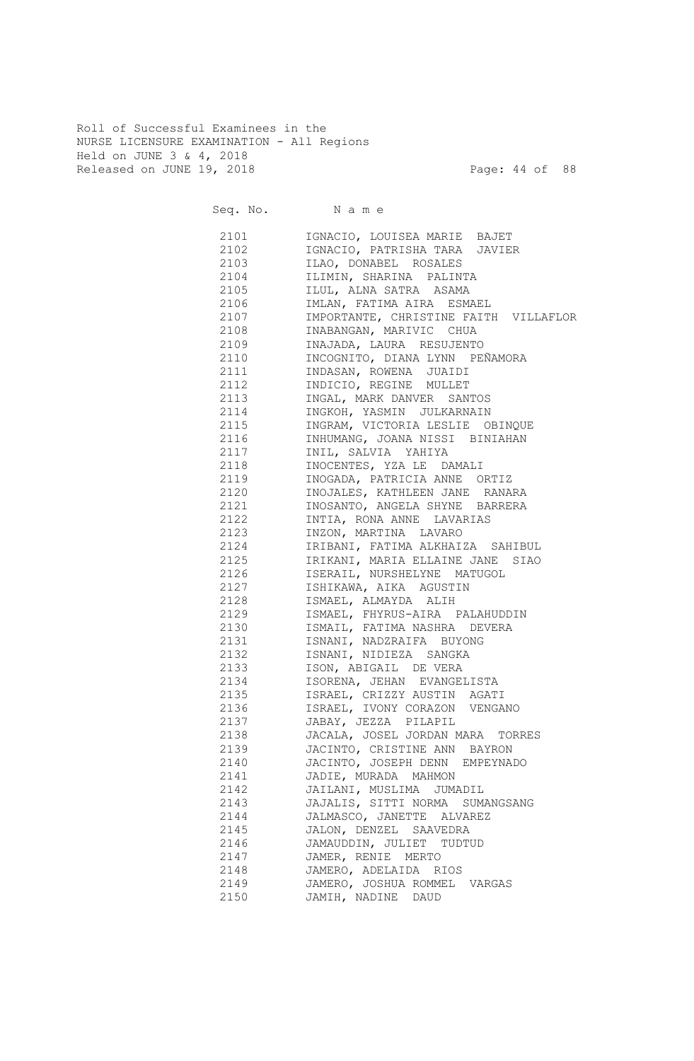Roll of Successful Examinees in the NURSE LICENSURE EXAMINATION - All Regions Held on JUNE 3 & 4, 2018 Released on JUNE 19, 2018 Page: 44 of 88

| Seq. No. Name |                                       |
|---------------|---------------------------------------|
| 2101          | IGNACIO, LOUISEA MARIE BAJET          |
| 2102          | IGNACIO, PATRISHA TARA JAVIER         |
| 2103          | ILAO, DONABEL ROSALES                 |
| 2104          | ILIMIN, SHARINA PALINTA               |
| 2105          | ILUL, ALNA SATRA ASAMA                |
| 2106          | IMLAN, FATIMA AIRA ESMAEL             |
| 2107          | IMPORTANTE, CHRISTINE FAITH VILLAFLOR |
| 2108          | INABANGAN, MARIVIC CHUA               |
| 2109          | INAJADA, LAURA RESUJENTO              |
| 2110          | INCOGNITO, DIANA LYNN PEÑAMORA        |
| 2111          | INDASAN, ROWENA JUAIDI                |
| 2112          | INDICIO, REGINE MULLET                |
| 2113          | INGAL, MARK DANVER SANTOS             |
| 2114          | INGKOH, YASMIN JULKARNAIN             |
| 2115          | INGRAM, VICTORIA LESLIE OBINQUE       |
| 2116          | INHUMANG, JOANA NISSI BINIAHAN        |
| 2117          | INIL, SALVIA YAHIYA                   |
| 2118          | INOCENTES, YZA LE DAMALI              |
| 2119          | INOGADA, PATRICIA ANNE ORTIZ          |
| 2120          | INOJALES, KATHLEEN JANE RANARA        |
| 2121          | INOSANTO, ANGELA SHYNE BARRERA        |
| 2122          | INTIA, RONA ANNE LAVARIAS             |
| 2123          | INZON, MARTINA LAVARO                 |
| 2124          | IRIBANI, FATIMA ALKHAIZA SAHIBUL      |
| 2125          | IRIKANI, MARIA ELLAINE JANE SIAO      |
| 2126          | ISERAIL, NURSHELYNE MATUGOL           |
| 2127          | ISHIKAWA, AIKA AGUSTIN                |
| 2128          | ISMAEL, ALMAYDA ALIH                  |
| 2129          | ISMAEL, FHYRUS-AIRA PALAHUDDIN        |
| 2130          | ISMAIL, FATIMA NASHRA DEVERA          |
| 2131          | ISNANI, NADZRAIFA BUYONG              |
| 2132          | ISNANI, NIDIEZA SANGKA                |
| 2133          | ISON, ABIGAIL DE VERA                 |
| 2134          | ISORENA, JEHAN EVANGELISTA            |
| 2135          | ISRAEL, CRIZZY AUSTIN AGATI           |
| 2136          | ISRAEL, IVONY CORAZON VENGANO         |
| 2137          | JABAY, JEZZA PILAPIL                  |
| 2138          | JACALA, JOSEL JORDAN MARA TORRES      |
| 2139          | JACINTO, CRISTINE ANN BAYRON          |
| 2140          | JACINTO, JOSEPH DENN EMPEYNADO        |
| 2141          | JADIE, MURADA MAHMON                  |
| 2142          | JAILANI, MUSLIMA JUMADIL              |
| 2143          | JAJALIS, SITTI NORMA SUMANGSANG       |
| 2144          | JALMASCO, JANETTE ALVAREZ             |
| 2145          | JALON, DENZEL SAAVEDRA                |
| 2146          | JAMAUDDIN, JULIET TUDTUD              |
| 2147          | JAMER, RENIE MERTO                    |
| 2148          | JAMERO, ADELAIDA RIOS                 |
| 2149          | JAMERO, JOSHUA ROMMEL VARGAS          |
| 2150          | JAMIH, NADINE DAUD                    |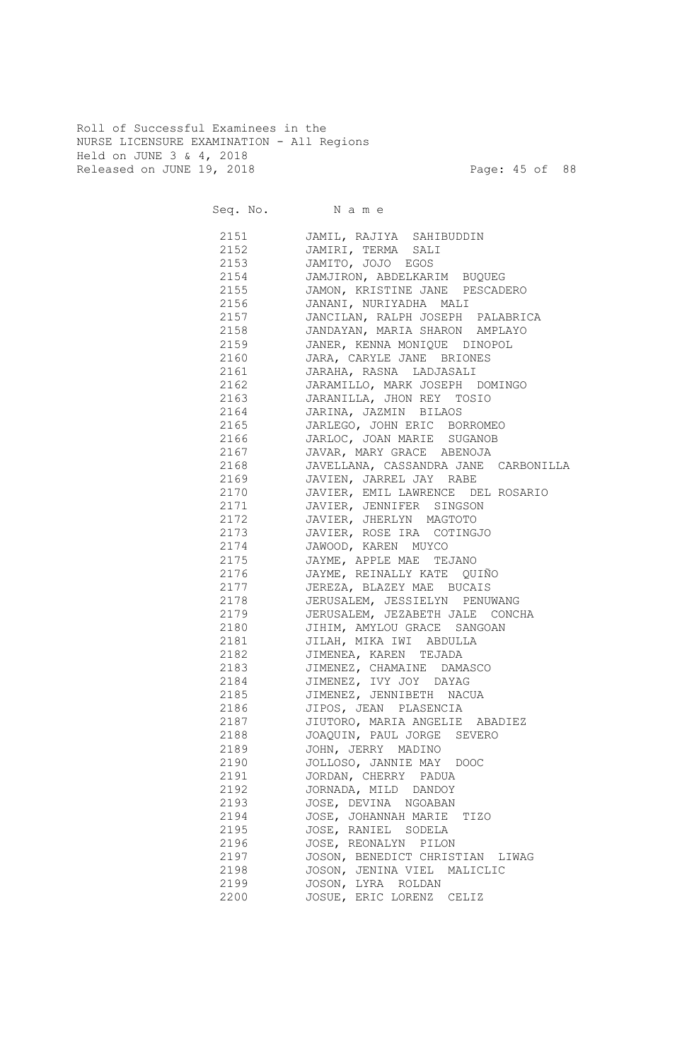Roll of Successful Examinees in the NURSE LICENSURE EXAMINATION - All Regions Held on JUNE 3 & 4, 2018 Released on JUNE 19, 2018 Page: 45 of 88

| Seq. No. Name |                                                               |
|---------------|---------------------------------------------------------------|
| 2151          | JAMIL, RAJIYA SAHIBUDDIN                                      |
| 2152          | JAMIRI, TERMA SALI                                            |
| 2153          | JAMITO, JOJO EGOS                                             |
| 2154          | JAMJIRON, ABDELKARIM BUQUEG                                   |
| 2155          | JAMON, KRISTINE JANE PESCADERO                                |
| 2156 70       | JANANI, NURIYADHA MALI                                        |
| 2157          | JANCILAN, RALPH JOSEPH PALABRICA                              |
| 2158          | JANDAYAN, MARIA SHARON AMPLAYO                                |
| 2159          | JANER, KENNA MONIQUE DINOPOL                                  |
| 2160          | JARA, CARYLE JANE BRIONES                                     |
| 2161          | JARAHA, RASNA LADJASALI                                       |
| 2162          | JARAMILLO, MARK JOSEPH DOMINGO                                |
|               | 2163 JARANILLA, JHON REY TOSIO                                |
| 2164          | JARINA, JAZMIN BILAOS                                         |
| 2165          | JARLEGO, JOHN ERIC BORROMEO                                   |
| 2166 70       | JARLOC, JOAN MARIE SUGANOB                                    |
| 2167          | JAVAR, MARY GRACE ABENOJA                                     |
| 2168          | JAVELLANA, CASSANDRA JANE CARBONILLA                          |
| 2169          | JAVIEN, JARREL JAY RABE                                       |
| 2170<br>2171  | JAVIER, EMIL LAWRENCE DEL ROSARIO<br>JAVIER, JENNIFER SINGSON |
| 2172          | JAVIER, JHERLYN MAGTOTO                                       |
| 2173          | JAVIER, ROSE IRA COTINGJO                                     |
| 2174          | JAWOOD, KAREN MUYCO                                           |
| 2175          | JAYME, APPLE MAE TEJANO                                       |
| 2176          | JAYME, REINALLY KATE QUIÑO                                    |
| 2177          | JEREZA, BLAZEY MAE BUCAIS                                     |
| 2178          | JERUSALEM, JESSIELYN PENUWANG                                 |
| 2179          | JERUSALEM, JEZABETH JALE CONCHA                               |
| 2180          | JIHIM, AMYLOU GRACE SANGOAN                                   |
| 2181          | JILAH, MIKA IWI ABDULLA                                       |
| 2182          | JIMENEA, KAREN TEJADA                                         |
| 2183          | JIMENEZ, CHAMAINE DAMASCO                                     |
| 2184          | JIMENEZ, IVY JOY DAYAG                                        |
| 2185          | JIMENEZ, JENNIBETH NACUA                                      |
| 2186          | JIPOS, JEAN PLASENCIA                                         |
| 2187          | JIUTORO, MARIA ANGELIE ABADIEZ                                |
| 2188          | JOAQUIN, PAUL JORGE<br>SEVERO                                 |
| 2189          | JOHN, JERRY MADINO                                            |
| 2190          | JOLLOSO, JANNIE MAY DOOC                                      |
| 2191          | JORDAN, CHERRY PADUA                                          |
| 2192          | JORNADA, MILD DANDOY                                          |
| 2193          | JOSE, DEVINA NGOABAN                                          |
| 2194          | JOSE, JOHANNAH MARIE TIZO                                     |
| 2195          | JOSE, RANIEL SODELA                                           |
| 2196          | JOSE, REONALYN PILON                                          |
| 2197          | JOSON, BENEDICT CHRISTIAN LIWAG                               |
| 2198          | JOSON, JENINA VIEL MALICLIC                                   |
| 2199          | JOSON, LYRA ROLDAN                                            |
| 2200          | JOSUE, ERIC LORENZ CELIZ                                      |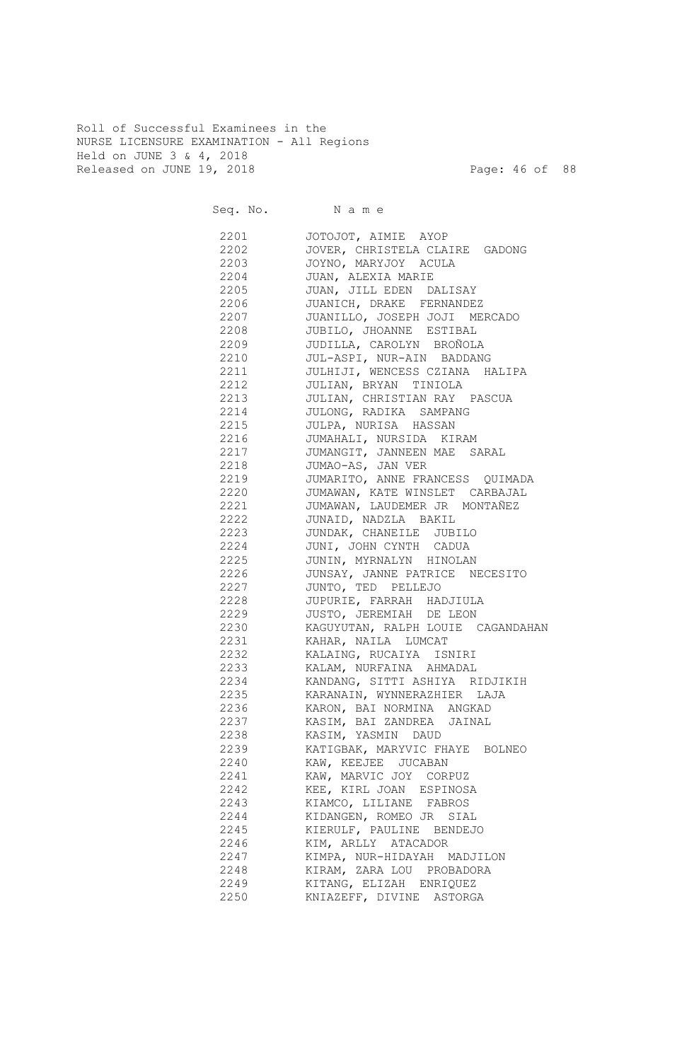Roll of Successful Examinees in the NURSE LICENSURE EXAMINATION - All Regions Held on JUNE 3 & 4, 2018 Released on JUNE 19, 2018 Page: 46 of 88

| Seq. No. Name |                                   |
|---------------|-----------------------------------|
| 2201          | JOTOJOT, AIMIE AYOP               |
| 2202          | JOVER, CHRISTELA CLAIRE GADONG    |
| 2203          | JOYNO, MARYJOY ACULA              |
| 2204          | JUAN, ALEXIA MARIE                |
| 2205          | JUAN, JILL EDEN DALISAY           |
| 2206          | JUANICH, DRAKE FERNANDEZ          |
| 2207          | JUANILLO, JOSEPH JOJI MERCADO     |
| 2208          | JUBILO, JHOANNE ESTIBAL           |
| 2209          | JUDILLA, CAROLYN BROÑOLA          |
| 2210          | JUL-ASPI, NUR-AIN BADDANG         |
| 2211          | JULHIJI, WENCESS CZIANA HALIPA    |
| 2212          | JULIAN, BRYAN TINIOLA             |
| 2213          | JULIAN, CHRISTIAN RAY PASCUA      |
| 2214          | JULONG, RADIKA SAMPANG            |
| 2215          | JULPA, NURISA HASSAN              |
| 2216          | JUMAHALI, NURSIDA KIRAM           |
| 2217          | JUMANGIT, JANNEEN MAE SARAL       |
| 2218          | JUMAO-AS, JAN VER                 |
| 2219          | JUMARITO, ANNE FRANCESS QUIMADA   |
| 2220          | JUMAWAN, KATE WINSLET CARBAJAL    |
| 2221          | JUMAWAN, LAUDEMER JR MONTAÑEZ     |
| 2222          | JUNAID, NADZLA BAKIL              |
| 2223          | JUNDAK, CHANEILE JUBILO           |
| 2224          | JUNI, JOHN CYNTH CADUA            |
| 2225          | JUNIN, MYRNALYN HINOLAN           |
| 2226          | JUNSAY, JANNE PATRICE NECESITO    |
| 2227          | JUNTO, TED PELLEJO                |
| 2228          | JUPURIE, FARRAH HADJIULA          |
| 2229          | JUSTO, JEREMIAH DE LEON           |
| 2230          | KAGUYUTAN, RALPH LOUIE CAGANDAHAN |
| 2231          | KAHAR, NAILA LUMCAT               |
| 2232          | KALAING, RUCAIYA ISNIRI           |
| 2233          | KALAM, NURFAINA AHMADAL           |
| 2234          | KANDANG, SITTI ASHIYA RIDJIKIH    |
| 2235          | KARANAIN, WYNNERAZHIER LAJA       |
| 2236          | KARON, BAI NORMINA ANGKAD         |
| 2237          | KASIM, BAI ZANDREA JAINAL         |
| 2238          | KASIM, YASMIN DAUD                |
| 2239          | KATIGBAK, MARYVIC FHAYE BOLNEO    |
| 2240          | KAW, KEEJEE JUCABAN               |
| 2241          | KAW, MARVIC JOY CORPUZ            |
| 2242          | KEE, KIRL JOAN ESPINOSA           |
| 2243          | KIAMCO, LILIANE FABROS            |
| 2244          | KIDANGEN, ROMEO JR SIAL           |
| 2245          | KIERULF, PAULINE BENDEJO          |
| 2246          | KIM, ARLLY ATACADOR               |
| 2247          | KIMPA, NUR-HIDAYAH MADJILON       |
| 2248          | KIRAM, ZARA LOU PROBADORA         |
| 2249          | KITANG, ELIZAH ENRIQUEZ           |
| 2250          | KNIAZEFF, DIVINE ASTORGA          |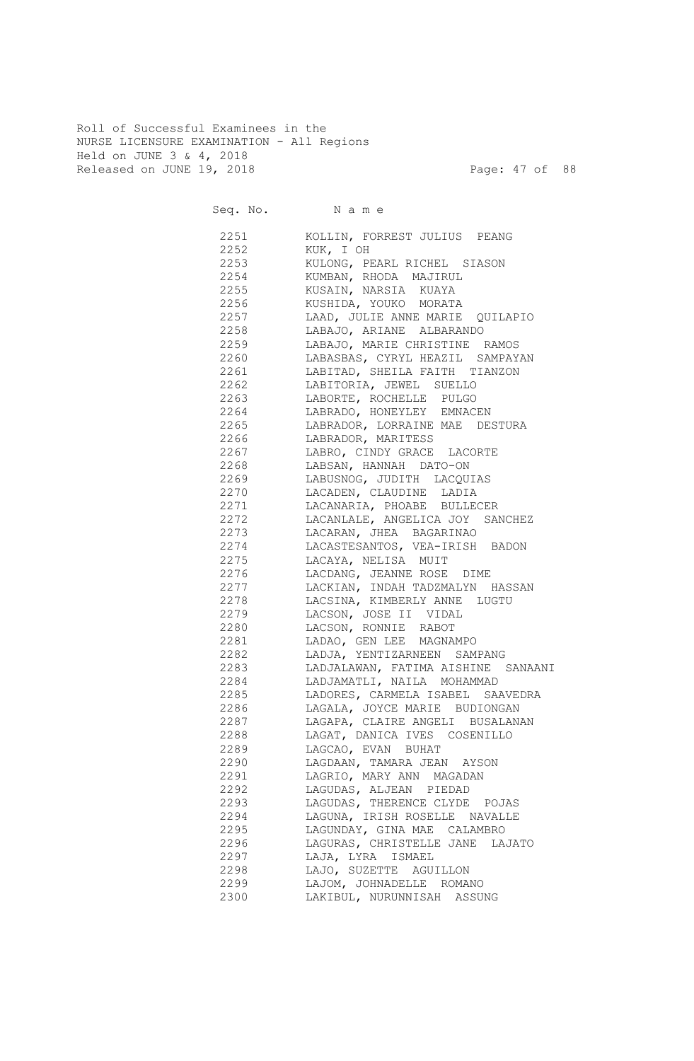Roll of Successful Examinees in the NURSE LICENSURE EXAMINATION - All Regions Held on JUNE 3 & 4, 2018 Released on JUNE 19, 2018 Page: 47 of 88

|      | Seq. No. Name                      |
|------|------------------------------------|
| 2251 | KOLLIN, FORREST JULIUS PEANG       |
| 2252 | KUK, I OH                          |
| 2253 | KULONG, PEARL RICHEL SIASON        |
| 2254 | KUMBAN, RHODA MAJIRUL              |
| 2255 | KUSAIN, NARSIA KUAYA               |
| 2256 | KUSHIDA, YOUKO MORATA              |
| 2257 | LAAD, JULIE ANNE MARIE QUILAPIO    |
| 2258 | LABAJO, ARIANE ALBARANDO           |
| 2259 | LABAJO, MARIE CHRISTINE RAMOS      |
| 2260 | LABASBAS, CYRYL HEAZIL SAMPAYAN    |
| 2261 | LABITAD, SHEILA FAITH TIANZON      |
| 2262 | LABITORIA, JEWEL SUELLO            |
| 2263 | LABORTE, ROCHELLE PULGO            |
| 2264 | LABRADO, HONEYLEY EMNACEN          |
| 2265 | LABRADOR, LORRAINE MAE DESTURA     |
| 2266 | LABRADOR, MARITESS                 |
| 2267 | LABRO, CINDY GRACE LACORTE         |
| 2268 | LABSAN, HANNAH DATO-ON             |
| 2269 | LABUSNOG, JUDITH LACQUIAS          |
| 2270 | LACADEN, CLAUDINE LADIA            |
| 2271 | LACANARIA, PHOABE BULLECER         |
| 2272 | LACANLALE, ANGELICA JOY SANCHEZ    |
| 2273 | LACARAN, JHEA BAGARINAO            |
| 2274 | LACASTESANTOS, VEA-IRISH BADON     |
| 2275 | LACAYA, NELISA MUIT                |
| 2276 | LACDANG, JEANNE ROSE DIME          |
| 2277 | LACKIAN, INDAH TADZMALYN HASSAN    |
| 2278 | LACSINA, KIMBERLY ANNE LUGTU       |
| 2279 | LACSON, JOSE II VIDAL              |
| 2280 | LACSON, RONNIE RABOT               |
| 2281 | LADAO, GEN LEE MAGNAMPO            |
| 2282 | LADJA, YENTIZARNEEN SAMPANG        |
| 2283 | LADJALAWAN, FATIMA AISHINE SANAANI |
| 2284 | LADJAMATLI, NAILA MOHAMMAD         |
| 2285 | LADORES, CARMELA ISABEL SAAVEDRA   |
| 2286 | LAGALA, JOYCE MARIE BUDIONGAN      |
| 2287 | LAGAPA, CLAIRE ANGELI BUSALANAN    |
| 2288 | LAGAT, DANICA IVES COSENILLO       |
| 2289 | LAGCAO, EVAN BUHAT                 |
| 2290 | LAGDAAN, TAMARA JEAN AYSON         |
| 2291 | LAGRIO, MARY ANN MAGADAN           |
| 2292 | LAGUDAS, ALJEAN PIEDAD             |
| 2293 | LAGUDAS, THERENCE CLYDE POJAS      |
| 2294 | LAGUNA, IRISH ROSELLE NAVALLE      |
| 2295 | LAGUNDAY, GINA MAE CALAMBRO        |
| 2296 | LAGURAS, CHRISTELLE JANE LAJATO    |
| 2297 | LAJA, LYRA ISMAEL                  |
| 2298 | LAJO, SUZETTE AGUILLON             |
| 2299 | LAJOM, JOHNADELLE ROMANO           |
| 2300 | LAKIBUL, NURUNNISAH ASSUNG         |
|      |                                    |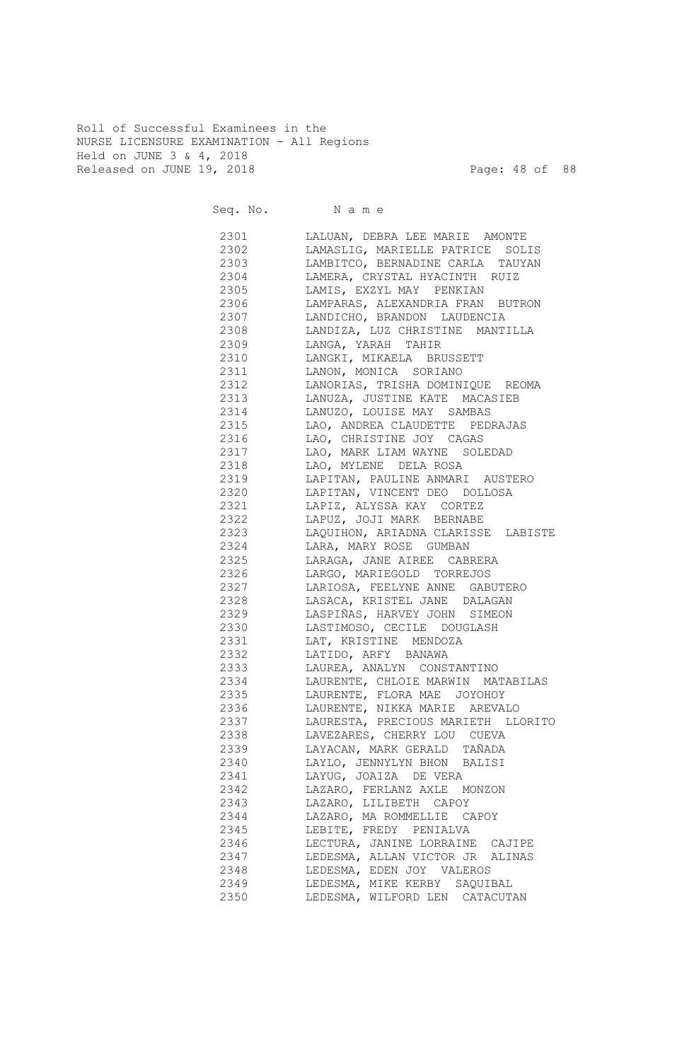Roll of Successful Examinees in the NURSE LICENSURE EXAMINATION - All Regions Held on JUNE 3 & 4, 2018 Released on JUNE 19, 2018 Page: 48 of 88

|              | Seq. No. Name                                                   |
|--------------|-----------------------------------------------------------------|
| 2301         | LALUAN, DEBRA LEE MARIE AMONTE                                  |
| 2302         | LAMASLIG, MARIELLE PATRICE SOLIS                                |
| 2303         | LAMBITCO, BERNADINE CARLA TAUYAN                                |
| 2304         | LAMERA, CRYSTAL HYACINTH RUIZ                                   |
| 2305         | LAMIS, EXZYL MAY PENKIAN                                        |
| 2306         | LAMPARAS, ALEXANDRIA FRAN BUTRON                                |
| 2307         | LANDICHO, BRANDON LAUDENCIA                                     |
| 2308         | LANDIZA, LUZ CHRISTINE<br>MANTILLA                              |
| 2309         | LANGA, YARAH TAHIR                                              |
| 2310         | LANGKI, MIKAELA BRUSSETT                                        |
| 2311         | LANON, MONICA SORIANO                                           |
| 2312         | LANORIAS, TRISHA DOMINIQUE REOMA                                |
| 2313         | LANUZA, JUSTINE KATE MACASIEB                                   |
| 2314         | LANUZO, LOUISE MAY SAMBAS                                       |
| 2315         | LAO, ANDREA CLAUDETTE PEDRAJAS                                  |
| 2316         | LAO, CHRISTINE JOY CAGAS                                        |
| 2317         | LAO, MARK LIAM WAYNE SOLEDAD                                    |
| 2318         | LAO, MYLENE DELA ROSA                                           |
| 2319         | LAPITAN, PAULINE ANMARI AUSTERO<br>LAPITAN, VINCENT DEO DOLLOSA |
| 2320<br>2321 | LAPIZ, ALYSSA KAY CORTEZ                                        |
| 2322         | LAPUZ, JOJI MARK BERNABE                                        |
| 2323         | LAQUIHON, ARIADNA CLARISSE LABISTE                              |
| 2324         | LARA, MARY ROSE GUMBAN                                          |
| 2325         | LARAGA, JANE AIREE CABRERA                                      |
| 2326         | LARGO, MARIEGOLD TORREJOS                                       |
| 2327         | LARIOSA, FEELYNE ANNE GABUTERO                                  |
| 2328         | LASACA, KRISTEL JANE DALAGAN                                    |
| 2329         | LASPIÑAS, HARVEY JOHN SIMEON                                    |
| 2330         | LASTIMOSO, CECILE DOUGLASH                                      |
| 2331         | LAT, KRISTINE MENDOZA                                           |
| 2332         | LATIDO, ARFY BANAWA                                             |
| 2333         | LAUREA, ANALYN CONSTANTINO                                      |
| 2334         | LAURENTE, CHLOIE MARWIN MATABILAS                               |
| 2335         | LAURENTE, FLORA MAE<br>JOYOHOY                                  |
| 2336         | LAURENTE, NIKKA MARIE AREVALO                                   |
| 2337         | LAURESTA, PRECIOUS MARIETH LLORITO                              |
| 2338         | LAVEZARES, CHERRY LOU CUEVA                                     |
| 2339         | LAYACAN, MARK GERALD TAÑADA                                     |
| 2340         | LAYLO, JENNYLYN BHON BALISI                                     |
| 2341         | LAYUG, JOAIZA DE VERA                                           |
| 2342         | LAZARO, FERLANZ AXLE MONZON                                     |
| 2343         | LAZARO, LILIBETH CAPOY                                          |
| 2344         | LAZARO, MA ROMMELLIE CAPOY                                      |
| 2345         | LEBITE, FREDY PENIALVA                                          |
| 2346         | LECTURA, JANINE LORRAINE CAJIPE                                 |
| 2347         | LEDESMA, ALLAN VICTOR JR ALINAS                                 |
| 2348         | LEDESMA, EDEN JOY VALEROS                                       |
| 2349         | LEDESMA, MIKE KERBY SAQUIBAL                                    |
| 2350         | LEDESMA, WILFORD LEN CATACUTAN                                  |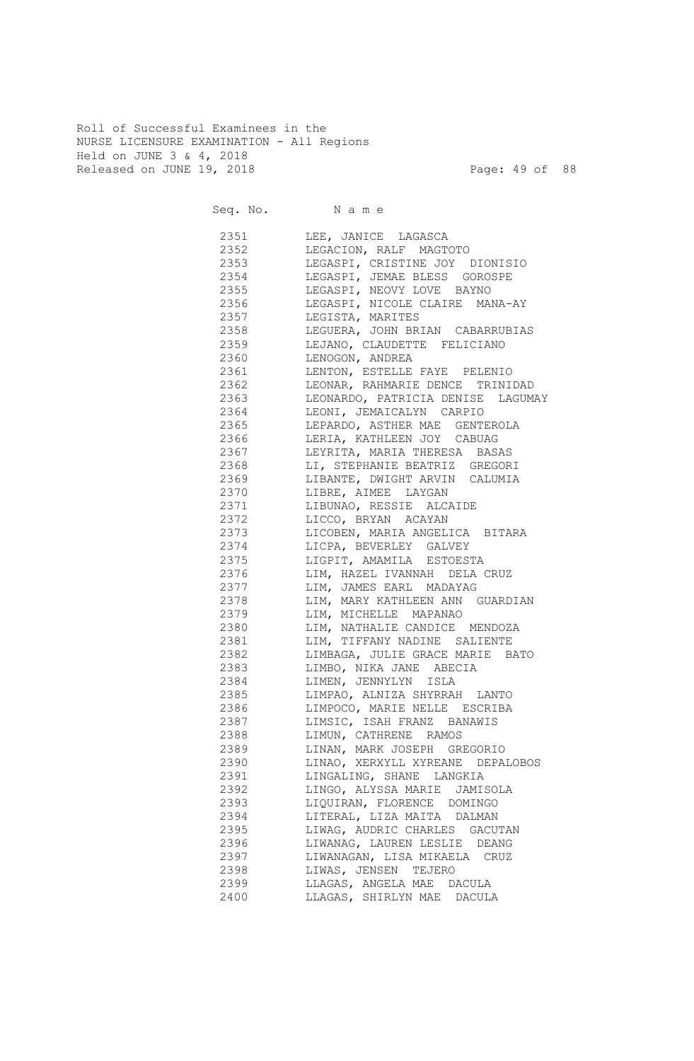Roll of Successful Examinees in the NURSE LICENSURE EXAMINATION - All Regions Held on JUNE 3 & 4, 2018 Released on JUNE 19, 2018 Page: 49 of 88

| Seq. No. Name |                                        |
|---------------|----------------------------------------|
|               | 2351 LEE, JANICE LAGASCA               |
| 2352          | LEGACION, RALF MAGTOTO                 |
| 2353          | LEGASPI, CRISTINE JOY DIONISIO         |
| 2354          | LEGASPI, JEMAE BLESS GOROSPE           |
| 2355          | LEGASPI, NEOVY LOVE BAYNO              |
| 2356          | LEGASPI, NICOLE CLAIRE MANA-AY         |
| 2357          | LEGISTA, MARITES                       |
| 2358          | LEGUERA, JOHN BRIAN CABARRUBIAS        |
| 2359          | LEJANO, CLAUDETTE FELICIANO            |
|               | 2360 LENOGON, ANDREA                   |
|               | 2361 LENTON, ESTELLE FAYE PELENIO      |
| 2362          | LEONAR, RAHMARIE DENCE TRINIDAD        |
|               | 2363 LEONARDO, PATRICIA DENISE LAGUMAY |
|               | 2364 LEONI, JEMAICALYN CARPIO          |
|               | 2365 LEPARDO, ASTHER MAE GENTEROLA     |
|               | 2366 LERIA, KATHLEEN JOY CABUAG        |
|               | 2367 LEYRITA, MARIA THERESA BASAS      |
|               | 2368 LI, STEPHANIE BEATRIZ GREGORI     |
|               | 2369 LIBANTE, DWIGHT ARVIN CALUMIA     |
|               | 2370 LIBRE, AIMEE LAYGAN               |
|               | 2371 LIBUNAO, RESSIE ALCAIDE           |
|               | 2372 LICCO, BRYAN ACAYAN               |
|               | 2373 LICOBEN, MARIA ANGELICA BITARA    |
|               | 2374 LICPA, BEVERLEY GALVEY            |
|               | 2375 LIGPIT, AMAMILA ESTOESTA          |
|               | 2376 LIM, HAZEL IVANNAH DELA CRUZ      |
|               | 2377 LIM, JAMES EARL MADAYAG           |
|               | 2378 LIM, MARY KATHLEEN ANN GUARDIAN   |
|               | 2379 LIM, MICHELLE MAPANAO             |
|               | 2380 LIM, NATHALIE CANDICE MENDOZA     |
|               | 2381 LIM, TIFFANY NADINE SALIENTE      |
|               | 2382 LIMBAGA, JULIE GRACE MARIE BATO   |
|               | 2383 LIMBO, NIKA JANE ABECIA           |
| 2384          | LIMEN, JENNYLYN ISLA                   |
| 2385          | LIMPAO, ALNIZA SHYRRAH LANTO           |
| 2386          | LIMPOCO, MARIE NELLE ESCRIBA           |
| 2387          | LIMSIC, ISAH FRANZ BANAWIS             |
| 2388          | LIMUN, CATHRENE RAMOS                  |
| 2389          | LINAN, MARK JOSEPH GREGORIO            |
| 2390          | LINAO, XERXYLL XYREANE DEPALOBOS       |
| 2391          | LINGALING, SHANE LANGKIA               |
| 2392          | LINGO, ALYSSA MARIE JAMISOLA           |
| 2393          | LIQUIRAN, FLORENCE DOMINGO             |
| 2394          | LITERAL, LIZA MAITA DALMAN             |
| 2395          | LIWAG, AUDRIC CHARLES GACUTAN          |
| 2396          | LIWANAG, LAUREN LESLIE DEANG           |
| 2397          | LIWANAGAN, LISA MIKAELA CRUZ           |
| 2398          | LIWAS, JENSEN TEJERO                   |
| 2399          | LLAGAS, ANGELA MAE DACULA              |
| 2400          | LLAGAS, SHIRLYN MAE DACULA             |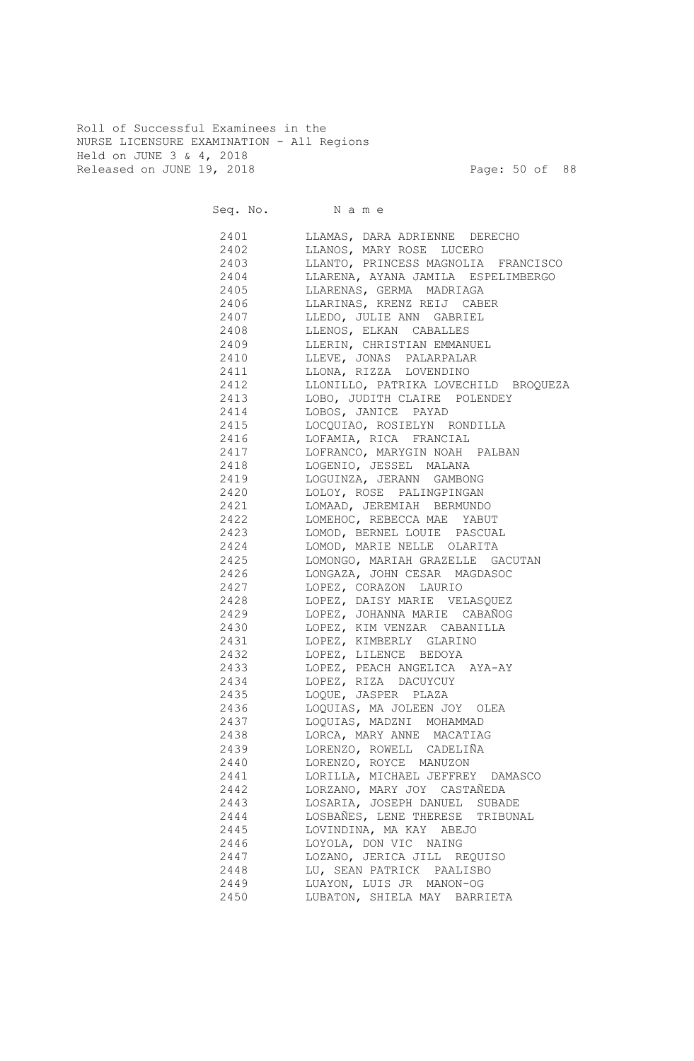Roll of Successful Examinees in the NURSE LICENSURE EXAMINATION - All Regions Held on JUNE 3 & 4, 2018 Released on JUNE 19, 2018 Page: 50 of 88

| Seq. No. Name |                                      |
|---------------|--------------------------------------|
| 2401          | LLAMAS, DARA ADRIENNE DERECHO        |
| 2402          | LLANOS, MARY ROSE LUCERO             |
| 2403          | LLANTO, PRINCESS MAGNOLIA FRANCISCO  |
| 2404          | LLARENA, AYANA JAMILA ESPELIMBERGO   |
| 2405          | LLARENAS, GERMA MADRIAGA             |
| 2406          | LLARINAS, KRENZ REIJ CABER           |
| 2407          | LLEDO, JULIE ANN GABRIEL             |
| 2408          | LLENOS, ELKAN CABALLES               |
| 2409          | LLERIN, CHRISTIAN EMMANUEL           |
| 2410          | LLEVE, JONAS PALARPALAR              |
| 2411          | LLONA, RIZZA LOVENDINO               |
| 2412          | LLONILLO, PATRIKA LOVECHILD BROQUEZA |
| 2413          | LOBO, JUDITH CLAIRE POLENDEY         |
| 2414          | LOBOS, JANICE PAYAD                  |
| 2415          | LOCQUIAO, ROSIELYN RONDILLA          |
| 2416          | LOFAMIA, RICA FRANCIAL               |
| 2417          | LOFRANCO, MARYGIN NOAH PALBAN        |
| 2418          | LOGENIO, JESSEL MALANA               |
| 2419          | LOGUINZA, JERANN GAMBONG             |
| 2420          | LOLOY, ROSE PALINGPINGAN             |
| 2421          | LOMAAD, JEREMIAH BERMUNDO            |
| 2422          | LOMEHOC, REBECCA MAE YABUT           |
| 2423          | LOMOD, BERNEL LOUIE PASCUAL          |
| 2424          | LOMOD, MARIE NELLE OLARITA           |
| 2425          | LOMONGO, MARIAH GRAZELLE GACUTAN     |
| 2426          | LONGAZA, JOHN CESAR MAGDASOC         |
| 2427          | LOPEZ, CORAZON LAURIO                |
| 2428          | LOPEZ, DAISY MARIE VELASQUEZ         |
| 2429          | LOPEZ, JOHANNA MARIE CABAÑOG         |
| 2430          | LOPEZ, KIM VENZAR CABANILLA          |
| 2431          | LOPEZ, KIMBERLY GLARINO              |
| 2432          | LOPEZ, LILENCE BEDOYA                |
| 2433          | LOPEZ, PEACH ANGELICA AYA-AY         |
| 2434          | LOPEZ, RIZA DACUYCUY                 |
| 2435          | LOQUE, JASPER PLAZA                  |
| 2436          | LOQUIAS, MA JOLEEN JOY OLEA          |
| 2437          | LOQUIAS, MADZNI MOHAMMAD             |
| 2438          | LORCA, MARY ANNE MACATIAG            |
| 2439          | LORENZO, ROWELL CADELIÑA             |
| 2440          | LORENZO, ROYCE MANUZON               |
| 2441          | LORILLA, MICHAEL JEFFREY DAMASCO     |
| 2442          | LORZANO, MARY JOY CASTAÑEDA          |
| 2443          | LOSARIA, JOSEPH DANUEL SUBADE        |
| 2444          | LOSBAÑES, LENE THERESE TRIBUNAL      |
| 2445          | LOVINDINA, MA KAY ABEJO              |
| 2446          | LOYOLA, DON VIC NAING                |
| 2447          | LOZANO, JERICA JILL REQUISO          |
| 2448          | LU, SEAN PATRICK PAALISBO            |
| 2449          | LUAYON, LUIS JR MANON-OG             |
| 2450          | LUBATON, SHIELA MAY BARRIETA         |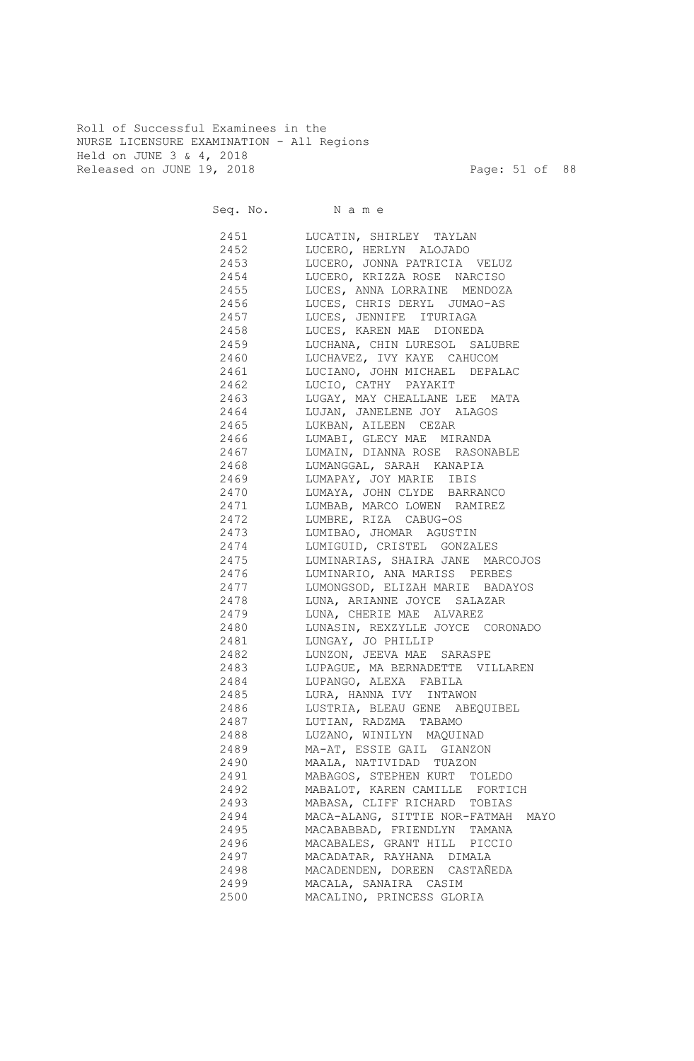Roll of Successful Examinees in the NURSE LICENSURE EXAMINATION - All Regions Held on JUNE 3 & 4, 2018 Released on JUNE 19, 2018 Page: 51 of 88

Seq. No. Name 2451 LUCATIN, SHIRLEY TAYLAN 2452 LUCERO, HERLYN ALOJADO 2453 LUCERO, JONNA PATRICIA VELUZ 2454 LUCERO, KRIZZA ROSE NARCISO 2455 LUCES, ANNA LORRAINE MENDOZA 2456 LUCES, CHRIS DERYL JUMAO-AS 2457 LUCES, JENNIFE ITURIAGA 2458 LUCES, KAREN MAE DIONEDA 2459 LUCHANA, CHIN LURESOL SALUBRE 2460 LUCHAVEZ, IVY KAYE CAHUCOM 2461 LUCIANO, JOHN MICHAEL DEPALAC 2462 LUCIO, CATHY PAYAKIT 2463 LUGAY, MAY CHEALLANE LEE MATA 2464 LUJAN, JANELENE JOY ALAGOS 2465 LUKBAN, AILEEN CEZAR 2466 LUMABI, GLECY MAE MIRANDA 2467 LUMAIN, DIANNA ROSE RASONABLE 2468 LUMANGGAL, SARAH KANAPIA 2469 LUMAPAY, JOY MARIE IBIS 2470 LUMAYA, JOHN CLYDE BARRANCO 2471 LUMBAB, MARCO LOWEN RAMIREZ 2472 LUMBRE, RIZA CABUG-OS 2473 LUMIBAO, JHOMAR AGUSTIN 2474 LUMIGUID, CRISTEL GONZALES 2475 LUMINARIAS, SHAIRA JANE MARCOJOS 2476 LUMINARIO, ANA MARISS PERBES 2477 LUMONGSOD, ELIZAH MARIE BADAYOS 2478 LUNA, ARIANNE JOYCE SALAZAR 2479 LUNA, CHERIE MAE ALVAREZ 2480 LUNASIN, REXZYLLE JOYCE CORONADO 2481 LUNGAY, JO PHILLIP 2482 LUNZON, JEEVA MAE SARASPE 2483 LUPAGUE, MA BERNADETTE VILLAREN 2484 LUPANGO, ALEXA FABILA 2485 LURA, HANNA IVY INTAWON 2486 LUSTRIA, BLEAU GENE ABEQUIBEL 2487 LUTIAN, RADZMA TABAMO 2488 LUZANO, WINILYN MAQUINAD 2489 MA-AT, ESSIE GAIL GIANZON 2490 MAALA, NATIVIDAD TUAZON 2491 MABAGOS, STEPHEN KURT TOLEDO 2492 MABALOT, KAREN CAMILLE FORTICH 2493 MABASA, CLIFF RICHARD TOBIAS 2494 MACA-ALANG, SITTIE NOR-FATMAH MAYO 2495 MACABABBAD, FRIENDLYN TAMANA 2496 MACABALES, GRANT HILL PICCIO 2497 MACADATAR, RAYHANA DIMALA 2498 MACADENDEN, DOREEN CASTAÑEDA 2499 MACALA, SANAIRA CASIM 2500 MACALINO, PRINCESS GLORIA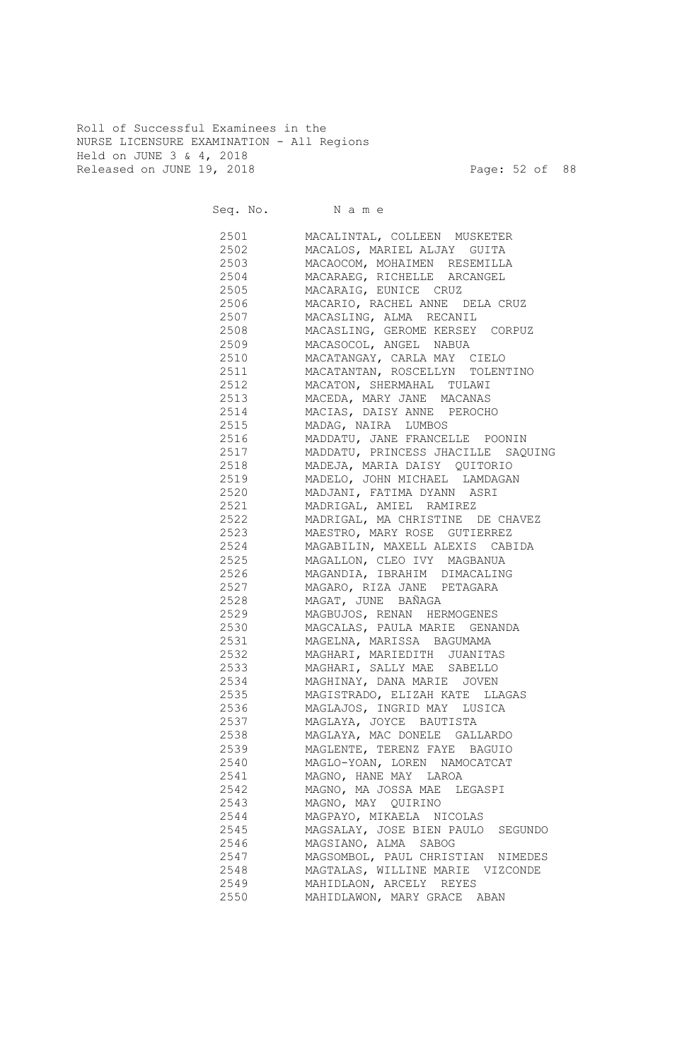Roll of Successful Examinees in the NURSE LICENSURE EXAMINATION - All Regions Held on JUNE 3 & 4, 2018 Released on JUNE 19, 2018 Page: 52 of 88

Seq. No. Name 2501 MACALINTAL, COLLEEN MUSKETER 2502 MACALOS, MARIEL ALJAY GUITA 2503 MACAOCOM, MOHAIMEN RESEMILLA 2504 MACARAEG, RICHELLE ARCANGEL 2505 MACARAIG, EUNICE CRUZ 2506 MACARIO, RACHEL ANNE DELA CRUZ 2507 MACASLING, ALMA RECANIL 2508 MACASLING, GEROME KERSEY CORPUZ 2509 MACASOCOL, ANGEL NABUA 2510 MACATANGAY, CARLA MAY CIELO 2511 MACATANTAN, ROSCELLYN TOLENTINO 2512 MACATON, SHERMAHAL TULAWI 2513 MACEDA, MARY JANE MACANAS 2514 MACIAS, DAISY ANNE PEROCHO 2515 MADAG, NAIRA LUMBOS 2516 MADDATU, JANE FRANCELLE POONIN 2517 MADDATU, PRINCESS JHACILLE SAQUING 2518 MADEJA, MARIA DAISY QUITORIO 2519 MADELO, JOHN MICHAEL LAMDAGAN 2520 MADJANI, FATIMA DYANN ASRI 2521 MADRIGAL, AMIEL RAMIREZ 2522 MADRIGAL, MA CHRISTINE DE CHAVEZ 2523 MAESTRO, MARY ROSE GUTIERREZ 2524 MAGABILIN, MAXELL ALEXIS CABIDA 2525 MAGALLON, CLEO IVY MAGBANUA 2526 MAGANDIA, IBRAHIM DIMACALING 2527 MAGARO, RIZA JANE PETAGARA 2528 MAGAT, JUNE BAÑAGA 2529 MAGBUJOS, RENAN HERMOGENES 2530 MAGCALAS, PAULA MARIE GENANDA 2531 MAGELNA, MARISSA BAGUMAMA 2532 MAGHARI, MARIEDITH JUANITAS 2533 MAGHARI, SALLY MAE SABELLO 2534 MAGHINAY, DANA MARIE JOVEN 2535 MAGISTRADO, ELIZAH KATE LLAGAS 2536 MAGLAJOS, INGRID MAY LUSICA 2537 MAGLAYA, JOYCE BAUTISTA 2538 MAGLAYA, MAC DONELE GALLARDO 2539 MAGLENTE, TERENZ FAYE BAGUIO 2540 MAGLO-YOAN, LOREN NAMOCATCAT 2541 MAGNO, HANE MAY LAROA 2542 MAGNO, MA JOSSA MAE LEGASPI 2543 MAGNO, MAY QUIRINO 2544 MAGPAYO, MIKAELA NICOLAS 2545 MAGSALAY, JOSE BIEN PAULO SEGUNDO 2546 MAGSIANO, ALMA SABOG 2547 MAGSOMBOL, PAUL CHRISTIAN NIMEDES 2548 MAGTALAS, WILLINE MARIE VIZCONDE 2549 MAHIDLAON, ARCELY REYES 2550 MAHIDLAWON, MARY GRACE ABAN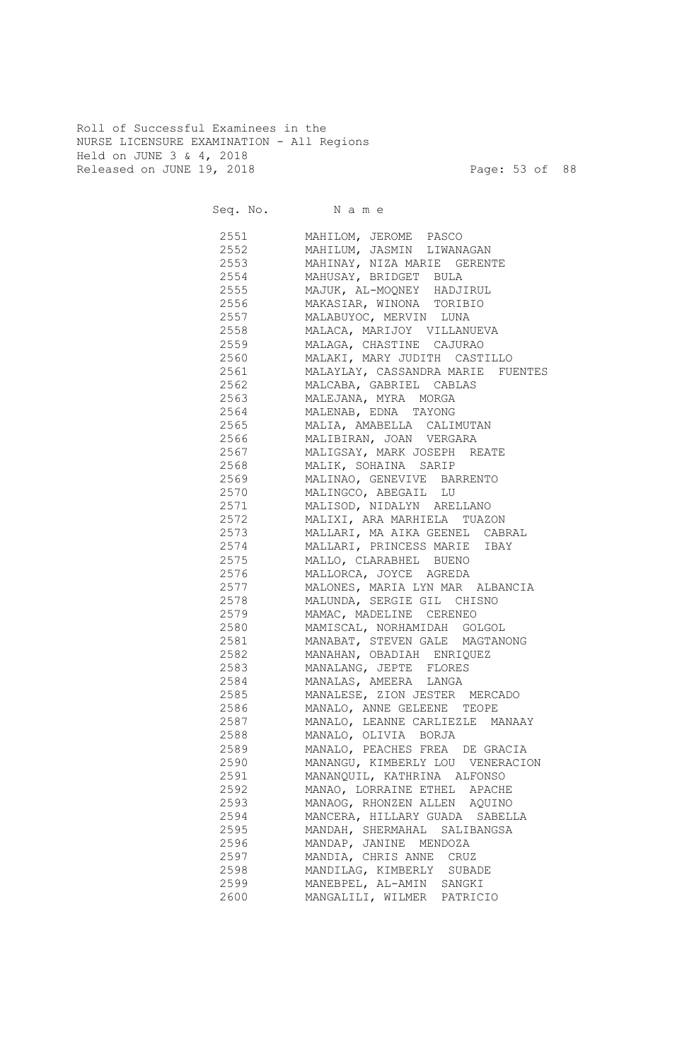Roll of Successful Examinees in the NURSE LICENSURE EXAMINATION - All Regions Held on JUNE 3 & 4, 2018 Released on JUNE 19, 2018 Page: 53 of 88

|              | Seq. No. Name                                                |
|--------------|--------------------------------------------------------------|
|              | 2551 MAHILOM, JEROME PASCO                                   |
|              | 2552 MAHILUM, JASMIN LIWANAGAN                               |
|              | 2553 MAHINAY, NIZA MARIE GERENTE                             |
| 2554         | MAHUSAY, BRIDGET BULA                                        |
|              | 2555 MAJUK, AL-MOQNEY HADJIRUL                               |
|              | 2556 MAKASIAR, WINONA TORIBIO                                |
| 2557         | MALABUYOC, MERVIN LUNA                                       |
| 2558         | MALACA, MARIJOY VILLANUEVA                                   |
| 2559         | MALAGA, CHASTINE CAJURAO                                     |
| 2560         | MALAKI, MARY JUDITH CASTILLO                                 |
| 2561         | MALAYLAY, CASSANDRA MARIE FUENTES                            |
| 2562         | MALCABA, GABRIEL CABLAS                                      |
| 2563         | MALEJANA, MYRA MORGA                                         |
| 2564         | MALENAB, EDNA TAYONG                                         |
| 2565         | MALIA, AMABELLA CALIMUTAN                                    |
| 2566         | MALIBIRAN, JOAN VERGARA                                      |
| 2567         | MALIGSAY, MARK JOSEPH REATE                                  |
| 2568         |                                                              |
| 2569         | MALIK, SOHAINA SARIP<br>MALINAO, GENEVIVE BARRENTO           |
| 2570         | MALINGCO, ABEGAIL LU                                         |
| 2571         | MALISOD, NIDALYN ARELLANO                                    |
| 2572         | MALIXI, ARA MARHIELA TUAZON                                  |
| 2573         | MALLARI, MA AIKA GEENEL CABRAL                               |
| 2574         | MALLARI, PRINCESS MARIE IBAY                                 |
| 2575         | MALLO, CLARABHEL BUENO                                       |
| 2576         | MALLORCA, JOYCE AGREDA                                       |
| 2577         | MALONES, MARIA LYN MAR ALBANCIA                              |
| 2578         | MALUNDA, SERGIE GIL CHISNO                                   |
| 2579         | MAMAC, MADELINE CERENEO                                      |
|              | 2580 MAMISCAL, NORHAMIDAH GOLGOL                             |
| 2581         | MANABAT, STEVEN GALE MAGTANONG                               |
|              | 2582 MANAHAN, OBADIAH ENRIQUEZ                               |
|              | 2583 MANALANG, JEPTE FLORES                                  |
|              | 2584 MANALAS, AMEERA LANGA                                   |
|              | 2585 MANALESE, ZION JESTER MERCADO                           |
| 2586         | MANALO, ANNE GELEENE TEOPE                                   |
| 2587         | MANALO, LEANNE CARLIEZLE MANAAY                              |
| 2588         | MANALO, OLIVIA BORJA                                         |
| 2589         | MANALO, PEACHES FREA DE GRACIA                               |
| 2590         | MANANGU, KIMBERLY LOU VENERACION                             |
| 2591         | MANANQUIL, KATHRINA ALFONSO                                  |
| 2592         |                                                              |
| 2593         | MANAO, LORRAINE ETHEL APACHE<br>MANAOG, RHONZEN ALLEN AQUINO |
| 2594         |                                                              |
|              | MANCERA, HILLARY GUADA SABELLA                               |
| 2595         | MANDAH, SHERMAHAL SALIBANGSA                                 |
| 2596<br>2597 | MANDAP, JANINE MENDOZA<br>MANDIA, CHRIS ANNE CRUZ            |
| 2598         |                                                              |
|              | MANDILAG, KIMBERLY SUBADE                                    |
| 2599         | MANEBPEL, AL-AMIN SANGKI                                     |
| 2600         | MANGALILI, WILMER PATRICIO                                   |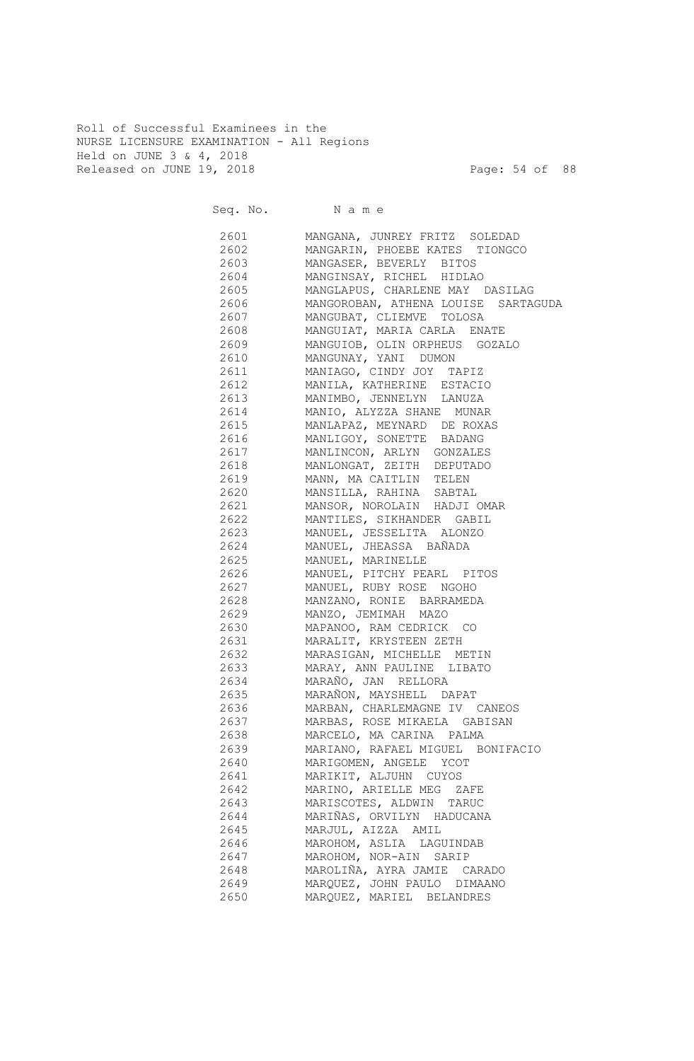Roll of Successful Examinees in the NURSE LICENSURE EXAMINATION - All Regions Held on JUNE 3 & 4, 2018 Released on JUNE 19, 2018 Page: 54 of 88

|          | Seq. No. Name                          |
|----------|----------------------------------------|
| 2601     | MANGANA, JUNREY FRITZ SOLEDAD          |
| 2602     | MANGARIN, PHOEBE KATES TIONGCO         |
| 2603 260 | MANGASER, BEVERLY BITOS                |
| 2604     | MANGINSAY, RICHEL HIDLAO               |
| 2605     | MANGLAPUS, CHARLENE MAY DASILAG        |
| 2606     | MANGOROBAN, ATHENA LOUISE<br>SARTAGUDA |
| 2607     | MANGUBAT, CLIEMVE TOLOSA               |
| 2608     | MANGUIAT, MARIA CARLA ENATE            |
| 2609     | MANGUIOB, OLIN ORPHEUS GOZALO          |
| 2610     | MANGUNAY, YANI DUMON                   |
| 2611     | MANIAGO, CINDY JOY TAPIZ               |
| 2612     | MANILA, KATHERINE ESTACIO              |
| 2613     | MANIMBO, JENNELYN LANUZA               |
| 2614     | MANIO, ALYZZA SHANE MUNAR              |
| 2615     | MANLAPAZ, MEYNARD DE ROXAS             |
| 2616     | MANLIGOY, SONETTE BADANG               |
| 2617     | MANLINCON, ARLYN GONZALES              |
| 2618     | MANLONGAT, ZEITH DEPUTADO              |
| 2619     | MANN, MA CAITLIN TELEN                 |
| 2620     | MANSILLA, RAHINA SABTAL                |
| 2621     | MANSOR, NOROLAIN HADJI OMAR            |
| 2622     | MANTILES, SIKHANDER GABIL              |
| 2623     | MANUEL, JESSELITA ALONZO               |
| 2624     | MANUEL, JHEASSA BAÑADA                 |
| 2625     | MANUEL, MARINELLE                      |
| 2626     | MANUEL, PITCHY PEARL PITOS             |
| 2627     | MANUEL, RUBY ROSE NGOHO                |
| 2628     | MANZANO, RONIE BARRAMEDA               |
| 2629     | MANZO, JEMIMAH MAZO                    |
| 2630     | MAPANOO, RAM CEDRICK CO                |
| 2631     | MARALIT, KRYSTEEN ZETH                 |
| 2632     | MARASIGAN, MICHELLE METIN              |
| 2633     | MARAY, ANN PAULINE LIBATO              |
| 2634     | MARAÑO, JAN RELLORA                    |
| 2635     | MARAÑON, MAYSHELL DAPAT                |
| 2636     | MARBAN, CHARLEMAGNE IV CANEOS          |
| 2637     | MARBAS, ROSE MIKAELA GABISAN           |
| 2638     | MARCELO, MA CARINA PALMA               |
| 2639     | MARIANO, RAFAEL MIGUEL BONIFACIO       |
| 2640     | MARIGOMEN, ANGELE YCOT                 |
| 2641     | MARIKIT, ALJUHN CUYOS                  |
| 2642     | MARINO, ARIELLE MEG ZAFE               |
| 2643     | MARISCOTES, ALDWIN TARUC               |
| 2644     | MARIÑAS, ORVILYN HADUCANA              |
| 2645     | MARJUL, AIZZA AMIL                     |
| 2646     | MAROHOM, ASLIA LAGUINDAB               |
| 2647     | MAROHOM, NOR-AIN SARIP                 |
| 2648     | MAROLIÑA, AYRA JAMIE CARADO            |
| 2649     | MARQUEZ, JOHN PAULO DIMAANO            |
| 2650     | MARQUEZ, MARIEL BELANDRES              |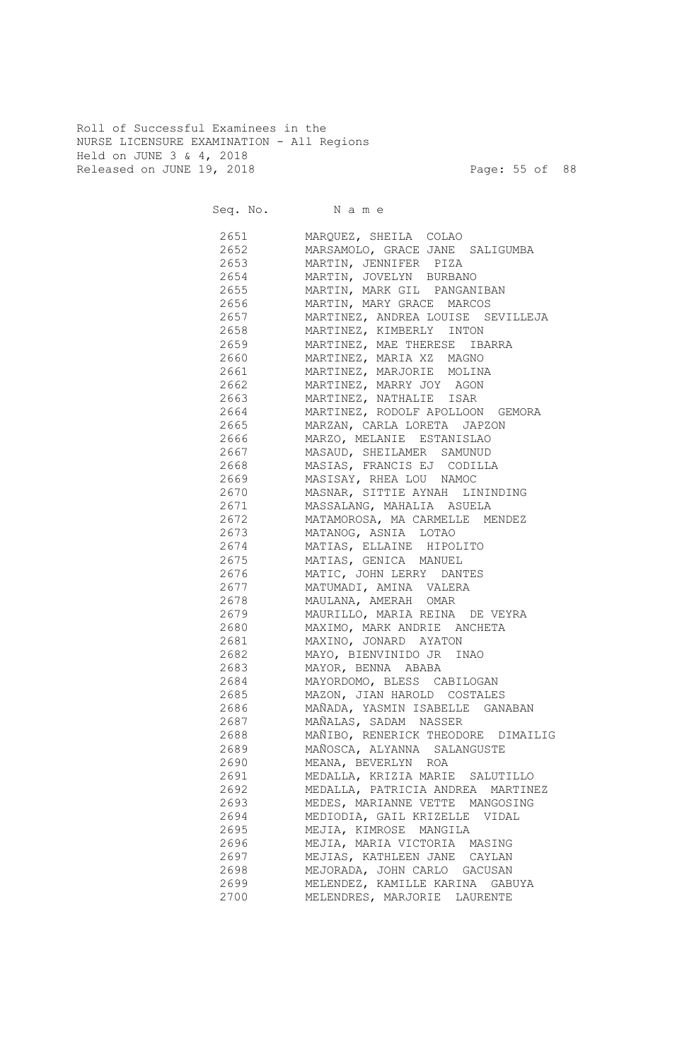Roll of Successful Examinees in the NURSE LICENSURE EXAMINATION - All Regions Held on JUNE 3 & 4, 2018 Released on JUNE 19, 2018 Page: 55 of 88

|              | Seq. No. Name                                                     |
|--------------|-------------------------------------------------------------------|
| 2651 200     | MARQUEZ, SHEILA COLAO                                             |
| 2652         | MARSAMOLO, GRACE JANE SALIGUMBA                                   |
| 2653         | MARTIN, JENNIFER PIZA                                             |
| 2654         | MARTIN, JOVELYN BURBANO                                           |
| 2655         | MARTIN, MARK GIL PANGANIBAN                                       |
| 2656         | MARTIN, MARY GRACE MARCOS                                         |
| 2657         | MARTINEZ, ANDREA LOUISE SEVILLEJA                                 |
| 2658         | MARTINEZ, KIMBERLY INTON                                          |
| 2659         | MARTINEZ, MAE THERESE IBARRA                                      |
| 2660         | MARTINEZ, MARIA XZ MAGNO                                          |
| 2661         | MARTINEZ, MARJORIE MOLINA                                         |
| 2662         | MARTINEZ, MARRY JOY AGON                                          |
| 2663         | MARTINEZ, NATHALIE ISAR<br>MARTINEZ, RODOLF APOLLOON GEMORA       |
| 2664<br>2665 | MARZAN, CARLA LORETA JAPZON                                       |
| 2666         | MARZO, MELANIE ESTANISLAO                                         |
| 2667         | MASAUD, SHEILAMER SAMUNUD                                         |
| 2668         | MASIAS, FRANCIS EJ CODILLA                                        |
| 2669         | MASISAY, RHEA LOU NAMOC                                           |
| 2670         | MASNAR, SITTIE AYNAH LININDING                                    |
| 2671         | MASSALANG, MAHALIA ASUELA                                         |
| 2672         | MATAMOROSA, MA CARMELLE MENDEZ                                    |
| 2673         | MATANOG, ASNIA LOTAO                                              |
| 2674         | MATIAS, ELLAINE HIPOLITO                                          |
| 2675         | MATIAS, GENICA MANUEL                                             |
| 2676         | MATIC, JOHN LERRY DANTES                                          |
| 2677         | MATUMADI, AMINA VALERA                                            |
| 2678         | MAULANA, AMERAH OMAR                                              |
| 2679         | MAURILLO, MARIA REINA DE VEYRA                                    |
| 2680         | MAXIMO, MARK ANDRIE ANCHETA                                       |
| 2681         | MAXINO, JONARD AYATON                                             |
| 2682         | MAYO, BIENVINIDO JR INAO                                          |
| 2683         | MAYOR, BENNA ABABA                                                |
| 2684         | MAYORDOMO, BLESS CABILOGAN                                        |
| 2685         | MAZON, JIAN HAROLD COSTALES                                       |
| 2686         | MAÑADA, YASMIN ISABELLE GANABAN                                   |
| 2687         | MAÑALAS, SADAM NASSER                                             |
| 2688         | MAÑIBO, RENERICK THEODORE DIMAILIG<br>MAÑOSCA, ALYANNA SALANGUSTE |
| 2689<br>2690 | MEANA, BEVERLYN ROA                                               |
| 2691         | MEDALLA, KRIZIA MARIE SALUTILLO                                   |
| 2692         | MEDALLA, PATRICIA ANDREA MARTINEZ                                 |
| 2693         | MEDES, MARIANNE VETTE MANGOSING                                   |
| 2694         | MEDIODIA, GAIL KRIZELLE VIDAL                                     |
| 2695         | MEJIA, KIMROSE MANGILA                                            |
| 2696         | MEJIA, MARIA VICTORIA MASING                                      |
| 2697         | MEJIAS, KATHLEEN JANE CAYLAN                                      |
| 2698         | MEJORADA, JOHN CARLO GACUSAN                                      |
| 2699         | MELENDEZ, KAMILLE KARINA GABUYA                                   |
| 2700         | MELENDRES, MARJORIE LAURENTE                                      |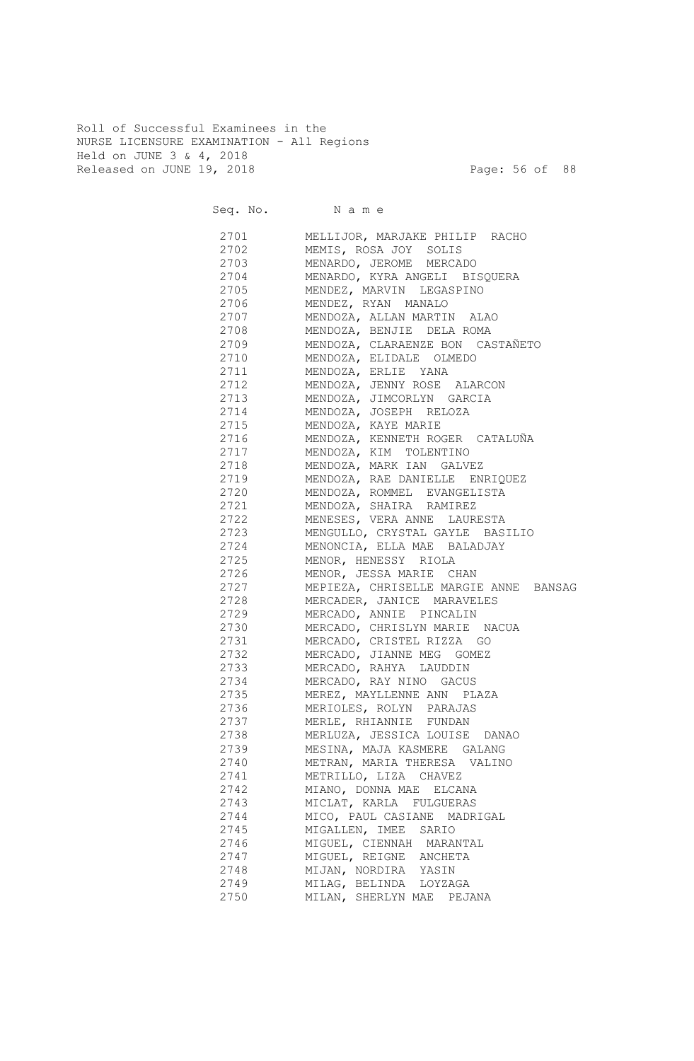Roll of Successful Examinees in the NURSE LICENSURE EXAMINATION - All Regions Held on JUNE 3 & 4, 2018 Released on JUNE 19, 2018 Page: 56 of 88

|      | Seq. No. Name                                                                   |
|------|---------------------------------------------------------------------------------|
|      | 2701 MELLIJOR, MARJAKE PHILIP RACHO                                             |
|      | 2702 MEMIS, ROSA JOY SOLIS                                                      |
|      | 2703 MENARDO, JEROME MERCADO                                                    |
|      | 2704 MENARDO, KYRA ANGELI BISQUERA                                              |
|      | 2705 MENDEZ, MARVIN LEGASPINO                                                   |
|      | 2706 MENDEZ, RYAN MANALO                                                        |
| 2707 | MENDOZA, ALLAN MARTIN ALAO                                                      |
|      | 2708 MENDOZA, BENJIE DELA ROMA                                                  |
|      | 2709 MENDOZA, CLARAENZE BON CASTAÑETO                                           |
|      | 2710 MENDOZA, ELIDALE OLMEDO                                                    |
|      | 2711 MENDOZA, ERLIE YANA                                                        |
|      | 2712 MENDOZA, JENNY ROSE ALARCON                                                |
|      | 2713 MENDOZA, JIMCORLYN GARCIA                                                  |
| 2714 | MENDOZA, JOSEPH RELOZA                                                          |
| 2715 | MENDOZA, KAYE MARIE                                                             |
| 2716 | MENDOZA, KENNETH ROGER CATALUÑA                                                 |
| 2717 | MENDOZA, KIM TOLENTINO                                                          |
| 2718 | MENDOZA, MARK IAN GALVEZ                                                        |
| 2719 | MENDOZA, RAE DANIELLE ENRIQUEZ                                                  |
| 2720 | MENDOZA, ROMMEL EVANGELISTA                                                     |
| 2721 | MENDOZA, SHAIRA RAMIREZ                                                         |
| 2722 | MENESES, VERA ANNE LAURESTA<br>MENGULLO, CRYSTAL GAYLE BASILIO<br>MENGNATI TILL |
| 2723 |                                                                                 |
| 2724 | MENONCIA, ELLA MAE BALADJAY                                                     |
| 2725 | MENOR, HENESSY RIOLA                                                            |
| 2726 |                                                                                 |
| 2727 | MENOR, JESSA MARIE CHAN<br>MEPIEZA, CHRISELLE MARGIE ANNE BANSAG                |
| 2728 | MERCADER, JANICE MARAVELES                                                      |
| 2729 | MERCADO, ANNIE PINCALIN                                                         |
| 2730 | MERCADO, CHRISLYN MARIE NACUA                                                   |
| 2731 | MERCADO, CRISTEL RIZZA GO                                                       |
| 2732 | MERCADO, JIANNE MEG GOMEZ                                                       |
| 2733 | MERCADO, RAHYA LAUDDIN                                                          |
| 2734 | MERCADO, RAY NINO GACUS                                                         |
| 2735 | MEREZ, MAYLLENNE ANN PLAZA                                                      |
| 2736 | MERIOLES, ROLYN PARAJAS                                                         |
| 2737 | MERLE, RHIANNIE FUNDAN                                                          |
| 2738 | MERLUZA, JESSICA LOUISE DANAO                                                   |
| 2739 | MESINA, MAJA KASMERE GALANG                                                     |
| 2740 | METRAN, MARIA THERESA VALINO                                                    |
| 2741 | METRILLO, LIZA CHAVEZ                                                           |
| 2742 | MIANO, DONNA MAE ELCANA                                                         |
| 2743 | MICLAT, KARLA FULGUERAS                                                         |
| 2744 | MICO, PAUL CASIANE MADRIGAL                                                     |
| 2745 | MIGALLEN, IMEE SARIO                                                            |
| 2746 | MIGUEL, CIENNAH MARANTAL                                                        |
| 2747 | MIGUEL, REIGNE ANCHETA                                                          |
| 2748 | MIJAN, NORDIRA YASIN                                                            |
| 2749 | MILAG, BELINDA LOYZAGA                                                          |
| 2750 | MILAN, SHERLYN MAE PEJANA                                                       |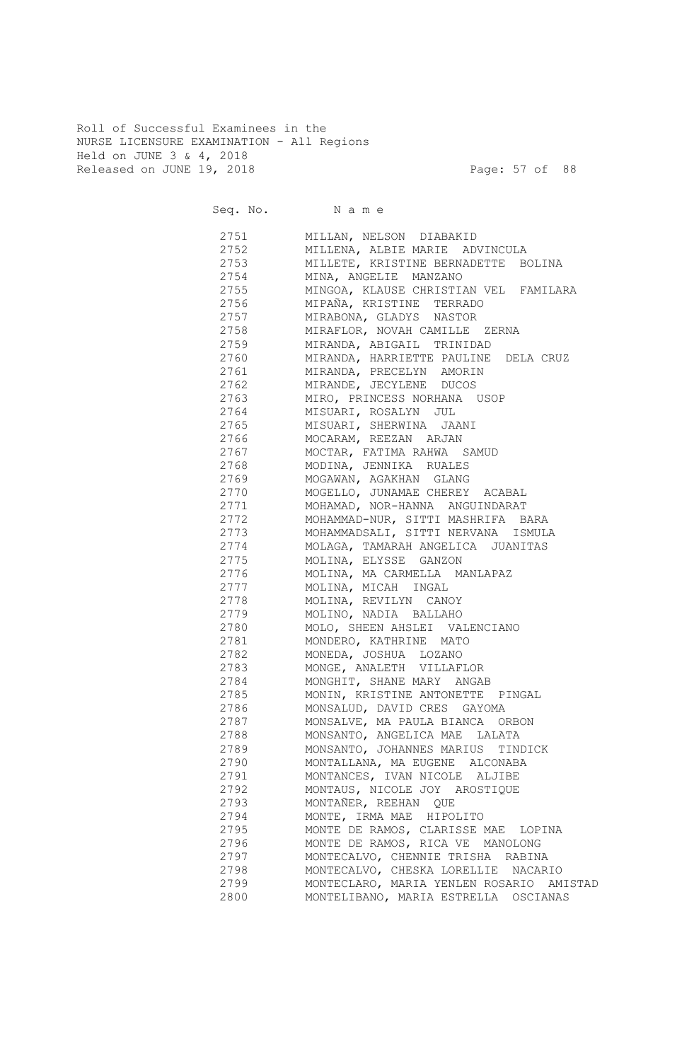Roll of Successful Examinees in the NURSE LICENSURE EXAMINATION - All Regions Held on JUNE 3 & 4, 2018 Released on JUNE 19, 2018 Page: 57 of 88

| 2751<br>MILLAN, NELSON DIABAKID<br>2752<br>MILLENA, ALBIE MARIE ADVINCULA<br>2753<br>MILLETE, KRISTINE BERNADETTE BOLINA<br>2754<br>MINA, ANGELIE MANZANO<br>2755<br>MINGOA, KLAUSE CHRISTIAN VEL FAMILARA<br>2756<br>MIPAÑA, KRISTINE TERRADO<br>2757<br>MIRABONA, GLADYS NASTOR<br>2758<br>MIRAFLOR, NOVAH CAMILLE ZERNA<br>2759<br>MIRANDA, ABIGAIL TRINIDAD<br>2760<br>MIRANDA, HARRIETTE PAULINE DELA CRUZ<br>2761<br>MIRANDA, PRECELYN AMORIN<br>2762<br>MIRANDE, JECYLENE DUCOS<br>2763<br>MIRO, PRINCESS NORHANA USOP<br>2764<br>MISUARI, ROSALYN JUL<br>2765<br>MISUARI, SHERWINA<br>JAANI<br>2766<br>MOCARAM, REEZAN ARJAN<br>2767<br>MOCTAR, FATIMA RAHWA SAMUD<br>2768<br>MODINA, JENNIKA RUALES<br>2769<br>MOGAWAN, AGAKHAN GLANG<br>2770<br>MOGELLO, JUNAMAE CHEREY ACABAL<br>2771<br>MOHAMAD, NOR-HANNA ANGUINDARAT<br>2772<br>MOHAMMAD-NUR, SITTI MASHRIFA BARA<br>2773<br>MOHAMMADSALI, SITTI NERVANA ISMULA<br>2774<br>MOLAGA, TAMARAH ANGELICA JUANITAS<br>2775<br>MOLINA, ELYSSE GANZON<br>2776<br>MOLINA, MA CARMELLA MANLAPAZ<br>2777<br>MOLINA, MICAH INGAL<br>2778<br>MOLINA, REVILYN CANOY<br>2779<br>MOLINO, NADIA BALLAHO<br>2780<br>MOLO, SHEEN AHSLEI VALENCIANO<br>2781<br>MONDERO, KATHRINE MATO<br>2782<br>MONEDA, JOSHUA LOZANO<br>2783<br>MONGE, ANALETH VILLAFLOR<br>2784<br>MONGHIT, SHANE MARY ANGAB<br>2785<br>MONIN, KRISTINE ANTONETTE PINGAL<br>2786<br>MONSALUD, DAVID CRES GAYOMA<br>2787<br>MONSALVE, MA PAULA BIANCA ORBON<br>2788<br>MONSANTO, ANGELICA MAE LALATA<br>MONSANTO, JOHANNES MARIUS TINDICK<br>2789<br>2790<br>MONTALLANA, MA EUGENE ALCONABA<br>MONTANCES, IVAN NICOLE ALJIBE<br>2791<br>MONTAUS, NICOLE JOY AROSTIQUE<br>2792<br>MONTAÑER, REEHAN QUE<br>2793<br>MONTE, IRMA MAE HIPOLITO<br>2794<br>MONTE DE RAMOS, CLARISSE MAE LOPINA<br>2795<br>MONTE DE RAMOS, RICA VE MANOLONG<br>2796<br>MONTECALVO, CHENNIE TRISHA RABINA<br>2797<br>MONTECALVO, CHESKA LORELLIE NACARIO<br>2798<br>2799<br>2800<br>MONTELIBANO, MARIA ESTRELLA OSCIANAS | Seq. No. Name                            |
|--------------------------------------------------------------------------------------------------------------------------------------------------------------------------------------------------------------------------------------------------------------------------------------------------------------------------------------------------------------------------------------------------------------------------------------------------------------------------------------------------------------------------------------------------------------------------------------------------------------------------------------------------------------------------------------------------------------------------------------------------------------------------------------------------------------------------------------------------------------------------------------------------------------------------------------------------------------------------------------------------------------------------------------------------------------------------------------------------------------------------------------------------------------------------------------------------------------------------------------------------------------------------------------------------------------------------------------------------------------------------------------------------------------------------------------------------------------------------------------------------------------------------------------------------------------------------------------------------------------------------------------------------------------------------------------------------------------------------------------------------------------------------------------------------------------------------------------------------------------------------------------------------------------------------------------------------------------------------------------------------------------|------------------------------------------|
|                                                                                                                                                                                                                                                                                                                                                                                                                                                                                                                                                                                                                                                                                                                                                                                                                                                                                                                                                                                                                                                                                                                                                                                                                                                                                                                                                                                                                                                                                                                                                                                                                                                                                                                                                                                                                                                                                                                                                                                                              |                                          |
|                                                                                                                                                                                                                                                                                                                                                                                                                                                                                                                                                                                                                                                                                                                                                                                                                                                                                                                                                                                                                                                                                                                                                                                                                                                                                                                                                                                                                                                                                                                                                                                                                                                                                                                                                                                                                                                                                                                                                                                                              |                                          |
|                                                                                                                                                                                                                                                                                                                                                                                                                                                                                                                                                                                                                                                                                                                                                                                                                                                                                                                                                                                                                                                                                                                                                                                                                                                                                                                                                                                                                                                                                                                                                                                                                                                                                                                                                                                                                                                                                                                                                                                                              |                                          |
|                                                                                                                                                                                                                                                                                                                                                                                                                                                                                                                                                                                                                                                                                                                                                                                                                                                                                                                                                                                                                                                                                                                                                                                                                                                                                                                                                                                                                                                                                                                                                                                                                                                                                                                                                                                                                                                                                                                                                                                                              |                                          |
|                                                                                                                                                                                                                                                                                                                                                                                                                                                                                                                                                                                                                                                                                                                                                                                                                                                                                                                                                                                                                                                                                                                                                                                                                                                                                                                                                                                                                                                                                                                                                                                                                                                                                                                                                                                                                                                                                                                                                                                                              |                                          |
|                                                                                                                                                                                                                                                                                                                                                                                                                                                                                                                                                                                                                                                                                                                                                                                                                                                                                                                                                                                                                                                                                                                                                                                                                                                                                                                                                                                                                                                                                                                                                                                                                                                                                                                                                                                                                                                                                                                                                                                                              |                                          |
|                                                                                                                                                                                                                                                                                                                                                                                                                                                                                                                                                                                                                                                                                                                                                                                                                                                                                                                                                                                                                                                                                                                                                                                                                                                                                                                                                                                                                                                                                                                                                                                                                                                                                                                                                                                                                                                                                                                                                                                                              |                                          |
|                                                                                                                                                                                                                                                                                                                                                                                                                                                                                                                                                                                                                                                                                                                                                                                                                                                                                                                                                                                                                                                                                                                                                                                                                                                                                                                                                                                                                                                                                                                                                                                                                                                                                                                                                                                                                                                                                                                                                                                                              |                                          |
|                                                                                                                                                                                                                                                                                                                                                                                                                                                                                                                                                                                                                                                                                                                                                                                                                                                                                                                                                                                                                                                                                                                                                                                                                                                                                                                                                                                                                                                                                                                                                                                                                                                                                                                                                                                                                                                                                                                                                                                                              |                                          |
|                                                                                                                                                                                                                                                                                                                                                                                                                                                                                                                                                                                                                                                                                                                                                                                                                                                                                                                                                                                                                                                                                                                                                                                                                                                                                                                                                                                                                                                                                                                                                                                                                                                                                                                                                                                                                                                                                                                                                                                                              |                                          |
|                                                                                                                                                                                                                                                                                                                                                                                                                                                                                                                                                                                                                                                                                                                                                                                                                                                                                                                                                                                                                                                                                                                                                                                                                                                                                                                                                                                                                                                                                                                                                                                                                                                                                                                                                                                                                                                                                                                                                                                                              |                                          |
|                                                                                                                                                                                                                                                                                                                                                                                                                                                                                                                                                                                                                                                                                                                                                                                                                                                                                                                                                                                                                                                                                                                                                                                                                                                                                                                                                                                                                                                                                                                                                                                                                                                                                                                                                                                                                                                                                                                                                                                                              |                                          |
|                                                                                                                                                                                                                                                                                                                                                                                                                                                                                                                                                                                                                                                                                                                                                                                                                                                                                                                                                                                                                                                                                                                                                                                                                                                                                                                                                                                                                                                                                                                                                                                                                                                                                                                                                                                                                                                                                                                                                                                                              |                                          |
|                                                                                                                                                                                                                                                                                                                                                                                                                                                                                                                                                                                                                                                                                                                                                                                                                                                                                                                                                                                                                                                                                                                                                                                                                                                                                                                                                                                                                                                                                                                                                                                                                                                                                                                                                                                                                                                                                                                                                                                                              |                                          |
|                                                                                                                                                                                                                                                                                                                                                                                                                                                                                                                                                                                                                                                                                                                                                                                                                                                                                                                                                                                                                                                                                                                                                                                                                                                                                                                                                                                                                                                                                                                                                                                                                                                                                                                                                                                                                                                                                                                                                                                                              |                                          |
|                                                                                                                                                                                                                                                                                                                                                                                                                                                                                                                                                                                                                                                                                                                                                                                                                                                                                                                                                                                                                                                                                                                                                                                                                                                                                                                                                                                                                                                                                                                                                                                                                                                                                                                                                                                                                                                                                                                                                                                                              |                                          |
|                                                                                                                                                                                                                                                                                                                                                                                                                                                                                                                                                                                                                                                                                                                                                                                                                                                                                                                                                                                                                                                                                                                                                                                                                                                                                                                                                                                                                                                                                                                                                                                                                                                                                                                                                                                                                                                                                                                                                                                                              |                                          |
|                                                                                                                                                                                                                                                                                                                                                                                                                                                                                                                                                                                                                                                                                                                                                                                                                                                                                                                                                                                                                                                                                                                                                                                                                                                                                                                                                                                                                                                                                                                                                                                                                                                                                                                                                                                                                                                                                                                                                                                                              |                                          |
|                                                                                                                                                                                                                                                                                                                                                                                                                                                                                                                                                                                                                                                                                                                                                                                                                                                                                                                                                                                                                                                                                                                                                                                                                                                                                                                                                                                                                                                                                                                                                                                                                                                                                                                                                                                                                                                                                                                                                                                                              |                                          |
|                                                                                                                                                                                                                                                                                                                                                                                                                                                                                                                                                                                                                                                                                                                                                                                                                                                                                                                                                                                                                                                                                                                                                                                                                                                                                                                                                                                                                                                                                                                                                                                                                                                                                                                                                                                                                                                                                                                                                                                                              |                                          |
|                                                                                                                                                                                                                                                                                                                                                                                                                                                                                                                                                                                                                                                                                                                                                                                                                                                                                                                                                                                                                                                                                                                                                                                                                                                                                                                                                                                                                                                                                                                                                                                                                                                                                                                                                                                                                                                                                                                                                                                                              |                                          |
|                                                                                                                                                                                                                                                                                                                                                                                                                                                                                                                                                                                                                                                                                                                                                                                                                                                                                                                                                                                                                                                                                                                                                                                                                                                                                                                                                                                                                                                                                                                                                                                                                                                                                                                                                                                                                                                                                                                                                                                                              |                                          |
|                                                                                                                                                                                                                                                                                                                                                                                                                                                                                                                                                                                                                                                                                                                                                                                                                                                                                                                                                                                                                                                                                                                                                                                                                                                                                                                                                                                                                                                                                                                                                                                                                                                                                                                                                                                                                                                                                                                                                                                                              |                                          |
|                                                                                                                                                                                                                                                                                                                                                                                                                                                                                                                                                                                                                                                                                                                                                                                                                                                                                                                                                                                                                                                                                                                                                                                                                                                                                                                                                                                                                                                                                                                                                                                                                                                                                                                                                                                                                                                                                                                                                                                                              |                                          |
|                                                                                                                                                                                                                                                                                                                                                                                                                                                                                                                                                                                                                                                                                                                                                                                                                                                                                                                                                                                                                                                                                                                                                                                                                                                                                                                                                                                                                                                                                                                                                                                                                                                                                                                                                                                                                                                                                                                                                                                                              |                                          |
|                                                                                                                                                                                                                                                                                                                                                                                                                                                                                                                                                                                                                                                                                                                                                                                                                                                                                                                                                                                                                                                                                                                                                                                                                                                                                                                                                                                                                                                                                                                                                                                                                                                                                                                                                                                                                                                                                                                                                                                                              |                                          |
|                                                                                                                                                                                                                                                                                                                                                                                                                                                                                                                                                                                                                                                                                                                                                                                                                                                                                                                                                                                                                                                                                                                                                                                                                                                                                                                                                                                                                                                                                                                                                                                                                                                                                                                                                                                                                                                                                                                                                                                                              |                                          |
|                                                                                                                                                                                                                                                                                                                                                                                                                                                                                                                                                                                                                                                                                                                                                                                                                                                                                                                                                                                                                                                                                                                                                                                                                                                                                                                                                                                                                                                                                                                                                                                                                                                                                                                                                                                                                                                                                                                                                                                                              |                                          |
|                                                                                                                                                                                                                                                                                                                                                                                                                                                                                                                                                                                                                                                                                                                                                                                                                                                                                                                                                                                                                                                                                                                                                                                                                                                                                                                                                                                                                                                                                                                                                                                                                                                                                                                                                                                                                                                                                                                                                                                                              |                                          |
|                                                                                                                                                                                                                                                                                                                                                                                                                                                                                                                                                                                                                                                                                                                                                                                                                                                                                                                                                                                                                                                                                                                                                                                                                                                                                                                                                                                                                                                                                                                                                                                                                                                                                                                                                                                                                                                                                                                                                                                                              |                                          |
|                                                                                                                                                                                                                                                                                                                                                                                                                                                                                                                                                                                                                                                                                                                                                                                                                                                                                                                                                                                                                                                                                                                                                                                                                                                                                                                                                                                                                                                                                                                                                                                                                                                                                                                                                                                                                                                                                                                                                                                                              |                                          |
|                                                                                                                                                                                                                                                                                                                                                                                                                                                                                                                                                                                                                                                                                                                                                                                                                                                                                                                                                                                                                                                                                                                                                                                                                                                                                                                                                                                                                                                                                                                                                                                                                                                                                                                                                                                                                                                                                                                                                                                                              |                                          |
|                                                                                                                                                                                                                                                                                                                                                                                                                                                                                                                                                                                                                                                                                                                                                                                                                                                                                                                                                                                                                                                                                                                                                                                                                                                                                                                                                                                                                                                                                                                                                                                                                                                                                                                                                                                                                                                                                                                                                                                                              |                                          |
|                                                                                                                                                                                                                                                                                                                                                                                                                                                                                                                                                                                                                                                                                                                                                                                                                                                                                                                                                                                                                                                                                                                                                                                                                                                                                                                                                                                                                                                                                                                                                                                                                                                                                                                                                                                                                                                                                                                                                                                                              |                                          |
|                                                                                                                                                                                                                                                                                                                                                                                                                                                                                                                                                                                                                                                                                                                                                                                                                                                                                                                                                                                                                                                                                                                                                                                                                                                                                                                                                                                                                                                                                                                                                                                                                                                                                                                                                                                                                                                                                                                                                                                                              |                                          |
|                                                                                                                                                                                                                                                                                                                                                                                                                                                                                                                                                                                                                                                                                                                                                                                                                                                                                                                                                                                                                                                                                                                                                                                                                                                                                                                                                                                                                                                                                                                                                                                                                                                                                                                                                                                                                                                                                                                                                                                                              |                                          |
|                                                                                                                                                                                                                                                                                                                                                                                                                                                                                                                                                                                                                                                                                                                                                                                                                                                                                                                                                                                                                                                                                                                                                                                                                                                                                                                                                                                                                                                                                                                                                                                                                                                                                                                                                                                                                                                                                                                                                                                                              |                                          |
|                                                                                                                                                                                                                                                                                                                                                                                                                                                                                                                                                                                                                                                                                                                                                                                                                                                                                                                                                                                                                                                                                                                                                                                                                                                                                                                                                                                                                                                                                                                                                                                                                                                                                                                                                                                                                                                                                                                                                                                                              |                                          |
|                                                                                                                                                                                                                                                                                                                                                                                                                                                                                                                                                                                                                                                                                                                                                                                                                                                                                                                                                                                                                                                                                                                                                                                                                                                                                                                                                                                                                                                                                                                                                                                                                                                                                                                                                                                                                                                                                                                                                                                                              |                                          |
|                                                                                                                                                                                                                                                                                                                                                                                                                                                                                                                                                                                                                                                                                                                                                                                                                                                                                                                                                                                                                                                                                                                                                                                                                                                                                                                                                                                                                                                                                                                                                                                                                                                                                                                                                                                                                                                                                                                                                                                                              |                                          |
|                                                                                                                                                                                                                                                                                                                                                                                                                                                                                                                                                                                                                                                                                                                                                                                                                                                                                                                                                                                                                                                                                                                                                                                                                                                                                                                                                                                                                                                                                                                                                                                                                                                                                                                                                                                                                                                                                                                                                                                                              |                                          |
|                                                                                                                                                                                                                                                                                                                                                                                                                                                                                                                                                                                                                                                                                                                                                                                                                                                                                                                                                                                                                                                                                                                                                                                                                                                                                                                                                                                                                                                                                                                                                                                                                                                                                                                                                                                                                                                                                                                                                                                                              |                                          |
|                                                                                                                                                                                                                                                                                                                                                                                                                                                                                                                                                                                                                                                                                                                                                                                                                                                                                                                                                                                                                                                                                                                                                                                                                                                                                                                                                                                                                                                                                                                                                                                                                                                                                                                                                                                                                                                                                                                                                                                                              |                                          |
|                                                                                                                                                                                                                                                                                                                                                                                                                                                                                                                                                                                                                                                                                                                                                                                                                                                                                                                                                                                                                                                                                                                                                                                                                                                                                                                                                                                                                                                                                                                                                                                                                                                                                                                                                                                                                                                                                                                                                                                                              |                                          |
|                                                                                                                                                                                                                                                                                                                                                                                                                                                                                                                                                                                                                                                                                                                                                                                                                                                                                                                                                                                                                                                                                                                                                                                                                                                                                                                                                                                                                                                                                                                                                                                                                                                                                                                                                                                                                                                                                                                                                                                                              |                                          |
|                                                                                                                                                                                                                                                                                                                                                                                                                                                                                                                                                                                                                                                                                                                                                                                                                                                                                                                                                                                                                                                                                                                                                                                                                                                                                                                                                                                                                                                                                                                                                                                                                                                                                                                                                                                                                                                                                                                                                                                                              |                                          |
|                                                                                                                                                                                                                                                                                                                                                                                                                                                                                                                                                                                                                                                                                                                                                                                                                                                                                                                                                                                                                                                                                                                                                                                                                                                                                                                                                                                                                                                                                                                                                                                                                                                                                                                                                                                                                                                                                                                                                                                                              |                                          |
|                                                                                                                                                                                                                                                                                                                                                                                                                                                                                                                                                                                                                                                                                                                                                                                                                                                                                                                                                                                                                                                                                                                                                                                                                                                                                                                                                                                                                                                                                                                                                                                                                                                                                                                                                                                                                                                                                                                                                                                                              |                                          |
|                                                                                                                                                                                                                                                                                                                                                                                                                                                                                                                                                                                                                                                                                                                                                                                                                                                                                                                                                                                                                                                                                                                                                                                                                                                                                                                                                                                                                                                                                                                                                                                                                                                                                                                                                                                                                                                                                                                                                                                                              | MONTECLARO, MARIA YENLEN ROSARIO AMISTAD |
|                                                                                                                                                                                                                                                                                                                                                                                                                                                                                                                                                                                                                                                                                                                                                                                                                                                                                                                                                                                                                                                                                                                                                                                                                                                                                                                                                                                                                                                                                                                                                                                                                                                                                                                                                                                                                                                                                                                                                                                                              |                                          |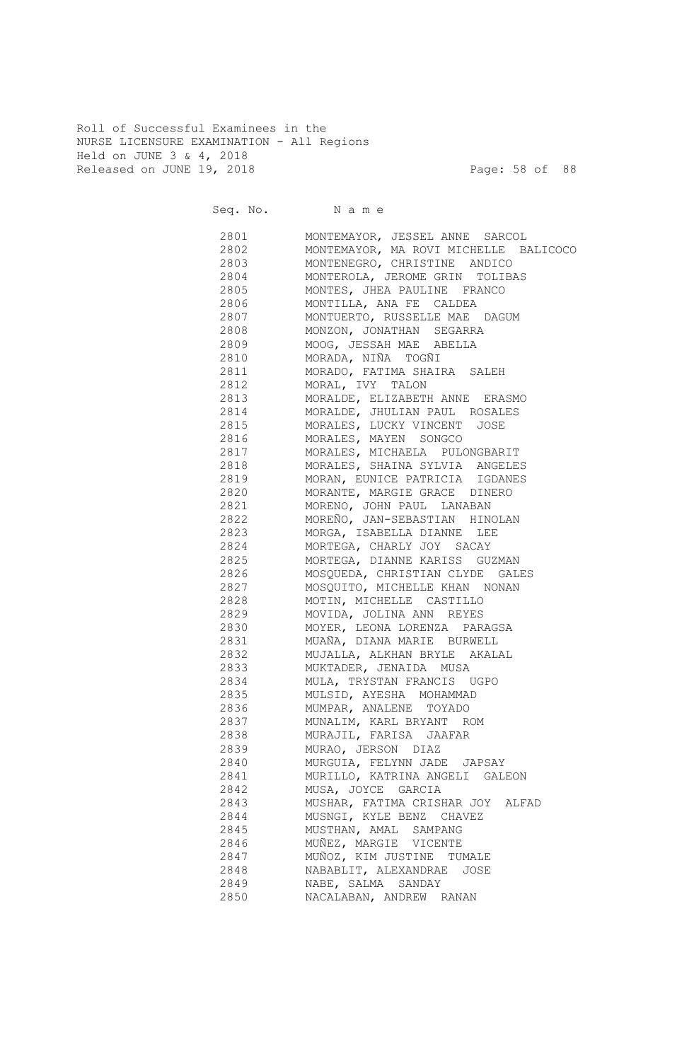Roll of Successful Examinees in the NURSE LICENSURE EXAMINATION - All Regions Held on JUNE 3 & 4, 2018 Released on JUNE 19, 2018 Page: 58 of 88

|      | Seq. No. Name                         |
|------|---------------------------------------|
| 2801 | MONTEMAYOR, JESSEL ANNE SARCOL        |
| 2802 | MONTEMAYOR, MA ROVI MICHELLE BALICOCO |
| 2803 | MONTENEGRO, CHRISTINE ANDICO          |
| 2804 | MONTEROLA, JEROME GRIN TOLIBAS        |
| 2805 | MONTES, JHEA PAULINE FRANCO           |
| 2806 | MONTILLA, ANA FE CALDEA               |
| 2807 | MONTUERTO, RUSSELLE MAE DAGUM         |
| 2808 | MONZON, JONATHAN SEGARRA              |
| 2809 | MOOG, JESSAH MAE ABELLA               |
| 2810 | MORADA, NIÑA TOGÑI                    |
| 2811 | MORADO, FATIMA SHAIRA SALEH           |
| 2812 | MORAL, IVY TALON                      |
| 2813 | MORALDE, ELIZABETH ANNE ERASMO        |
| 2814 | MORALDE, JHULIAN PAUL ROSALES         |
| 2815 | MORALES, LUCKY VINCENT JOSE           |
| 2816 | MORALES, MAYEN SONGCO                 |
| 2817 | MORALES, MICHAELA PULONGBARIT         |
| 2818 | MORALES, SHAINA SYLVIA ANGELES        |
| 2819 | MORAN, EUNICE PATRICIA IGDANES        |
| 2820 | MORANTE, MARGIE GRACE DINERO          |
| 2821 | MORENO, JOHN PAUL LANABAN             |
| 2822 | MOREÑO, JAN-SEBASTIAN HINOLAN         |
| 2823 | MORGA, ISABELLA DIANNE LEE            |
| 2824 | MORTEGA, CHARLY JOY SACAY             |
| 2825 | MORTEGA, DIANNE KARISS GUZMAN         |
| 2826 | MOSQUEDA, CHRISTIAN CLYDE GALES       |
| 2827 | MOSQUITO, MICHELLE KHAN NONAN         |
| 2828 | MOTIN, MICHELLE CASTILLO              |
| 2829 | MOVIDA, JOLINA ANN REYES              |
| 2830 | MOYER, LEONA LORENZA PARAGSA          |
| 2831 | MUAÑA, DIANA MARIE BURWELL            |
| 2832 | MUJALLA, ALKHAN BRYLE AKALAL          |
| 2833 | MUKTADER, JENAIDA MUSA                |
| 2834 | MULA, TRYSTAN FRANCIS UGPO            |
| 2835 | MULSID, AYESHA MOHAMMAD               |
| 2836 | MUMPAR, ANALENE TOYADO                |
| 2837 | MUNALIM, KARL BRYANT ROM              |
| 2838 | MURAJIL, FARISA JAAFAR                |
| 2839 | MURAO, JERSON DIAZ                    |
| 2840 | MURGUIA, FELYNN JADE JAPSAY           |
| 2841 | MURILLO, KATRINA ANGELI GALEON        |
| 2842 | MUSA, JOYCE GARCIA                    |
| 2843 | MUSHAR, FATIMA CRISHAR JOY ALFAD      |
| 2844 | MUSNGI, KYLE BENZ CHAVEZ              |
| 2845 | MUSTHAN, AMAL SAMPANG                 |
| 2846 | MUÑEZ, MARGIE VICENTE                 |
| 2847 | MUÑOZ, KIM JUSTINE TUMALE             |
| 2848 | NABABLIT, ALEXANDRAE JOSE             |
| 2849 | NABE, SALMA SANDAY                    |
| 2850 | NACALABAN, ANDREW RANAN               |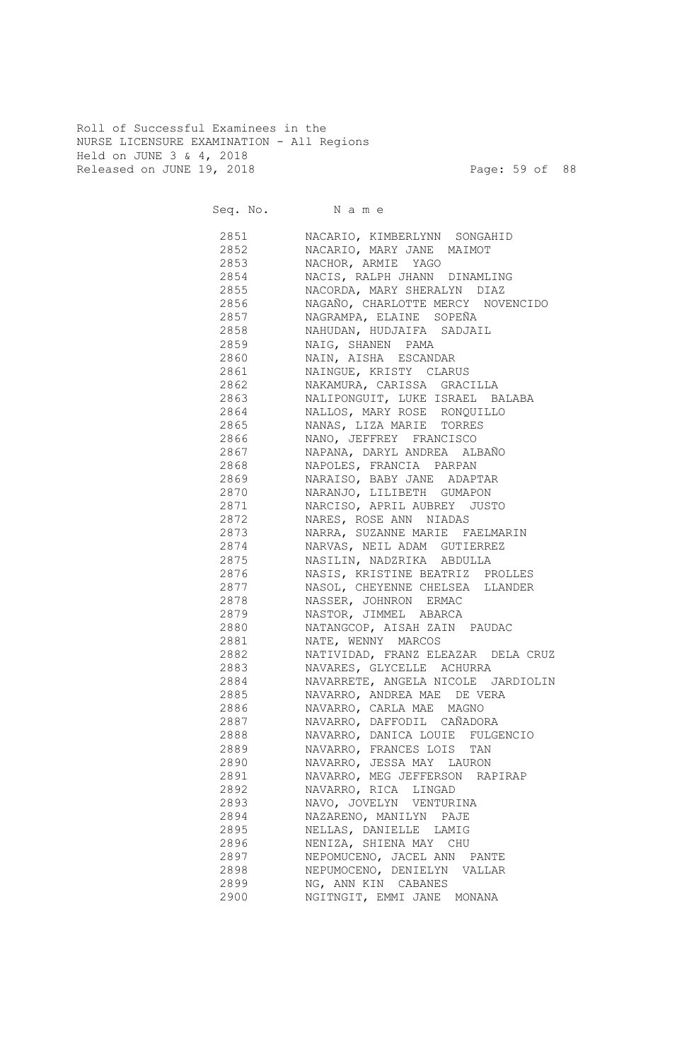Roll of Successful Examinees in the NURSE LICENSURE EXAMINATION - All Regions Held on JUNE 3 & 4, 2018 Released on JUNE 19, 2018 Page: 59 of 88

|              | Seq. No. Name                                                 |
|--------------|---------------------------------------------------------------|
| 2851 285     | NACARIO, KIMBERLYNN SONGAHID                                  |
| 2852         | NACARIO, MARY JANE MAIMOT                                     |
| 2853         | NACHOR, ARMIE YAGO                                            |
| 2854         | NACIS, RALPH JHANN DINAMLING                                  |
| 2855         | NACORDA, MARY SHERALYN DIAZ                                   |
| 2856         | NAGAÑO, CHARLOTTE MERCY NOVENCIDO                             |
| 2857         | NAGRAMPA, ELAINE SOPEÑA                                       |
| 2858         | NAHUDAN, HUDJAIFA SADJAIL                                     |
| 2859         | NAIG, SHANEN PAMA                                             |
| 2860         | NAIN, AISHA ESCANDAR                                          |
| 2861         | NAINGUE, KRISTY CLARUS                                        |
| 2862<br>2863 | NAKAMURA, CARISSA GRACILLA<br>NALIPONGUIT, LUKE ISRAEL BALABA |
| 2864         | NALLOS, MARY ROSE RONQUILLO                                   |
| 2865         | NANAS, LIZA MARIE TORRES                                      |
| 2866         | NANO, JEFFREY FRANCISCO                                       |
| 2867         | NAPANA, DARYL ANDREA ALBAÑO                                   |
| 2868         | NAPOLES, FRANCIA PARPAN                                       |
| 2869         | NARAISO, BABY JANE ADAPTAR                                    |
| 2870         | NARANJO, LILIBETH GUMAPON                                     |
| 2871         | NARCISO, APRIL AUBREY JUSTO                                   |
| 2872         | NARES, ROSE ANN NIADAS                                        |
| 2873         | NARRA, SUZANNE MARIE FAELMARIN                                |
| 2874         | NARVAS, NEIL ADAM GUTIERREZ                                   |
| 2875         | NASILIN, NADZRIKA ABDULLA                                     |
| 2876         | NASIS, KRISTINE BEATRIZ PROLLES                               |
| 2877         | NASOL, CHEYENNE CHELSEA LLANDER                               |
| 2878         | NASSER, JOHNRON ERMAC                                         |
| 2879         | NASTOR, JIMMEL ABARCA                                         |
| 2880         | NATANGCOP, AISAH ZAIN PAUDAC                                  |
| 2881         | NATE, WENNY MARCOS                                            |
| 2882         | NATIVIDAD, FRANZ ELEAZAR DELA CRUZ                            |
| 2883         | NAVARES, GLYCELLE ACHURRA                                     |
| 2884         | NAVARRETE, ANGELA NICOLE JARDIOLIN                            |
| 2885         | NAVARRO, ANDREA MAE DE VERA                                   |
| 2886         | NAVARRO, CARLA MAE MAGNO                                      |
| 2887         | NAVARRO, DAFFODIL CAÑADORA                                    |
| 2888         | NAVARRO, DANICA LOUIE FULGENCIO                               |
| 2889         | NAVARRO, FRANCES LOIS TAN                                     |
| 2890         | NAVARRO, JESSA MAY LAURON                                     |
| 2891         | NAVARRO, MEG JEFFERSON RAPIRAP                                |
| 2892         | NAVARRO, RICA LINGAD                                          |
| 2893         | NAVO, JOVELYN VENTURINA                                       |
| 2894<br>2895 | NAZARENO, MANILYN PAJE<br>NELLAS, DANIELLE LAMIG              |
| 2896         | NENIZA, SHIENA MAY CHU                                        |
| 2897         | NEPOMUCENO, JACEL ANN PANTE                                   |
| 2898         | NEPUMOCENO, DENIELYN VALLAR                                   |
| 2899         | NG, ANN KIN CABANES                                           |
| 2900         | NGITNGIT, EMMI JANE MONANA                                    |
|              |                                                               |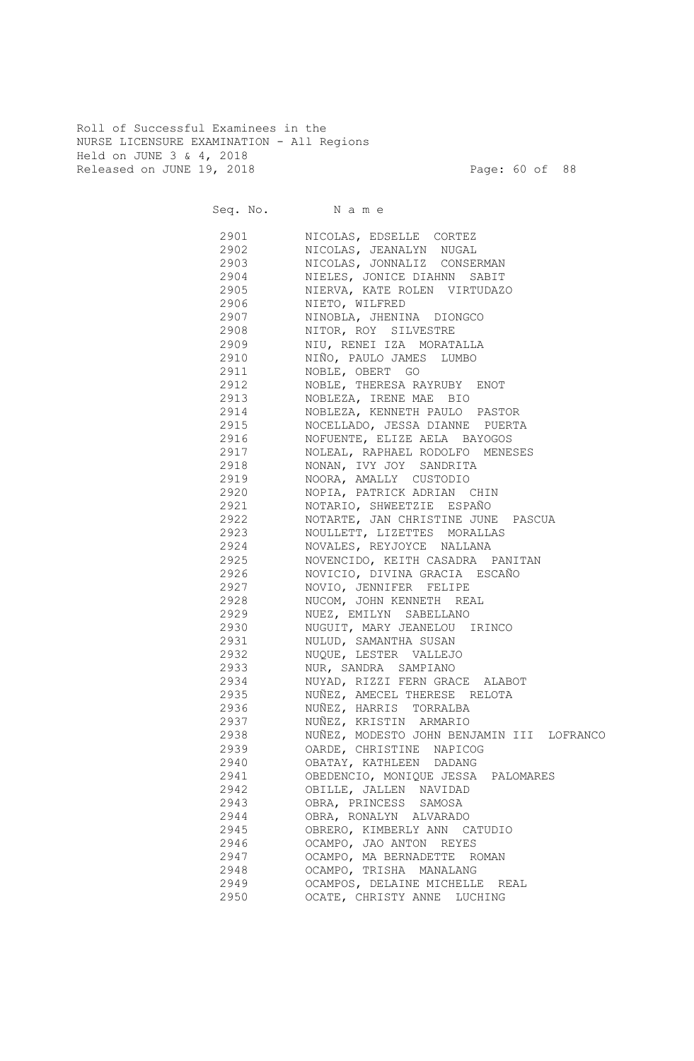Roll of Successful Examinees in the NURSE LICENSURE EXAMINATION - All Regions Held on JUNE 3 & 4, 2018 Released on JUNE 19, 2018 Page: 60 of 88

|      | Seq. No. Name                             |
|------|-------------------------------------------|
| 2901 | NICOLAS, EDSELLE CORTEZ                   |
| 2902 | NICOLAS, JEANALYN NUGAL                   |
| 2903 | NICOLAS, JONNALIZ CONSERMAN               |
| 2904 | NIELES, JONICE DIAHNN SABIT               |
| 2905 | NIERVA, KATE ROLEN VIRTUDAZO              |
| 2906 | NIETO, WILFRED                            |
| 2907 | NINOBLA, JHENINA DIONGCO                  |
| 2908 | NITOR, ROY SILVESTRE                      |
| 2909 | NIU, RENEI IZA MORATALLA                  |
| 2910 | NIÑO, PAULO JAMES LUMBO                   |
| 2911 | NOBLE, OBERT GO                           |
| 2912 | NOBLE, THERESA RAYRUBY ENOT               |
| 2913 | NOBLEZA, IRENE MAE BIO                    |
| 2914 | NOBLEZA, KENNETH PAULO PASTOR             |
| 2915 | NOCELLADO, JESSA DIANNE PUERTA            |
| 2916 | NOFUENTE, ELIZE AELA BAYOGOS              |
| 2917 | NOLEAL, RAPHAEL RODOLFO MENESES           |
| 2918 | NONAN, IVY JOY SANDRITA                   |
| 2919 | NOORA, AMALLY CUSTODIO                    |
| 2920 | NOPIA, PATRICK ADRIAN CHIN                |
| 2921 | NOTARIO, SHWEETZIE ESPAÑO                 |
| 2922 | NOTARTE, JAN CHRISTINE JUNE PASCUA        |
| 2923 | NOULLETT, LIZETTES MORALLAS               |
| 2924 | NOVALES, REYJOYCE NALLANA                 |
| 2925 | NOVENCIDO, KEITH CASADRA PANITAN          |
| 2926 | NOVICIO, DIVINA GRACIA ESCAÑO             |
| 2927 | NOVIO, JENNIFER FELIPE                    |
| 2928 | NUCOM, JOHN KENNETH REAL                  |
| 2929 | NUEZ, EMILYN SABELLANO                    |
| 2930 | NUGUIT, MARY JEANELOU IRINCO              |
| 2931 | NULUD, SAMANTHA SUSAN                     |
| 2932 | NUQUE, LESTER VALLEJO                     |
| 2933 | NUR, SANDRA SAMPIANO                      |
| 2934 | NUYAD, RIZZI FERN GRACE ALABOT            |
| 2935 | NUÑEZ, AMECEL THERESE RELOTA              |
| 2936 | NUÑEZ, HARRIS TORRALBA                    |
| 2937 | NUÑEZ, KRISTIN ARMARIO                    |
| 2938 | NUÑEZ, MODESTO JOHN BENJAMIN III LOFRANCO |
| 2939 | OARDE, CHRISTINE NAPICOG                  |
| 2940 | OBATAY, KATHLEEN DADANG                   |
| 2941 | OBEDENCIO, MONIQUE JESSA PALOMARES        |
| 2942 | OBILLE, JALLEN NAVIDAD                    |
| 2943 | OBRA, PRINCESS SAMOSA                     |
| 2944 | OBRA, RONALYN ALVARADO                    |
| 2945 | OBRERO, KIMBERLY ANN CATUDIO              |
| 2946 | OCAMPO, JAO ANTON REYES                   |
| 2947 | OCAMPO, MA BERNADETTE ROMAN               |
| 2948 | OCAMPO, TRISHA MANALANG                   |
| 2949 | OCAMPOS, DELAINE MICHELLE REAL            |
| 2950 | OCATE, CHRISTY ANNE LUCHING               |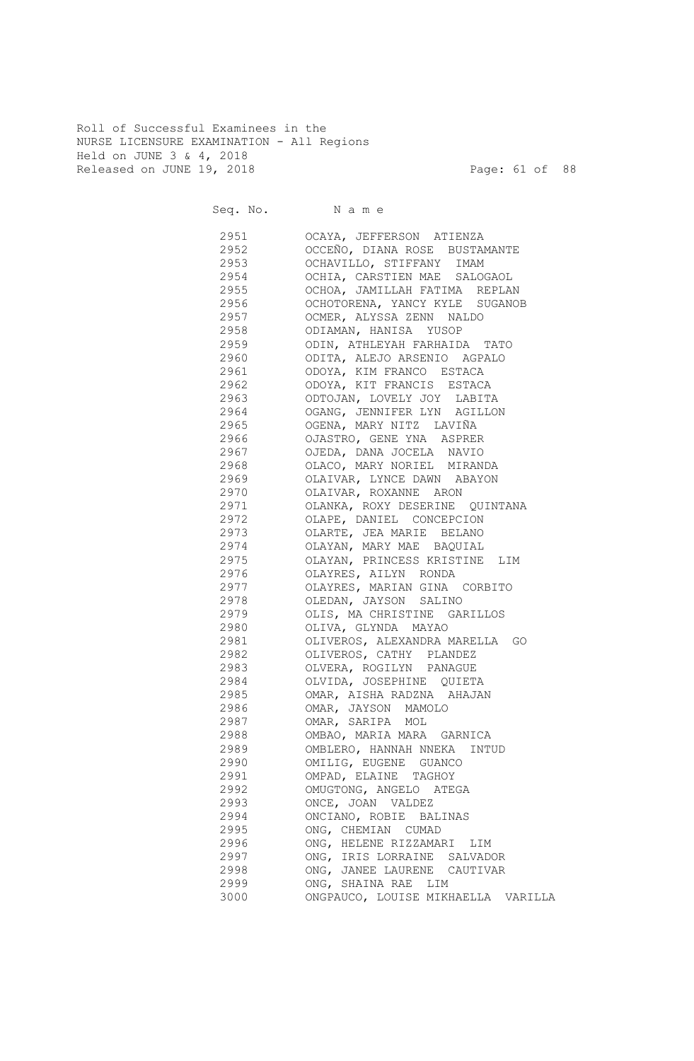Roll of Successful Examinees in the NURSE LICENSURE EXAMINATION - All Regions Held on JUNE 3 & 4, 2018 Released on JUNE 19, 2018 Page: 61 of 88

Seq. No. Name 2951 OCAYA, JEFFERSON ATIENZA 2952 OCCEÑO, DIANA ROSE BUSTAMANTE 2953 OCHAVILLO, STIFFANY IMAM 2954 OCHIA, CARSTIEN MAE SALOGAOL 2955 OCHOA, JAMILLAH FATIMA REPLAN 2956 OCHOTORENA, YANCY KYLE SUGANOB 2957 OCMER, ALYSSA ZENN NALDO 2958 ODIAMAN, HANISA YUSOP 2959 ODIN, ATHLEYAH FARHAIDA TATO 2960 ODITA, ALEJO ARSENIO AGPALO 2961 ODOYA, KIM FRANCO ESTACA 2962 ODOYA, KIT FRANCIS ESTACA 2963 ODTOJAN, LOVELY JOY LABITA 2964 OGANG, JENNIFER LYN AGILLON 2965 OGENA, MARY NITZ LAVIÑA 2966 OJASTRO, GENE YNA ASPRER 2967 OJEDA, DANA JOCELA NAVIO 2968 OLACO, MARY NORIEL MIRANDA 2969 OLAIVAR, LYNCE DAWN ABAYON 2970 OLAIVAR, ROXANNE ARON 2971 OLANKA, ROXY DESERINE QUINTANA 2972 OLAPE, DANIEL CONCEPCION 2973 OLARTE, JEA MARIE BELANO 2974 OLAYAN, MARY MAE BAQUIAL 2975 OLAYAN, PRINCESS KRISTINE LIM 2976 OLAYRES, AILYN RONDA 2977 OLAYRES, MARIAN GINA CORBITO 2978 OLEDAN, JAYSON SALINO 2979 OLIS, MA CHRISTINE GARILLOS 2980 OLIVA, GLYNDA MAYAO 2981 OLIVEROS, ALEXANDRA MARELLA GO 2982 OLIVEROS, CATHY PLANDEZ 2983 OLVERA, ROGILYN PANAGUE 2984 OLVIDA, JOSEPHINE QUIETA 2985 OMAR, AISHA RADZNA AHAJAN 2986 OMAR, JAYSON MAMOLO 2987 OMAR, SARIPA MOL 2988 OMBAO, MARIA MARA GARNICA 2989 OMBLERO, HANNAH NNEKA INTUD 2990 OMILIG, EUGENE GUANCO 2991 OMPAD, ELAINE TAGHOY 2992 OMUGTONG, ANGELO ATEGA 2993 ONCE, JOAN VALDEZ 2994 ONCIANO, ROBIE BALINAS 2995 ONG, CHEMIAN CUMAD 2996 ONG, HELENE RIZZAMARI LIM 2997 ONG, IRIS LORRAINE SALVADOR 2998 ONG, JANEE LAURENE CAUTIVAR 2999 ONG, SHAINA RAE LIM 3000 ONGPAUCO, LOUISE MIKHAELLA VARILLA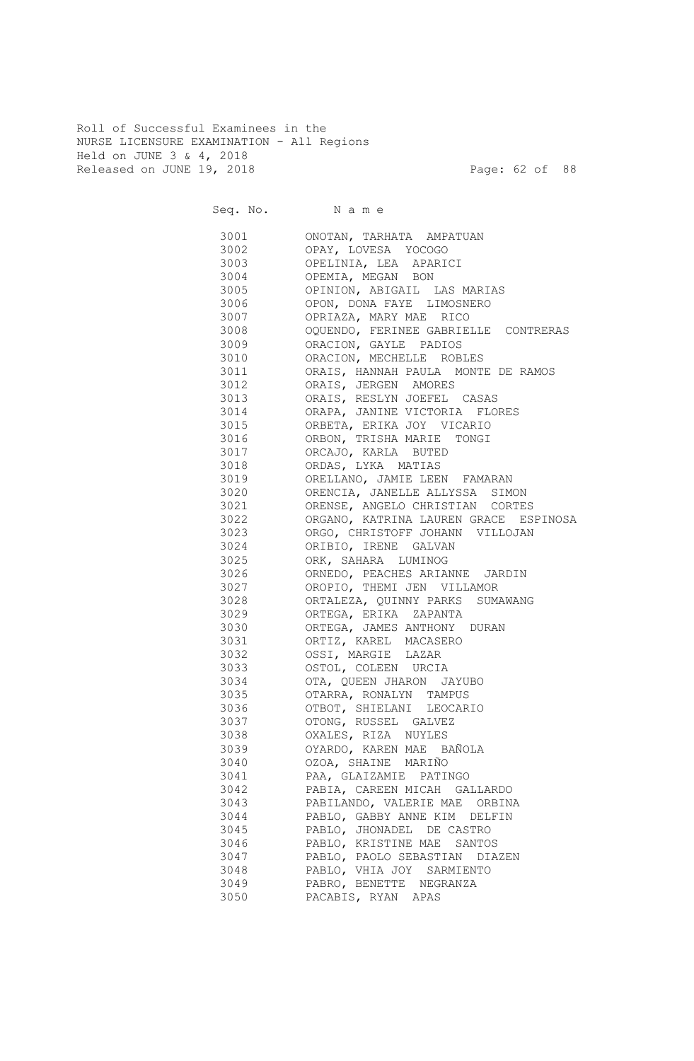Roll of Successful Examinees in the NURSE LICENSURE EXAMINATION - All Regions Held on JUNE 3 & 4, 2018 Released on JUNE 19, 2018 Page: 62 of 88

Seq. No. Name 3001 ONOTAN, TARHATA AMPATUAN 3002 OPAY, LOVESA YOCOGO 3003 OPELINIA, LEA APARICI 3004 OPEMIA, MEGAN BON 3005 OPINION, ABIGAIL LAS MARIAS 3006 OPON, DONA FAYE LIMOSNERO 3007 OPRIAZA, MARY MAE RICO 3008 OQUENDO, FERINEE GABRIELLE CONTRERAS 3009 ORACION, GAYLE PADIOS 3010 ORACION, MECHELLE ROBLES 3011 ORAIS, HANNAH PAULA MONTE DE RAMOS 3012 ORAIS, JERGEN AMORES 3013 ORAIS, RESLYN JOEFEL CASAS 3014 ORAPA, JANINE VICTORIA FLORES 3015 ORBETA, ERIKA JOY VICARIO 3016 ORBON, TRISHA MARIE TONGI 3017 ORCAJO, KARLA BUTED 3018 ORDAS, LYKA MATIAS 3019 ORELLANO, JAMIE LEEN FAMARAN 3020 ORENCIA, JANELLE ALLYSSA SIMON 3021 ORENSE, ANGELO CHRISTIAN CORTES 3022 ORGANO, KATRINA LAUREN GRACE ESPINOSA 3023 ORGO, CHRISTOFF JOHANN VILLOJAN 3024 ORIBIO, IRENE GALVAN 3025 ORK, SAHARA LUMINOG 3026 ORNEDO, PEACHES ARIANNE JARDIN 3027 OROPIO, THEMI JEN VILLAMOR 3028 ORTALEZA, QUINNY PARKS SUMAWANG 3029 ORTEGA, ERIKA ZAPANTA 3030 ORTEGA, JAMES ANTHONY DURAN 3031 ORTIZ, KAREL MACASERO 3032 OSSI, MARGIE LAZAR 3033 OSTOL, COLEEN URCIA 3034 OTA, QUEEN JHARON JAYUBO 3035 OTARRA, RONALYN TAMPUS 3036 OTBOT, SHIELANI LEOCARIO 3037 OTONG, RUSSEL GALVEZ 3038 OXALES, RIZA NUYLES 3039 OYARDO, KAREN MAE BAÑOLA 3040 OZOA, SHAINE MARIÑO 3041 PAA, GLAIZAMIE PATINGO 3042 PABIA, CAREEN MICAH GALLARDO 3043 PABILANDO, VALERIE MAE ORBINA 3044 PABLO, GABBY ANNE KIM DELFIN 3045 PABLO, JHONADEL DE CASTRO 3046 PABLO, KRISTINE MAE SANTOS 3047 PABLO, PAOLO SEBASTIAN DIAZEN 3048 PABLO, VHIA JOY SARMIENTO 3049 PABRO, BENETTE NEGRANZA 3050 PACABIS, RYAN APAS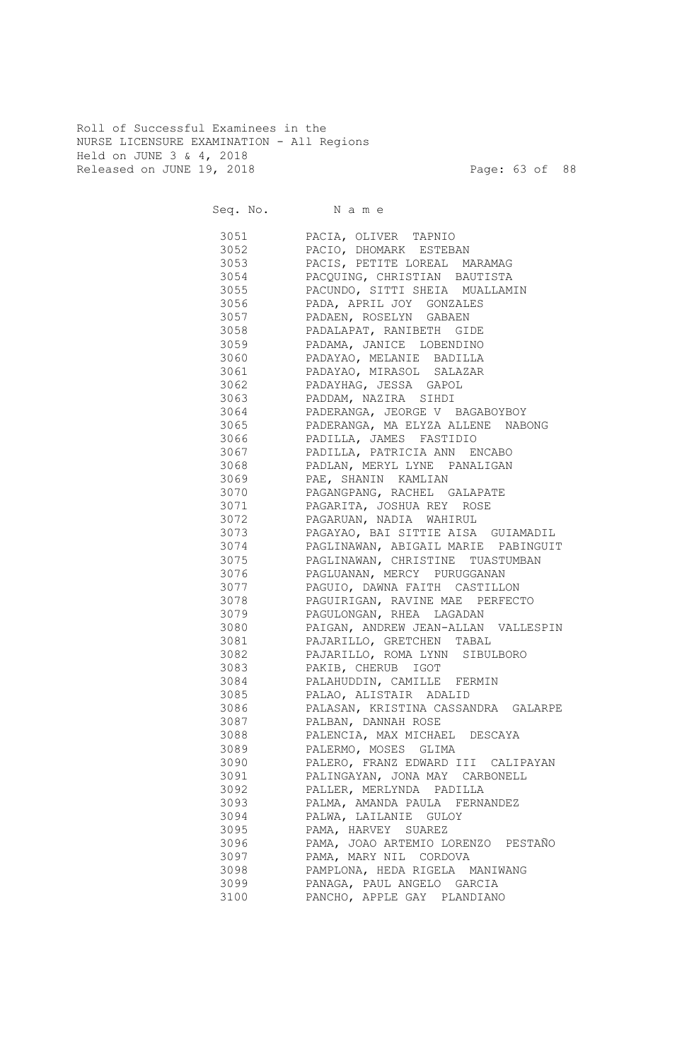Roll of Successful Examinees in the NURSE LICENSURE EXAMINATION - All Regions Held on JUNE 3 & 4, 2018 Released on JUNE 19, 2018 Page: 63 of 88

Seq. No. Name 3051 PACIA, OLIVER TAPNIO 3052 PACIO, DHOMARK ESTEBAN 3053 PACIS, PETITE LOREAL MARAMAG 3054 PACQUING, CHRISTIAN BAUTISTA 3055 PACUNDO, SITTI SHEIA MUALLAMIN 3056 PADA, APRIL JOY GONZALES 3057 PADAEN, ROSELYN GABAEN 3058 PADALAPAT, RANIBETH GIDE 3059 PADAMA, JANICE LOBENDINO 3060 PADAYAO, MELANIE BADILLA 3061 PADAYAO, MIRASOL SALAZAR 3062 PADAYHAG, JESSA GAPOL 3063 PADDAM, NAZIRA SIHDI 3064 PADERANGA, JEORGE V BAGABOYBOY 3065 PADERANGA, MA ELYZA ALLENE NABONG 3066 PADILLA, JAMES FASTIDIO 3067 PADILLA, PATRICIA ANN ENCABO 3068 PADLAN, MERYL LYNE PANALIGAN 3069 PAE, SHANIN KAMLIAN 3070 PAGANGPANG, RACHEL GALAPATE 3071 PAGARITA, JOSHUA REY ROSE 3072 PAGARUAN, NADIA WAHIRUL 3073 PAGAYAO, BAI SITTIE AISA GUIAMADIL 3074 PAGLINAWAN, ABIGAIL MARIE PABINGUIT 3075 PAGLINAWAN, CHRISTINE TUASTUMBAN 3076 PAGLUANAN, MERCY PURUGGANAN 3077 PAGUIO, DAWNA FAITH CASTILLON 3078 PAGUIRIGAN, RAVINE MAE PERFECTO 3079 PAGULONGAN, RHEA LAGADAN 3080 PAIGAN, ANDREW JEAN-ALLAN VALLESPIN 3081 PAJARILLO, GRETCHEN TABAL 3082 PAJARILLO, ROMA LYNN SIBULBORO 3083 PAKIB, CHERUB IGOT 3084 PALAHUDDIN, CAMILLE FERMIN 3085 PALAO, ALISTAIR ADALID 3086 PALASAN, KRISTINA CASSANDRA GALARPE 3087 PALBAN, DANNAH ROSE 3088 PALENCIA, MAX MICHAEL DESCAYA 3089 PALERMO, MOSES GLIMA 3090 PALERO, FRANZ EDWARD III CALIPAYAN 3091 PALINGAYAN, JONA MAY CARBONELL 3092 PALLER, MERLYNDA PADILLA 3093 PALMA, AMANDA PAULA FERNANDEZ 3094 PALWA, LAILANIE GULOY 3095 PAMA, HARVEY SUAREZ 3096 PAMA, JOAO ARTEMIO LORENZO PESTAÑO 3097 PAMA, MARY NIL CORDOVA 3098 PAMPLONA, HEDA RIGELA MANIWANG 3099 PANAGA, PAUL ANGELO GARCIA 3100 PANCHO, APPLE GAY PLANDIANO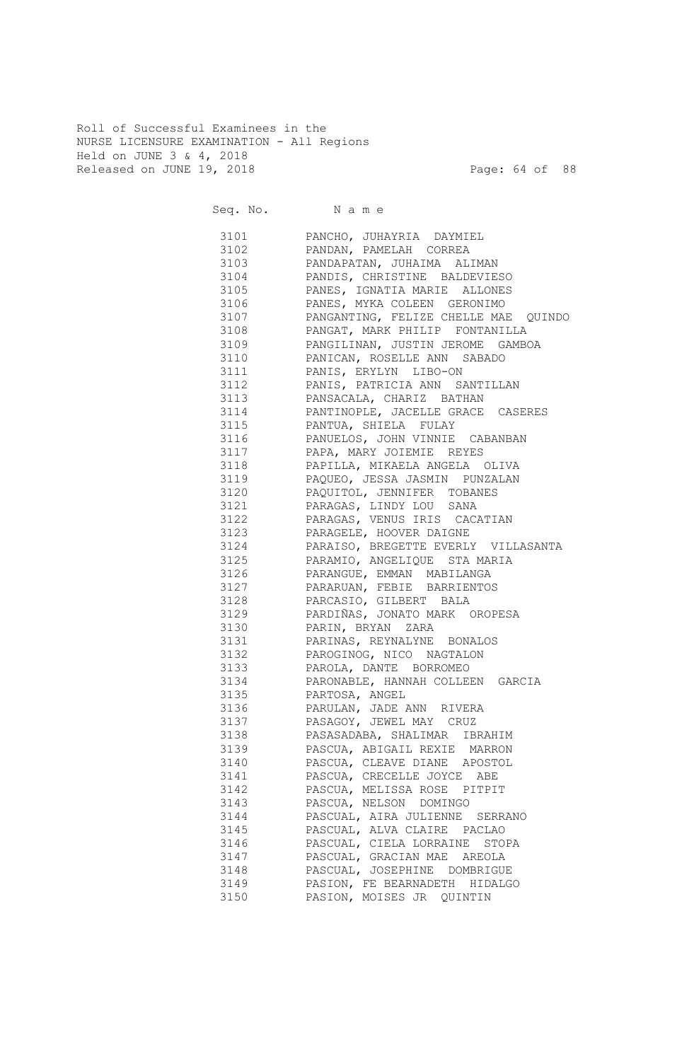Roll of Successful Examinees in the NURSE LICENSURE EXAMINATION - All Regions Held on JUNE 3 & 4, 2018 Released on JUNE 19, 2018 Page: 64 of 88

Seq. No. Name 3101 PANCHO, JUHAYRIA DAYMIEL 3102 PANDAN, PAMELAH CORREA 3103 PANDAPATAN, JUHAIMA ALIMAN 3104 PANDIS, CHRISTINE BALDEVIESO 3105 PANES, IGNATIA MARIE ALLONES 3106 PANES, MYKA COLEEN GERONIMO 3107 PANGANTING, FELIZE CHELLE MAE QUINDO 3108 PANGAT, MARK PHILIP FONTANILLA 3109 PANGILINAN, JUSTIN JEROME GAMBOA 3110 PANICAN, ROSELLE ANN SABADO 3111 PANIS, ERYLYN LIBO-ON 3112 PANIS, PATRICIA ANN SANTILLAN 3113 PANSACALA, CHARIZ BATHAN 3114 PANTINOPLE, JACELLE GRACE CASERES 3115 PANTUA, SHIELA FULAY 3116 PANUELOS, JOHN VINNIE CABANBAN 3117 PAPA, MARY JOIEMIE REYES 3118 PAPILLA, MIKAELA ANGELA OLIVA 3119 PAQUEO, JESSA JASMIN PUNZALAN 3120 PAQUITOL, JENNIFER TOBANES 3121 PARAGAS, LINDY LOU SANA 3122 PARAGAS, VENUS IRIS CACATIAN 3123 PARAGELE, HOOVER DAIGNE 3124 PARAISO, BREGETTE EVERLY VILLASANTA 3125 PARAMIO, ANGELIQUE STA MARIA 3126 PARANGUE, EMMAN MABILANGA 3127 PARARUAN, FEBIE BARRIENTOS 3128 PARCASIO, GILBERT BALA 3129 PARDIÑAS, JONATO MARK OROPESA 3130 PARIN, BRYAN ZARA 3131 PARINAS, REYNALYNE BONALOS 3132 PAROGINOG, NICO NAGTALON 3133 PAROLA, DANTE BORROMEO 3134 PARONABLE, HANNAH COLLEEN GARCIA 3135 PARTOSA, ANGEL 3136 PARULAN, JADE ANN RIVERA 3137 PASAGOY, JEWEL MAY CRUZ 3138 PASASADABA, SHALIMAR IBRAHIM 3139 PASCUA, ABIGAIL REXIE MARRON 3140 PASCUA, CLEAVE DIANE APOSTOL 3141 PASCUA, CRECELLE JOYCE ABE 3142 PASCUA, MELISSA ROSE PITPIT 3143 PASCUA, NELSON DOMINGO 3144 PASCUAL, AIRA JULIENNE SERRANO 3145 PASCUAL, ALVA CLAIRE PACLAO 3146 PASCUAL, CIELA LORRAINE STOPA 3147 PASCUAL, GRACIAN MAE AREOLA 3148 PASCUAL, JOSEPHINE DOMBRIGUE 3149 PASION, FE BEARNADETH HIDALGO 3150 PASION, MOISES JR QUINTIN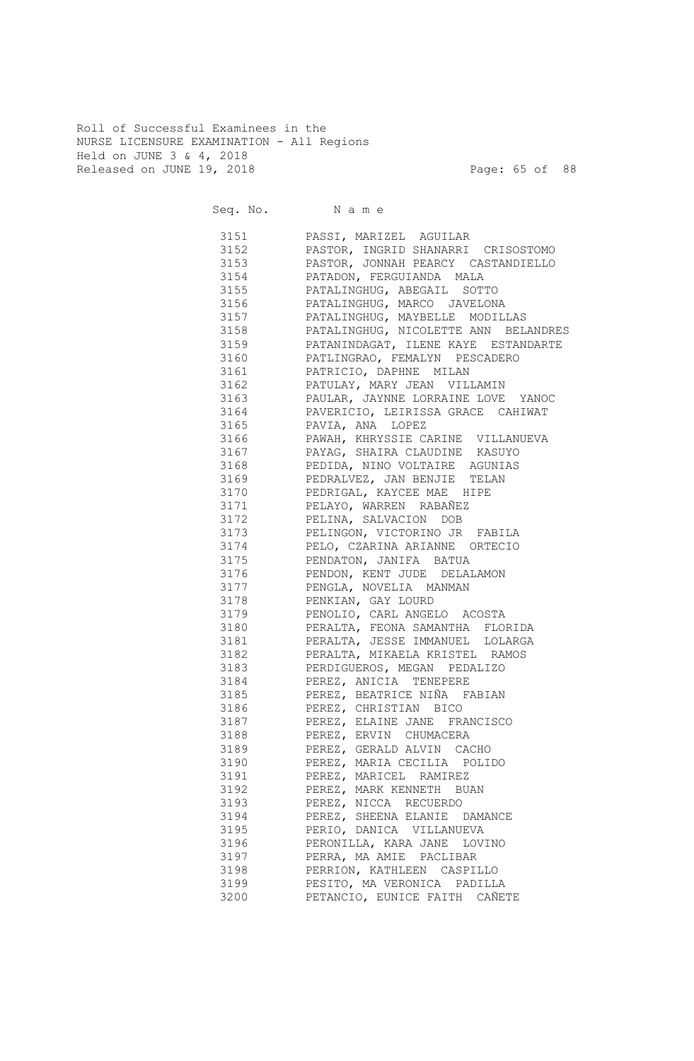Roll of Successful Examinees in the NURSE LICENSURE EXAMINATION - All Regions Held on JUNE 3 & 4, 2018 Released on JUNE 19, 2018 Page: 65 of 88

| Seq. No. Name |                                                       |
|---------------|-------------------------------------------------------|
|               | 3151 PASSI, MARIZEL AGUILAR                           |
|               | 3152 PASTOR, INGRID SHANARRI CRISOSTOMO               |
|               | 3153 PASTOR, JONNAH PEARCY CASTANDIELLO               |
|               | 3154 PATADON, FERGUIANDA MALA                         |
|               | 3155 PATALINGHUG, ABEGAIL SOTTO                       |
|               | 3156 PATALINGHUG, MARCO JAVELONA                      |
|               | 3157 PATALINGHUG, MAYBELLE MODILLAS                   |
|               | 3158 PATALINGHUG, NICOLETTE ANN BELANDRES             |
|               | 3159 PATANINDAGAT, ILENE KAYE ESTANDARTE              |
|               | 3160 PATLINGRAO, FEMALYN PESCADERO                    |
|               | 3161 PATRICIO, DAPHNE MILAN                           |
|               | 3162 PATULAY, MARY JEAN VILLAMIN                      |
|               | 3163 PAULAR, JAYNNE LORRAINE LOVE YANOC               |
|               | 3164 PAVERICIO, LEIRISSA GRACE CAHIWAT                |
|               | 3165 PAVIA, ANA LOPEZ                                 |
|               | 3166 PAWAH, KHRYSSIE CARINE VILLANUEVA                |
|               | 3167 PAYAG, SHAIRA CLAUDINE KASUYO                    |
|               | 3168 PEDIDA, NINO VOLTAIRE AGUNIAS                    |
|               | 3169 PEDRALVEZ, JAN BENJIE TELAN                      |
|               | 3170 PEDRIGAL, KAYCEE MAE HIPE                        |
|               | 3171 PELAYO, WARREN RABAÑEZ                           |
|               | 3172 PELINA, SALVACION DOB                            |
| 3173          | PELINGON, VICTORINO JR FABILA                         |
| 3174          | PELO, CZARINA ARIANNE ORTECIO                         |
| 3175          | PENDATON, JANIFA BATUA                                |
| 3176          | PENDON, KENT JUDE DELALAMON                           |
| 3177          | PENGLA, NOVELIA MANMAN                                |
| 3178          | PENKIAN, GAY LOURD                                    |
| 3179          | PENOLIO, CARL ANGELO ACOSTA                           |
| 3180          | PERALTA, FEONA SAMANTHA FLORIDA                       |
| 3181          | PERALTA, JESSE IMMANUEL LOLARGA                       |
| 3182          | PERALTA, MIKAELA KRISTEL RAMOS                        |
| 3183          | PERDIGUEROS, MEGAN PEDALIZO<br>PEREZ, ANICIA TENEPERE |
| 3184          |                                                       |
| 3185          | PEREZ, BEATRICE NIÑA FABIAN                           |
| 3186          | PEREZ, CHRISTIAN BICO                                 |
| 3187          | PEREZ, ELAINE JANE FRANCISCO                          |
| 3188          | PEREZ, ERVIN CHUMACERA                                |
| 3189          | PEREZ, GERALD ALVIN CACHO                             |
| 3190          | PEREZ, MARIA CECILIA POLIDO                           |
| 3191          | PEREZ, MARICEL RAMIREZ                                |
| 3192          | PEREZ, MARK KENNETH BUAN                              |
| 3193          | PEREZ, NICCA RECUERDO                                 |
| 3194          | PEREZ, SHEENA ELANIE DAMANCE                          |
| 3195          | PERIO, DANICA VILLANUEVA                              |
| 3196          | PERONILLA, KARA JANE LOVINO                           |
| 3197          | PERRA, MA AMIE PACLIBAR                               |
| 3198          | PERRION, KATHLEEN CASPILLO                            |
| 3199          | PESITO, MA VERONICA PADILLA                           |
| 3200          | PETANCIO, EUNICE FAITH CAÑETE                         |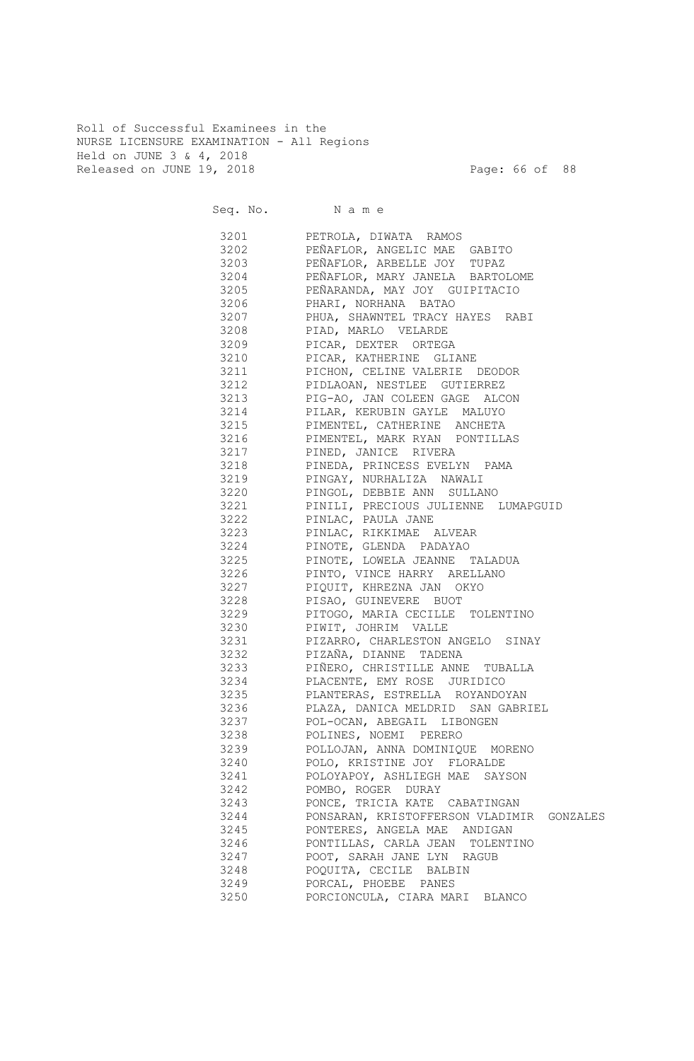Roll of Successful Examinees in the NURSE LICENSURE EXAMINATION - All Regions Held on JUNE 3 & 4, 2018 Released on JUNE 19, 2018 Page: 66 of 88

|      | Seq. No. Name                             |
|------|-------------------------------------------|
| 3201 | PETROLA, DIWATA RAMOS                     |
| 3202 | PEÑAFLOR, ANGELIC MAE GABITO              |
| 3203 | PEÑAFLOR, ARBELLE JOY TUPAZ               |
| 3204 | PEÑAFLOR, MARY JANELA BARTOLOME           |
| 3205 | PEÑARANDA, MAY JOY GUIPITACIO             |
| 3206 | PHARI, NORHANA BATAO                      |
| 3207 | PHUA, SHAWNTEL TRACY HAYES RABI           |
| 3208 | PIAD, MARLO VELARDE                       |
| 3209 | PICAR, DEXTER ORTEGA                      |
| 3210 | PICAR, KATHERINE GLIANE                   |
| 3211 | PICHON, CELINE VALERIE DEODOR             |
| 3212 | PIDLAOAN, NESTLEE GUTIERREZ               |
| 3213 | PIG-AO, JAN COLEEN GAGE ALCON             |
| 3214 | PILAR, KERUBIN GAYLE MALUYO               |
| 3215 | PIMENTEL, CATHERINE ANCHETA               |
| 3216 | PIMENTEL, MARK RYAN PONTILLAS             |
| 3217 | PINED, JANICE RIVERA                      |
| 3218 | PINEDA, PRINCESS EVELYN PAMA              |
| 3219 | PINGAY, NURHALIZA NAWALI                  |
| 3220 | PINGOL, DEBBIE ANN SULLANO                |
| 3221 | PINILI, PRECIOUS JULIENNE LUMAPGUID       |
| 3222 | PINLAC, PAULA JANE                        |
| 3223 | PINLAC, RIKKIMAE ALVEAR                   |
| 3224 | PINOTE, GLENDA PADAYAO                    |
| 3225 | PINOTE, LOWELA JEANNE TALADUA             |
| 3226 | PINTO, VINCE HARRY ARELLANO               |
| 3227 | PIQUIT, KHREZNA JAN OKYO                  |
| 3228 | PISAO, GUINEVERE BUOT                     |
| 3229 | PITOGO, MARIA CECILLE TOLENTINO           |
| 3230 | PIWIT, JOHRIM VALLE                       |
| 3231 | PIZARRO, CHARLESTON ANGELO SINAY          |
| 3232 | PIZAÑA, DIANNE TADENA                     |
| 3233 | PIÑERO, CHRISTILLE ANNE TUBALLA           |
| 3234 | PLACENTE, EMY ROSE JURIDICO               |
| 3235 | PLANTERAS, ESTRELLA ROYANDOYAN            |
| 3236 | PLAZA, DANICA MELDRID SAN GABRIEL         |
| 3237 | POL-OCAN, ABEGAIL LIBONGEN                |
| 3238 | POLINES, NOEMI PERERO                     |
| 3239 | POLLOJAN, ANNA DOMINIQUE MORENO           |
| 3240 | POLO, KRISTINE JOY FLORALDE               |
| 3241 | POLOYAPOY, ASHLIEGH MAE SAYSON            |
| 3242 | POMBO, ROGER DURAY                        |
| 3243 | PONCE, TRICIA KATE CABATINGAN             |
| 3244 | PONSARAN, KRISTOFFERSON VLADIMIR GONZALES |
| 3245 | PONTERES, ANGELA MAE ANDIGAN              |
| 3246 | PONTILLAS, CARLA JEAN TOLENTINO           |
| 3247 | POOT, SARAH JANE LYN RAGUB                |
| 3248 | POQUITA, CECILE BALBIN                    |
| 3249 | PORCAL, PHOEBE PANES                      |
| 3250 | PORCIONCULA, CIARA MARI BLANCO            |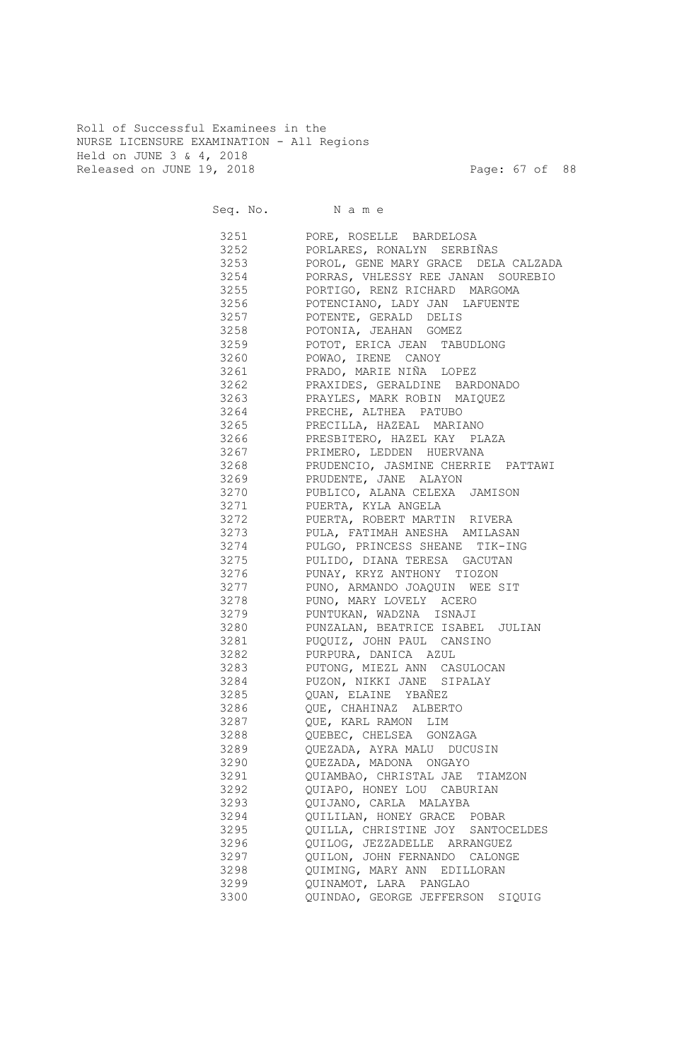Roll of Successful Examinees in the NURSE LICENSURE EXAMINATION - All Regions Held on JUNE 3 & 4, 2018 Released on JUNE 19, 2018 Page: 67 of 88

Seq. No. Name 3251 PORE, ROSELLE BARDELOSA 3252 PORLARES, RONALYN SERBIÑAS 3253 POROL, GENE MARY GRACE DELA CALZADA 3254 PORRAS, VHLESSY REE JANAN SOUREBIO 3255 PORTIGO, RENZ RICHARD MARGOMA 3256 POTENCIANO, LADY JAN LAFUENTE 3257 POTENTE, GERALD DELIS 3258 POTONIA, JEAHAN GOMEZ 3259 POTOT, ERICA JEAN TABUDLONG 3260 POWAO, IRENE CANOY 3261 PRADO, MARIE NIÑA LOPEZ 3262 PRAXIDES, GERALDINE BARDONADO 3263 PRAYLES, MARK ROBIN MAIQUEZ 3264 PRECHE, ALTHEA PATUBO 3265 PRECILLA, HAZEAL MARIANO 3266 PRESBITERO, HAZEL KAY PLAZA 3267 PRIMERO, LEDDEN HUERVANA 3268 PRUDENCIO, JASMINE CHERRIE PATTAWI 3269 PRUDENTE, JANE ALAYON 3270 PUBLICO, ALANA CELEXA JAMISON 3271 PUERTA, KYLA ANGELA 3272 PUERTA, ROBERT MARTIN RIVERA 3273 PULA, FATIMAH ANESHA AMILASAN 3274 PULGO, PRINCESS SHEANE TIK-ING 3275 PULIDO, DIANA TERESA GACUTAN 3276 PUNAY, KRYZ ANTHONY TIOZON 3277 PUNO, ARMANDO JOAQUIN WEE SIT 3278 PUNO, MARY LOVELY ACERO 3279 PUNTUKAN, WADZNA ISNAJI 3280 PUNZALAN, BEATRICE ISABEL JULIAN 3281 PUQUIZ, JOHN PAUL CANSINO 3282 PURPURA, DANICA AZUL 3283 PUTONG, MIEZL ANN CASULOCAN 3284 PUZON, NIKKI JANE SIPALAY 3285 QUAN, ELAINE YBAÑEZ 3286 QUE, CHAHINAZ ALBERTO 3287 QUE, KARL RAMON LIM 3288 QUEBEC, CHELSEA GONZAGA 3289 QUEZADA, AYRA MALU DUCUSIN 3290 QUEZADA, MADONA ONGAYO 3291 QUIAMBAO, CHRISTAL JAE TIAMZON 3292 QUIAPO, HONEY LOU CABURIAN 3293 QUIJANO, CARLA MALAYBA 3294 QUILILAN, HONEY GRACE POBAR 3295 QUILLA, CHRISTINE JOY SANTOCELDES 3296 QUILOG, JEZZADELLE ARRANGUEZ 3297 QUILON, JOHN FERNANDO CALONGE 3298 QUIMING, MARY ANN EDILLORAN 3299 QUINAMOT, LARA PANGLAO 3300 QUINDAO, GEORGE JEFFERSON SIQUIG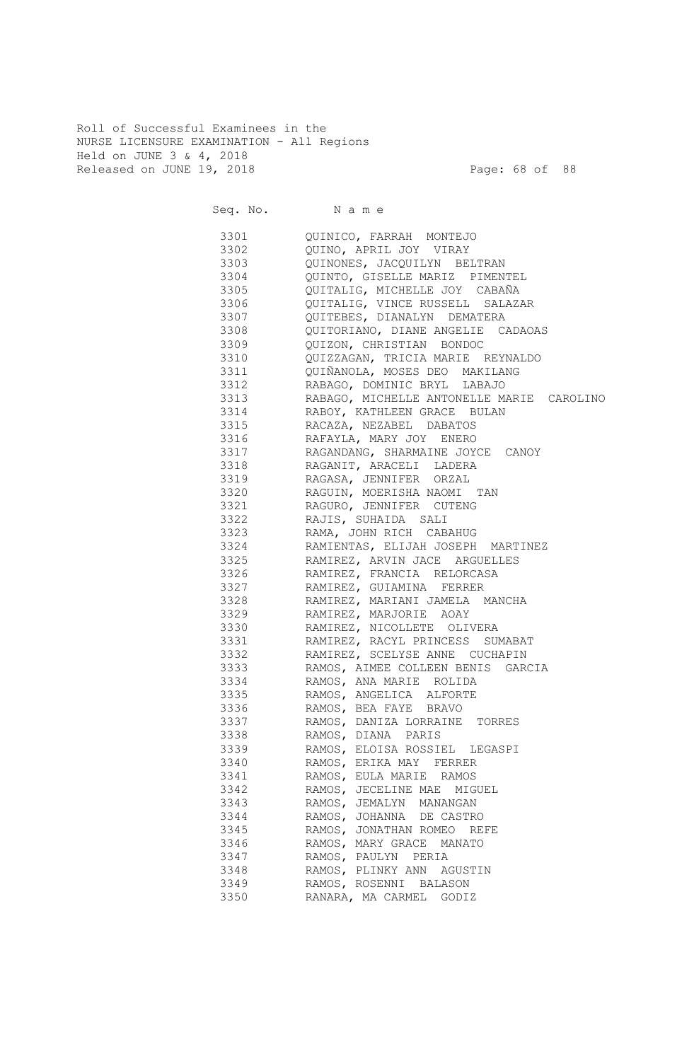Roll of Successful Examinees in the NURSE LICENSURE EXAMINATION - All Regions Held on JUNE 3 & 4, 2018 Released on JUNE 19, 2018 Page: 68 of 88

|      | Seq. No. Name                                  |
|------|------------------------------------------------|
|      | 3301 QUINICO, FARRAH MONTEJO                   |
|      | 3302 QUINO, APRIL JOY VIRAY                    |
|      | 3303 QUINONES, JACQUILYN BELTRAN               |
|      | 3304 QUINTO, GISELLE MARIZ PIMENTEL            |
|      | 3305 QUITALIG, MICHELLE JOY CABAÑA             |
|      | 3306 QUITALIG, VINCE RUSSELL SALAZAR           |
|      | 3307 QUITEBES, DIANALYN DEMATERA               |
|      | 3308 QUITORIANO, DIANE ANGELIE CADAOAS         |
|      | 3309 QUIZON, CHRISTIAN BONDOC                  |
| 3310 | QUIZZAGAN, TRICIA MARIE REYNALDO               |
|      | 3311 QUIÑANOLA, MOSES DEO MAKILANG             |
|      | 3312 RABAGO, DOMINIC BRYL LABAJO               |
|      | 3313 RABAGO, MICHELLE ANTONELLE MARIE CAROLINO |
|      | 3314 RABOY, KATHLEEN GRACE BULAN               |
|      | 3315 RACAZA, NEZABEL DABATOS                   |
|      | 3316 RAFAYLA, MARY JOY ENERO                   |
| 3317 | RAGANDANG, SHARMAINE JOYCE CANOY               |
| 3318 | RAGANIT, ARACELI LADERA                        |
| 3319 | RAGASA, JENNIFER ORZAL                         |
| 3320 | RAGUIN, MOERISHA NAOMI TAN                     |
| 3321 | RAGURO, JENNIFER CUTENG                        |
| 3322 | RAJIS, SUHAIDA SALI                            |
| 3323 | RAMA, JOHN RICH CABAHUG                        |
| 3324 | RAMIENTAS, ELIJAH JOSEPH MARTINEZ              |
| 3325 | RAMIREZ, ARVIN JACE ARGUELLES                  |
| 3326 | RAMIREZ, FRANCIA RELORCASA                     |
| 3327 | RAMIREZ, GUIAMINA FERRER                       |
| 3328 | RAMIREZ, MARIANI JAMELA MANCHA                 |
| 3329 | RAMIREZ, MARJORIE AOAY                         |
| 3330 | RAMIREZ, NICOLLETE OLIVERA                     |
| 3331 | RAMIREZ, RACYL PRINCESS SUMABAT                |
| 3332 | RAMIREZ, SCELYSE ANNE CUCHAPIN                 |
|      | 3333 RAMOS, AIMEE COLLEEN BENIS GARCIA         |
| 3334 | RAMOS, ANA MARIE ROLIDA                        |
| 3335 | RAMOS, ANGELICA ALFORTE                        |
| 3336 | RAMOS, BEA FAYE BRAVO                          |
| 3337 | RAMOS, DANIZA LORRAINE TORRES                  |
| 3338 | RAMOS, DIANA PARIS                             |
| 3339 | RAMOS, ELOISA ROSSIEL LEGASPI                  |
| 3340 | RAMOS, ERIKA MAY FERRER                        |
| 3341 | RAMOS, EULA MARIE RAMOS                        |
| 3342 | RAMOS, JECELINE MAE MIGUEL                     |
| 3343 | RAMOS, JEMALYN MANANGAN                        |
| 3344 | RAMOS, JOHANNA DE CASTRO                       |
| 3345 | RAMOS, JONATHAN ROMEO REFE                     |
| 3346 | RAMOS, MARY GRACE MANATO                       |
| 3347 | RAMOS, PAULYN PERIA                            |
| 3348 | RAMOS, PLINKY ANN AGUSTIN                      |
| 3349 | RAMOS, ROSENNI BALASON                         |
| 3350 | RANARA, MA CARMEL GODIZ                        |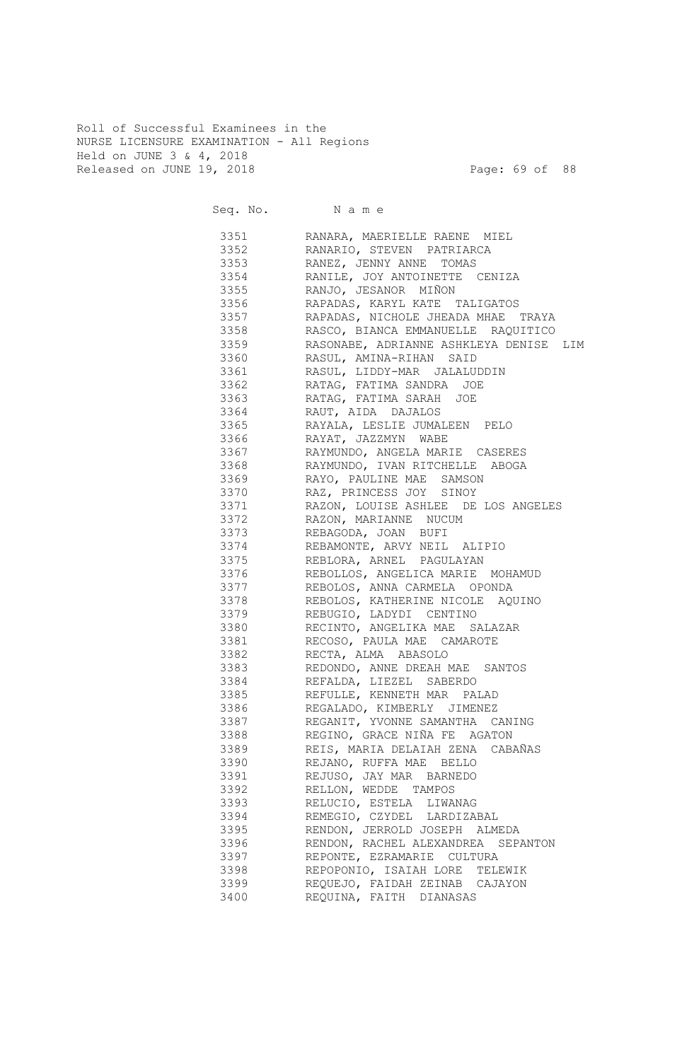Roll of Successful Examinees in the NURSE LICENSURE EXAMINATION - All Regions Held on JUNE 3 & 4, 2018 Released on JUNE 19, 2018 Page: 69 of 88

| 3351<br>RANARA, MAERIELLE RAENE MIEL<br>3352 RANARIO, STEVEN PATRIARCA<br>3353<br>RANEZ, JENNY ANNE TOMAS<br>3354<br>RANILE, JOY ANTOINETTE CENIZA<br>RANJO, JESANOR MIÑON<br>3355 339<br>3356<br>RAPADAS, KARYL KATE TALIGATOS<br>3357<br>RAPADAS, NICHOLE JHEADA MHAE TRAYA<br>3358<br>RASCO, BIANCA EMMANUELLE RAQUITICO<br>3359<br>RASONABE, ADRIANNE ASHKLEYA DENISE LIM<br>3360<br>RASUL, AMINA-RIHAN SAID<br>3361<br>RASUL, LIDDY-MAR JALALUDDIN<br>3362<br>RATAG, FATIMA SANDRA JOE<br>3363<br>RATAG, FATIMA SARAH JOE<br>3364<br>RAUT, AIDA DAJALOS<br>3365<br>RAYALA, LESLIE JUMALEEN PELO<br>3366<br>RAYAT, JAZZMYN WABE<br>3367<br>RAYMUNDO, ANGELA MARIE CASERES<br>3368<br>RAYMUNDO, IVAN RITCHELLE ABOGA<br>3369<br>RAYO, PAULINE MAE SAMSON<br>3370<br>RAZ, PRINCESS JOY SINOY<br>3371<br>RAZON, LOUISE ASHLEE DE LOS ANGELES<br>3372<br>RAZON, MARIANNE NUCUM<br>3373<br>REBAGODA, JOAN BUFI<br>3374<br>REBAMONTE, ARVY NEIL ALIPIO<br>3375<br>REBLORA, ARNEL PAGULAYAN<br>3376<br>REBOLLOS, ANGELICA MARIE MOHAMUD<br>3377<br>REBOLOS, ANNA CARMELA OPONDA<br>3378<br>REBOLOS, KATHERINE NICOLE AQUINO<br>3379<br>REBUGIO, LADYDI CENTINO<br>3380<br>RECINTO, ANGELIKA MAE SALAZAR<br>3381<br>RECOSO, PAULA MAE CAMAROTE<br>3382<br>RECTA, ALMA ABASOLO<br>3383<br>REDONDO, ANNE DREAH MAE SANTOS<br>REFALDA, LIEZEL SABERDO<br>3384<br>REFULLE, KENNETH MAR PALAD<br>3385<br>3386<br>REGALADO, KIMBERLY JIMENEZ<br>REGANIT, YVONNE SAMANTHA CANING<br>3387<br>REGINO, GRACE NIÑA FE AGATON<br>3388<br>REIS, MARIA DELAIAH ZENA CABAÑAS<br>3389<br>REJANO, RUFFA MAE BELLO<br>3390<br>3391<br>REJUSO, JAY MAR BARNEDO<br>3392<br>RELLON, WEDDE TAMPOS<br>RELUCIO, ESTELA LIWANAG<br>3393<br>REMEGIO, CZYDEL LARDIZABAL<br>3394<br>3395<br>RENDON, JERROLD JOSEPH ALMEDA<br>3396<br>RENDON, RACHEL ALEXANDREA SEPANTON<br>3397<br>REPONTE, EZRAMARIE CULTURA<br>3398<br>REPOPONIO, ISAIAH LORE TELEWIK<br>3399<br>REQUEJO, FAIDAH ZEINAB CAJAYON<br>REQUINA, FAITH DIANASAS<br>3400 |  | Seq. No. Name |
|------------------------------------------------------------------------------------------------------------------------------------------------------------------------------------------------------------------------------------------------------------------------------------------------------------------------------------------------------------------------------------------------------------------------------------------------------------------------------------------------------------------------------------------------------------------------------------------------------------------------------------------------------------------------------------------------------------------------------------------------------------------------------------------------------------------------------------------------------------------------------------------------------------------------------------------------------------------------------------------------------------------------------------------------------------------------------------------------------------------------------------------------------------------------------------------------------------------------------------------------------------------------------------------------------------------------------------------------------------------------------------------------------------------------------------------------------------------------------------------------------------------------------------------------------------------------------------------------------------------------------------------------------------------------------------------------------------------------------------------------------------------------------------------------------------------------------------------------------------------------------------------------------------------------------------------------------------------------------------------------------|--|---------------|
|                                                                                                                                                                                                                                                                                                                                                                                                                                                                                                                                                                                                                                                                                                                                                                                                                                                                                                                                                                                                                                                                                                                                                                                                                                                                                                                                                                                                                                                                                                                                                                                                                                                                                                                                                                                                                                                                                                                                                                                                      |  |               |
|                                                                                                                                                                                                                                                                                                                                                                                                                                                                                                                                                                                                                                                                                                                                                                                                                                                                                                                                                                                                                                                                                                                                                                                                                                                                                                                                                                                                                                                                                                                                                                                                                                                                                                                                                                                                                                                                                                                                                                                                      |  |               |
|                                                                                                                                                                                                                                                                                                                                                                                                                                                                                                                                                                                                                                                                                                                                                                                                                                                                                                                                                                                                                                                                                                                                                                                                                                                                                                                                                                                                                                                                                                                                                                                                                                                                                                                                                                                                                                                                                                                                                                                                      |  |               |
|                                                                                                                                                                                                                                                                                                                                                                                                                                                                                                                                                                                                                                                                                                                                                                                                                                                                                                                                                                                                                                                                                                                                                                                                                                                                                                                                                                                                                                                                                                                                                                                                                                                                                                                                                                                                                                                                                                                                                                                                      |  |               |
|                                                                                                                                                                                                                                                                                                                                                                                                                                                                                                                                                                                                                                                                                                                                                                                                                                                                                                                                                                                                                                                                                                                                                                                                                                                                                                                                                                                                                                                                                                                                                                                                                                                                                                                                                                                                                                                                                                                                                                                                      |  |               |
|                                                                                                                                                                                                                                                                                                                                                                                                                                                                                                                                                                                                                                                                                                                                                                                                                                                                                                                                                                                                                                                                                                                                                                                                                                                                                                                                                                                                                                                                                                                                                                                                                                                                                                                                                                                                                                                                                                                                                                                                      |  |               |
|                                                                                                                                                                                                                                                                                                                                                                                                                                                                                                                                                                                                                                                                                                                                                                                                                                                                                                                                                                                                                                                                                                                                                                                                                                                                                                                                                                                                                                                                                                                                                                                                                                                                                                                                                                                                                                                                                                                                                                                                      |  |               |
|                                                                                                                                                                                                                                                                                                                                                                                                                                                                                                                                                                                                                                                                                                                                                                                                                                                                                                                                                                                                                                                                                                                                                                                                                                                                                                                                                                                                                                                                                                                                                                                                                                                                                                                                                                                                                                                                                                                                                                                                      |  |               |
|                                                                                                                                                                                                                                                                                                                                                                                                                                                                                                                                                                                                                                                                                                                                                                                                                                                                                                                                                                                                                                                                                                                                                                                                                                                                                                                                                                                                                                                                                                                                                                                                                                                                                                                                                                                                                                                                                                                                                                                                      |  |               |
|                                                                                                                                                                                                                                                                                                                                                                                                                                                                                                                                                                                                                                                                                                                                                                                                                                                                                                                                                                                                                                                                                                                                                                                                                                                                                                                                                                                                                                                                                                                                                                                                                                                                                                                                                                                                                                                                                                                                                                                                      |  |               |
|                                                                                                                                                                                                                                                                                                                                                                                                                                                                                                                                                                                                                                                                                                                                                                                                                                                                                                                                                                                                                                                                                                                                                                                                                                                                                                                                                                                                                                                                                                                                                                                                                                                                                                                                                                                                                                                                                                                                                                                                      |  |               |
|                                                                                                                                                                                                                                                                                                                                                                                                                                                                                                                                                                                                                                                                                                                                                                                                                                                                                                                                                                                                                                                                                                                                                                                                                                                                                                                                                                                                                                                                                                                                                                                                                                                                                                                                                                                                                                                                                                                                                                                                      |  |               |
|                                                                                                                                                                                                                                                                                                                                                                                                                                                                                                                                                                                                                                                                                                                                                                                                                                                                                                                                                                                                                                                                                                                                                                                                                                                                                                                                                                                                                                                                                                                                                                                                                                                                                                                                                                                                                                                                                                                                                                                                      |  |               |
|                                                                                                                                                                                                                                                                                                                                                                                                                                                                                                                                                                                                                                                                                                                                                                                                                                                                                                                                                                                                                                                                                                                                                                                                                                                                                                                                                                                                                                                                                                                                                                                                                                                                                                                                                                                                                                                                                                                                                                                                      |  |               |
|                                                                                                                                                                                                                                                                                                                                                                                                                                                                                                                                                                                                                                                                                                                                                                                                                                                                                                                                                                                                                                                                                                                                                                                                                                                                                                                                                                                                                                                                                                                                                                                                                                                                                                                                                                                                                                                                                                                                                                                                      |  |               |
|                                                                                                                                                                                                                                                                                                                                                                                                                                                                                                                                                                                                                                                                                                                                                                                                                                                                                                                                                                                                                                                                                                                                                                                                                                                                                                                                                                                                                                                                                                                                                                                                                                                                                                                                                                                                                                                                                                                                                                                                      |  |               |
|                                                                                                                                                                                                                                                                                                                                                                                                                                                                                                                                                                                                                                                                                                                                                                                                                                                                                                                                                                                                                                                                                                                                                                                                                                                                                                                                                                                                                                                                                                                                                                                                                                                                                                                                                                                                                                                                                                                                                                                                      |  |               |
|                                                                                                                                                                                                                                                                                                                                                                                                                                                                                                                                                                                                                                                                                                                                                                                                                                                                                                                                                                                                                                                                                                                                                                                                                                                                                                                                                                                                                                                                                                                                                                                                                                                                                                                                                                                                                                                                                                                                                                                                      |  |               |
|                                                                                                                                                                                                                                                                                                                                                                                                                                                                                                                                                                                                                                                                                                                                                                                                                                                                                                                                                                                                                                                                                                                                                                                                                                                                                                                                                                                                                                                                                                                                                                                                                                                                                                                                                                                                                                                                                                                                                                                                      |  |               |
|                                                                                                                                                                                                                                                                                                                                                                                                                                                                                                                                                                                                                                                                                                                                                                                                                                                                                                                                                                                                                                                                                                                                                                                                                                                                                                                                                                                                                                                                                                                                                                                                                                                                                                                                                                                                                                                                                                                                                                                                      |  |               |
|                                                                                                                                                                                                                                                                                                                                                                                                                                                                                                                                                                                                                                                                                                                                                                                                                                                                                                                                                                                                                                                                                                                                                                                                                                                                                                                                                                                                                                                                                                                                                                                                                                                                                                                                                                                                                                                                                                                                                                                                      |  |               |
|                                                                                                                                                                                                                                                                                                                                                                                                                                                                                                                                                                                                                                                                                                                                                                                                                                                                                                                                                                                                                                                                                                                                                                                                                                                                                                                                                                                                                                                                                                                                                                                                                                                                                                                                                                                                                                                                                                                                                                                                      |  |               |
|                                                                                                                                                                                                                                                                                                                                                                                                                                                                                                                                                                                                                                                                                                                                                                                                                                                                                                                                                                                                                                                                                                                                                                                                                                                                                                                                                                                                                                                                                                                                                                                                                                                                                                                                                                                                                                                                                                                                                                                                      |  |               |
|                                                                                                                                                                                                                                                                                                                                                                                                                                                                                                                                                                                                                                                                                                                                                                                                                                                                                                                                                                                                                                                                                                                                                                                                                                                                                                                                                                                                                                                                                                                                                                                                                                                                                                                                                                                                                                                                                                                                                                                                      |  |               |
|                                                                                                                                                                                                                                                                                                                                                                                                                                                                                                                                                                                                                                                                                                                                                                                                                                                                                                                                                                                                                                                                                                                                                                                                                                                                                                                                                                                                                                                                                                                                                                                                                                                                                                                                                                                                                                                                                                                                                                                                      |  |               |
|                                                                                                                                                                                                                                                                                                                                                                                                                                                                                                                                                                                                                                                                                                                                                                                                                                                                                                                                                                                                                                                                                                                                                                                                                                                                                                                                                                                                                                                                                                                                                                                                                                                                                                                                                                                                                                                                                                                                                                                                      |  |               |
|                                                                                                                                                                                                                                                                                                                                                                                                                                                                                                                                                                                                                                                                                                                                                                                                                                                                                                                                                                                                                                                                                                                                                                                                                                                                                                                                                                                                                                                                                                                                                                                                                                                                                                                                                                                                                                                                                                                                                                                                      |  |               |
|                                                                                                                                                                                                                                                                                                                                                                                                                                                                                                                                                                                                                                                                                                                                                                                                                                                                                                                                                                                                                                                                                                                                                                                                                                                                                                                                                                                                                                                                                                                                                                                                                                                                                                                                                                                                                                                                                                                                                                                                      |  |               |
|                                                                                                                                                                                                                                                                                                                                                                                                                                                                                                                                                                                                                                                                                                                                                                                                                                                                                                                                                                                                                                                                                                                                                                                                                                                                                                                                                                                                                                                                                                                                                                                                                                                                                                                                                                                                                                                                                                                                                                                                      |  |               |
|                                                                                                                                                                                                                                                                                                                                                                                                                                                                                                                                                                                                                                                                                                                                                                                                                                                                                                                                                                                                                                                                                                                                                                                                                                                                                                                                                                                                                                                                                                                                                                                                                                                                                                                                                                                                                                                                                                                                                                                                      |  |               |
|                                                                                                                                                                                                                                                                                                                                                                                                                                                                                                                                                                                                                                                                                                                                                                                                                                                                                                                                                                                                                                                                                                                                                                                                                                                                                                                                                                                                                                                                                                                                                                                                                                                                                                                                                                                                                                                                                                                                                                                                      |  |               |
|                                                                                                                                                                                                                                                                                                                                                                                                                                                                                                                                                                                                                                                                                                                                                                                                                                                                                                                                                                                                                                                                                                                                                                                                                                                                                                                                                                                                                                                                                                                                                                                                                                                                                                                                                                                                                                                                                                                                                                                                      |  |               |
|                                                                                                                                                                                                                                                                                                                                                                                                                                                                                                                                                                                                                                                                                                                                                                                                                                                                                                                                                                                                                                                                                                                                                                                                                                                                                                                                                                                                                                                                                                                                                                                                                                                                                                                                                                                                                                                                                                                                                                                                      |  |               |
|                                                                                                                                                                                                                                                                                                                                                                                                                                                                                                                                                                                                                                                                                                                                                                                                                                                                                                                                                                                                                                                                                                                                                                                                                                                                                                                                                                                                                                                                                                                                                                                                                                                                                                                                                                                                                                                                                                                                                                                                      |  |               |
|                                                                                                                                                                                                                                                                                                                                                                                                                                                                                                                                                                                                                                                                                                                                                                                                                                                                                                                                                                                                                                                                                                                                                                                                                                                                                                                                                                                                                                                                                                                                                                                                                                                                                                                                                                                                                                                                                                                                                                                                      |  |               |
|                                                                                                                                                                                                                                                                                                                                                                                                                                                                                                                                                                                                                                                                                                                                                                                                                                                                                                                                                                                                                                                                                                                                                                                                                                                                                                                                                                                                                                                                                                                                                                                                                                                                                                                                                                                                                                                                                                                                                                                                      |  |               |
|                                                                                                                                                                                                                                                                                                                                                                                                                                                                                                                                                                                                                                                                                                                                                                                                                                                                                                                                                                                                                                                                                                                                                                                                                                                                                                                                                                                                                                                                                                                                                                                                                                                                                                                                                                                                                                                                                                                                                                                                      |  |               |
|                                                                                                                                                                                                                                                                                                                                                                                                                                                                                                                                                                                                                                                                                                                                                                                                                                                                                                                                                                                                                                                                                                                                                                                                                                                                                                                                                                                                                                                                                                                                                                                                                                                                                                                                                                                                                                                                                                                                                                                                      |  |               |
|                                                                                                                                                                                                                                                                                                                                                                                                                                                                                                                                                                                                                                                                                                                                                                                                                                                                                                                                                                                                                                                                                                                                                                                                                                                                                                                                                                                                                                                                                                                                                                                                                                                                                                                                                                                                                                                                                                                                                                                                      |  |               |
|                                                                                                                                                                                                                                                                                                                                                                                                                                                                                                                                                                                                                                                                                                                                                                                                                                                                                                                                                                                                                                                                                                                                                                                                                                                                                                                                                                                                                                                                                                                                                                                                                                                                                                                                                                                                                                                                                                                                                                                                      |  |               |
|                                                                                                                                                                                                                                                                                                                                                                                                                                                                                                                                                                                                                                                                                                                                                                                                                                                                                                                                                                                                                                                                                                                                                                                                                                                                                                                                                                                                                                                                                                                                                                                                                                                                                                                                                                                                                                                                                                                                                                                                      |  |               |
|                                                                                                                                                                                                                                                                                                                                                                                                                                                                                                                                                                                                                                                                                                                                                                                                                                                                                                                                                                                                                                                                                                                                                                                                                                                                                                                                                                                                                                                                                                                                                                                                                                                                                                                                                                                                                                                                                                                                                                                                      |  |               |
|                                                                                                                                                                                                                                                                                                                                                                                                                                                                                                                                                                                                                                                                                                                                                                                                                                                                                                                                                                                                                                                                                                                                                                                                                                                                                                                                                                                                                                                                                                                                                                                                                                                                                                                                                                                                                                                                                                                                                                                                      |  |               |
|                                                                                                                                                                                                                                                                                                                                                                                                                                                                                                                                                                                                                                                                                                                                                                                                                                                                                                                                                                                                                                                                                                                                                                                                                                                                                                                                                                                                                                                                                                                                                                                                                                                                                                                                                                                                                                                                                                                                                                                                      |  |               |
|                                                                                                                                                                                                                                                                                                                                                                                                                                                                                                                                                                                                                                                                                                                                                                                                                                                                                                                                                                                                                                                                                                                                                                                                                                                                                                                                                                                                                                                                                                                                                                                                                                                                                                                                                                                                                                                                                                                                                                                                      |  |               |
|                                                                                                                                                                                                                                                                                                                                                                                                                                                                                                                                                                                                                                                                                                                                                                                                                                                                                                                                                                                                                                                                                                                                                                                                                                                                                                                                                                                                                                                                                                                                                                                                                                                                                                                                                                                                                                                                                                                                                                                                      |  |               |
|                                                                                                                                                                                                                                                                                                                                                                                                                                                                                                                                                                                                                                                                                                                                                                                                                                                                                                                                                                                                                                                                                                                                                                                                                                                                                                                                                                                                                                                                                                                                                                                                                                                                                                                                                                                                                                                                                                                                                                                                      |  |               |
|                                                                                                                                                                                                                                                                                                                                                                                                                                                                                                                                                                                                                                                                                                                                                                                                                                                                                                                                                                                                                                                                                                                                                                                                                                                                                                                                                                                                                                                                                                                                                                                                                                                                                                                                                                                                                                                                                                                                                                                                      |  |               |
|                                                                                                                                                                                                                                                                                                                                                                                                                                                                                                                                                                                                                                                                                                                                                                                                                                                                                                                                                                                                                                                                                                                                                                                                                                                                                                                                                                                                                                                                                                                                                                                                                                                                                                                                                                                                                                                                                                                                                                                                      |  |               |
|                                                                                                                                                                                                                                                                                                                                                                                                                                                                                                                                                                                                                                                                                                                                                                                                                                                                                                                                                                                                                                                                                                                                                                                                                                                                                                                                                                                                                                                                                                                                                                                                                                                                                                                                                                                                                                                                                                                                                                                                      |  |               |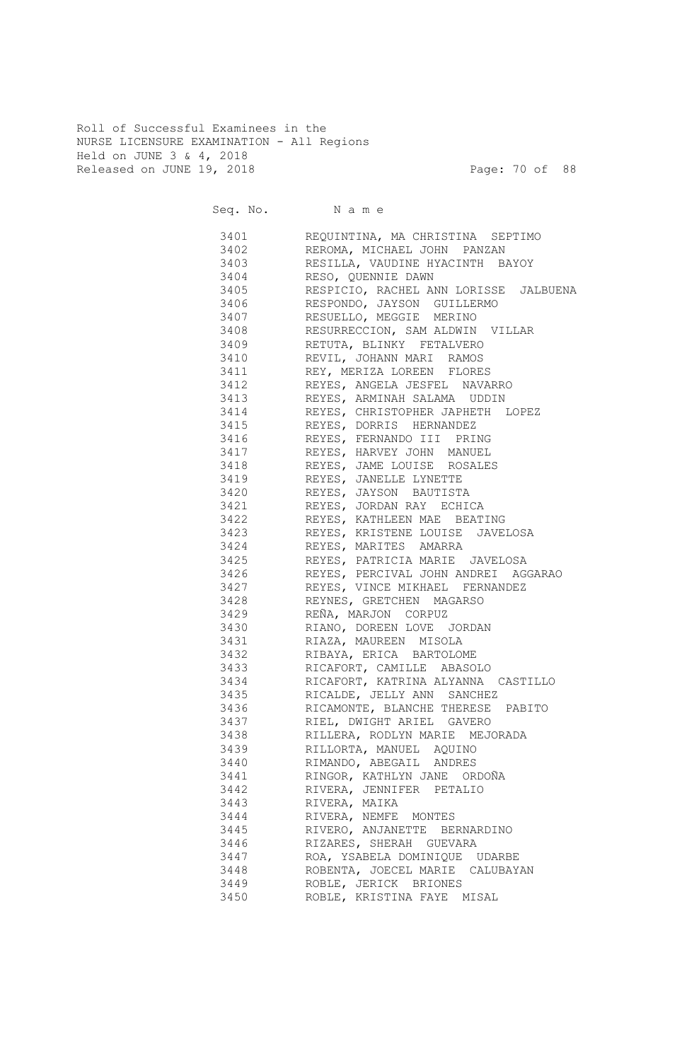Roll of Successful Examinees in the NURSE LICENSURE EXAMINATION - All Regions Held on JUNE 3 & 4, 2018 Released on JUNE 19, 2018 Page: 70 of 88

|      | Seq. No. Name                                                                                                                       |
|------|-------------------------------------------------------------------------------------------------------------------------------------|
|      | 3401 REQUINTINA, MA CHRISTINA SEPTIMO                                                                                               |
|      | 3402 REROMA, MICHAEL JOHN PANZAN                                                                                                    |
|      | 3403 RESILLA, VAUDINE HYACINTH BAYOY                                                                                                |
|      | 3404 RESO, QUENNIE DAWN                                                                                                             |
|      | 3405 RESPICIO, RACHEL ANN LORISSE JALBUENA                                                                                          |
|      | 3406 RESPONDO, JAYSON GUILLERMO                                                                                                     |
|      | 3407 RESUELLO, MEGGIE MERINO                                                                                                        |
|      | 3408 RESURRECCION, SAM ALDWIN VILLAR                                                                                                |
|      | 3409 RETUTA, BLINKY FETALVERO                                                                                                       |
|      | 3410 REVIL, JOHANN MARI RAMOS                                                                                                       |
|      | 3411 REY, MERIZA LOREEN FLORES                                                                                                      |
|      | 3412 REYES, ANGELA JESFEL NAVARRO                                                                                                   |
|      | 3413 REYES, ARMINAH SALAMA UDDIN                                                                                                    |
|      | 3414 REYES, CHRISTOPHER JAPHETH LOPEZ                                                                                               |
| 3415 | REYES, DORRIS HERNANDEZ                                                                                                             |
| 3416 | REYES, FERNANDO III PRING                                                                                                           |
| 3417 | REYES, HARVEY JOHN MANUEL                                                                                                           |
| 3418 | REYES, JAME LOUISE ROSALES                                                                                                          |
| 3419 | REYES, JANELLE LYNETTE                                                                                                              |
| 3420 | REYES, JAYSON BAUTISTA                                                                                                              |
| 3421 | REYES, JORDAN RAY ECHICA                                                                                                            |
| 3422 | REYES, KATHLEEN MAE BEATING                                                                                                         |
| 3423 | REYES, KRISTENE LOUISE JAVELOSA                                                                                                     |
| 3424 | REYES, MARITES AMARRA                                                                                                               |
| 3425 | REYES, PATRICIA MARIE JAVELOSA<br>REYES, PERCIVAL JOHN ANDREI AGGARAO<br>REYES, VINCE MIKHAEL FERNANDEZ<br>REYNES, GRETCHEN MAGARSO |
| 3426 |                                                                                                                                     |
| 3427 |                                                                                                                                     |
| 3428 |                                                                                                                                     |
| 3429 | REÑA, MARJON CORPUZ                                                                                                                 |
| 3430 | RIANO, DOREEN LOVE JORDAN                                                                                                           |
| 3431 | RIAZA, MAUREEN MISOLA                                                                                                               |
| 3432 | RIBAYA, ERICA BARTOLOME                                                                                                             |
| 3433 | RICAFORT, CAMILLE ABASOLO                                                                                                           |
| 3434 | RICAFORT, KATRINA ALYANNA CASTILLO                                                                                                  |
|      | 3435 RICALDE, JELLY ANN SANCHEZ                                                                                                     |
| 3436 | RICAMONTE, BLANCHE THERESE PABITO                                                                                                   |
| 3437 | RIEL, DWIGHT ARIEL GAVERO                                                                                                           |
| 3438 | RILLERA, RODLYN MARIE MEJORADA                                                                                                      |
| 3439 | RILLORTA, MANUEL AQUINO                                                                                                             |
| 3440 | RIMANDO, ABEGAIL ANDRES                                                                                                             |
| 3441 | RINGOR, KATHLYN JANE ORDOÑA                                                                                                         |
| 3442 | RIVERA, JENNIFER PETALIO                                                                                                            |
| 3443 | RIVERA, MAIKA                                                                                                                       |
| 3444 | RIVERA, NEMFE MONTES                                                                                                                |
| 3445 | RIVERO, ANJANETTE BERNARDINO                                                                                                        |
| 3446 | RIZARES, SHERAH GUEVARA                                                                                                             |
| 3447 | ROA, YSABELA DOMINIQUE UDARBE                                                                                                       |
| 3448 | ROBENTA, JOECEL MARIE CALUBAYAN                                                                                                     |
| 3449 | ROBLE, JERICK BRIONES                                                                                                               |
| 3450 | ROBLE, KRISTINA FAYE MISAL                                                                                                          |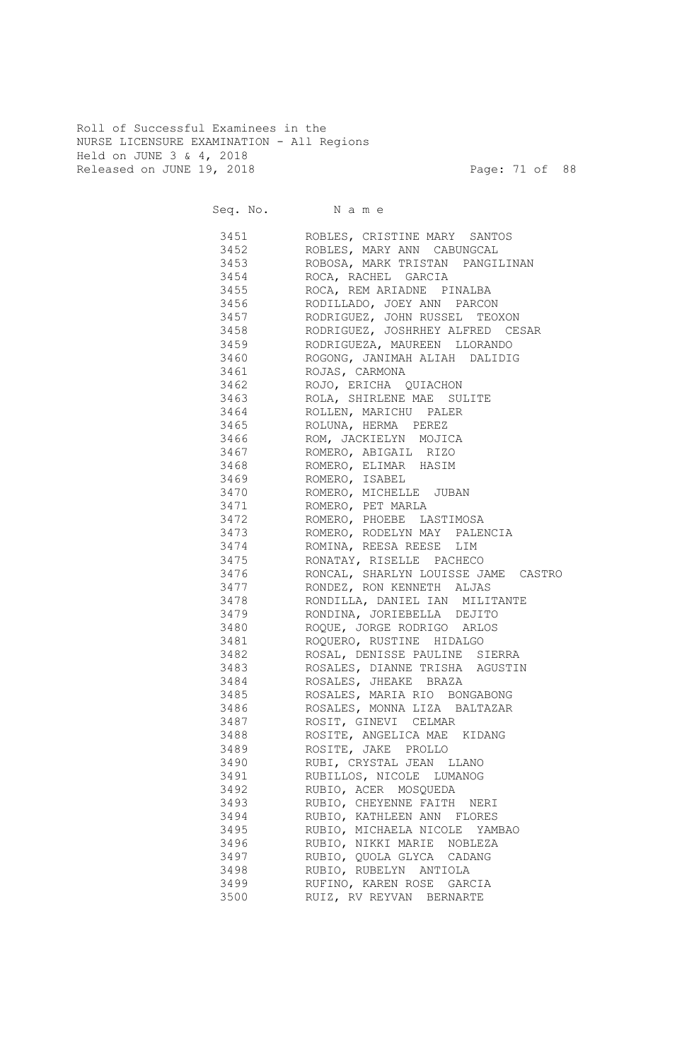Roll of Successful Examinees in the NURSE LICENSURE EXAMINATION - All Regions Held on JUNE 3 & 4, 2018 Released on JUNE 19, 2018 Page: 71 of 88

|           | Seq. No. Name                       |
|-----------|-------------------------------------|
|           | 3451 ROBLES, CRISTINE MARY SANTOS   |
|           | 3452 ROBLES, MARY ANN CABUNGCAL     |
| 3453      | ROBOSA, MARK TRISTAN PANGILINAN     |
|           | 3454 ROCA, RACHEL GARCIA            |
|           | 3455 ROCA, REM ARIADNE PINALBA      |
|           | 3456 RODILLADO, JOEY ANN PARCON     |
| 3457      | RODRIGUEZ, JOHN RUSSEL TEOXON       |
| 3458      | RODRIGUEZ, JOSHRHEY ALFRED CESAR    |
|           | 3459 RODRIGUEZA, MAUREEN LLORANDO   |
| 3460      | ROGONG, JANIMAH ALIAH DALIDIG       |
| 3461      | ROJAS, CARMONA                      |
|           | 3462 ROJO, ERICHA QUIACHON          |
|           | 3463 ROLA, SHIRLENE MAE SULITE      |
|           | 3464 ROLLEN, MARICHU PALER          |
|           |                                     |
|           | 3465 ROLUNA, HERMA PEREZ            |
|           | 3466 ROM, JACKIELYN MOJICA          |
|           | 3467 ROMERO, ABIGAIL RIZO           |
|           | 3468 ROMERO, ELIMAR HASIM           |
|           | 3469 ROMERO, ISABEL                 |
|           | 3470 ROMERO, MICHELLE JUBAN         |
|           | 3471 ROMERO, PET MARLA              |
|           | 3472 ROMERO, PHOEBE LASTIMOSA       |
|           |                                     |
|           |                                     |
|           | 3475 RONATAY, RISELLE PACHECO       |
| 3476      | RONCAL, SHARLYN LOUISSE JAME CASTRO |
| 3477      | RONDEZ, RON KENNETH ALJAS           |
| 3478      | RONDILLA, DANIEL IAN MILITANTE      |
| 3479      | RONDINA, JORIEBELLA DEJITO          |
| 3480 3480 | ROQUE, JORGE RODRIGO ARLOS          |
| 3481      | ROQUERO, RUSTINE HIDALGO            |
| 3482      | ROSAL, DENISSE PAULINE SIERRA       |
| 3483      | ROSALES, DIANNE TRISHA AGUSTIN      |
| 3484      | ROSALES, JHEAKE BRAZA               |
| 3485      | ROSALES, MARIA RIO BONGABONG        |
| 3486      | ROSALES, MONNA LIZA BALTAZAR        |
| 3487      | ROSIT, GINEVI CELMAR                |
| 3488      | ROSITE, ANGELICA MAE KIDANG         |
| 3489      | ROSITE, JAKE PROLLO                 |
| 3490      | RUBI, CRYSTAL JEAN LLANO            |
| 3491      | RUBILLOS, NICOLE LUMANOG            |
| 3492      | RUBIO, ACER MOSQUEDA                |
| 3493      | RUBIO, CHEYENNE FAITH NERI          |
| 3494      | RUBIO, KATHLEEN ANN FLORES          |
| 3495      | RUBIO, MICHAELA NICOLE YAMBAO       |
| 3496      | RUBIO, NIKKI MARIE NOBLEZA          |
| 3497      | RUBIO, QUOLA GLYCA CADANG           |
| 3498      | RUBIO, RUBELYN ANTIOLA              |
| 3499      | RUFINO, KAREN ROSE GARCIA           |
| 3500      | RUIZ, RV REYVAN BERNARTE            |
|           |                                     |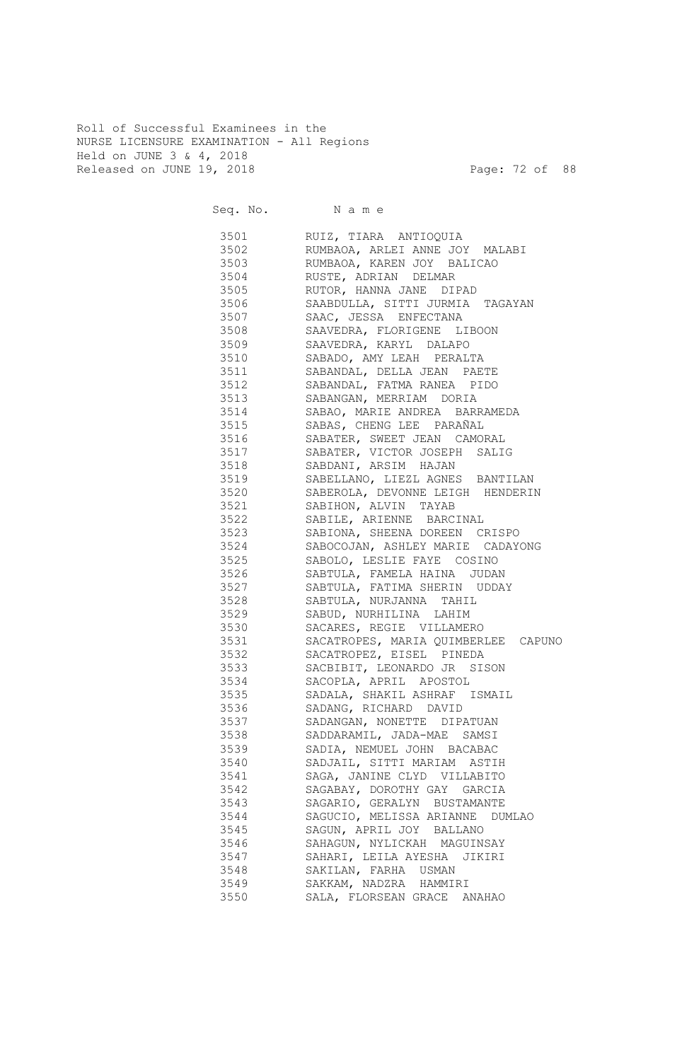Roll of Successful Examinees in the NURSE LICENSURE EXAMINATION - All Regions Held on JUNE 3 & 4, 2018 Released on JUNE 19, 2018 Page: 72 of 88

| Seq. No. Name    |                                                         |
|------------------|---------------------------------------------------------|
| 3501 350<br>3502 | RUIZ, TIARA ANTIOQUIA<br>RUMBAOA, ARLEI ANNE JOY MALABI |
| 3503             | RUMBAOA, KAREN JOY BALICAO                              |
| 3504             | RUSTE, ADRIAN DELMAR                                    |
| 3505             | RUTOR, HANNA JANE DIPAD                                 |
| 3506             | SAABDULLA, SITTI JURMIA TAGAYAN                         |
| 3507             | SAAC, JESSA ENFECTANA                                   |
| 3508             | SAAVEDRA, FLORIGENE LIBOON                              |
| 3509             | SAAVEDRA, KARYL DALAPO                                  |
| 3510             | SABADO, AMY LEAH PERALTA                                |
| 3511 3511        | SABANDAL, DELLA JEAN PAETE                              |
| 3512             | SABANDAL, FATMA RANEA PIDO                              |
| 3513             | SABANGAN, MERRIAM DORIA                                 |
| 3514<br>3515     | SABAO, MARIE ANDREA BARRAMEDA                           |
| 3516             | SABAS, CHENG LEE PARAÑAL                                |
| 3517             | SABATER, SWEET JEAN CAMORAL                             |
| 3518             | SABATER, VICTOR JOSEPH SALIG<br>SABDANI, ARSIM HAJAN    |
| 3519             | SABELLANO, LIEZL AGNES BANTILAN                         |
| 3520             | SABEROLA, DEVONNE LEIGH HENDERIN                        |
| 3521 3521        | SABIHON, ALVIN TAYAB                                    |
| 3522             | SABILE, ARIENNE BARCINAL                                |
| 3523 3523        | SABIONA, SHEENA DOREEN CRISPO                           |
| 3524             | SABOCOJAN, ASHLEY MARIE CADAYONG                        |
| 3525 36          | SABOLO, LESLIE FAYE COSINO                              |
| 3526 352         | SABTULA, FAMELA HAINA JUDAN                             |
| 3527             | SABTULA, FATIMA SHERIN UDDAY                            |
| 3528 3528        | SABTULA, NURJANNA TAHIL                                 |
| 3529             | SABUD, NURHILINA LAHIM                                  |
| 3530 35          | SACARES, REGIE VILLAMERO                                |
| 3531 35          | SACATROPES, MARIA QUIMBERLEE CAPUNO                     |
| 3532             | SACATROPEZ, EISEL PINEDA                                |
| 3533             | SACBIBIT, LEONARDO JR SISON                             |
| 3534 355         | SACOPLA, APRIL APOSTOL                                  |
| 3535             | SADALA, SHAKIL ASHRAF ISMAIL                            |
| 3536             | SADANG, RICHARD DAVID                                   |
| 3537             | SADANGAN, NONETTE DIPATUAN                              |
| 3538             | SADDARAMIL, JADA-MAE SAMSI                              |
| 3539             | SADIA, NEMUEL JOHN BACABAC                              |
| 3540             | SADJAIL, SITTI MARIAM ASTIH                             |
| 3541             | SAGA, JANINE CLYD VILLABITO                             |
| 3542             | SAGABAY, DOROTHY GAY GARCIA                             |
| 3543             | SAGARIO, GERALYN BUSTAMANTE                             |
| 3544             | SAGUCIO, MELISSA ARIANNE DUMLAO                         |
| 3545             | SAGUN, APRIL JOY BALLANO                                |
| 3546             | SAHAGUN, NYLICKAH MAGUINSAY                             |
| 3547             | SAHARI, LEILA AYESHA JIKIRI                             |
| 3548<br>3549     | SAKILAN, FARHA USMAN                                    |
| 3550             | SAKKAM, NADZRA HAMMIRI<br>SALA, FLORSEAN GRACE ANAHAO   |
|                  |                                                         |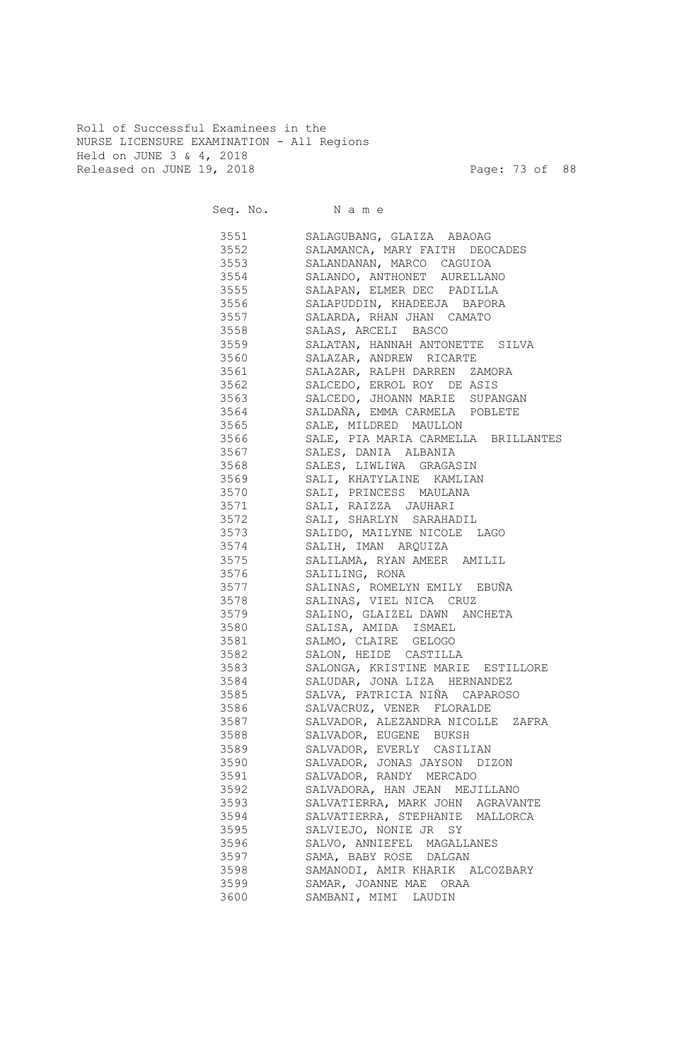Roll of Successful Examinees in the NURSE LICENSURE EXAMINATION - All Regions Held on JUNE 3 & 4, 2018 Released on JUNE 19, 2018 Page: 73 of 88

Seq. No. Name 3551 SALAGUBANG, GLAIZA ABAOAG 3552 SALAMANCA, MARY FAITH DEOCADES 3553 SALANDANAN, MARCO CAGUIOA 3554 SALANDO, ANTHONET AURELLANO 3555 SALAPAN, ELMER DEC PADILLA 3556 SALAPUDDIN, KHADEEJA BAPORA 3557 SALARDA, RHAN JHAN CAMATO 3558 SALAS, ARCELI BASCO 3559 SALATAN, HANNAH ANTONETTE SILVA 3560 SALAZAR, ANDREW RICARTE 3561 SALAZAR, RALPH DARREN ZAMORA 3562 SALCEDO, ERROL ROY DE ASIS 3563 SALCEDO, JHOANN MARIE SUPANGAN 3564 SALDAÑA, EMMA CARMELA POBLETE 3565 SALE, MILDRED MAULLON 3566 SALE, PIA MARIA CARMELLA BRILLANTES 3567 SALES, DANIA ALBANIA 3568 SALES, LIWLIWA GRAGASIN 3569 SALI, KHATYLAINE KAMLIAN 3570 SALI, PRINCESS MAULANA 3571 SALI, RAIZZA JAUHARI 3572 SALI, SHARLYN SARAHADIL 3573 SALIDO, MAILYNE NICOLE LAGO<br>3574 SALIH, IMAN ARQUIZA SALIH, IMAN ARQUIZA 3575 SALILAMA, RYAN AMEER AMILIL 3576 SALILING, RONA 3577 SALINAS, ROMELYN EMILY EBUÑA 3578 SALINAS, VIEL NICA CRUZ 3579 SALINO, GLAIZEL DAWN ANCHETA 3580 SALISA, AMIDA ISMAEL 3581 SALMO, CLAIRE GELOGO 3582 SALON, HEIDE CASTILLA 3583 SALONGA, KRISTINE MARIE ESTILLORE 3584 SALUDAR, JONA LIZA HERNANDEZ 3585 SALVA, PATRICIA NIÑA CAPAROSO 3586 SALVACRUZ, VENER FLORALDE 3587 SALVADOR, ALEZANDRA NICOLLE ZAFRA 3588 SALVADOR, EUGENE BUKSH 3589 SALVADOR, EVERLY CASILIAN 3590 SALVADOR, JONAS JAYSON DIZON 3591 SALVADOR, RANDY MERCADO 3592 SALVADORA, HAN JEAN MEJILLANO 3593 SALVATIERRA, MARK JOHN AGRAVANTE 3594 SALVATIERRA, STEPHANIE MALLORCA 3595 SALVIEJO, NONIE JR SY 3596 SALVO, ANNIEFEL MAGALLANES 3597 SAMA, BABY ROSE DALGAN 3598 SAMANODI, AMIR KHARIK ALCOZBARY 3599 SAMAR, JOANNE MAE ORAA 3600 SAMBANI, MIMI LAUDIN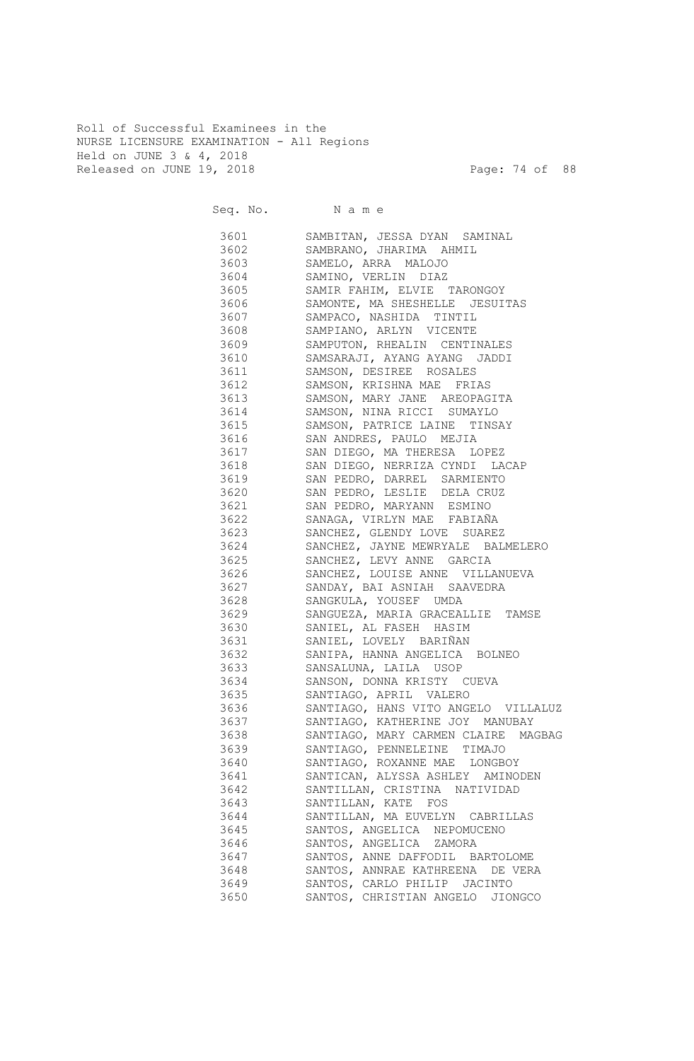Roll of Successful Examinees in the NURSE LICENSURE EXAMINATION - All Regions Held on JUNE 3 & 4, 2018 Released on JUNE 19, 2018 Page: 74 of 88

|         | Seq. No. Name                       |
|---------|-------------------------------------|
| 3601    | SAMBITAN, JESSA DYAN SAMINAL        |
| 3602    | SAMBRANO, JHARIMA AHMIL             |
| 3603    | SAMELO, ARRA MALOJO                 |
| 3604    | SAMINO, VERLIN DIAZ                 |
| 3605    | SAMIR FAHIM, ELVIE TARONGOY         |
| 3606    | SAMONTE, MA SHESHELLE JESUITAS      |
| 3607    | SAMPACO, NASHIDA TINTIL             |
| 3608    | SAMPIANO, ARLYN VICENTE             |
| 3609    | SAMPUTON, RHEALIN CENTINALES        |
| 3610    | SAMSARAJI, AYANG AYANG JADDI        |
| 3611    | SAMSON, DESIREE ROSALES             |
| 3612    | SAMSON, KRISHNA MAE FRIAS           |
| 3613    | SAMSON, MARY JANE AREOPAGITA        |
| 3614    | SAMSON, NINA RICCI SUMAYLO          |
| 3615    | SAMSON, PATRICE LAINE TINSAY        |
| 3616    | SAN ANDRES, PAULO MEJIA             |
| 3617    | SAN DIEGO, MA THERESA LOPEZ         |
| 3618    | SAN DIEGO, NERRIZA CYNDI LACAP      |
| 3619    | SAN PEDRO, DARREL SARMIENTO         |
| 3620    | SAN PEDRO, LESLIE DELA CRUZ         |
| 3621    | SAN PEDRO, MARYANN ESMINO           |
| 3622    | SANAGA, VIRLYN MAE FABIAÑA          |
| 3623    | SANCHEZ, GLENDY LOVE SUAREZ         |
| 3624    | SANCHEZ, JAYNE MEWRYALE BALMELERO   |
| 3625    | SANCHEZ, LEVY ANNE GARCIA           |
| 3626    | SANCHEZ, LOUISE ANNE VILLANUEVA     |
| 3627    | SANDAY, BAI ASNIAH SAAVEDRA         |
| 3628    | SANGKULA, YOUSEF UMDA               |
| 3629    | SANGUEZA, MARIA GRACEALLIE TAMSE    |
| 3630    | SANIEL, AL FASEH HASIM              |
| 3631    | SANIEL, LOVELY BARIÑAN              |
| 3632    | SANIPA, HANNA ANGELICA BOLNEO       |
| 3633    | SANSALUNA, LAILA USOP               |
| 3634    | SANSON, DONNA KRISTY CUEVA          |
| 3635 36 | SANTIAGO, APRIL VALERO              |
| 3636    | SANTIAGO, HANS VITO ANGELO VILLALUZ |
| 3637    | SANTIAGO, KATHERINE JOY MANUBAY     |
| 3638    | SANTIAGO, MARY CARMEN CLAIRE MAGBAG |
| 3639    | SANTIAGO, PENNELEINE TIMAJO         |
| 3640    | SANTIAGO, ROXANNE MAE LONGBOY       |
| 3641    | SANTICAN, ALYSSA ASHLEY AMINODEN    |
| 3642    | SANTILLAN, CRISTINA NATIVIDAD       |
| 3643    | SANTILLAN, KATE FOS                 |
| 3644    | SANTILLAN, MA EUVELYN CABRILLAS     |
| 3645    | SANTOS, ANGELICA NEPOMUCENO         |
| 3646    | SANTOS, ANGELICA ZAMORA             |
| 3647    | SANTOS, ANNE DAFFODIL BARTOLOME     |
| 3648    | SANTOS, ANNRAE KATHREENA DE VERA    |
| 3649    | SANTOS, CARLO PHILIP JACINTO        |
| 3650    | SANTOS, CHRISTIAN ANGELO<br>JIONGCO |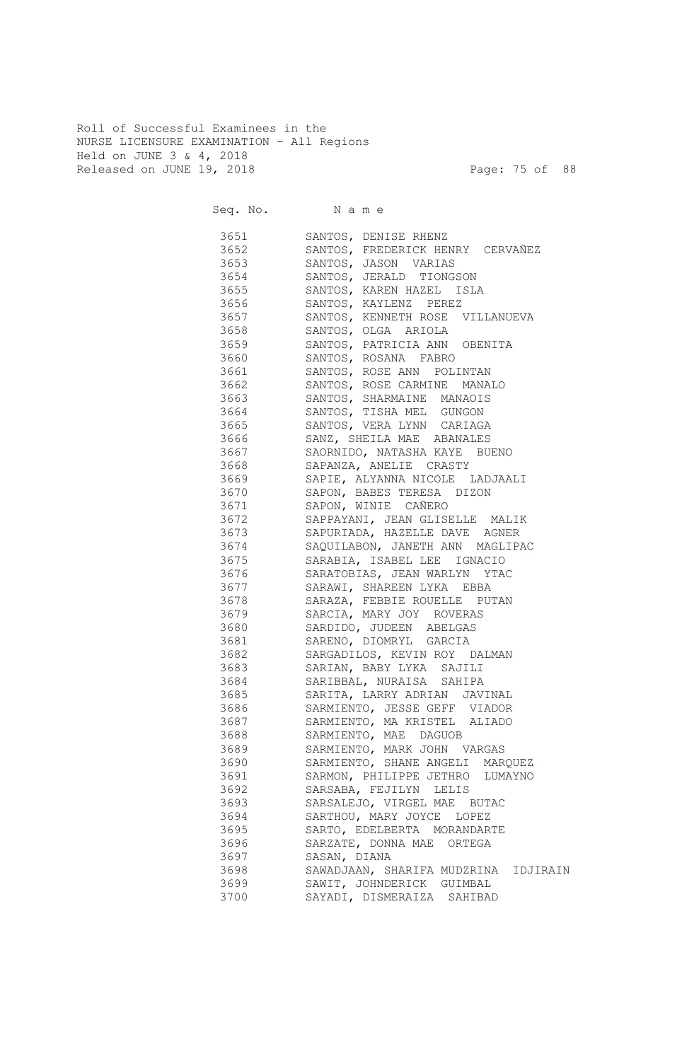Roll of Successful Examinees in the NURSE LICENSURE EXAMINATION - All Regions Held on JUNE 3 & 4, 2018 Released on JUNE 19, 2018 Page: 75 of 88

| Seq. No. Name |                                                   |
|---------------|---------------------------------------------------|
| 3651 366      | SANTOS, DENISE RHENZ                              |
| 3652 366      | SANTOS, FREDERICK HENRY CERVAÑEZ                  |
| 3653 365      | SANTOS, JASON VARIAS                              |
| 3654          | SANTOS, JERALD TIONGSON                           |
| 3655 366      | SANTOS, KAREN HAZEL ISLA                          |
| 3656 366      | SANTOS, KAYLENZ PEREZ                             |
| 3657 366      | SANTOS, KENNETH ROSE VILLANUEVA                   |
| 3658 366      | SANTOS, OLGA ARIOLA                               |
| 3659 366      | SANTOS, PATRICIA ANN OBENITA                      |
| 3660 3660     | SANTOS, ROSANA FABRO                              |
| 3661 366      | SANTOS, ROSE ANN POLINTAN                         |
| 3662          | SANTOS, ROSE CARMINE<br>MANALO                    |
| 3663 366      | SANTOS, SHARMAINE MANAOIS                         |
| 3664          | SANTOS, TISHA MEL GUNGON                          |
| 3665 366      | SANTOS, VERA LYNN CARIAGA                         |
| 3666          | SANZ, SHEILA MAE ABANALES                         |
| 3667          | SAORNIDO, NATASHA KAYE BUENO                      |
| 3668          | SAPANZA, ANELIE CRASTY                            |
| 3669          | SAPIE, ALYANNA NICOLE LADJAALI                    |
| 3670          | SAPON, BABES TERESA DIZON                         |
| 3671          | SAPON, WINIE CAÑERO                               |
| 3672          | SAPPAYANI, JEAN GLISELLE MALIK                    |
| 3673          | SAPURIADA, HAZELLE DAVE AGNER                     |
| 3674          | SAQUILABON, JANETH ANN MAGLIPAC                   |
| 3675          | SARABIA, ISABEL LEE IGNACIO                       |
| 3676          | SARATOBIAS, JEAN WARLYN YTAC                      |
| 3677          | SARAWI, SHAREEN LYKA EBBA                         |
| 3678          | SARAZA, FEBBIE ROUELLE PUTAN                      |
| 3679          | SARCIA, MARY JOY ROVERAS                          |
| 3680<br>3681  | SARDIDO, JUDEEN ABELGAS<br>SARENO, DIOMRYL GARCIA |
| 3682          | SARGADILOS, KEVIN ROY DALMAN                      |
| 3683          | SARIAN, BABY LYKA SAJILI                          |
| 3684          | SARIBBAL, NURAISA SAHIPA                          |
| 3685          | SARITA, LARRY ADRIAN<br>JAVINAL                   |
| 3686          | SARMIENTO, JESSE GEFF VIADOR                      |
| 3687          | SARMIENTO, MA KRISTEL ALIADO                      |
| 3688          | SARMIENTO, MAE DAGUOB                             |
| 3689          | SARMIENTO, MARK JOHN VARGAS                       |
| 3690          | SARMIENTO, SHANE ANGELI MARQUEZ                   |
| 3691          | SARMON, PHILIPPE JETHRO LUMAYNO                   |
| 3692          | SARSABA, FEJILYN LELIS                            |
| 3693          | SARSALEJO, VIRGEL MAE BUTAC                       |
| 3694          | SARTHOU, MARY JOYCE LOPEZ                         |
| 3695          | SARTO, EDELBERTA MORANDARTE                       |
| 3696          | SARZATE, DONNA MAE ORTEGA                         |
| 3697          | SASAN, DIANA                                      |
| 3698          | SAWADJAAN, SHARIFA MUDZRINA IDJIRAIN              |
| 3699          | SAWIT, JOHNDERICK GUIMBAL                         |
| 3700          | SAYADI, DISMERAIZA SAHIBAD                        |
|               |                                                   |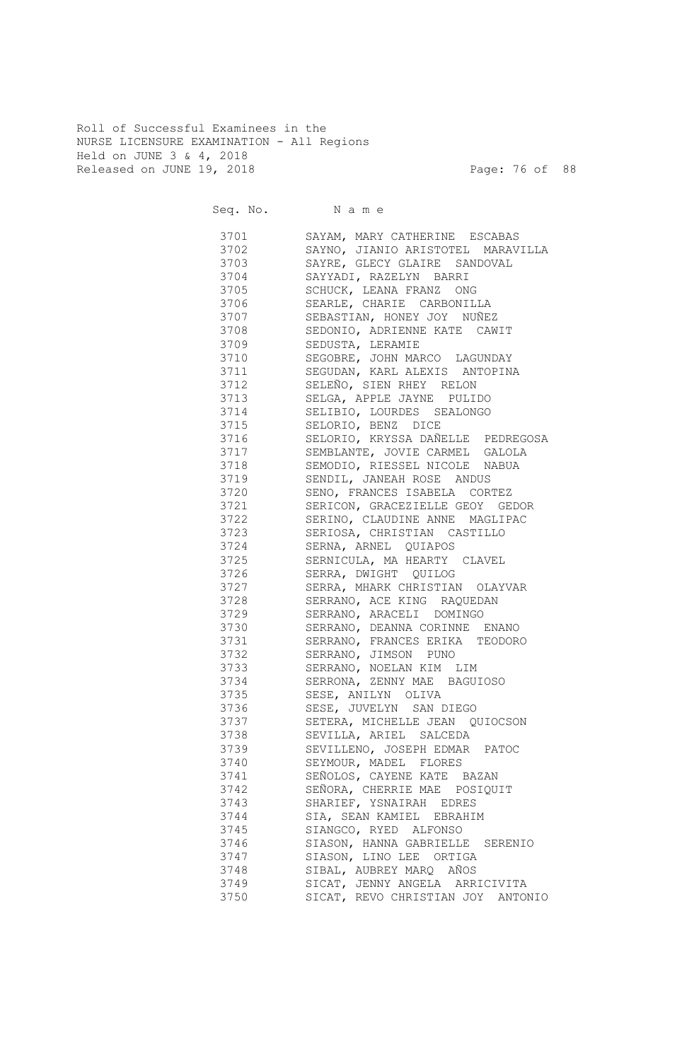Roll of Successful Examinees in the NURSE LICENSURE EXAMINATION - All Regions Held on JUNE 3 & 4, 2018 Released on JUNE 19, 2018 Page: 76 of 88

|              | Seq. No. Name                                              |
|--------------|------------------------------------------------------------|
|              | 3701 SAYAM, MARY CATHERINE ESCABAS                         |
|              | 3702 SAYNO, JIANIO ARISTOTEL MARAVILLA                     |
|              | 3703 SAYRE, GLECY GLAIRE SANDOVAL                          |
|              | 3704 SAYYADI, RAZELYN BARRI                                |
|              | 3705 SCHUCK, LEANA FRANZ ONG                               |
|              | 3706 SEARLE, CHARIE CARBONILLA                             |
|              | 3707 SEBASTIAN, HONEY JOY NUÑEZ                            |
|              | 3708 SEDONIO, ADRIENNE KATE CAWIT                          |
|              | 3709 SEDUSTA, LERAMIE                                      |
| 3710         | SEGOBRE, JOHN MARCO LAGUNDAY                               |
| 3711         | SEGUDAN, KARL ALEXIS ANTOPINA                              |
|              | 3712 SELEÑO, SIEN RHEY RELON                               |
|              | 3713 SELGA, APPLE JAYNE PULIDO                             |
|              | 3714 SELIBIO, LOURDES SEALONGO                             |
|              | 3715 SELORIO, BENZ DICE                                    |
|              | 3716 SELORIO, KRYSSA DAÑELLE PEDREGOSA                     |
|              | 3717 SEMBLANTE, JOVIE CARMEL GALOLA                        |
| 3718         | SEMODIO, RIESSEL NICOLE NABUA                              |
| 3719         | SENDIL, JANEAH ROSE ANDUS                                  |
| 3720         | SENO, FRANCES ISABELA CORTEZ                               |
| 3721         | SERICON, GRACEZIELLE GEOY GEDOR                            |
| 3722         | SERINO, CLAUDINE ANNE MAGLIPAC                             |
| 3723         | SERIOSA, CHRISTIAN CASTILLO                                |
| 3724         | SERNA, ARNEL QUIAPOS                                       |
| 3725         | SERNICULA, MA HEARTY CLAVEL                                |
| 3726         | SERRA, DWIGHT QUILOG                                       |
| 3727         | SERRA, MHARK CHRISTIAN OLAYVAR                             |
| 3728         | SERRANO, ACE KING RAQUEDAN                                 |
| 3729         | SERRANO, ARACELI DOMINGO                                   |
| 3730         | SERRANO, DEANNA CORINNE ENANO                              |
| 3731         | SERRANO, FRANCES ERIKA TEODORO                             |
| 3732         | SERRANO, JIMSON PUNO                                       |
| 3733         | SERRANO, NOELAN KIM LIM                                    |
| 3734         | SERRONA, ZENNY MAE BAGUIOSO                                |
| 3735         | SESE, ANILYN OLIVA                                         |
| 3736         | SESE, JUVELYN SAN DIEGO                                    |
| 3737         | SETERA, MICHELLE JEAN QUIOCSON                             |
| 3738         | SEVILLA, ARIEL SALCEDA                                     |
| 3739         | SEVILLENO, JOSEPH EDMAR PATOC                              |
| 3740         | SEYMOUR, MADEL FLORES                                      |
| 3741         | SEÑOLOS, CAYENE KATE BAZAN                                 |
| 3742         | SEÑORA, CHERRIE MAE POSIQUIT                               |
| 3743         | SHARIEF, YSNAIRAH EDRES                                    |
| 3744         | SIA, SEAN KAMIEL EBRAHIM                                   |
| 3745         | SIANGCO, RYED ALFONSO                                      |
| 3746<br>3747 | SIASON, HANNA GABRIELLE SERENIO<br>SIASON, LINO LEE ORTIGA |
| 3748         | SIBAL, AUBREY MARQ AÑOS                                    |
| 3749         | SICAT, JENNY ANGELA ARRICIVITA                             |
| 3750         | SICAT, REVO CHRISTIAN JOY ANTONIO                          |
|              |                                                            |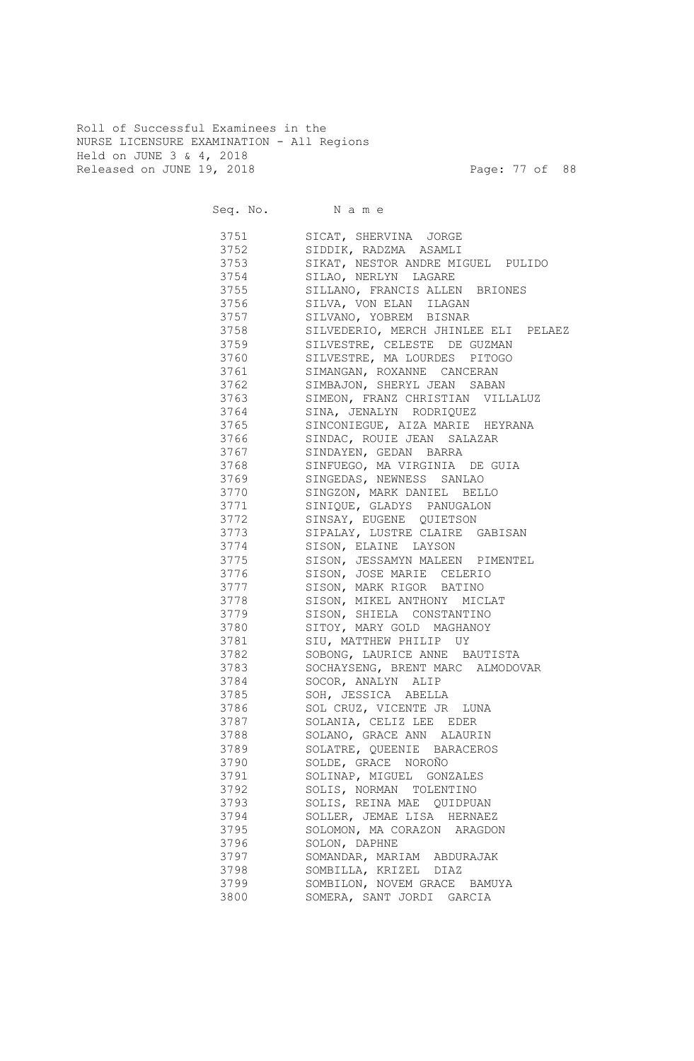Roll of Successful Examinees in the NURSE LICENSURE EXAMINATION - All Regions Held on JUNE 3 & 4, 2018 Released on JUNE 19, 2018 Page: 77 of 88

| Seq. No. Name |                                      |
|---------------|--------------------------------------|
| 3751 376      | SICAT, SHERVINA JORGE                |
| 3752          | SIDDIK, RADZMA ASAMLI                |
| 3753          | SIKAT, NESTOR ANDRE MIGUEL PULIDO    |
| 3754          | SILAO, NERLYN LAGARE                 |
| 3755          | SILLANO, FRANCIS ALLEN BRIONES       |
| 3756          | SILVA, VON ELAN ILAGAN               |
| 3757          | SILVANO, YOBREM BISNAR               |
| 3758          | SILVEDERIO, MERCH JHINLEE ELI PELAEZ |
| 3759          | SILVESTRE, CELESTE DE GUZMAN         |
| 3760          | SILVESTRE, MA LOURDES PITOGO         |
| 3761          | SIMANGAN, ROXANNE CANCERAN           |
| 3762          | SIMBAJON, SHERYL JEAN SABAN          |
| 3763          | SIMEON, FRANZ CHRISTIAN VILLALUZ     |
| 3764          | SINA, JENALYN RODRIQUEZ              |
| 3765          | SINCONIEGUE, AIZA MARIE HEYRANA      |
| 3766          | SINDAC, ROUIE JEAN SALAZAR           |
| 3767          | SINDAYEN, GEDAN BARRA                |
| 3768          | SINFUEGO, MA VIRGINIA DE GUIA        |
| 3769          | SINGEDAS, NEWNESS SANLAO             |
| 3770          | SINGZON, MARK DANIEL BELLO           |
| 3771          | SINIQUE, GLADYS PANUGALON            |
| 3772          | SINSAY, EUGENE QUIETSON              |
| 3773          | SIPALAY, LUSTRE CLAIRE GABISAN       |
| 3774          | SISON, ELAINE LAYSON                 |
| 3775          | SISON, JESSAMYN MALEEN PIMENTEL      |
| 3776          | SISON, JOSE MARIE CELERIO            |
| 3777          | SISON, MARK RIGOR BATINO             |
| 3778          | SISON, MIKEL ANTHONY MICLAT          |
| 3779          | SISON, SHIELA CONSTANTINO            |
| 3780          | SITOY, MARY GOLD MAGHANOY            |
| 3781          | SIU, MATTHEW PHILIP UY               |
| 3782          | SOBONG, LAURICE ANNE BAUTISTA        |
| 3783          | SOCHAYSENG, BRENT MARC ALMODOVAR     |
| 3784          | SOCOR, ANALYN ALIP                   |
| 3785          | SOH, JESSICA ABELLA                  |
| 3786          | SOL CRUZ, VICENTE JR LUNA            |
| 3787          | SOLANIA, CELIZ LEE EDER              |
| 3788          | SOLANO, GRACE ANN ALAURIN            |
| 3789          | SOLATRE, QUEENIE BARACEROS           |
| 3790          | SOLDE, GRACE NOROÑO                  |
| 3791          | SOLINAP, MIGUEL GONZALES             |
| 3792          | SOLIS, NORMAN TOLENTINO              |
| 3793          | SOLIS, REINA MAE QUIDPUAN            |
| 3794          | SOLLER, JEMAE LISA HERNAEZ           |
| 3795          | SOLOMON, MA CORAZON ARAGDON          |
| 3796          | SOLON, DAPHNE                        |
| 3797          | SOMANDAR, MARIAM ABDURAJAK           |
| 3798          | SOMBILLA, KRIZEL DIAZ                |
| 3799          | SOMBILON, NOVEM GRACE BAMUYA         |
| 3800          | SOMERA, SANT JORDI GARCIA            |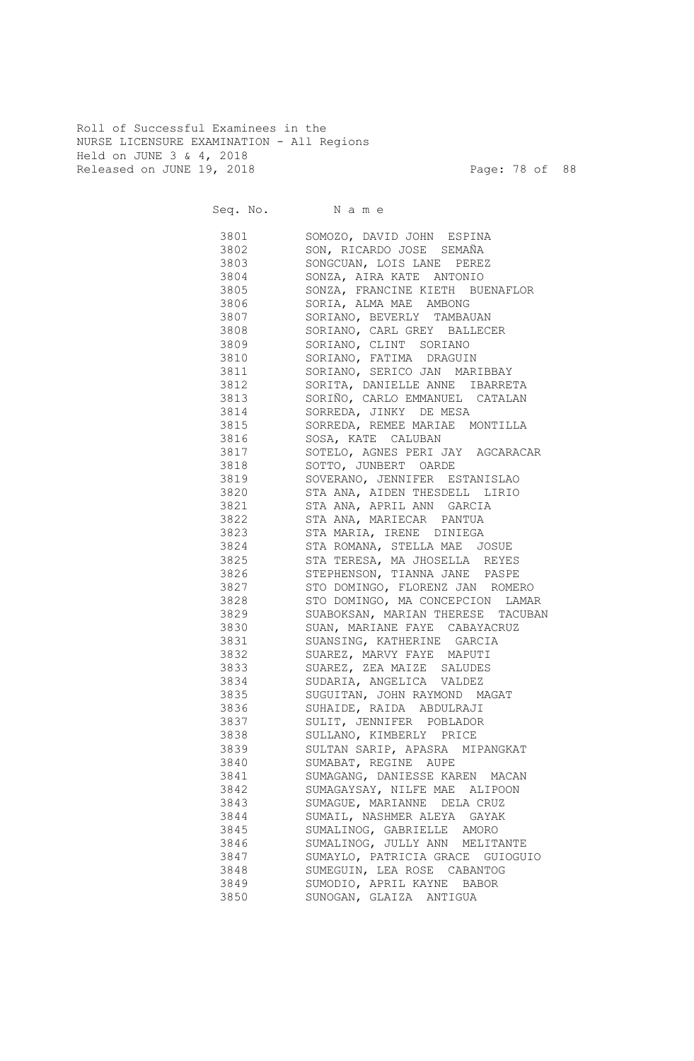Roll of Successful Examinees in the NURSE LICENSURE EXAMINATION - All Regions Held on JUNE 3 & 4, 2018 Released on JUNE 19, 2018 Page: 78 of 88

Seq. No. Name 3801 SOMOZO, DAVID JOHN ESPINA 3802 SON, RICARDO JOSE SEMAÑA 3803 SONGCUAN, LOIS LANE PEREZ 3804 SONZA, AIRA KATE ANTONIO 3805 SONZA, FRANCINE KIETH BUENAFLOR 3806 SORIA, ALMA MAE AMBONG 3807 SORIANO, BEVERLY TAMBAUAN 3808 SORIANO, CARL GREY BALLECER 3809 SORIANO, CLINT SORIANO 3810 SORIANO, FATIMA DRAGUIN 3811 SORIANO, SERICO JAN MARIBBAY 3812 SORITA, DANIELLE ANNE IBARRETA 3813 SORIÑO, CARLO EMMANUEL CATALAN 3814 SORREDA, JINKY DE MESA 3815 SORREDA, REMEE MARIAE MONTILLA 3816 SOSA, KATE CALUBAN 3817 SOTELO, AGNES PERI JAY AGCARACAR 3818 SOTTO, JUNBERT OARDE 3819 SOVERANO, JENNIFER ESTANISLAO 3820 STA ANA, AIDEN THESDELL LIRIO 3821 STA ANA, APRIL ANN GARCIA 3822 STA ANA, MARIECAR PANTUA 3823 STA MARIA, IRENE DINIEGA 3824 STA ROMANA, STELLA MAE JOSUE 3825 STA TERESA, MA JHOSELLA REYES 3826 STEPHENSON, TIANNA JANE PASPE 3827 STO DOMINGO, FLORENZ JAN ROMERO 3828 STO DOMINGO, MA CONCEPCION LAMAR 3829 SUABOKSAN, MARIAN THERESE TACUBAN 3830 SUAN, MARIANE FAYE CABAYACRUZ 3831 SUANSING, KATHERINE GARCIA 3832 SUAREZ, MARVY FAYE MAPUTI 3833 SUAREZ, ZEA MAIZE SALUDES 3834 SUDARIA, ANGELICA VALDEZ 3835 SUGUITAN, JOHN RAYMOND MAGAT 3836 SUHAIDE, RAIDA ABDULRAJI 3837 SULIT, JENNIFER POBLADOR 3838 SULLANO, KIMBERLY PRICE 3839 SULTAN SARIP, APASRA MIPANGKAT 3840 SUMABAT, REGINE AUPE 3841 SUMAGANG, DANIESSE KAREN MACAN 3842 SUMAGAYSAY, NILFE MAE ALIPOON 3843 SUMAGUE, MARIANNE DELA CRUZ 3844 SUMAIL, NASHMER ALEYA GAYAK 3845 SUMALINOG, GABRIELLE AMORO 3846 SUMALINOG, JULLY ANN MELITANTE 3847 SUMAYLO, PATRICIA GRACE GUIOGUIO 3848 SUMEGUIN, LEA ROSE CABANTOG 3849 SUMODIO, APRIL KAYNE BABOR 3850 SUNOGAN, GLAIZA ANTIGUA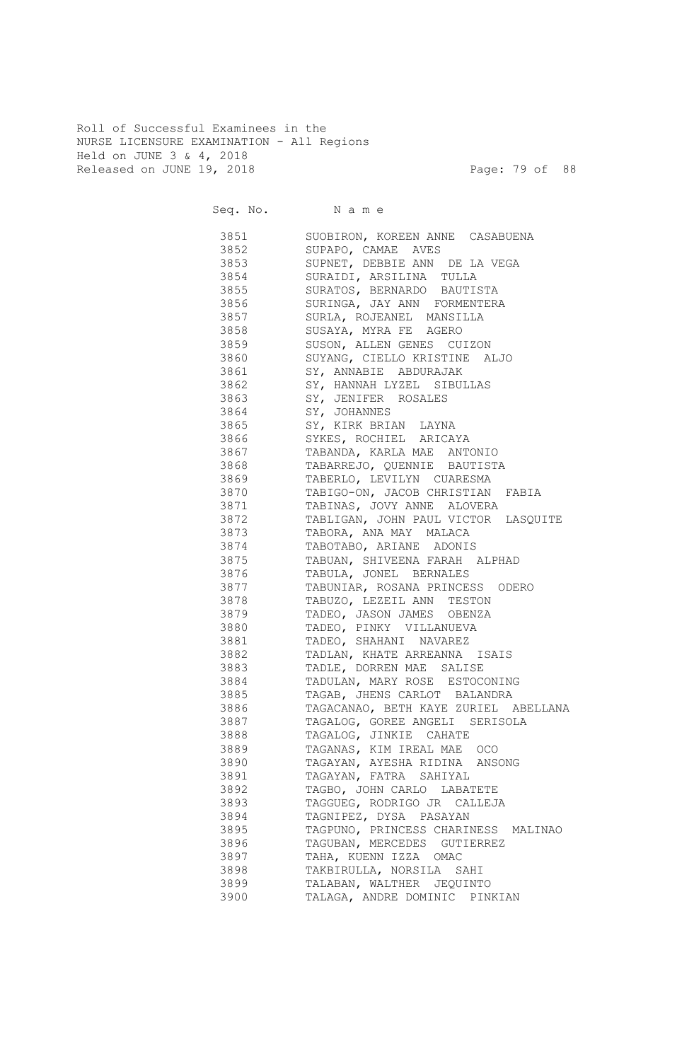Roll of Successful Examinees in the NURSE LICENSURE EXAMINATION - All Regions Held on JUNE 3 & 4, 2018 Released on JUNE 19, 2018 Page: 79 of 88

Seq. No. Name 3851 SUOBIRON, KOREEN ANNE CASABUENA 3852 SUPAPO, CAMAE AVES 3853 SUPNET, DEBBIE ANN DE LA VEGA 3854 SURAIDI, ARSILINA TULLA 3855 SURATOS, BERNARDO BAUTISTA 3856 SURINGA, JAY ANN FORMENTERA 3857 SURLA, ROJEANEL MANSILLA 3858 SUSAYA, MYRA FE AGERO 3859 SUSON, ALLEN GENES CUIZON 3860 SUYANG, CIELLO KRISTINE ALJO 3861 SY, ANNABIE ABDURAJAK 3862 SY, HANNAH LYZEL SIBULLAS 3863 SY, JENIFER ROSALES 3864 SY, JOHANNES 3865 SY, KIRK BRIAN LAYNA 3866 SYKES, ROCHIEL ARICAYA 3867 TABANDA, KARLA MAE ANTONIO 3868 TABARREJO, QUENNIE BAUTISTA 3869 TABERLO, LEVILYN CUARESMA 3870 TABIGO-ON, JACOB CHRISTIAN FABIA 3871 TABINAS, JOVY ANNE ALOVERA 3872 TABLIGAN, JOHN PAUL VICTOR LASQUITE 3873 TABORA, ANA MAY MALACA 3874 TABOTABO, ARIANE ADONIS 3875 TABUAN, SHIVEENA FARAH ALPHAD 3876 TABULA, JONEL BERNALES 3877 TABUNIAR, ROSANA PRINCESS ODERO 3878 TABUZO, LEZEIL ANN TESTON 3879 TADEO, JASON JAMES OBENZA 3880 TADEO, PINKY VILLANUEVA 3881 TADEO, SHAHANI NAVAREZ 3882 TADLAN, KHATE ARREANNA ISAIS 3883 TADLE, DORREN MAE SALISE 3884 TADULAN, MARY ROSE ESTOCONING 3885 TAGAB, JHENS CARLOT BALANDRA 3886 TAGACANAO, BETH KAYE ZURIEL ABELLANA 3887 TAGALOG, GOREE ANGELI SERISOLA 3888 TAGALOG, JINKIE CAHATE 3889 TAGANAS, KIM IREAL MAE OCO 3890 TAGAYAN, AYESHA RIDINA ANSONG 3891 TAGAYAN, FATRA SAHIYAL 3892 TAGBO, JOHN CARLO LABATETE 3893 TAGGUEG, RODRIGO JR CALLEJA 3894 TAGNIPEZ, DYSA PASAYAN 3895 TAGPUNO, PRINCESS CHARINESS MALINAO 3896 TAGUBAN, MERCEDES GUTIERREZ 3897 TAHA, KUENN IZZA OMAC 3898 TAKBIRULLA, NORSILA SAHI 3899 TALABAN, WALTHER JEQUINTO 3900 TALAGA, ANDRE DOMINIC PINKIAN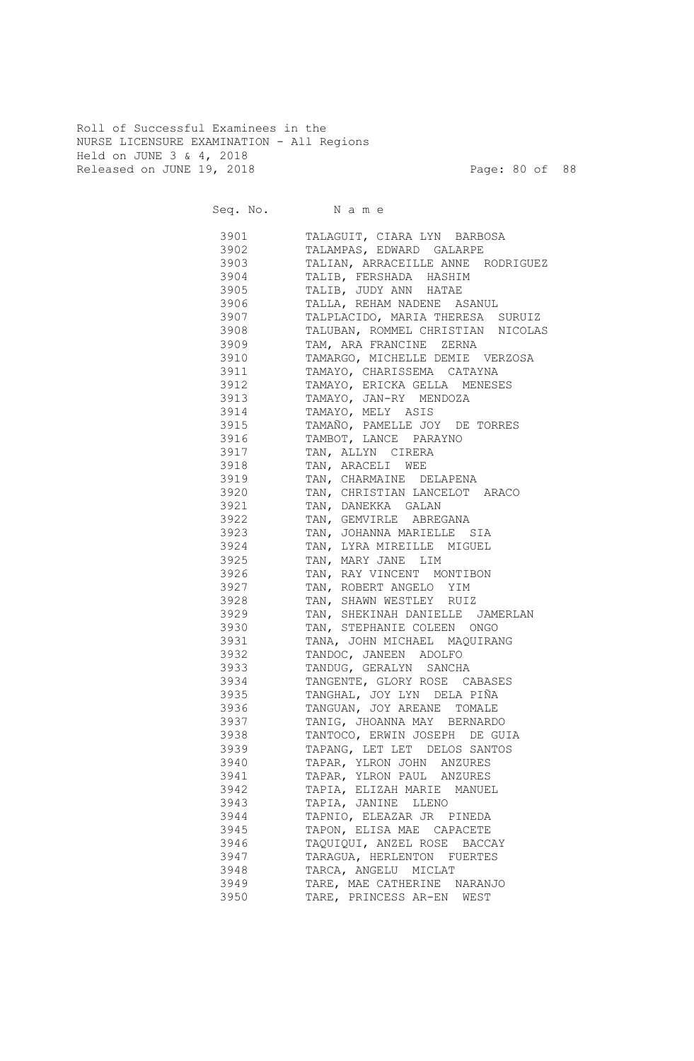Roll of Successful Examinees in the NURSE LICENSURE EXAMINATION - All Regions Held on JUNE 3 & 4, 2018 Released on JUNE 19, 2018 Page: 80 of 88

|      | Seq. No. Name                                                             |
|------|---------------------------------------------------------------------------|
|      | 3901 TALAGUIT, CIARA LYN BARBOSA                                          |
|      | 3902 TALAMPAS, EDWARD GALARPE                                             |
|      | 3903 TALIAN, ARRACEILLE ANNE RODRIGUEZ                                    |
|      | 3904 TALIB, FERSHADA HASHIM                                               |
|      | 3905 TALIB, JUDY ANN HATAE                                                |
|      | 3906 TALLA, REHAM NADENE ASANUL                                           |
|      | 3907 TALPLACIDO, MARIA THERESA SURUIZ                                     |
|      | 3908 TALUBAN, ROMMEL CHRISTIAN NICOLAS                                    |
|      | 3909 TAM, ARA FRANCINE ZERNA                                              |
|      | 3910 TAMARGO, MICHELLE DEMIE VERZOSA                                      |
|      | 3911 TAMAYO, CHARISSEMA CATAYNA                                           |
|      | 3912 TAMAYO, ERICKA GELLA MENESES                                         |
|      | 3913 TAMAYO, JAN-RY MENDOZA                                               |
|      | 3914 TAMAYO, MELY ASIS                                                    |
|      | 3915 TAMAÑO, PAMELLE JOY DE TORRES                                        |
|      | 3916 TAMBOT, LANCE PARAYNO                                                |
|      | 3917 TAN, ALLYN CIRERA                                                    |
|      | 3918 TAN, ARACELI WEE                                                     |
|      | 3919 TAN, CHARMAINE DELAPENA                                              |
| 3921 | 3920 TAN, CHRISTIAN LANCELOT ARACO                                        |
| 3922 | TAN, DANEKKA GALAN<br>TAN, GEMVIRLE ABREGANA                              |
| 3923 | TAN, JOHANNA MARIELLE SIA                                                 |
| 3924 | TAN, LYRA MIREILLE MIGUEL                                                 |
| 3925 | TAN, MARY JANE LIM                                                        |
| 3926 | TAN, RAY VINCENT MONTIBON                                                 |
| 3927 | TAN, ROBERT ANGELO YIM                                                    |
| 3928 | TAN, SHAWN WESTLEY RUIZ                                                   |
| 3929 | TAN, SHEKINAH DANIELLE JAMERLAN                                           |
| 3930 | TAN, STEPHANIE COLEEN ONGO                                                |
| 3931 | TANA, JOHN MICHAEL MAQUIRANG                                              |
| 3932 | TANDOC, JANEEN ADOLFO                                                     |
| 3933 | TANDUG, GERALYN SANCHA<br>TANGENTE, GLORY ROSE CABASES<br>TANGHAI TOV TIP |
| 3934 |                                                                           |
| 3935 | TANGHAL, JOY LYN DELA PIÑA                                                |
| 3936 | TANGUAN, JOY AREANE TOMALE                                                |
| 3937 | TANIG, JHOANNA MAY BERNARDO                                               |
| 3938 | TANTOCO, ERWIN JOSEPH DE GUIA                                             |
| 3939 | TAPANG, LET LET DELOS SANTOS                                              |
| 3940 | TAPAR, YLRON JOHN ANZURES                                                 |
| 3941 | TAPAR, YLRON PAUL ANZURES                                                 |
| 3942 | TAPIA, ELIZAH MARIE MANUEL                                                |
| 3943 | TAPIA, JANINE LLENO                                                       |
| 3944 | TAPNIO, ELEAZAR JR PINEDA                                                 |
| 3945 | TAPON, ELISA MAE CAPACETE                                                 |
| 3946 | TAQUIQUI, ANZEL ROSE BACCAY                                               |
| 3947 | TARAGUA, HERLENTON FUERTES                                                |
| 3948 | TARCA, ANGELU MICLAT                                                      |
| 3949 | TARE, MAE CATHERINE NARANJO                                               |
| 3950 | TARE, PRINCESS AR-EN WEST                                                 |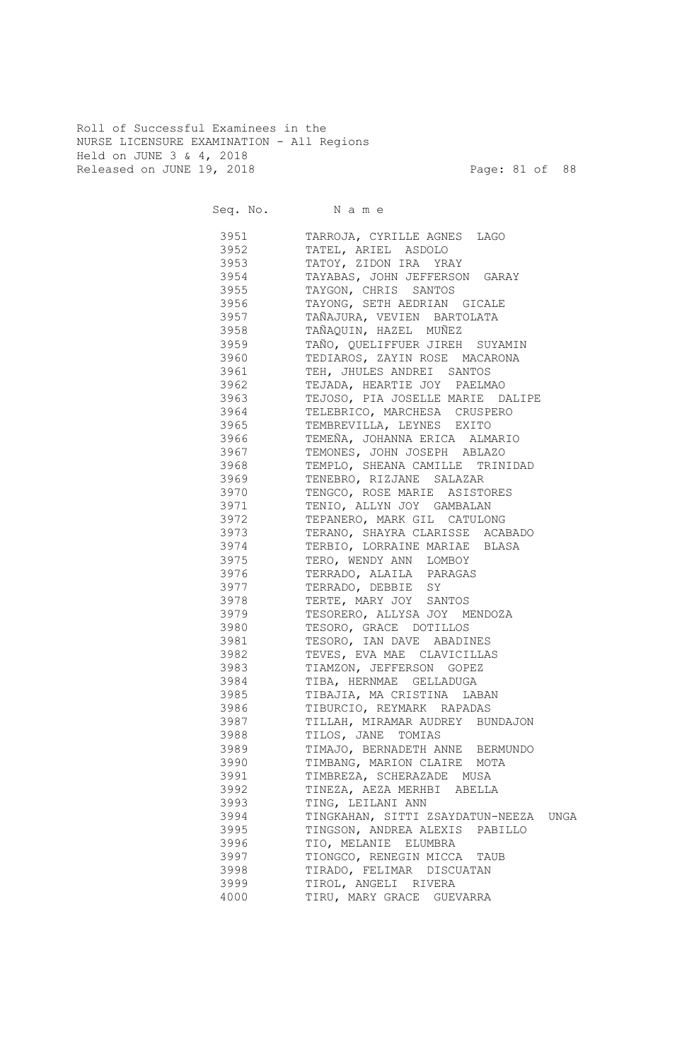Roll of Successful Examinees in the NURSE LICENSURE EXAMINATION - All Regions Held on JUNE 3 & 4, 2018 Released on JUNE 19, 2018 Page: 81 of 88

| Seq. No. Name |                                       |
|---------------|---------------------------------------|
| 3951          | TARROJA, CYRILLE AGNES<br>LAGO        |
| 3952          | TATEL, ARIEL ASDOLO                   |
| 3953          | TATOY, ZIDON IRA YRAY                 |
| 3954          | TAYABAS, JOHN JEFFERSON GARAY         |
| 3955          | TAYGON, CHRIS SANTOS                  |
| 3956          | TAYONG, SETH AEDRIAN GICALE           |
| 3957          | TAÑAJURA, VEVIEN BARTOLATA            |
| 3958          | TAÑAQUIN, HAZEL MUÑEZ                 |
| 3959          | TAÑO, QUELIFFUER JIREH SUYAMIN        |
| 3960          | TEDIAROS, ZAYIN ROSE MACARONA         |
| 3961          | TEH, JHULES ANDREI SANTOS             |
| 3962          | TEJADA, HEARTIE JOY PAELMAO           |
| 3963          | TEJOSO, PIA JOSELLE MARIE DALIPE      |
| 3964          | TELEBRICO, MARCHESA CRUSPERO          |
| 3965          | TEMBREVILLA, LEYNES EXITO             |
| 3966          | TEMEÑA, JOHANNA ERICA ALMARIO         |
| 3967          | TEMONES, JOHN JOSEPH ABLAZO           |
| 3968          | TEMPLO, SHEANA CAMILLE TRINIDAD       |
| 3969          | TENEBRO, RIZJANE SALAZAR              |
| 3970          | TENGCO, ROSE MARIE ASISTORES          |
| 3971          | TENIO, ALLYN JOY GAMBALAN             |
| 3972          | TEPANERO, MARK GIL CATULONG           |
| 3973          | TERANO, SHAYRA CLARISSE ACABADO       |
| 3974          | TERBIO, LORRAINE MARIAE BLASA         |
| 3975          | TERO, WENDY ANN LOMBOY                |
| 3976          | TERRADO, ALAILA PARAGAS               |
| 3977          | TERRADO, DEBBIE SY                    |
| 3978          | TERTE, MARY JOY SANTOS                |
| 3979          | TESORERO, ALLYSA JOY MENDOZA          |
| 3980          | TESORO, GRACE DOTILLOS                |
| 3981          | TESORO, IAN DAVE ABADINES             |
| 3982          | TEVES, EVA MAE CLAVICILLAS            |
| 3983          | TIAMZON, JEFFERSON GOPEZ              |
| 3984          | TIBA, HERNMAE GELLADUGA               |
| 3985          | TIBAJIA, MA CRISTINA LABAN            |
| 3986          | TIBURCIO, REYMARK RAPADAS             |
| 3987          | TILLAH, MIRAMAR AUDREY BUNDAJON       |
| 3988          | TILOS, JANE TOMIAS                    |
| 3989          | TIMAJO, BERNADETH ANNE BERMUNDO       |
| 3990          | TIMBANG, MARION CLAIRE MOTA           |
| 3991          | TIMBREZA, SCHERAZADE MUSA             |
| 3992          | TINEZA, AEZA MERHBI ABELLA            |
| 3993          | TING, LEILANI ANN                     |
| 3994          | TINGKAHAN, SITTI ZSAYDATUN-NEEZA UNGA |
| 3995          | TINGSON, ANDREA ALEXIS PABILLO        |
| 3996          | TIO, MELANIE ELUMBRA                  |
| 3997          | TIONGCO, RENEGIN MICCA<br>TAUB        |
| 3998          | TIRADO, FELIMAR DISCUATAN             |
| 3999          | TIROL, ANGELI RIVERA                  |
| 4000          | TIRU, MARY GRACE GUEVARRA             |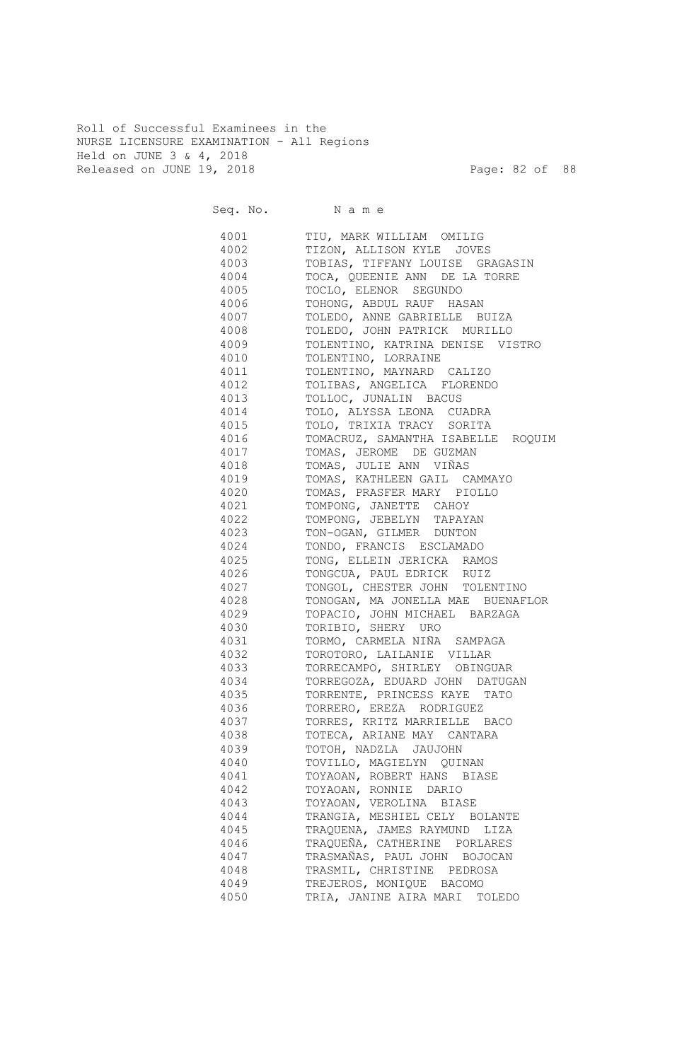Roll of Successful Examinees in the NURSE LICENSURE EXAMINATION - All Regions Held on JUNE 3 & 4, 2018 Released on JUNE 19, 2018 Page: 82 of 88

Seq. No. Name 4001 TIU, MARK WILLIAM OMILIG 4002 TIZON, ALLISON KYLE JOVES 4003 TOBIAS, TIFFANY LOUISE GRAGASIN 4004 TOCA, QUEENIE ANN DE LA TORRE 4005 TOCLO, ELENOR SEGUNDO 4006 TOHONG, ABDUL RAUF HASAN 4007 TOLEDO, ANNE GABRIELLE BUIZA 4008 TOLEDO, JOHN PATRICK MURILLO 4009 TOLENTINO, KATRINA DENISE VISTRO 4010 TOLENTINO, LORRAINE 4011 TOLENTINO, MAYNARD CALIZO 4012 TOLIBAS, ANGELICA FLORENDO 4013 TOLLOC, JUNALIN BACUS 4014 TOLO, ALYSSA LEONA CUADRA 4015 TOLO, TRIXIA TRACY SORITA 4016 TOMACRUZ, SAMANTHA ISABELLE ROQUIM 4017 TOMAS, JEROME DE GUZMAN 4018 TOMAS, JULIE ANN VIÑAS 4019 TOMAS, KATHLEEN GAIL CAMMAYO 4020 TOMAS, PRASFER MARY PIOLLO 4021 TOMPONG, JANETTE CAHOY 4022 TOMPONG, JEBELYN TAPAYAN 4023 TON-OGAN, GILMER DUNTON 4024 TONDO, FRANCIS ESCLAMADO 4025 TONG, ELLEIN JERICKA RAMOS 4026 TONGCUA, PAUL EDRICK RUIZ 4027 TONGOL, CHESTER JOHN TOLENTINO 4028 TONOGAN, MA JONELLA MAE BUENAFLOR 4029 TOPACIO, JOHN MICHAEL BARZAGA 4030 TORIBIO, SHERY URO 4031 TORMO, CARMELA NIÑA SAMPAGA 4032 TOROTORO, LAILANIE VILLAR 4033 TORRECAMPO, SHIRLEY OBINGUAR 4034 TORREGOZA, EDUARD JOHN DATUGAN 4035 TORRENTE, PRINCESS KAYE TATO 4036 TORRERO, EREZA RODRIGUEZ 4037 TORRES, KRITZ MARRIELLE BACO 4038 TOTECA, ARIANE MAY CANTARA 4039 TOTOH, NADZLA JAUJOHN 4040 TOVILLO, MAGIELYN QUINAN 4041 TOYAOAN, ROBERT HANS BIASE 4042 TOYAOAN, RONNIE DARIO 4043 TOYAOAN, VEROLINA BIASE 4044 TRANGIA, MESHIEL CELY BOLANTE 4045 TRAQUENA, JAMES RAYMUND LIZA 4046 TRAQUEÑA, CATHERINE PORLARES 4047 TRASMAÑAS, PAUL JOHN BOJOCAN 4048 TRASMIL, CHRISTINE PEDROSA 4049 TREJEROS, MONIQUE BACOMO 4050 TRIA, JANINE AIRA MARI TOLEDO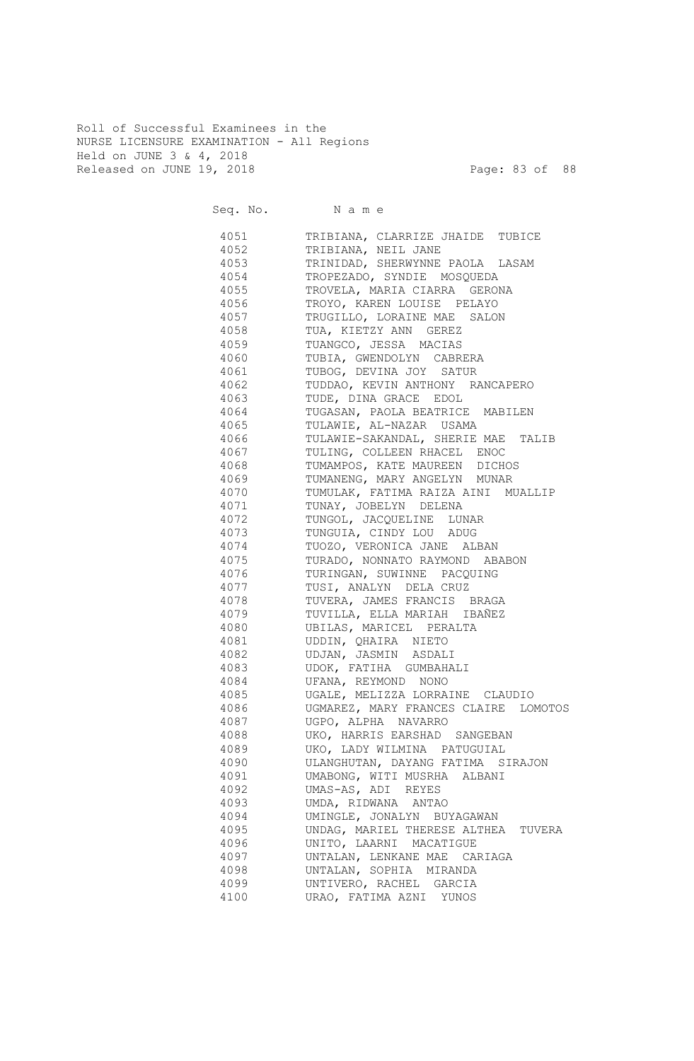Roll of Successful Examinees in the NURSE LICENSURE EXAMINATION - All Regions Held on JUNE 3 & 4, 2018 Released on JUNE 19, 2018 Page: 83 of 88

Seq. No. Name 4051 TRIBIANA, CLARRIZE JHAIDE TUBICE 4052 TRIBIANA, NEIL JANE 4053 TRINIDAD, SHERWYNNE PAOLA LASAM 4054 TROPEZADO, SYNDIE MOSQUEDA 4055 TROVELA, MARIA CIARRA GERONA 4056 TROYO, KAREN LOUISE PELAYO 4057 TRUGILLO, LORAINE MAE SALON 4058 TUA, KIETZY ANN GEREZ 4059 TUANGCO, JESSA MACIAS 4060 TUBIA, GWENDOLYN CABRERA 4061 TUBOG, DEVINA JOY SATUR 4062 TUDDAO, KEVIN ANTHONY RANCAPERO 4063 TUDE, DINA GRACE EDOL 4064 TUGASAN, PAOLA BEATRICE MABILEN 4065 TULAWIE, AL-NAZAR USAMA 4066 TULAWIE-SAKANDAL, SHERIE MAE TALIB 4067 TULING, COLLEEN RHACEL ENOC 4068 TUMAMPOS, KATE MAUREEN DICHOS 4069 TUMANENG, MARY ANGELYN MUNAR 4070 TUMULAK, FATIMA RAIZA AINI MUALLIP 4071 TUNAY, JOBELYN DELENA 4072 TUNGOL, JACQUELINE LUNAR 4073 TUNGUIA, CINDY LOU ADUG 4074 TUOZO, VERONICA JANE ALBAN 4075 TURADO, NONNATO RAYMOND ABABON 4076 TURINGAN, SUWINNE PACQUING 4077 TUSI, ANALYN DELA CRUZ 4078 TUVERA, JAMES FRANCIS BRAGA 4079 TUVILLA, ELLA MARIAH IBAÑEZ 4080 UBILAS, MARICEL PERALTA 4081 UDDIN, QHAIRA NIETO 4082 UDJAN, JASMIN ASDALI 4083 UDOK, FATIHA GUMBAHALI 4084 UFANA, REYMOND NONO 4085 UGALE, MELIZZA LORRAINE CLAUDIO 4086 UGMAREZ, MARY FRANCES CLAIRE LOMOTOS 4087 UGPO, ALPHA NAVARRO 4088 UKO, HARRIS EARSHAD SANGEBAN 4089 UKO, LADY WILMINA PATUGUIAL 4090 ULANGHUTAN, DAYANG FATIMA SIRAJON 4091 UMABONG, WITI MUSRHA ALBANI 4092 UMAS-AS, ADI REYES 4093 UMDA, RIDWANA ANTAO 4094 UMINGLE, JONALYN BUYAGAWAN 4095 UNDAG, MARIEL THERESE ALTHEA TUVERA 4096 UNITO, LAARNI MACATIGUE 4097 UNTALAN, LENKANE MAE CARIAGA 4098 UNTALAN, SOPHIA MIRANDA 4099 UNTIVERO, RACHEL GARCIA 4100 URAO, FATIMA AZNI YUNOS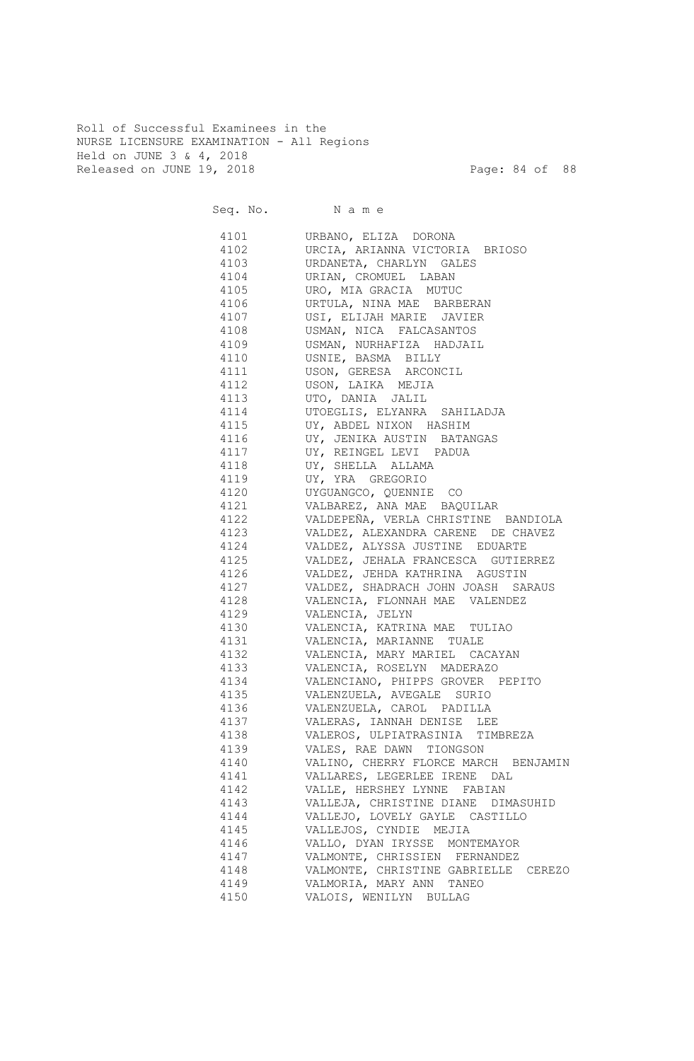Roll of Successful Examinees in the NURSE LICENSURE EXAMINATION - All Regions Held on JUNE 3 & 4, 2018 Released on JUNE 19, 2018 Page: 84 of 88

Seq. No. Name 4101 URBANO, ELIZA DORONA 4102 URCIA, ARIANNA VICTORIA BRIOSO 4103 URDANETA, CHARLYN GALES 4104 URIAN, CROMUEL LABAN 4105 URO, MIA GRACIA MUTUC 4106 URTULA, NINA MAE BARBERAN 4107 USI, ELIJAH MARIE JAVIER 4108 USMAN, NICA FALCASANTOS 4109 USMAN, NURHAFIZA HADJAIL 4110 USNIE, BASMA BILLY 4111 USON, GERESA ARCONCIL 4112 USON, LAIKA MEJIA 4113 UTO, DANIA JALIL 4114 UTOEGLIS, ELYANRA SAHILADJA 4115 UY, ABDEL NIXON HASHIM 4116 UY, JENIKA AUSTIN BATANGAS 4117 UY, REINGEL LEVI PADUA 4118 UY, SHELLA ALLAMA 4119 UY, YRA GREGORIO 4120 UYGUANGCO, QUENNIE CO 4121 VALBAREZ, ANA MAE BAQUILAR 4122 VALDEPEÑA, VERLA CHRISTINE BANDIOLA 4123 VALDEZ, ALEXANDRA CARENE DE CHAVEZ 4124 VALDEZ, ALYSSA JUSTINE EDUARTE 4125 VALDEZ, JEHALA FRANCESCA GUTIERREZ 4126 VALDEZ, JEHDA KATHRINA AGUSTIN 4127 VALDEZ, SHADRACH JOHN JOASH SARAUS 4128 VALENCIA, FLONNAH MAE VALENDEZ 4129 VALENCIA, JELYN 4130 VALENCIA, KATRINA MAE TULIAO 4131 VALENCIA, MARIANNE TUALE 4132 VALENCIA, MARY MARIEL CACAYAN 4133 VALENCIA, ROSELYN MADERAZO 4134 VALENCIANO, PHIPPS GROVER PEPITO 4135 VALENZUELA, AVEGALE SURIO 4136 VALENZUELA, CAROL PADILLA 4137 VALERAS, IANNAH DENISE LEE 4138 VALEROS, ULPIATRASINIA TIMBREZA 4139 VALES, RAE DAWN TIONGSON 4140 VALINO, CHERRY FLORCE MARCH BENJAMIN 4141 VALLARES, LEGERLEE IRENE DAL 4142 VALLE, HERSHEY LYNNE FABIAN 4143 VALLEJA, CHRISTINE DIANE DIMASUHID 4144 VALLEJO, LOVELY GAYLE CASTILLO 4145 VALLEJOS, CYNDIE MEJIA 4146 VALLO, DYAN IRYSSE MONTEMAYOR 4147 VALMONTE, CHRISSIEN FERNANDEZ 4148 VALMONTE, CHRISTINE GABRIELLE CEREZO 4149 VALMORIA, MARY ANN TANEO 4150 VALOIS, WENILYN BULLAG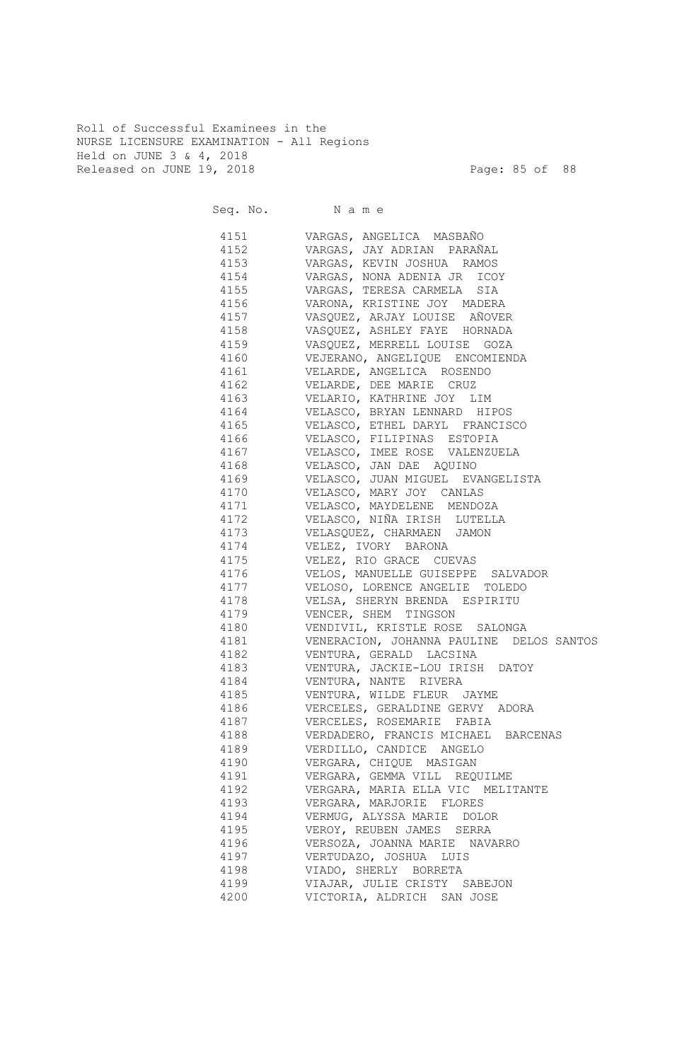Roll of Successful Examinees in the NURSE LICENSURE EXAMINATION - All Regions Held on JUNE 3 & 4, 2018 Released on JUNE 19, 2018 Page: 85 of 88

|      | Seq. No. Name                                   |
|------|-------------------------------------------------|
|      | 4151 VARGAS, ANGELICA MASBAÑO                   |
|      | 4152 VARGAS, JAY ADRIAN PARAÑAL                 |
|      | 4153 VARGAS, KEVIN JOSHUA RAMOS                 |
|      | 4154 VARGAS, NONA ADENIA JR ICOY                |
|      | 4155 VARGAS, TERESA CARMELA SIA                 |
|      | 4156 VARONA, KRISTINE JOY MADERA                |
|      | 4157 VASQUEZ, ARJAY LOUISE AÑOVER               |
|      | 4158 VASQUEZ, ASHLEY FAYE HORNADA               |
|      | 4159 VASQUEZ, MERRELL LOUISE GOZA               |
|      | 4160 VEJERANO, ANGELIQUE ENCOMIENDA             |
|      | 4161 VELARDE, ANGELICA ROSENDO                  |
|      | 4162 VELARDE, DEE MARIE CRUZ                    |
|      | 4163 VELARIO, KATHRINE JOY LIM                  |
|      | 4164 VELASCO, BRYAN LENNARD HIPOS               |
|      | 4165 VELASCO, ETHEL DARYL FRANCISCO             |
|      | 4166 VELASCO, FILIPINAS ESTOPIA                 |
|      | 4167 VELASCO, IMEE ROSE VALENZUELA              |
|      | 4168 VELASCO, JAN DAE AQUINO                    |
|      | 4169 VELASCO, JUAN MIGUEL EVANGELISTA           |
|      | 4170 VELASCO, MARY JOY CANLAS                   |
|      | 4171 VELASCO, MAYDELENE MENDOZA                 |
|      | 4172 - VELASCO, NIÑA IRISH LUTELLA              |
|      | 4173 VELASQUEZ, CHARMAEN JAMON                  |
|      | 4174 VELEZ, IVORY BARONA                        |
|      | 4175 VELEZ, RIO GRACE CUEVAS                    |
|      | 4176 VELOS, MANUELLE GUISEPPE SALVADOR          |
|      | 4177 VELOSO, LORENCE ANGELIE TOLEDO             |
|      | 4178 VELSA, SHERYN BRENDA ESPIRITU              |
|      | 4179 VENCER, SHEM TINGSON                       |
|      | 4180 VENDIVIL, KRISTLE ROSE SALONGA             |
|      | 4181   VENERACION, JOHANNA PAULINE DELOS SANTOS |
|      | 4182 VENTURA, GERALD LACSINA                    |
|      | 4183 VENTURA, JACKIE-LOU IRISH DATOY            |
|      | 4184 VENTURA, NANTE RIVERA                      |
|      | 4185 VENTURA, WILDE FLEUR JAYME                 |
| 4186 | VERCELES, GERALDINE GERVY ADORA                 |
| 4187 | VERCELES, ROSEMARIE FABIA                       |
| 4188 | VERDADERO, FRANCIS MICHAEL BARCENAS             |
| 4189 | VERDILLO, CANDICE ANGELO                        |
| 4190 | VERGARA, CHIQUE MASIGAN                         |
| 4191 | VERGARA, GEMMA VILL REQUILME                    |
| 4192 | VERGARA, MARIA ELLA VIC MELITANTE               |
| 4193 | VERGARA, MARJORIE FLORES                        |
| 4194 | VERMUG, ALYSSA MARIE DOLOR                      |
| 4195 | VEROY, REUBEN JAMES SERRA                       |
| 4196 | VERSOZA, JOANNA MARIE NAVARRO                   |
| 4197 | VERTUDAZO, JOSHUA LUIS                          |
| 4198 | VIADO, SHERLY BORRETA                           |
| 4199 | VIAJAR, JULIE CRISTY SABEJON                    |
| 4200 | VICTORIA, ALDRICH SAN JOSE                      |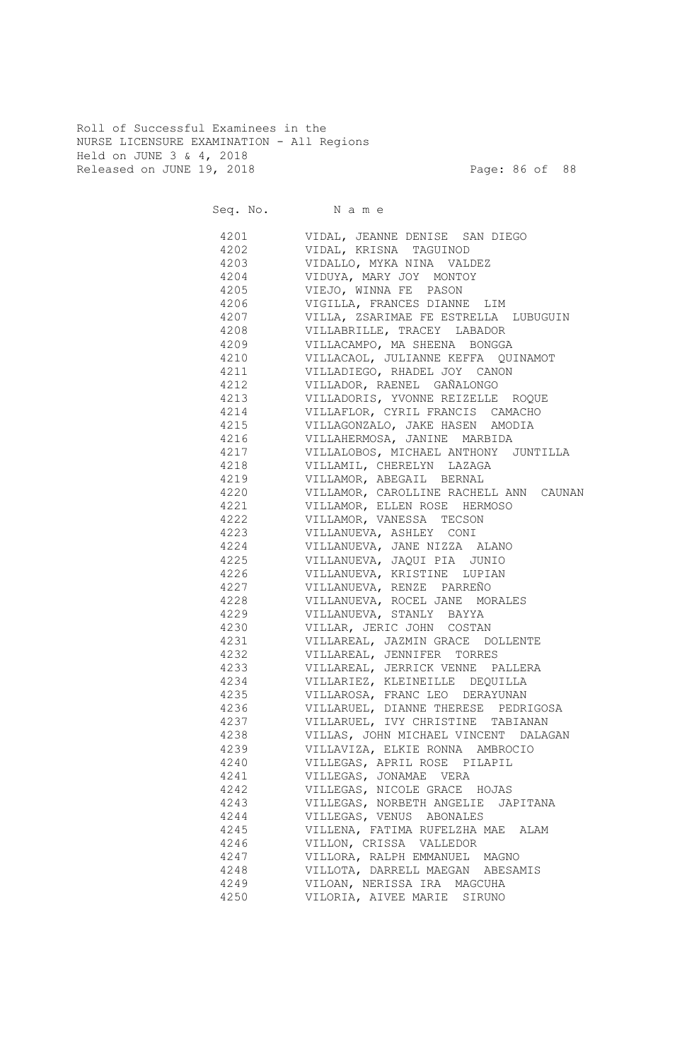Roll of Successful Examinees in the NURSE LICENSURE EXAMINATION - All Regions Held on JUNE 3 & 4, 2018 Released on JUNE 19, 2018 Page: 86 of 88

|              | Seq. No. Name                          |
|--------------|----------------------------------------|
| 4201         | VIDAL, JEANNE DENISE SAN DIEGO         |
| 4202         | VIDAL, KRISNA TAGUINOD                 |
| 4203         | VIDALLO, MYKA NINA VALDEZ              |
| 4204         | VIDUYA, MARY JOY MONTOY                |
| 4205         | VIEJO, WINNA FE PASON                  |
| 4206         | VIGILLA, FRANCES DIANNE LIM            |
| 4207         | VILLA, ZSARIMAE FE ESTRELLA LUBUGUIN   |
| 4208         | VILLABRILLE, TRACEY LABADOR            |
| 4209         | VILLACAMPO, MA SHEENA BONGGA           |
| 4210         | VILLACAOL, JULIANNE KEFFA QUINAMOT     |
| 4211         | VILLADIEGO, RHADEL JOY CANON           |
| 4212         | VILLADOR, RAENEL GAÑALONGO             |
| 4213         | VILLADORIS, YVONNE REIZELLE ROQUE      |
| 4214         | VILLAFLOR, CYRIL FRANCIS CAMACHO       |
| 4215         | VILLAGONZALO, JAKE HASEN AMODIA        |
| 4216         | VILLAHERMOSA, JANINE MARBIDA           |
| 4217         | VILLALOBOS, MICHAEL ANTHONY JUNTILLA   |
| 4218         | VILLAMIL, CHERELYN LAZAGA              |
| 4219         | VILLAMOR, ABEGAIL BERNAL               |
|              |                                        |
| 4220         | VILLAMOR, CAROLLINE RACHELL ANN CAUNAN |
| 4221<br>4222 | VILLAMOR, ELLEN ROSE HERMOSO           |
|              | VILLAMOR, VANESSA TECSON               |
| 4223         | VILLANUEVA, ASHLEY CONI                |
| 4224         | VILLANUEVA, JANE NIZZA ALANO           |
| 4225         | VILLANUEVA, JAQUI PIA JUNIO            |
| 4226         | VILLANUEVA, KRISTINE LUPIAN            |
| 4227         | VILLANUEVA, RENZE PARREÑO              |
| 4228         | VILLANUEVA, ROCEL JANE MORALES         |
| 4229         | VILLANUEVA, STANLY BAYYA               |
| 4230         | VILLAR, JERIC JOHN COSTAN              |
| 4231         | VILLAREAL, JAZMIN GRACE DOLLENTE       |
| 4232         | VILLAREAL, JENNIFER TORRES             |
| 4233         | VILLAREAL, JERRICK VENNE PALLERA       |
| 4234         | VILLARIEZ, KLEINEILLE DEQUILLA         |
| 4235         | VILLAROSA, FRANC LEO DERAYUNAN         |
| 4236         | VILLARUEL, DIANNE THERESE PEDRIGOSA    |
| 4237         | VILLARUEL, IVY CHRISTINE TABIANAN      |
| 4238         | VILLAS, JOHN MICHAEL VINCENT DALAGAN   |
| 4239         | VILLAVIZA, ELKIE RONNA AMBROCIO        |
| 4240         | VILLEGAS, APRIL ROSE PILAPIL           |
| 4241         | VILLEGAS, JONAMAE VERA                 |
| 4242         | VILLEGAS, NICOLE GRACE HOJAS           |
| 4243         | VILLEGAS, NORBETH ANGELIE<br>JAPITANA  |
| 4244         | VILLEGAS, VENUS ABONALES               |
| 4245         | VILLENA, FATIMA RUFELZHA MAE ALAM      |
| 4246         | VILLON, CRISSA VALLEDOR                |
| 4247         | VILLORA, RALPH EMMANUEL MAGNO          |
| 4248         | VILLOTA, DARRELL MAEGAN ABESAMIS       |
| 4249         | VILOAN, NERISSA IRA MAGCUHA            |
| 4250         | VILORIA, AIVEE MARIE SIRUNO            |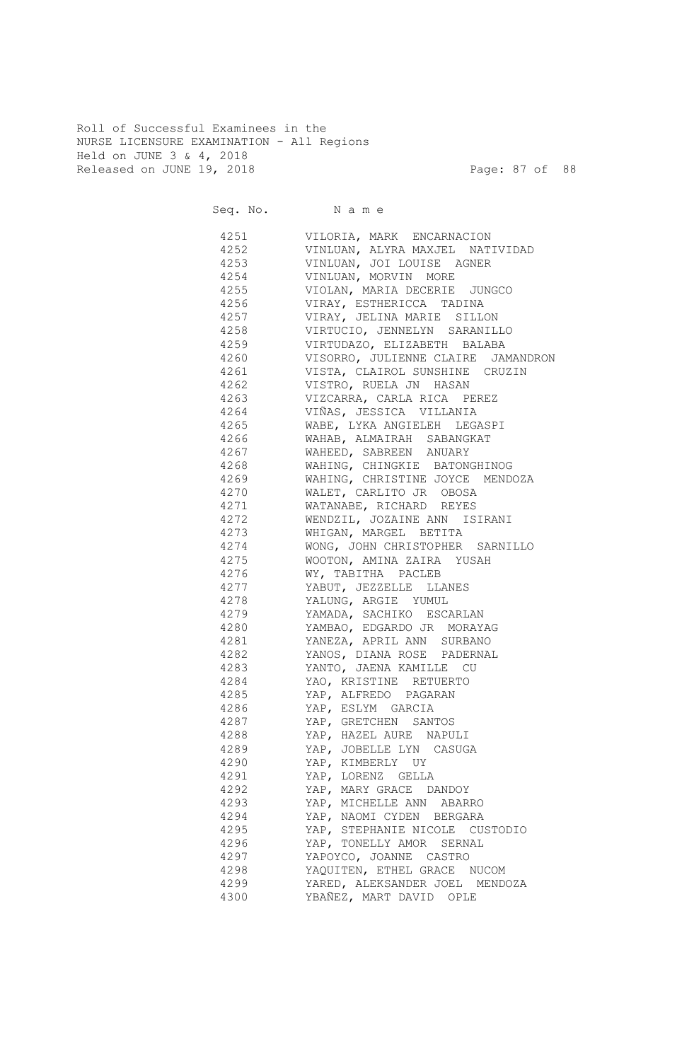Roll of Successful Examinees in the NURSE LICENSURE EXAMINATION - All Regions Held on JUNE 3 & 4, 2018 Released on JUNE 19, 2018 Page: 87 of 88

|              | Seq. No. Name                             |
|--------------|-------------------------------------------|
| 4251         | VILORIA, MARK ENCARNACION                 |
| 4252         | VINLUAN, ALYRA MAXJEL NATIVIDAD           |
| 4253         | VINLUAN, JOI LOUISE AGNER                 |
| 4254         | VINLUAN, MORVIN MORE                      |
| 4255         | VIOLAN, MARIA DECERIE JUNGCO              |
| 4256         | VIRAY, ESTHERICCA TADINA                  |
| 4257         | VIRAY, JELINA MARIE SILLON                |
| 4258         | VIRTUCIO, JENNELYN SARANILLO              |
| 4259         | VIRTUDAZO, ELIZABETH BALABA               |
| 4260         | VISORRO, JULIENNE CLAIRE JAMANDRON        |
| 4261         | VISTA, CLAIROL SUNSHINE CRUZIN            |
| 4262         | VISTRO, RUELA JN HASAN                    |
| 4263         | VIZCARRA, CARLA RICA PEREZ                |
| 4264         | VIÑAS, JESSICA VILLANIA                   |
| 4265         | WABE, LYKA ANGIELEH LEGASPI               |
| 4266         | WAHAB, ALMAIRAH SABANGKAT                 |
| 4267         | WAHEED, SABREEN ANUARY                    |
| 4268         | WAHING, CHINGKIE BATONGHINOG              |
| 4269         | WAHING, CHRISTINE JOYCE MENDOZA           |
| 4270         | WALET, CARLITO JR OBOSA                   |
| 4271         | WATANABE, RICHARD REYES                   |
| 4272         | WENDZIL, JOZAINE ANN ISIRANI              |
| 4273         | WHIGAN, MARGEL BETITA                     |
| 4274         | WONG, JOHN CHRISTOPHER SARNILLO           |
| 4275         | WOOTON, AMINA ZAIRA YUSAH                 |
| 4276         | WY, TABITHA PACLEB                        |
| 4277         | YABUT, JEZZELLE LLANES                    |
| 4278         | YALUNG, ARGIE YUMUL                       |
| 4279         | YAMADA, SACHIKO ESCARLAN                  |
| 4280         | YAMBAO, EDGARDO JR MORAYAG                |
| 4281         | YANEZA, APRIL ANN SURBANO                 |
| 4282         | YANOS, DIANA ROSE PADERNAL                |
| 4283         | YANTO, JAENA KAMILLE CU                   |
| 4284         | YAO, KRISTINE RETUERTO                    |
| 4285<br>4286 | YAP, ALFREDO PAGARAN                      |
| 4287         | YAP, ESLYM GARCIA<br>YAP, GRETCHEN SANTOS |
| 4288         | YAP, HAZEL AURE NAPULI                    |
| 4289         | YAP, JOBELLE LYN CASUGA                   |
| 4290         | YAP, KIMBERLY UY                          |
| 4291         | YAP, LORENZ GELLA                         |
| 4292         | YAP, MARY GRACE DANDOY                    |
| 4293         | YAP, MICHELLE ANN ABARRO                  |
| 4294         | YAP, NAOMI CYDEN BERGARA                  |
| 4295         | YAP, STEPHANIE NICOLE CUSTODIO            |
| 4296         | YAP, TONELLY AMOR SERNAL                  |
| 4297         | YAPOYCO, JOANNE CASTRO                    |
| 4298         | YAQUITEN, ETHEL GRACE NUCOM               |
| 4299         | YARED, ALEKSANDER JOEL MENDOZA            |
| 4300         | YBAÑEZ, MART DAVID<br>OPLE                |
|              |                                           |